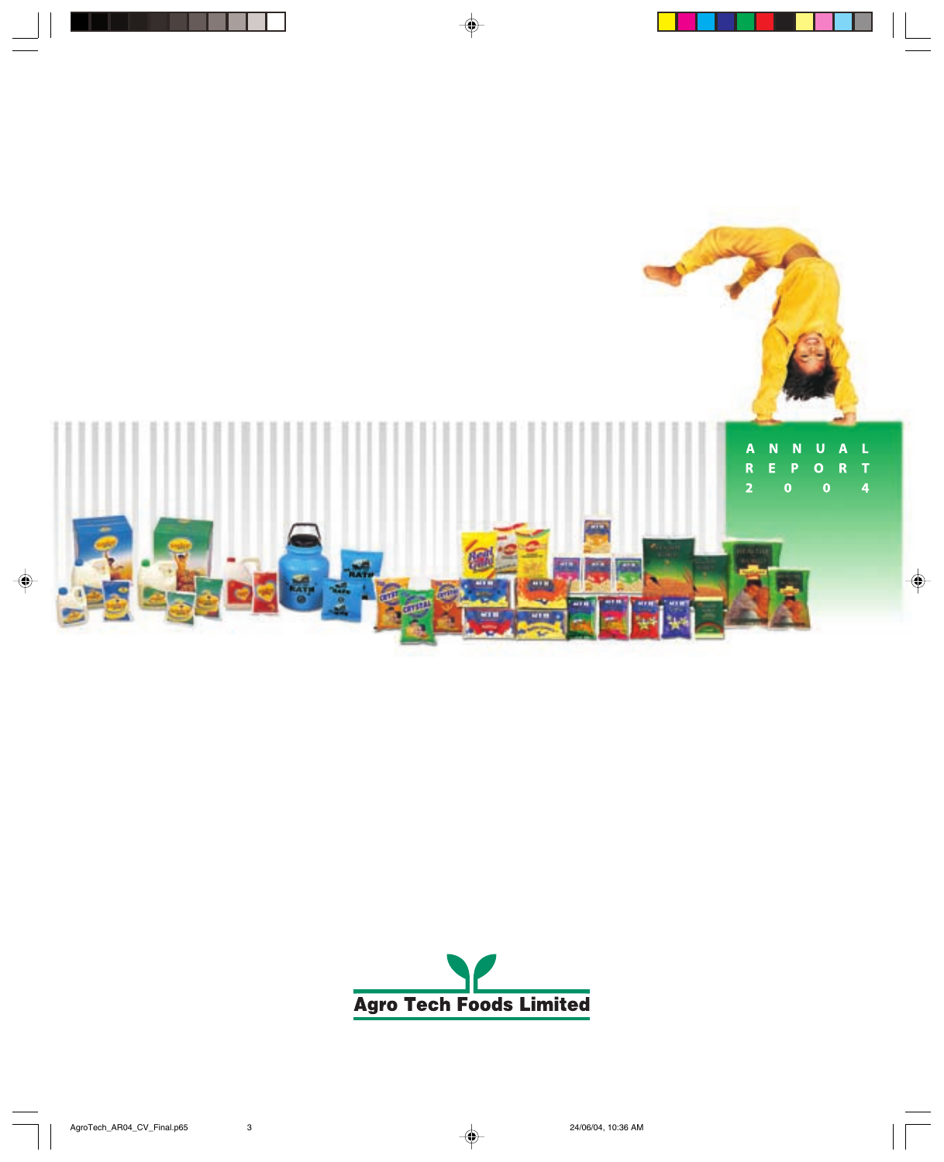

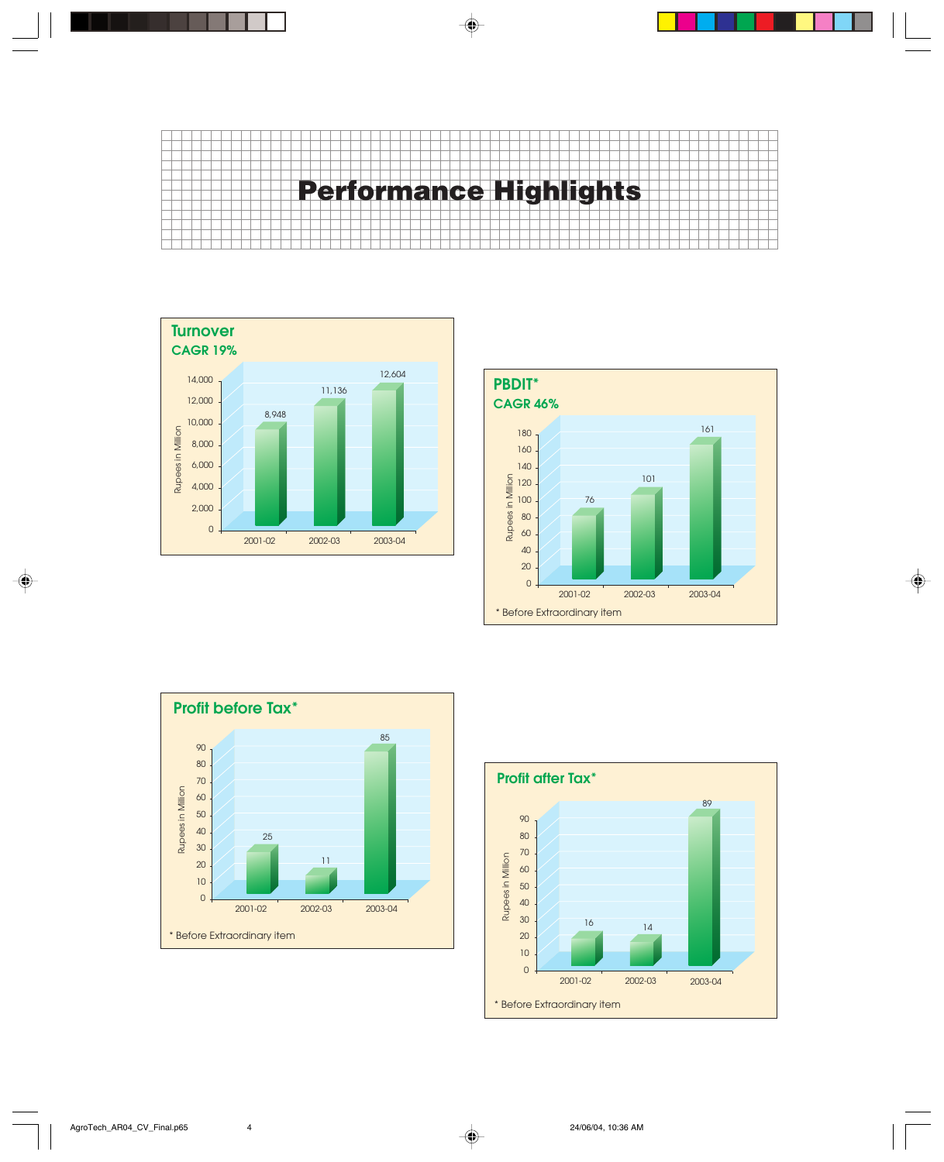







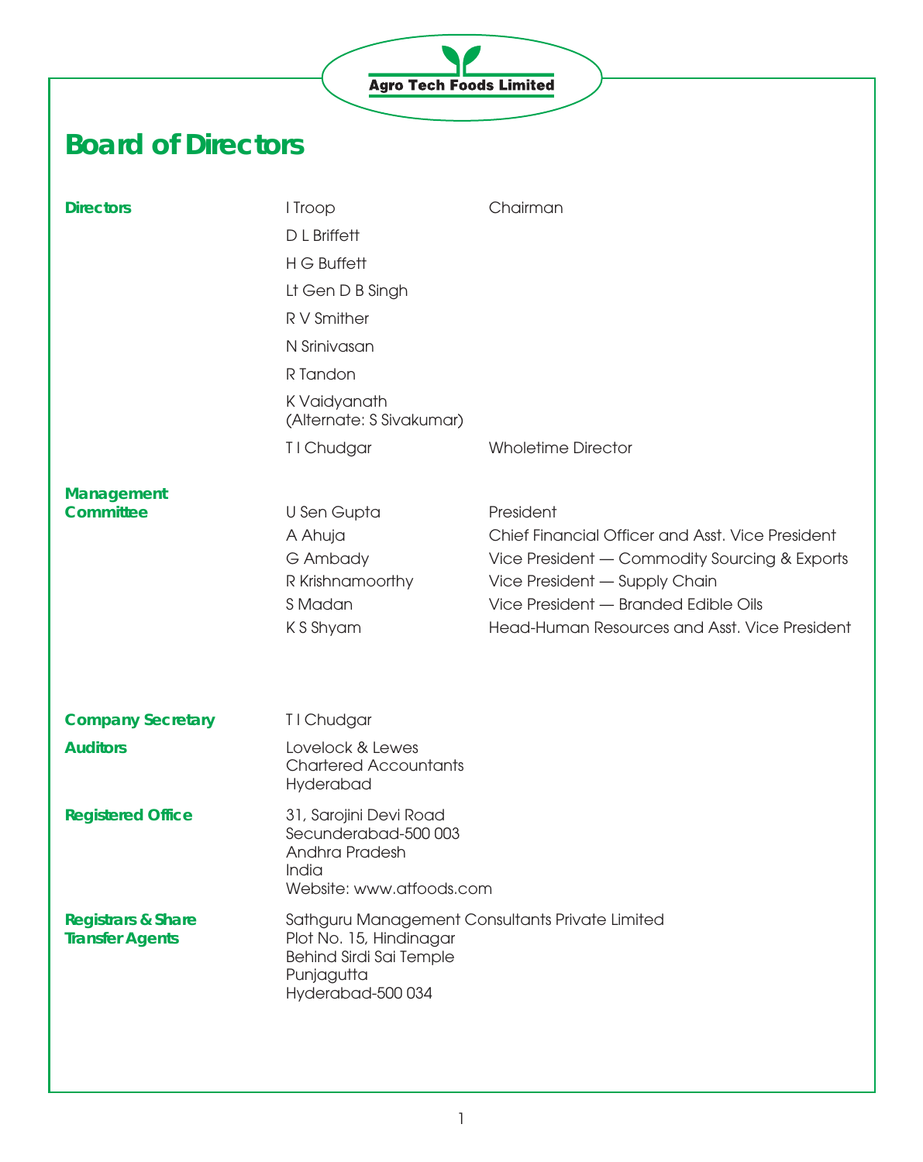# **Agro Tech Foods Limited**

# **Board of Directors**

| <b>Directors</b>                                        | I Troop<br>D L Briffett<br>H G Buffett<br>Lt Gen D B Singh<br>R V Smither<br>N Srinivasan<br>R Tandon<br>K Vaidyanath<br>(Alternate: S Sivakumar) | Chairman                                                                                                                                                                                                                                 |
|---------------------------------------------------------|---------------------------------------------------------------------------------------------------------------------------------------------------|------------------------------------------------------------------------------------------------------------------------------------------------------------------------------------------------------------------------------------------|
|                                                         | T I Chudgar                                                                                                                                       | <b>Wholetime Director</b>                                                                                                                                                                                                                |
| Management<br><b>Committee</b>                          | U Sen Gupta<br>A Ahuja<br>G Ambady<br>R Krishnamoorthy<br>S Madan<br>K S Shyam                                                                    | President<br>Chief Financial Officer and Asst. Vice President<br>Vice President - Commodity Sourcing & Exports<br>Vice President - Supply Chain<br>Vice President - Branded Edible Oils<br>Head-Human Resources and Asst. Vice President |
| <b>Company Secretary</b>                                | T I Chudgar                                                                                                                                       |                                                                                                                                                                                                                                          |
| <b>Auditors</b>                                         | Lovelock & Lewes<br><b>Chartered Accountants</b><br>Hyderabad                                                                                     |                                                                                                                                                                                                                                          |
| <b>Registered Office</b>                                | 31, Sarojini Devi Road<br>Secunderabad-500 003<br>Andhra Pradesh<br>India<br>Website: www.atfoods.com                                             |                                                                                                                                                                                                                                          |
| <b>Registrars &amp; Share</b><br><b>Transfer Agents</b> | Sathguru Management Consultants Private Limited<br>Plot No. 15, Hindinagar<br>Behind Sirdi Sai Temple<br>Punjagutta<br>Hyderabad-500034           |                                                                                                                                                                                                                                          |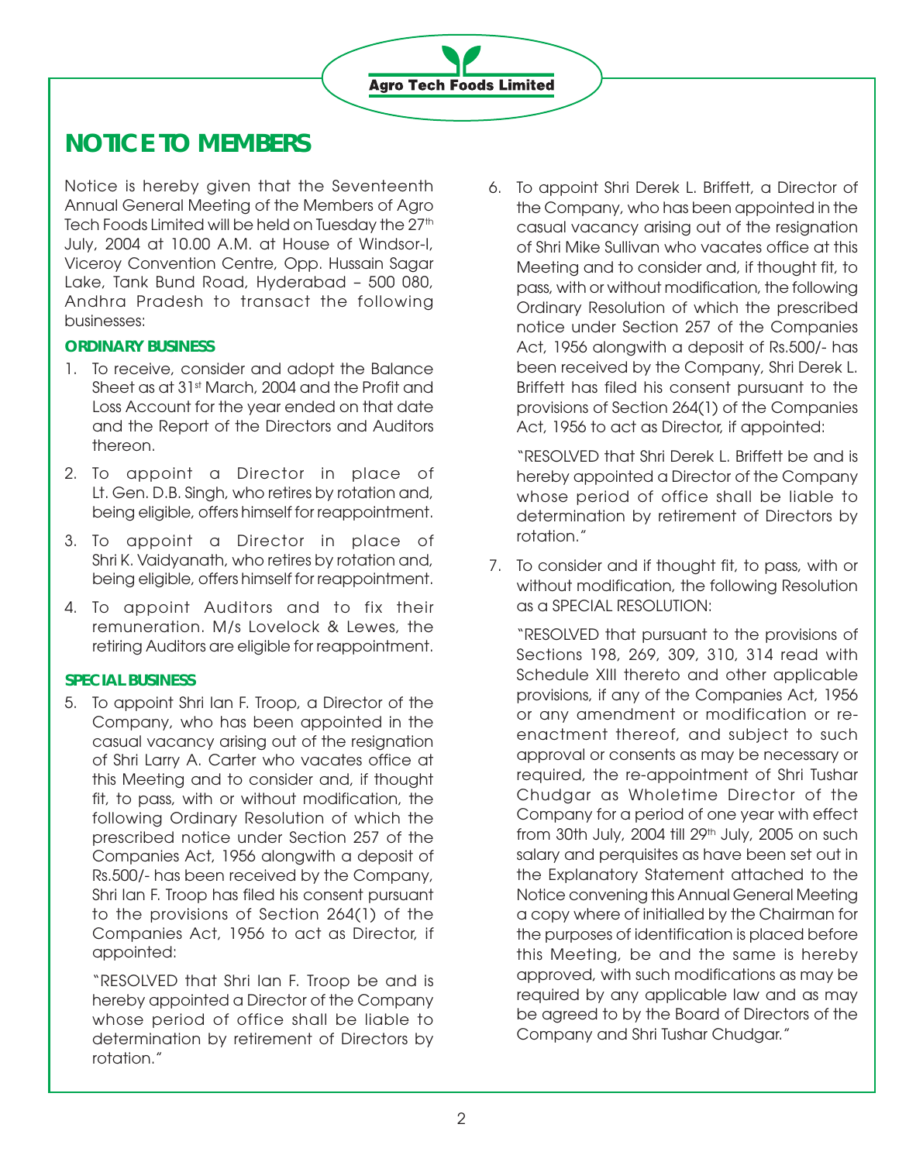# **NOTICE TO MEMBERS**

Notice is hereby given that the Seventeenth Annual General Meeting of the Members of Agro Tech Foods Limited will be held on Tuesday the 27<sup>th</sup> July, 2004 at 10.00 A.M. at House of Windsor-I, Viceroy Convention Centre, Opp. Hussain Sagar Lake, Tank Bund Road, Hyderabad – 500 080, Andhra Pradesh to transact the following businesses:

# **ORDINARY BUSINESS**

- 1. To receive, consider and adopt the Balance Sheet as at 31st March, 2004 and the Profit and Loss Account for the year ended on that date and the Report of the Directors and Auditors thereon.
- 2. To appoint a Director in place of Lt. Gen. D.B. Singh, who retires by rotation and, being eligible, offers himself for reappointment.
- 3. To appoint a Director in place of Shri K. Vaidyanath, who retires by rotation and, being eligible, offers himself for reappointment.
- 4. To appoint Auditors and to fix their remuneration. M/s Lovelock & Lewes, the retiring Auditors are eligible for reappointment.

# **SPECIAL BUSINESS**

5. To appoint Shri Ian F. Troop, a Director of the Company, who has been appointed in the casual vacancy arising out of the resignation of Shri Larry A. Carter who vacates office at this Meeting and to consider and, if thought fit, to pass, with or without modification, the following Ordinary Resolution of which the prescribed notice under Section 257 of the Companies Act, 1956 alongwith a deposit of Rs.500/- has been received by the Company, Shri Ian F. Troop has filed his consent pursuant to the provisions of Section 264(1) of the Companies Act, 1956 to act as Director, if appointed:

"RESOLVED that Shri Ian F. Troop be and is hereby appointed a Director of the Company whose period of office shall be liable to determination by retirement of Directors by rotation."

6. To appoint Shri Derek L. Briffett, a Director of the Company, who has been appointed in the casual vacancy arising out of the resignation of Shri Mike Sullivan who vacates office at this Meeting and to consider and, if thought fit, to pass, with or without modification, the following Ordinary Resolution of which the prescribed notice under Section 257 of the Companies Act, 1956 alongwith a deposit of Rs.500/- has been received by the Company, Shri Derek L. Briffett has filed his consent pursuant to the provisions of Section 264(1) of the Companies Act, 1956 to act as Director, if appointed:

"RESOLVED that Shri Derek L. Briffett be and is hereby appointed a Director of the Company whose period of office shall be liable to determination by retirement of Directors by rotation."

7. To consider and if thought fit, to pass, with or without modification, the following Resolution as a SPECIAL RESOLUTION:

"RESOLVED that pursuant to the provisions of Sections 198, 269, 309, 310, 314 read with Schedule XIII thereto and other applicable provisions, if any of the Companies Act, 1956 or any amendment or modification or reenactment thereof, and subject to such approval or consents as may be necessary or required, the re-appointment of Shri Tushar Chudgar as Wholetime Director of the Company for a period of one year with effect from 30th July,  $2004$  till  $29<sup>th</sup>$  July,  $2005$  on such salary and perquisites as have been set out in the Explanatory Statement attached to the Notice convening this Annual General Meeting a copy where of initialled by the Chairman for the purposes of identification is placed before this Meeting, be and the same is hereby approved, with such modifications as may be required by any applicable law and as may be agreed to by the Board of Directors of the Company and Shri Tushar Chudgar."

**Agro Tech Foods Limited**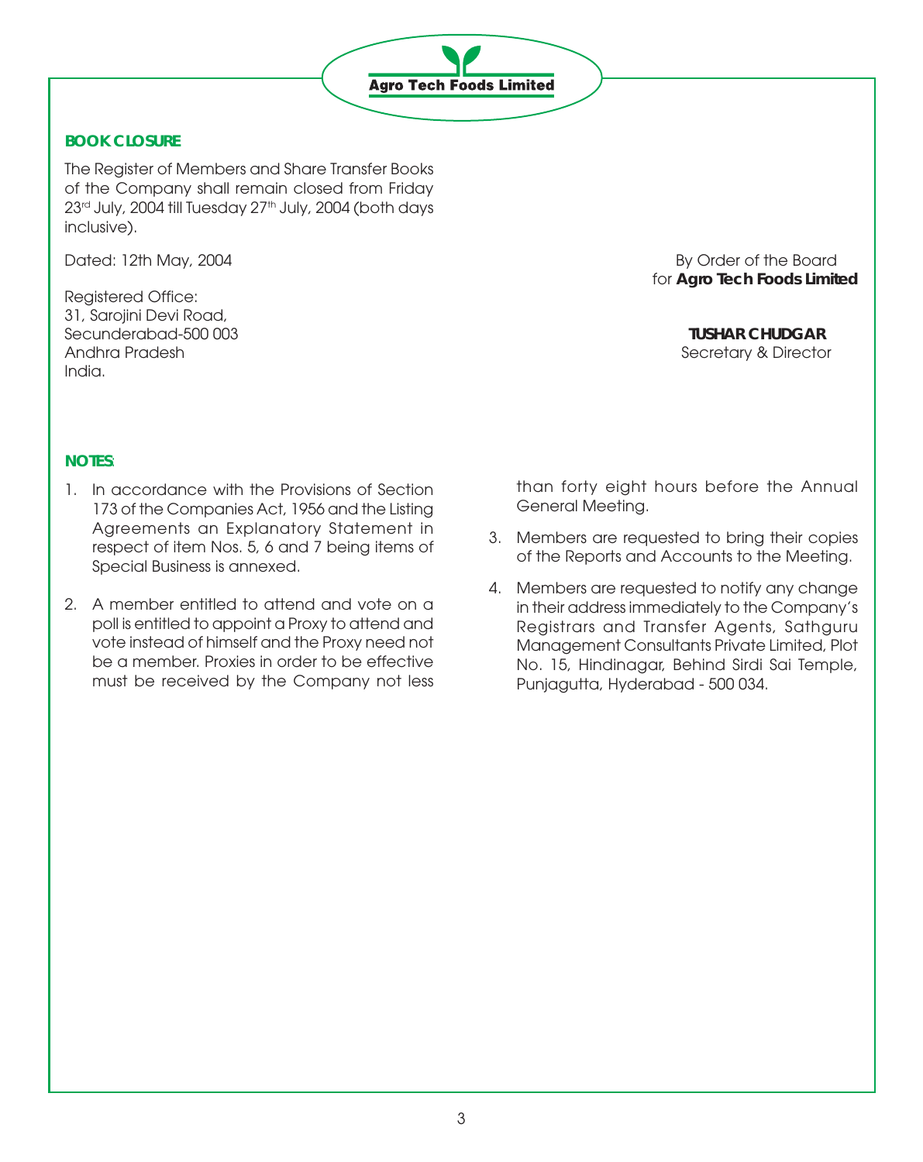

# **BOOK CLOSURE**

The Register of Members and Share Transfer Books of the Company shall remain closed from Friday 23<sup>rd</sup> July, 2004 till Tuesday 27<sup>th</sup> July, 2004 (both days inclusive).

Registered Office: 31, Sarojini Devi Road, Secunderabad-500 003 **TUSHAR CHUDGAR** Andhra Pradesh Secretary & Director India.

Dated: 12th May, 2004 **By Order of the Board** for **Agro Tech Foods Limited**

# **NOTES**:

- 1. In accordance with the Provisions of Section 173 of the Companies Act, 1956 and the Listing Agreements an Explanatory Statement in respect of item Nos. 5, 6 and 7 being items of Special Business is annexed.
- 2. A member entitled to attend and vote on a poll is entitled to appoint a Proxy to attend and vote instead of himself and the Proxy need not be a member. Proxies in order to be effective must be received by the Company not less

than forty eight hours before the Annual General Meeting.

- 3. Members are requested to bring their copies of the Reports and Accounts to the Meeting.
- 4. Members are requested to notify any change in their address immediately to the Company's Registrars and Transfer Agents, Sathguru Management Consultants Private Limited, Plot No. 15, Hindinagar, Behind Sirdi Sai Temple, Punjagutta, Hyderabad - 500 034.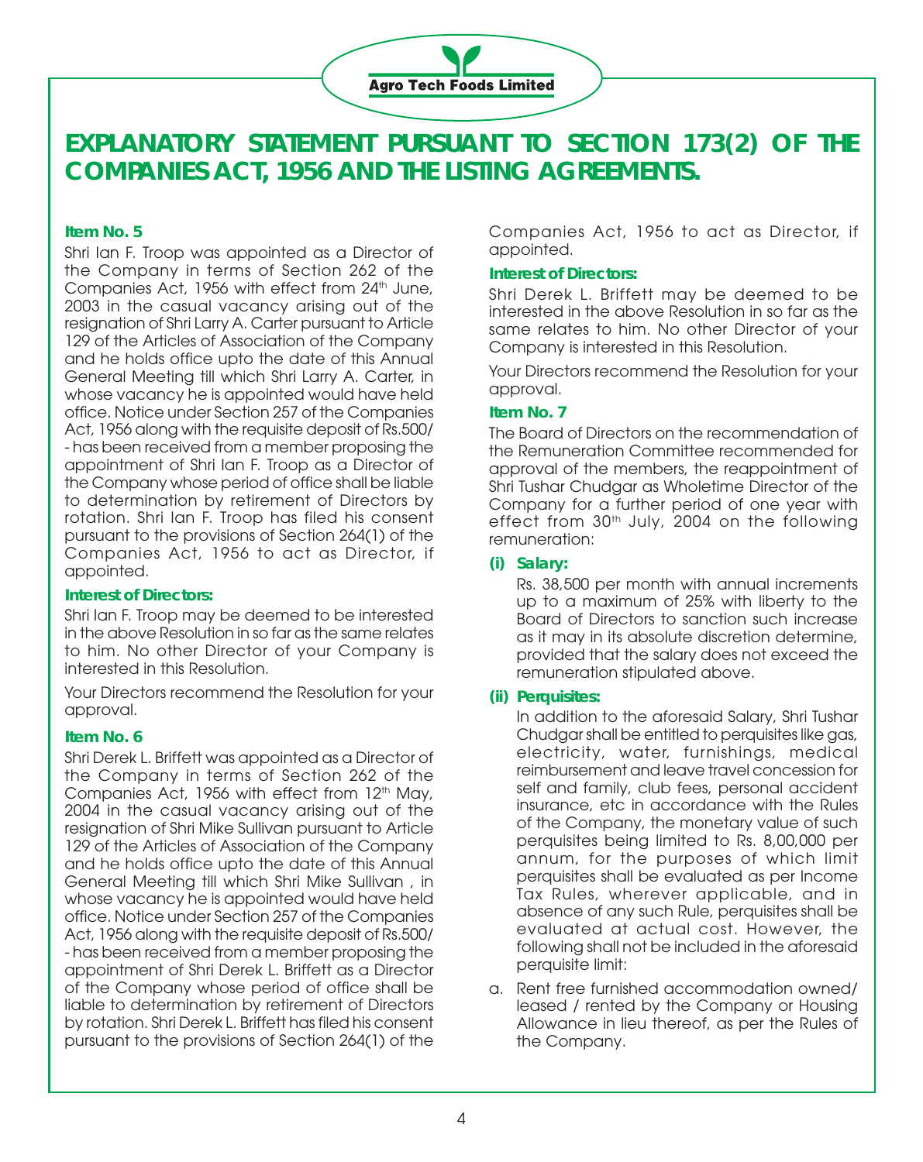

# **EXPLANATORY STATEMENT PURSUANT TO SECTION 173(2) OF THE COMPANIES ACT, 1956 AND THE LISTING AGREEMENTS.**

# **Item No. 5**

Shri Ian F. Troop was appointed as a Director of the Company in terms of Section 262 of the Companies Act, 1956 with effect from 24<sup>th</sup> June, 2003 in the casual vacancy arising out of the resignation of Shri Larry A. Carter pursuant to Article 129 of the Articles of Association of the Company and he holds office upto the date of this Annual General Meeting till which Shri Larry A. Carter, in whose vacancy he is appointed would have held office. Notice under Section 257 of the Companies Act, 1956 along with the requisite deposit of Rs.500/ - has been received from a member proposing the appointment of Shri Ian F. Troop as a Director of the Company whose period of office shall be liable to determination by retirement of Directors by rotation. Shri Ian F. Troop has filed his consent pursuant to the provisions of Section 264(1) of the Companies Act, 1956 to act as Director, if appointed.

#### **Interest of Directors:**

Shri Ian F. Troop may be deemed to be interested in the above Resolution in so far as the same relates to him. No other Director of your Company is interested in this Resolution.

Your Directors recommend the Resolution for your approval.

# **Item No. 6**

Shri Derek L. Briffett was appointed as a Director of the Company in terms of Section 262 of the Companies Act, 1956 with effect from 12<sup>th</sup> May, 2004 in the casual vacancy arising out of the resignation of Shri Mike Sullivan pursuant to Article 129 of the Articles of Association of the Company and he holds office upto the date of this Annual General Meeting till which Shri Mike Sullivan , in whose vacancy he is appointed would have held office. Notice under Section 257 of the Companies Act, 1956 along with the requisite deposit of Rs.500/ - has been received from a member proposing the appointment of Shri Derek L. Briffett as a Director of the Company whose period of office shall be liable to determination by retirement of Directors by rotation. Shri Derek L. Briffett has filed his consent pursuant to the provisions of Section 264(1) of the

Companies Act, 1956 to act as Director, if appointed.

## **Interest of Directors:**

Shri Derek L. Briffett may be deemed to be interested in the above Resolution in so far as the same relates to him. No other Director of your Company is interested in this Resolution.

Your Directors recommend the Resolution for your approval.

# **Item No. 7**

The Board of Directors on the recommendation of the Remuneration Committee recommended for approval of the members, the reappointment of Shri Tushar Chudgar as Wholetime Director of the Company for a further period of one year with effect from 30<sup>th</sup> July, 2004 on the following remuneration:

## **(i) Salary:**

Rs. 38,500 per month with annual increments up to a maximum of 25% with liberty to the Board of Directors to sanction such increase as it may in its absolute discretion determine, provided that the salary does not exceed the remuneration stipulated above.

# **(ii) Perquisites:**

In addition to the aforesaid Salary, Shri Tushar Chudgar shall be entitled to perquisites like gas, electricity, water, furnishings, medical reimbursement and leave travel concession for self and family, club fees, personal accident insurance, etc in accordance with the Rules of the Company, the monetary value of such perquisites being limited to Rs. 8,00,000 per annum, for the purposes of which limit perquisites shall be evaluated as per Income Tax Rules, wherever applicable, and in absence of any such Rule, perquisites shall be evaluated at actual cost. However, the following shall not be included in the aforesaid perquisite limit:

a. Rent free furnished accommodation owned/ leased / rented by the Company or Housing Allowance in lieu thereof, as per the Rules of the Company.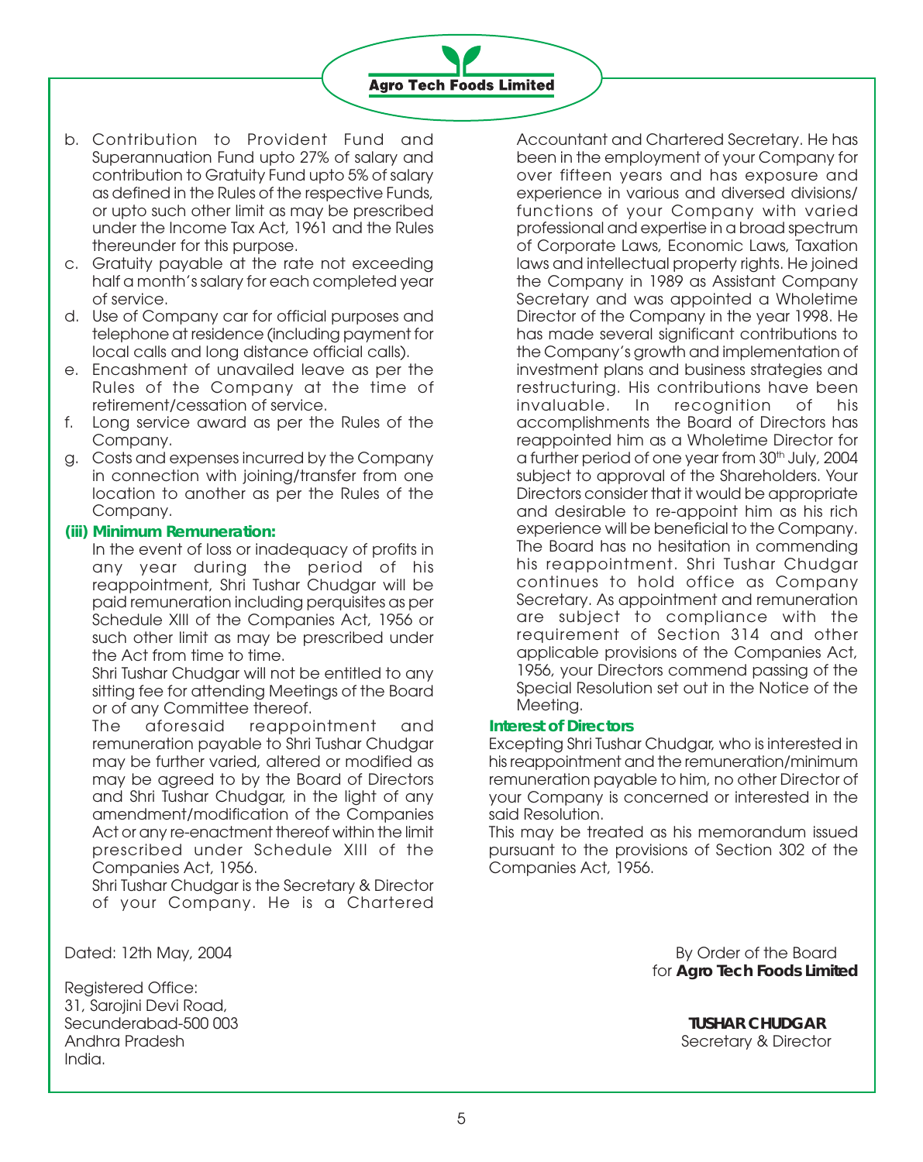

- b. Contribution to Provident Fund and Superannuation Fund upto 27% of salary and contribution to Gratuity Fund upto 5% of salary as defined in the Rules of the respective Funds, or upto such other limit as may be prescribed under the Income Tax Act, 1961 and the Rules thereunder for this purpose.
- c. Gratuity payable at the rate not exceeding half a month's salary for each completed year of service.
- d. Use of Company car for official purposes and telephone at residence (including payment for local calls and long distance official calls).
- e. Encashment of unavailed leave as per the Rules of the Company at the time of retirement/cessation of service.
- f. Long service award as per the Rules of the Company.
- g. Costs and expenses incurred by the Company in connection with joining/transfer from one location to another as per the Rules of the Company.

#### **(iii) Minimum Remuneration:**

In the event of loss or inadequacy of profits in any year during the period of his reappointment, Shri Tushar Chudgar will be paid remuneration including perquisites as per Schedule XIII of the Companies Act, 1956 or such other limit as may be prescribed under the Act from time to time.

Shri Tushar Chudgar will not be entitled to any sitting fee for attending Meetings of the Board or of any Committee thereof.

The aforesaid reappointment and remuneration payable to Shri Tushar Chudgar may be further varied, altered or modified as may be agreed to by the Board of Directors and Shri Tushar Chudgar, in the light of any amendment/modification of the Companies Act or any re-enactment thereof within the limit prescribed under Schedule XIII of the Companies Act, 1956.

Shri Tushar Chudgar is the Secretary & Director of your Company. He is a Chartered

Registered Office: 31, Sarojini Devi Road, Secunderabad-500 003 **TUSHAR CHUDGAR** Andhra Pradesh Secretary & Director India.

Accountant and Chartered Secretary. He has been in the employment of your Company for over fifteen years and has exposure and experience in various and diversed divisions/ functions of your Company with varied professional and expertise in a broad spectrum of Corporate Laws, Economic Laws, Taxation laws and intellectual property rights. He joined the Company in 1989 as Assistant Company Secretary and was appointed a Wholetime Director of the Company in the year 1998. He has made several significant contributions to the Company's growth and implementation of investment plans and business strategies and restructuring. His contributions have been invaluable. In recognition of his accomplishments the Board of Directors has reappointed him as a Wholetime Director for a further period of one year from 30<sup>th</sup> July, 2004 subject to approval of the Shareholders. Your Directors consider that it would be appropriate and desirable to re-appoint him as his rich experience will be beneficial to the Company. The Board has no hesitation in commending his reappointment. Shri Tushar Chudgar continues to hold office as Company Secretary. As appointment and remuneration are subject to compliance with the requirement of Section 314 and other applicable provisions of the Companies Act, 1956, your Directors commend passing of the Special Resolution set out in the Notice of the Meeting.

#### **Interest of Directors**

Excepting Shri Tushar Chudgar, who is interested in his reappointment and the remuneration/minimum remuneration payable to him, no other Director of your Company is concerned or interested in the said Resolution.

This may be treated as his memorandum issued pursuant to the provisions of Section 302 of the Companies Act, 1956.

Dated: 12th May, 2004 By Order of the Board for **Agro Tech Foods Limited**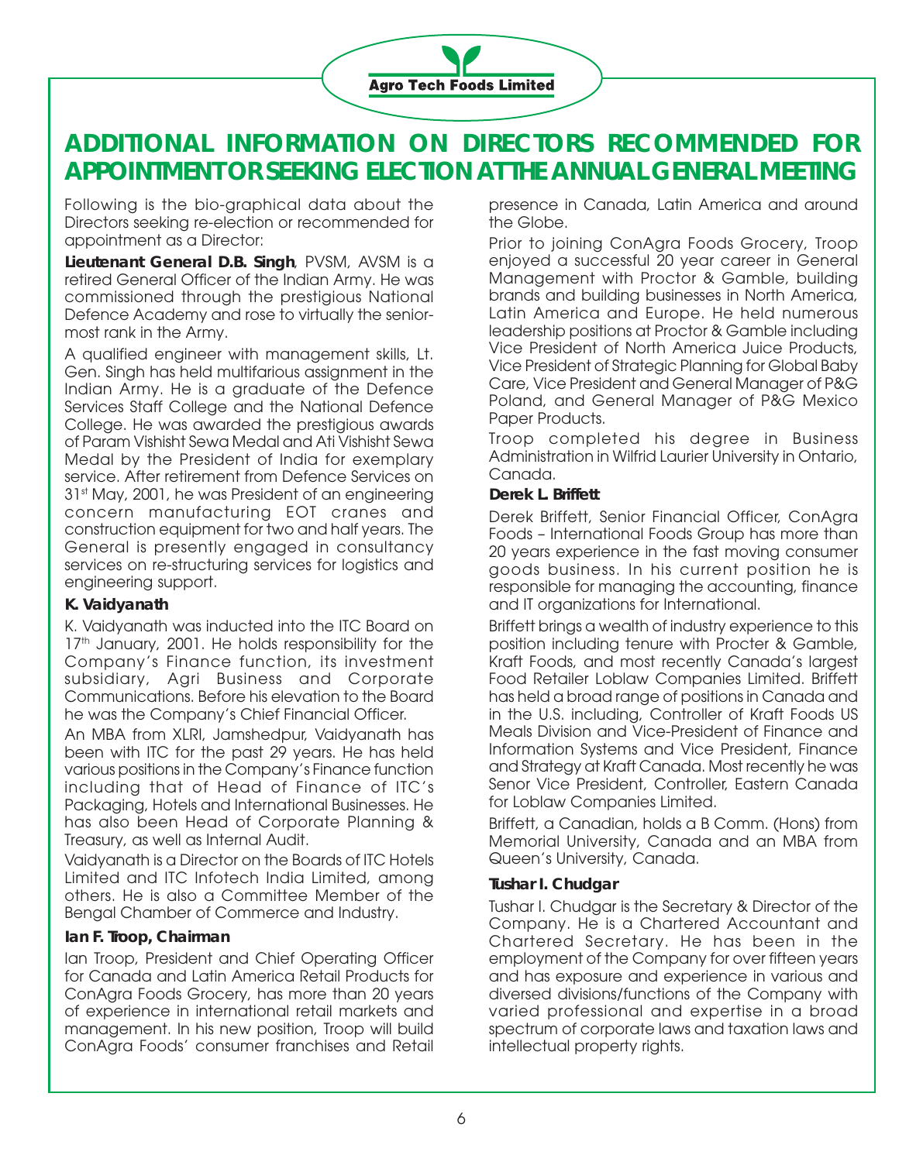

# **ADDITIONAL INFORMATION ON DIRECTORS RECOMMENDED FOR APPOINTMENT OR SEEKING ELECTION AT THE ANNUAL GENERAL MEETING**

Following is the bio-graphical data about the Directors seeking re-election or recommended for appointment as a Director:

**Lieutenant General D.B. Singh**, PVSM, AVSM is a retired General Officer of the Indian Army. He was commissioned through the prestigious National Defence Academy and rose to virtually the seniormost rank in the Army.

A qualified engineer with management skills, Lt. Gen. Singh has held multifarious assignment in the Indian Army. He is a graduate of the Defence Services Staff College and the National Defence College. He was awarded the prestigious awards of Param Vishisht Sewa Medal and Ati Vishisht Sewa Medal by the President of India for exemplary service. After retirement from Defence Services on 31<sup>st</sup> May, 2001, he was President of an engineering concern manufacturing EOT cranes and construction equipment for two and half years. The General is presently engaged in consultancy services on re-structuring services for logistics and engineering support.

#### **K. Vaidyanath**

K. Vaidyanath was inducted into the ITC Board on 17<sup>th</sup> January, 2001. He holds responsibility for the Company's Finance function, its investment subsidiary, Agri Business and Corporate Communications. Before his elevation to the Board he was the Company's Chief Financial Officer.

An MBA from XLRI, Jamshedpur, Vaidyanath has been with ITC for the past 29 years. He has held various positions in the Company's Finance function including that of Head of Finance of ITC's Packaging, Hotels and International Businesses. He has also been Head of Corporate Planning & Treasury, as well as Internal Audit.

Vaidyanath is a Director on the Boards of ITC Hotels Limited and ITC Infotech India Limited, among others. He is also a Committee Member of the Bengal Chamber of Commerce and Industry.

#### **Ian F. Troop, Chairman**

Ian Troop, President and Chief Operating Officer for Canada and Latin America Retail Products for ConAgra Foods Grocery, has more than 20 years of experience in international retail markets and management. In his new position, Troop will build ConAgra Foods' consumer franchises and Retail presence in Canada, Latin America and around the Globe.

Prior to joining ConAgra Foods Grocery, Troop enjoyed a successful 20 year career in General Management with Proctor & Gamble, building brands and building businesses in North America, Latin America and Europe. He held numerous leadership positions at Proctor & Gamble including Vice President of North America Juice Products, Vice President of Strategic Planning for Global Baby Care, Vice President and General Manager of P&G Poland, and General Manager of P&G Mexico Paper Products.

Troop completed his degree in Business Administration in Wilfrid Laurier University in Ontario, Canada.

#### **Derek L. Briffett**

Derek Briffett, Senior Financial Officer, ConAgra Foods – International Foods Group has more than 20 years experience in the fast moving consumer goods business. In his current position he is responsible for managing the accounting, finance and IT organizations for International.

Briffett brings a wealth of industry experience to this position including tenure with Procter & Gamble, Kraft Foods, and most recently Canada's largest Food Retailer Loblaw Companies Limited. Briffett has held a broad range of positions in Canada and in the U.S. including, Controller of Kraft Foods US Meals Division and Vice-President of Finance and Information Systems and Vice President, Finance and Strategy at Kraft Canada. Most recently he was Senor Vice President, Controller, Eastern Canada for Loblaw Companies Limited.

Briffett, a Canadian, holds a B Comm. (Hons) from Memorial University, Canada and an MBA from Queen's University, Canada.

#### **Tushar I. Chudgar**

Tushar I. Chudgar is the Secretary & Director of the Company. He is a Chartered Accountant and Chartered Secretary. He has been in the employment of the Company for over fifteen years and has exposure and experience in various and diversed divisions/functions of the Company with varied professional and expertise in a broad spectrum of corporate laws and taxation laws and intellectual property rights.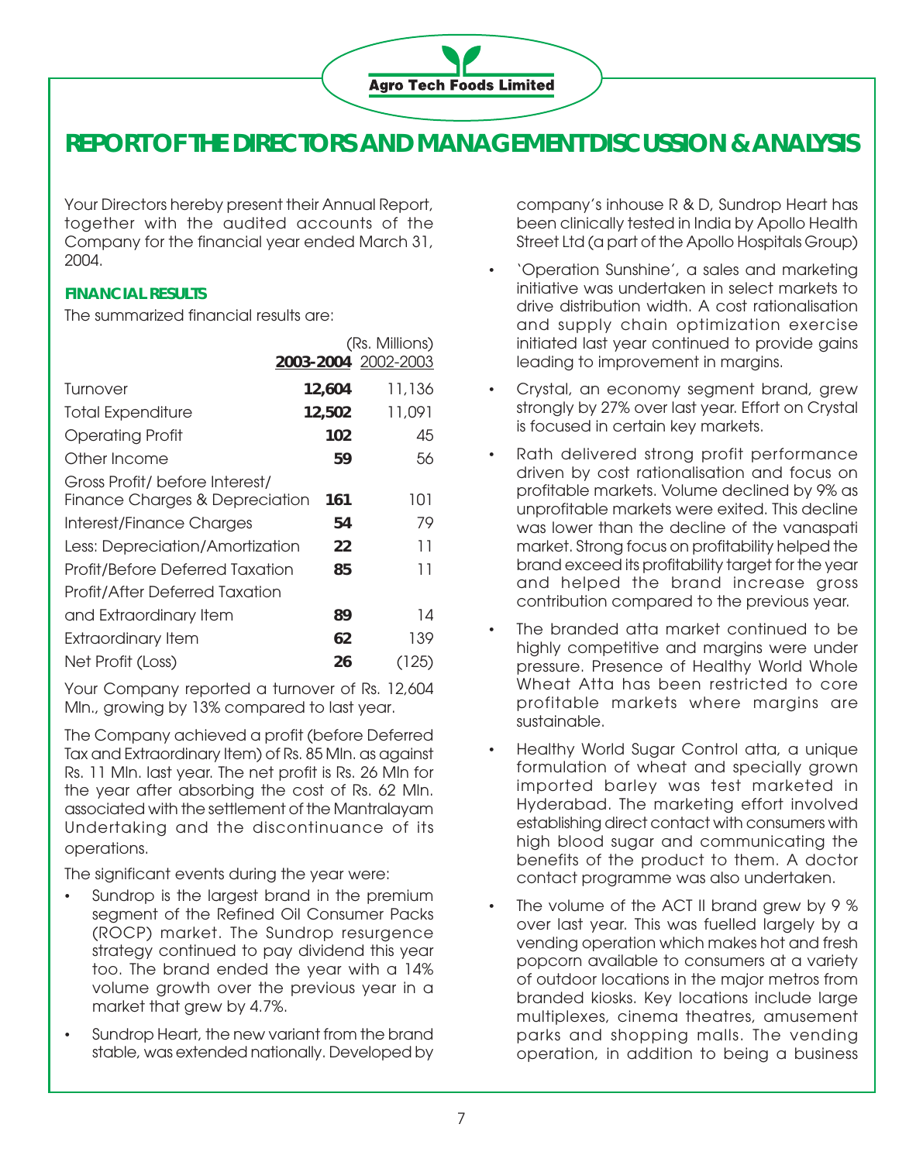

# **REPORT OF THE DIRECTORS AND MANAGEMENT DISCUSSION & ANALYSIS**

Your Directors hereby present their Annual Report, together with the audited accounts of the Company for the financial year ended March 31, 2004.

# **FINANCIAL RESULTS**

The summarized financial results are:

|                                                                  | 2003-2004 2002-2003 | (Rs. Millions) |
|------------------------------------------------------------------|---------------------|----------------|
| Turnover                                                         | 12,604              | 11,136         |
| <b>Total Expenditure</b>                                         | 12,502              | 11,091         |
| <b>Operating Profit</b>                                          | 102                 | 45             |
| Other Income                                                     | 59                  | 56             |
| Gross Profit/ before Interest/<br>Finance Charges & Depreciation | 161                 | 101            |
| Interest/Finance Charges                                         | 54                  | 79             |
| Less: Depreciation/Amortization                                  | 22                  | 11             |
| Profit/Before Deferred Taxation                                  | 85                  | 11             |
| <b>Profit/After Deferred Taxation</b>                            |                     |                |
| and Extraordinary Item                                           | 89                  | 14             |
| <b>Extraordinary Item</b>                                        | 62                  | 139            |
| Net Profit (Loss)                                                | 26                  | 125)           |

Your Company reported a turnover of Rs. 12,604 Mln., growing by 13% compared to last year.

The Company achieved a profit (before Deferred Tax and Extraordinary Item) of Rs. 85 Mln. as against Rs. 11 Mln. last year. The net profit is Rs. 26 Mln for the year after absorbing the cost of Rs. 62 Mln. associated with the settlement of the Mantralayam Undertaking and the discontinuance of its operations.

The significant events during the year were:

- Sundrop is the largest brand in the premium segment of the Refined Oil Consumer Packs (ROCP) market. The Sundrop resurgence strategy continued to pay dividend this year too. The brand ended the year with a 14% volume growth over the previous year in a market that grew by 4.7%.
- Sundrop Heart, the new variant from the brand stable, was extended nationally. Developed by

company's inhouse R & D, Sundrop Heart has been clinically tested in India by Apollo Health Street Ltd (a part of the Apollo Hospitals Group)

- 'Operation Sunshine', a sales and marketing initiative was undertaken in select markets to drive distribution width. A cost rationalisation and supply chain optimization exercise initiated last year continued to provide gains leading to improvement in margins.
- Crystal, an economy segment brand, grew strongly by 27% over last year. Effort on Crystal is focused in certain key markets.
- Rath delivered strong profit performance driven by cost rationalisation and focus on profitable markets. Volume declined by 9% as unprofitable markets were exited. This decline was lower than the decline of the vanaspati market. Strong focus on profitability helped the brand exceed its profitability target for the year and helped the brand increase gross contribution compared to the previous year.
- The branded atta market continued to be highly competitive and margins were under pressure. Presence of Healthy World Whole Wheat Atta has been restricted to core profitable markets where margins are sustainable.
- Healthy World Sugar Control atta, a unique formulation of wheat and specially grown imported barley was test marketed in Hyderabad. The marketing effort involved establishing direct contact with consumers with high blood sugar and communicating the benefits of the product to them. A doctor contact programme was also undertaken.
- The volume of the ACT II brand grew by 9 % over last year. This was fuelled largely by a vending operation which makes hot and fresh popcorn available to consumers at a variety of outdoor locations in the major metros from branded kiosks. Key locations include large multiplexes, cinema theatres, amusement parks and shopping malls. The vending operation, in addition to being a business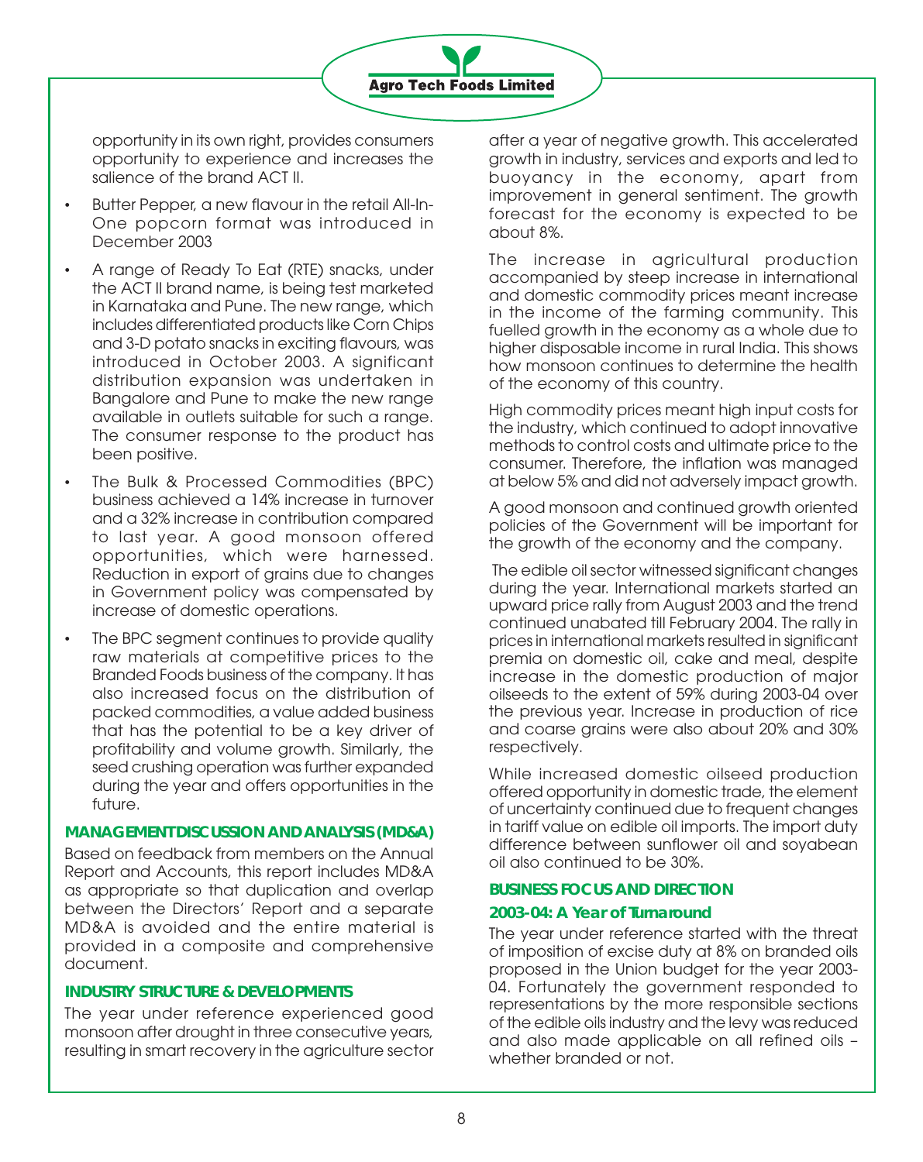opportunity in its own right, provides consumers opportunity to experience and increases the salience of the brand ACT II.

- Butter Pepper, a new flavour in the retail All-In-One popcorn format was introduced in December 2003
- A range of Ready To Eat (RTE) snacks, under the ACT II brand name, is being test marketed in Karnataka and Pune. The new range, which includes differentiated products like Corn Chips and 3-D potato snacks in exciting flavours, was introduced in October 2003. A significant distribution expansion was undertaken in Bangalore and Pune to make the new range available in outlets suitable for such a range. The consumer response to the product has been positive.
- The Bulk & Processed Commodities (BPC) business achieved a 14% increase in turnover and a 32% increase in contribution compared to last year. A good monsoon offered opportunities, which were harnessed. Reduction in export of grains due to changes in Government policy was compensated by increase of domestic operations.
- The BPC segment continues to provide quality raw materials at competitive prices to the Branded Foods business of the company. It has also increased focus on the distribution of packed commodities, a value added business that has the potential to be a key driver of profitability and volume growth. Similarly, the seed crushing operation was further expanded during the year and offers opportunities in the future.

## **MANAGEMENT DISCUSSION AND ANALYSIS (MD&A)**

Based on feedback from members on the Annual Report and Accounts, this report includes MD&A as appropriate so that duplication and overlap between the Directors' Report and a separate MD&A is avoided and the entire material is provided in a composite and comprehensive document.

#### **INDUSTRY STRUCTURE & DEVELOPMENTS**

The year under reference experienced good monsoon after drought in three consecutive years, resulting in smart recovery in the agriculture sector after a year of negative growth. This accelerated growth in industry, services and exports and led to buoyancy in the economy, apart from improvement in general sentiment. The growth forecast for the economy is expected to be about 8%.

The increase in agricultural production accompanied by steep increase in international and domestic commodity prices meant increase in the income of the farming community. This fuelled growth in the economy as a whole due to higher disposable income in rural India. This shows how monsoon continues to determine the health of the economy of this country.

High commodity prices meant high input costs for the industry, which continued to adopt innovative methods to control costs and ultimate price to the consumer. Therefore, the inflation was managed at below 5% and did not adversely impact growth.

A good monsoon and continued growth oriented policies of the Government will be important for the growth of the economy and the company.

 The edible oil sector witnessed significant changes during the year. International markets started an upward price rally from August 2003 and the trend continued unabated till February 2004. The rally in prices in international markets resulted in significant premia on domestic oil, cake and meal, despite increase in the domestic production of major oilseeds to the extent of 59% during 2003-04 over the previous year. Increase in production of rice and coarse grains were also about 20% and 30% respectively.

While increased domestic oilseed production offered opportunity in domestic trade, the element of uncertainty continued due to frequent changes in tariff value on edible oil imports. The import duty difference between sunflower oil and soyabean oil also continued to be 30%.

#### **BUSINESS FOCUS AND DIRECTION**

#### **2003-04: A Year of Turnaround**

The year under reference started with the threat of imposition of excise duty at 8% on branded oils proposed in the Union budget for the year 2003- 04. Fortunately the government responded to representations by the more responsible sections of the edible oils industry and the levy was reduced and also made applicable on all refined oils – whether branded or not.

**Agro Tech Foods Limited**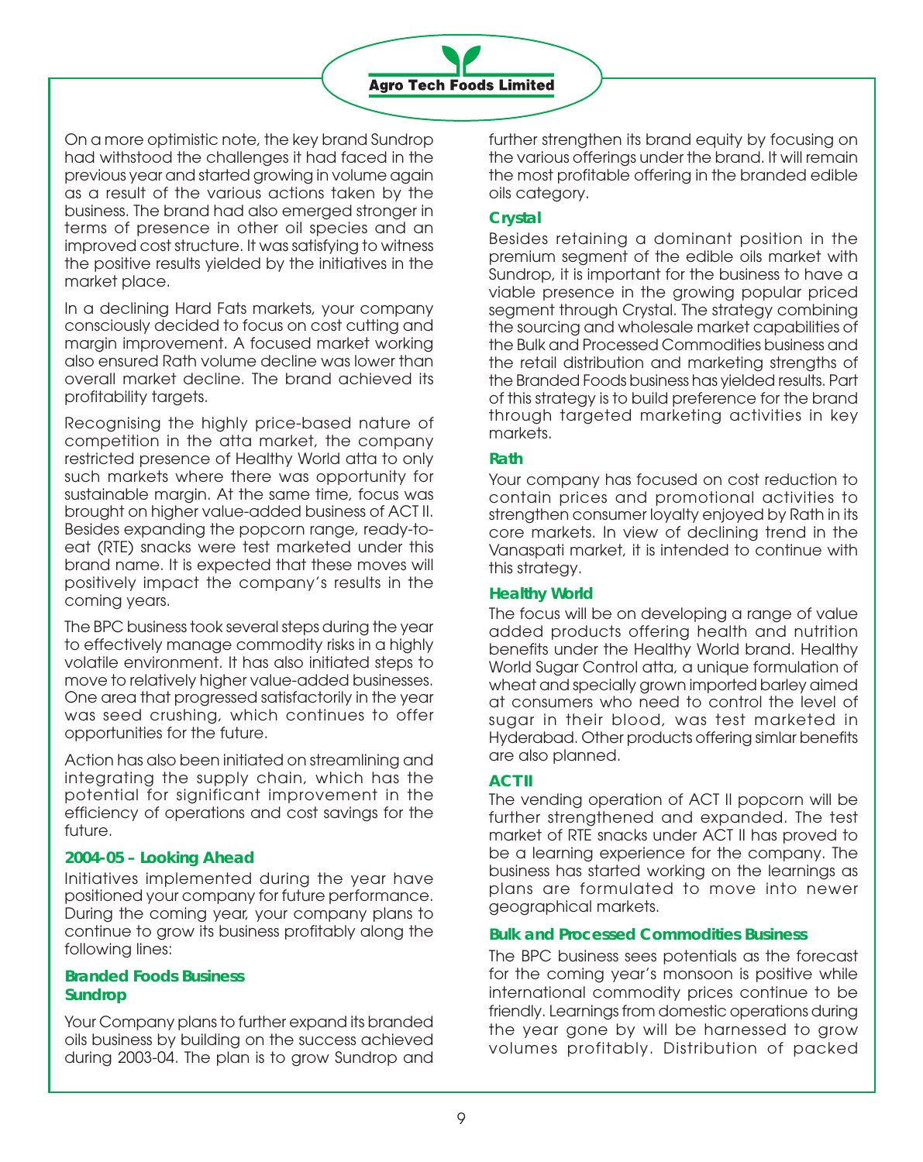

On a more optimistic note, the key brand Sundrop had withstood the challenges it had faced in the previous year and started growing in volume again as a result of the various actions taken by the business. The brand had also emerged stronger in terms of presence in other oil species and an improved cost structure. It was satisfying to witness the positive results yielded by the initiatives in the market place.

In a declining Hard Fats markets, your company consciously decided to focus on cost cutting and margin improvement. A focused market working also ensured Rath volume decline was lower than overall market decline. The brand achieved its profitability targets.

Recognising the highly price-based nature of competition in the atta market, the company restricted presence of Healthy World atta to only such markets where there was opportunity for sustainable margin. At the same time, focus was brought on higher value-added business of ACT II. Besides expanding the popcorn range, ready-toeat (RTE) snacks were test marketed under this brand name. It is expected that these moves will positively impact the company's results in the coming years.

The BPC business took several steps during the year to effectively manage commodity risks in a highly volatile environment. It has also initiated steps to move to relatively higher value-added businesses. One area that progressed satisfactorily in the year was seed crushing, which continues to offer opportunities for the future.

Action has also been initiated on streamlining and integrating the supply chain, which has the potential for significant improvement in the efficiency of operations and cost savings for the future.

#### **2004-05 – Looking Ahead**

Initiatives implemented during the year have positioned your company for future performance. During the coming year, your company plans to continue to grow its business profitably along the following lines:

#### **Branded Foods Business Sundrop**

Your Company plans to further expand its branded oils business by building on the success achieved during 2003-04. The plan is to grow Sundrop and further strengthen its brand equity by focusing on the various offerings under the brand. It will remain the most profitable offering in the branded edible oils category.

# **Crystal**

Besides retaining a dominant position in the premium segment of the edible oils market with Sundrop, it is important for the business to have a viable presence in the growing popular priced segment through Crystal. The strategy combining the sourcing and wholesale market capabilities of the Bulk and Processed Commodities business and the retail distribution and marketing strengths of the Branded Foods business has yielded results. Part of this strategy is to build preference for the brand through targeted marketing activities in key markets.

## **Rath**

Your company has focused on cost reduction to contain prices and promotional activities to strengthen consumer loyalty enjoyed by Rath in its core markets. In view of declining trend in the Vanaspati market, it is intended to continue with this strategy.

#### **Healthy World**

The focus will be on developing a range of value added products offering health and nutrition benefits under the Healthy World brand. Healthy World Sugar Control atta, a unique formulation of wheat and specially grown imported barley aimed at consumers who need to control the level of sugar in their blood, was test marketed in Hyderabad. Other products offering simlar benefits are also planned.

# **ACT II**

The vending operation of ACT II popcorn will be further strengthened and expanded. The test market of RTE snacks under ACT II has proved to be a learning experience for the company. The business has started working on the learnings as plans are formulated to move into newer geographical markets.

#### **Bulk and Processed Commodities Business**

The BPC business sees potentials as the forecast for the coming year's monsoon is positive while international commodity prices continue to be friendly. Learnings from domestic operations during the year gone by will be harnessed to grow volumes profitably. Distribution of packed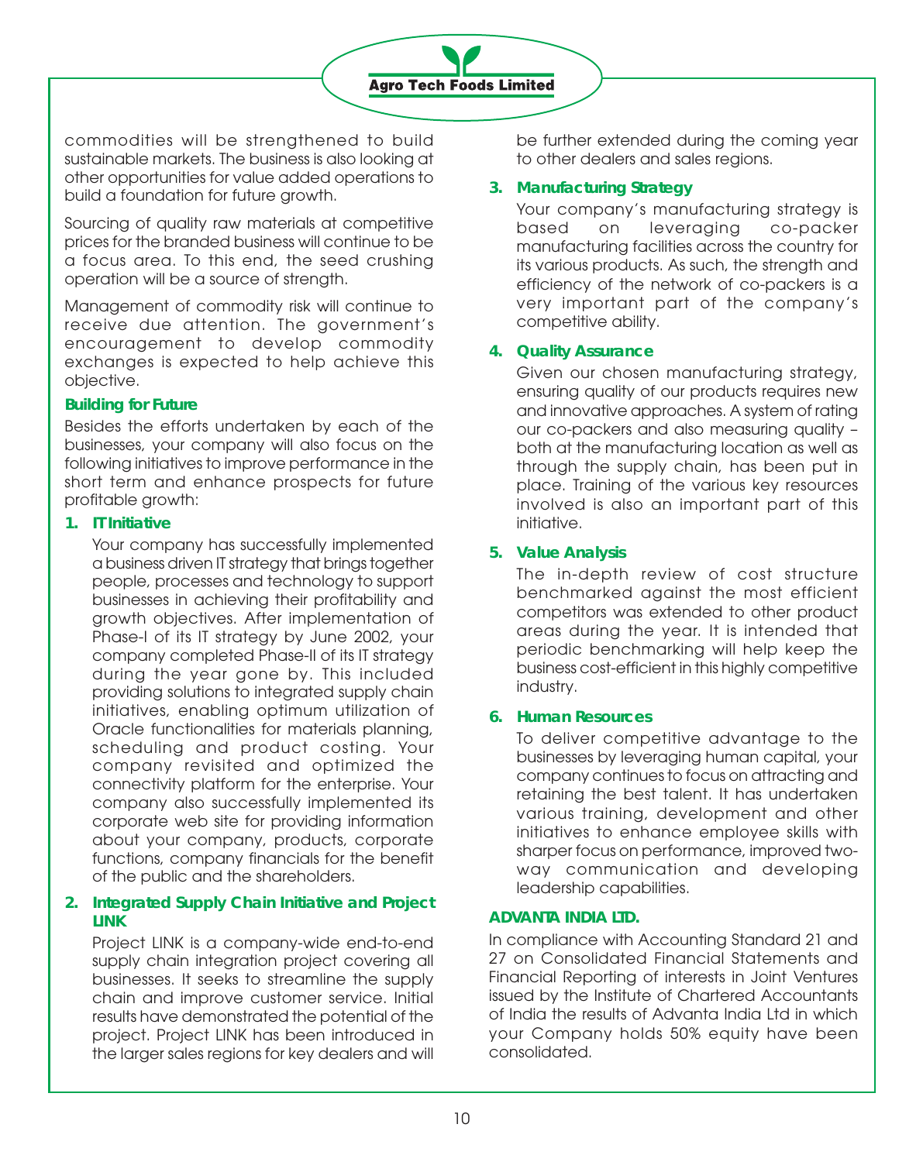

commodities will be strengthened to build sustainable markets. The business is also looking at other opportunities for value added operations to build a foundation for future growth.

Sourcing of quality raw materials at competitive prices for the branded business will continue to be a focus area. To this end, the seed crushing operation will be a source of strength.

Management of commodity risk will continue to receive due attention. The government's encouragement to develop commodity exchanges is expected to help achieve this objective.

## **Building for Future**

Besides the efforts undertaken by each of the businesses, your company will also focus on the following initiatives to improve performance in the short term and enhance prospects for future profitable growth:

#### **1. IT Initiative**

Your company has successfully implemented a business driven IT strategy that brings together people, processes and technology to support businesses in achieving their profitability and growth objectives. After implementation of Phase-I of its IT strategy by June 2002, your company completed Phase-II of its IT strategy during the year gone by. This included providing solutions to integrated supply chain initiatives, enabling optimum utilization of Oracle functionalities for materials planning, scheduling and product costing. Your company revisited and optimized the connectivity platform for the enterprise. Your company also successfully implemented its corporate web site for providing information about your company, products, corporate functions, company financials for the benefit of the public and the shareholders.

# **2. Integrated Supply Chain Initiative and Project LINK**

Project LINK is a company-wide end-to-end supply chain integration project covering all businesses. It seeks to streamline the supply chain and improve customer service. Initial results have demonstrated the potential of the project. Project LINK has been introduced in the larger sales regions for key dealers and will

be further extended during the coming year to other dealers and sales regions.

# **3. Manufacturing Strategy**

Your company's manufacturing strategy is based on leveraging co-packer manufacturing facilities across the country for its various products. As such, the strength and efficiency of the network of co-packers is a very important part of the company's competitive ability.

# **4. Quality Assurance**

Given our chosen manufacturing strategy, ensuring quality of our products requires new and innovative approaches. A system of rating our co-packers and also measuring quality – both at the manufacturing location as well as through the supply chain, has been put in place. Training of the various key resources involved is also an important part of this initiative.

# **5. Value Analysis**

The in-depth review of cost structure benchmarked against the most efficient competitors was extended to other product areas during the year. It is intended that periodic benchmarking will help keep the business cost-efficient in this highly competitive industry.

# **6. Human Resources**

To deliver competitive advantage to the businesses by leveraging human capital, your company continues to focus on attracting and retaining the best talent. It has undertaken various training, development and other initiatives to enhance employee skills with sharper focus on performance, improved twoway communication and developing leadership capabilities.

# **ADVANTA INDIA LTD.**

In compliance with Accounting Standard 21 and 27 on Consolidated Financial Statements and Financial Reporting of interests in Joint Ventures issued by the Institute of Chartered Accountants of India the results of Advanta India Ltd in which your Company holds 50% equity have been consolidated.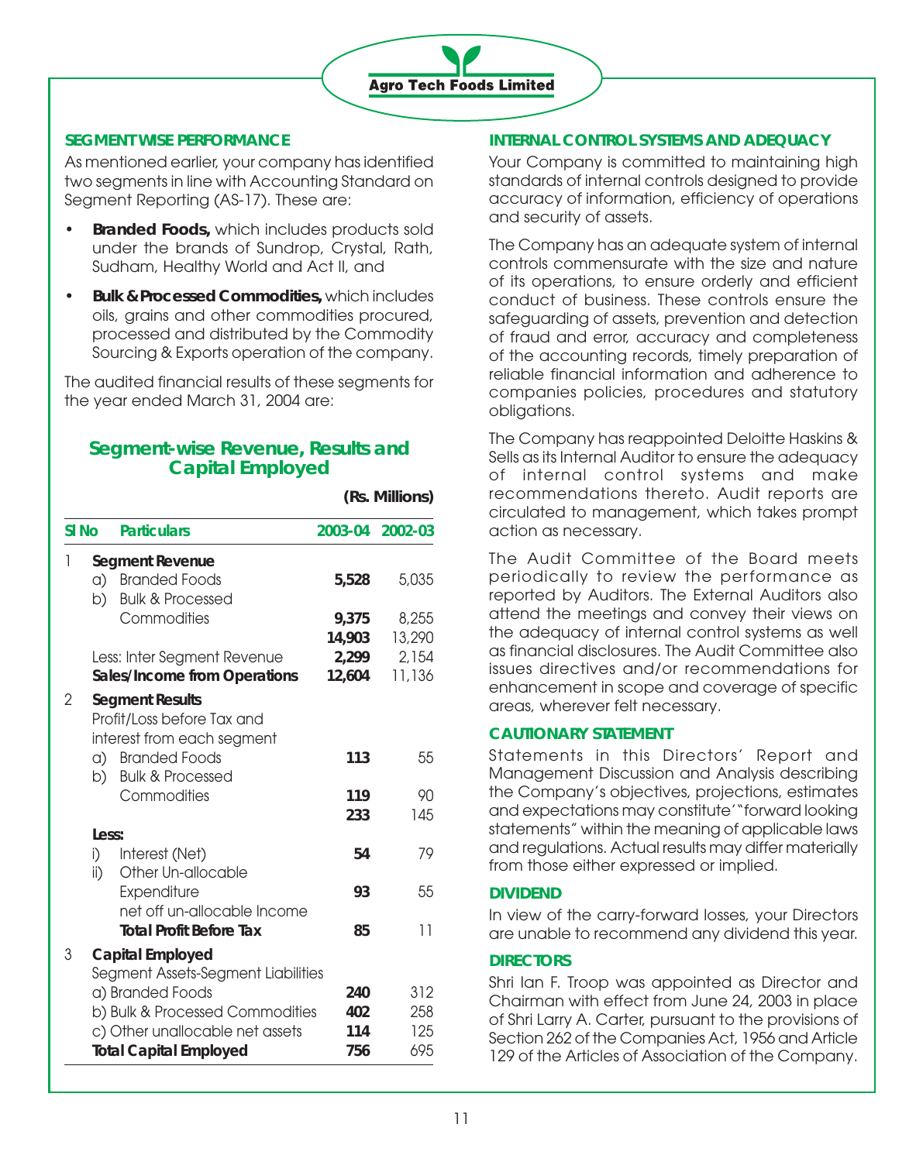

## **SEGMENT WISE PERFORMANCE**

As mentioned earlier, your company has identified two segments in line with Accounting Standard on Segment Reporting (AS-17). These are:

- **Branded Foods,** which includes products sold under the brands of Sundrop, Crystal, Rath, Sudham, Healthy World and Act II, and
- **Bulk & Processed Commodities,** which includes oils, grains and other commodities procured, processed and distributed by the Commodity Sourcing & Exports operation of the company.

The audited financial results of these segments for the year ended March 31, 2004 are:

# **Segment-wise Revenue, Results and Capital Employed**

|                  |                     |                                                                                    |         | (Rs. Millions) |
|------------------|---------------------|------------------------------------------------------------------------------------|---------|----------------|
| SI <sub>No</sub> |                     | <b>Particulars</b>                                                                 | 2003-04 | 2002-03        |
| 1                |                     | <b>Segment Revenue</b>                                                             |         |                |
|                  | a)                  | <b>Branded Foods</b>                                                               | 5,528   | 5,035          |
|                  | b)                  | <b>Bulk &amp; Processed</b>                                                        |         |                |
|                  |                     | Commodities                                                                        | 9,375   | 8,255          |
|                  |                     |                                                                                    | 14,903  | 13,290         |
|                  |                     | Less: Inter Segment Revenue                                                        | 2,299   | 2,154          |
|                  |                     | Sales/Income from Operations                                                       | 12,604  | 11,136         |
| 2                |                     | <b>Segment Results</b><br>Profit/Loss before Tax and<br>interest from each segment |         |                |
|                  | a)<br>b)            | <b>Branded Foods</b><br><b>Bulk &amp; Processed</b>                                | 113     | 55             |
|                  |                     | Commodities                                                                        | 119     | 90             |
|                  |                     |                                                                                    | 233     | 145            |
|                  | Less:               |                                                                                    |         |                |
|                  | i)<br>$\mathsf{ii}$ | Interest (Net)<br>Other Un-allocable                                               | 54      | 79             |
|                  |                     | Expenditure<br>net off un-allocable Income                                         | 93      | 55             |
|                  |                     | <b>Total Profit Before Tax</b>                                                     | 85      | 11             |
| 3                |                     | Capital Employed<br>Segment Assets-Segment Liabilities                             |         |                |
|                  |                     | a) Branded Foods                                                                   | 240     | 312            |
|                  |                     | b) Bulk & Processed Commodities                                                    | 402     | 258            |
|                  |                     | c) Other unallocable net assets                                                    | 114     | 125            |
|                  |                     | <b>Total Capital Employed</b>                                                      | 756     | 695            |

# **INTERNAL CONTROL SYSTEMS AND ADEQUACY**

Your Company is committed to maintaining high standards of internal controls designed to provide accuracy of information, efficiency of operations and security of assets.

The Company has an adequate system of internal controls commensurate with the size and nature of its operations, to ensure orderly and efficient conduct of business. These controls ensure the safeguarding of assets, prevention and detection of fraud and error, accuracy and completeness of the accounting records, timely preparation of reliable financial information and adherence to companies policies, procedures and statutory obligations.

The Company has reappointed Deloitte Haskins & Sells as its Internal Auditor to ensure the adequacy of internal control systems and make recommendations thereto. Audit reports are circulated to management, which takes prompt action as necessary.

The Audit Committee of the Board meets periodically to review the performance as reported by Auditors. The External Auditors also attend the meetings and convey their views on the adequacy of internal control systems as well as financial disclosures. The Audit Committee also issues directives and/or recommendations for enhancement in scope and coverage of specific areas, wherever felt necessary.

#### **CAUTIONARY STATEMENT**

Statements in this Directors' Report and Management Discussion and Analysis describing the Company's objectives, projections, estimates and expectations may constitute'"forward looking statements" within the meaning of applicable laws and regulations. Actual results may differ materially from those either expressed or implied.

#### **DIVIDEND**

In view of the carry-forward losses, your Directors are unable to recommend any dividend this year.

#### **DIRECTORS**

Shri Ian F. Troop was appointed as Director and Chairman with effect from June 24, 2003 in place of Shri Larry A. Carter, pursuant to the provisions of Section 262 of the Companies Act, 1956 and Article 129 of the Articles of Association of the Company.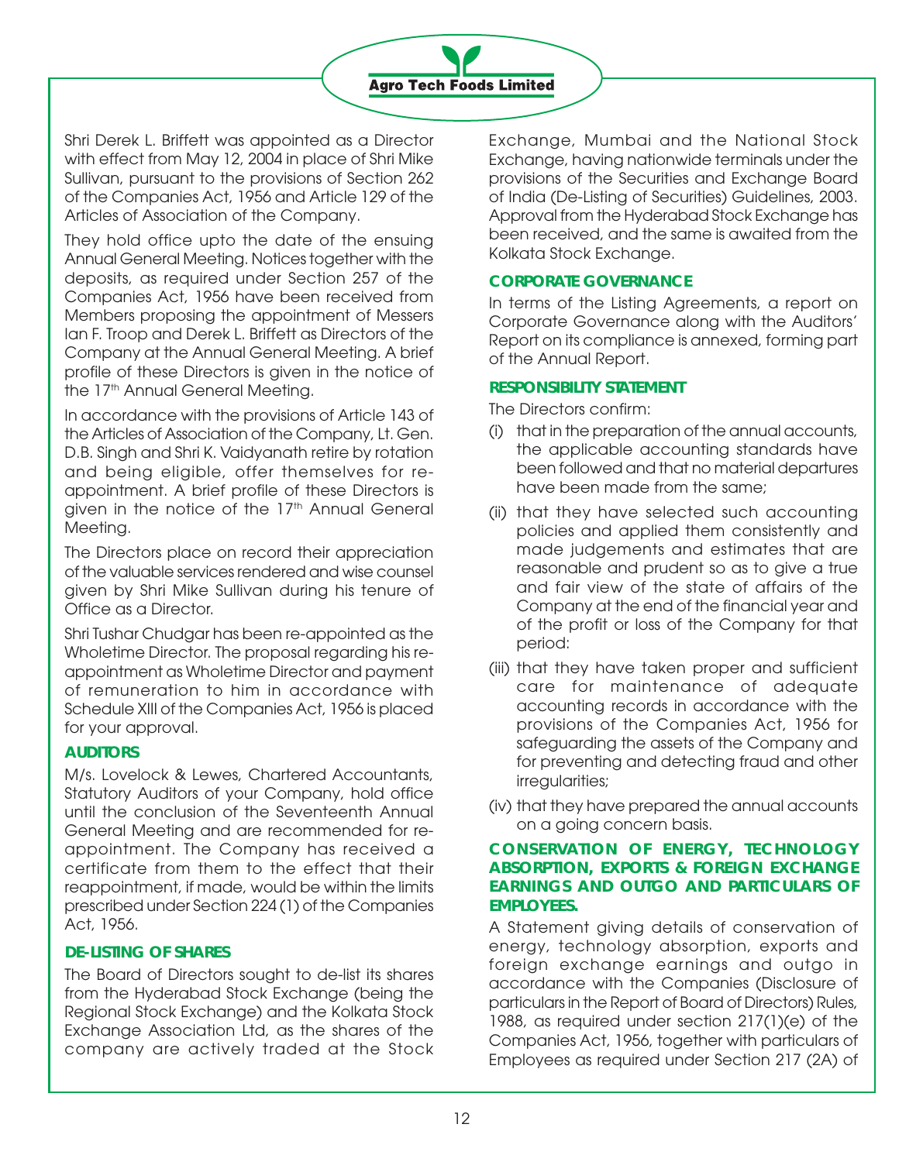

Shri Derek L. Briffett was appointed as a Director with effect from May 12, 2004 in place of Shri Mike Sullivan, pursuant to the provisions of Section 262 of the Companies Act, 1956 and Article 129 of the Articles of Association of the Company.

They hold office upto the date of the ensuing Annual General Meeting. Notices together with the deposits, as required under Section 257 of the Companies Act, 1956 have been received from Members proposing the appointment of Messers Ian F. Troop and Derek L. Briffett as Directors of the Company at the Annual General Meeting. A brief profile of these Directors is given in the notice of the 17<sup>th</sup> Annual General Meeting.

In accordance with the provisions of Article 143 of the Articles of Association of the Company, Lt. Gen. D.B. Singh and Shri K. Vaidyanath retire by rotation and being eligible, offer themselves for reappointment. A brief profile of these Directors is given in the notice of the 17<sup>th</sup> Annual General Meeting.

The Directors place on record their appreciation of the valuable services rendered and wise counsel given by Shri Mike Sullivan during his tenure of Office as a Director.

Shri Tushar Chudgar has been re-appointed as the Wholetime Director. The proposal regarding his reappointment as Wholetime Director and payment of remuneration to him in accordance with Schedule XIII of the Companies Act, 1956 is placed for your approval.

# **AUDITORS**

M/s. Lovelock & Lewes, Chartered Accountants, Statutory Auditors of your Company, hold office until the conclusion of the Seventeenth Annual General Meeting and are recommended for reappointment. The Company has received a certificate from them to the effect that their reappointment, if made, would be within the limits prescribed under Section 224 (1) of the Companies Act, 1956.

# **DE-LISTING OF SHARES**

The Board of Directors sought to de-list its shares from the Hyderabad Stock Exchange (being the Regional Stock Exchange) and the Kolkata Stock Exchange Association Ltd, as the shares of the company are actively traded at the Stock

Exchange, Mumbai and the National Stock Exchange, having nationwide terminals under the provisions of the Securities and Exchange Board of India (De-Listing of Securities) Guidelines, 2003. Approval from the Hyderabad Stock Exchange has been received, and the same is awaited from the Kolkata Stock Exchange.

# **CORPORATE GOVERNANCE**

In terms of the Listing Agreements, a report on Corporate Governance along with the Auditors' Report on its compliance is annexed, forming part of the Annual Report.

## **RESPONSIBILITY STATEMENT**

The Directors confirm:

- (i) that in the preparation of the annual accounts, the applicable accounting standards have been followed and that no material departures have been made from the same;
- (ii) that they have selected such accounting policies and applied them consistently and made judgements and estimates that are reasonable and prudent so as to give a true and fair view of the state of affairs of the Company at the end of the financial year and of the profit or loss of the Company for that period:
- (iii) that they have taken proper and sufficient care for maintenance of adequate accounting records in accordance with the provisions of the Companies Act, 1956 for safeguarding the assets of the Company and for preventing and detecting fraud and other irregularities;
- (iv) that they have prepared the annual accounts on a going concern basis.

# **CONSERVATION OF ENERGY, TECHNOLOGY ABSORPTION, EXPORTS & FOREIGN EXCHANGE EARNINGS AND OUTGO AND PARTICULARS OF EMPLOYEES.**

A Statement giving details of conservation of energy, technology absorption, exports and foreign exchange earnings and outgo in accordance with the Companies (Disclosure of particulars in the Report of Board of Directors) Rules, 1988, as required under section 217(1)(e) of the Companies Act, 1956, together with particulars of Employees as required under Section 217 (2A) of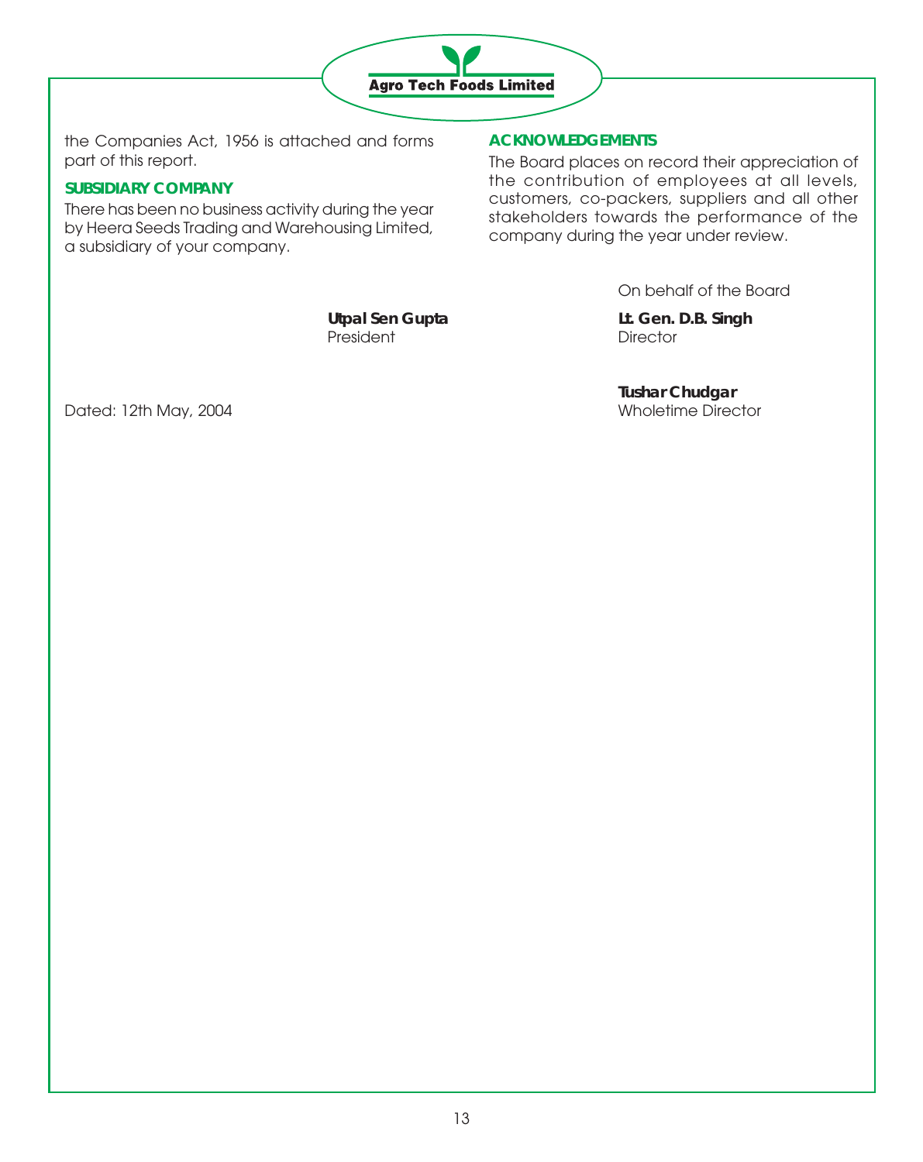

the Companies Act, 1956 is attached and forms part of this report.

# **SUBSIDIARY COMPANY**

There has been no business activity during the year by Heera Seeds Trading and Warehousing Limited, a subsidiary of your company.

# **ACKNOWLEDGEMENTS**

The Board places on record their appreciation of the contribution of employees at all levels, customers, co-packers, suppliers and all other stakeholders towards the performance of the company during the year under review.

On behalf of the Board

President President Director

**Utpal Sen Gupta Lt. Gen. D.B. Singh**

**Tushar Chudgar**

Dated: 12th May, 2004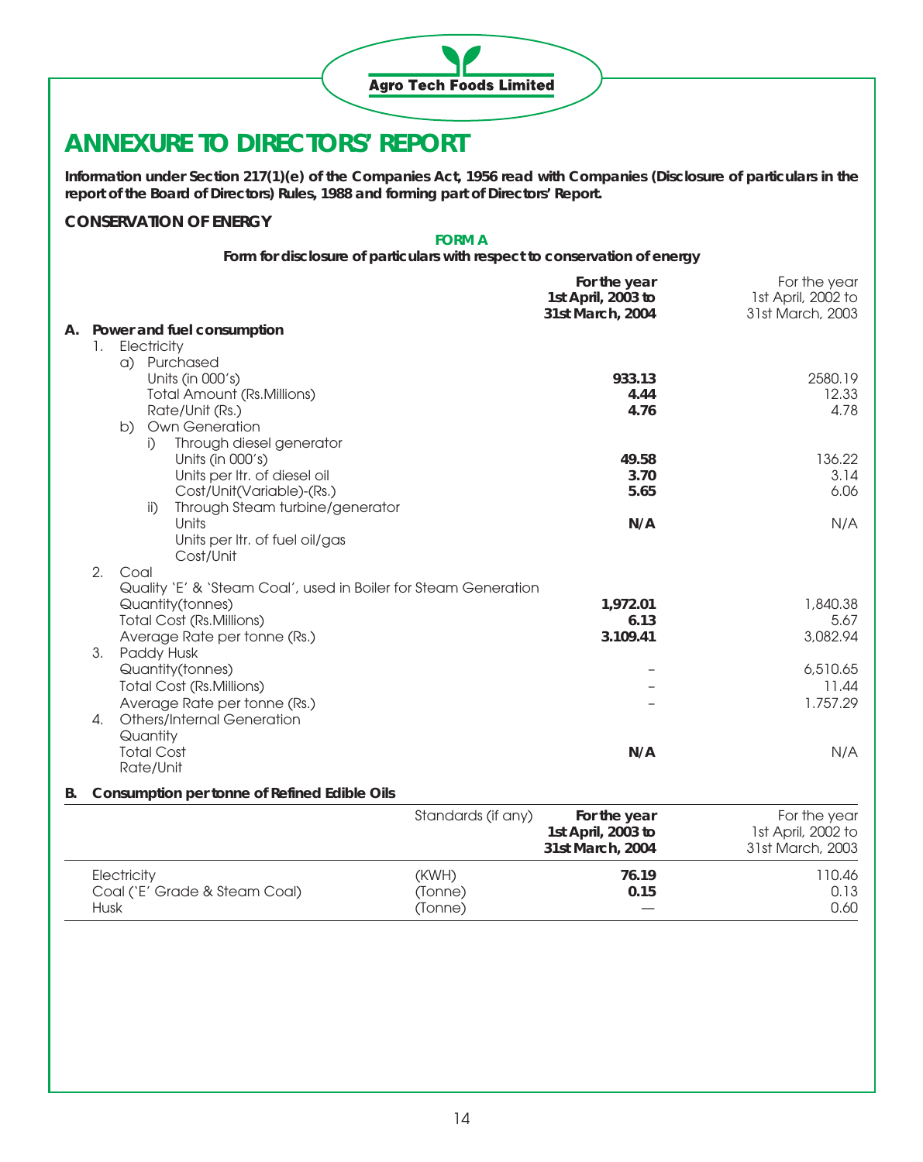

# **ANNEXURE TO DIRECTORS' REPORT**

**Information under Section 217(1)(e) of the Companies Act, 1956 read with Companies (Disclosure of particulars in the report of the Board of Directors) Rules, 1988 and forming part of Directors' Report.**

#### **CONSERVATION OF ENERGY**

#### **FORM A**

**Form for disclosure of particulars with respect to conservation of energy**

| 1st April, 2003 to<br>31st March, 2004                                  | 1st April, 2002 to<br>31st March, 2003 |
|-------------------------------------------------------------------------|----------------------------------------|
| A. Power and fuel consumption                                           |                                        |
| Electricity<br>1.                                                       |                                        |
| a) Purchased                                                            |                                        |
| Units (in 000's)<br>933.13                                              | 2580.19                                |
| <b>Total Amount (Rs.Millions)</b><br>4.44                               | 12.33                                  |
| 4.76<br>Rate/Unit (Rs.)                                                 | 4.78                                   |
| b) Own Generation                                                       |                                        |
| Through diesel generator<br>j)                                          |                                        |
| Units (in 000's)<br>49.58                                               | 136.22                                 |
| Units per Itr. of diesel oil<br>3.70                                    | 3.14                                   |
| Cost/Unit(Variable)-(Rs.)<br>5.65                                       | 6.06                                   |
| Through Steam turbine/generator<br>$\mathsf{ii}$                        |                                        |
| Units<br>N/A                                                            | N/A                                    |
| Units per Itr. of fuel oil/gas                                          |                                        |
| Cost/Unit                                                               |                                        |
| 2.<br>Coal                                                              |                                        |
| Quality 'E' & 'Steam Coal', used in Boiler for Steam Generation         | 1,840.38                               |
| Quantity(tonnes)<br>1,972.01<br><b>Total Cost (Rs.Millions)</b><br>6.13 | 5.67                                   |
| Average Rate per tonne (Rs.)<br>3.109.41                                | 3,082.94                               |
| 3.<br>Paddy Husk                                                        |                                        |
| Quantity(tonnes)                                                        | 6,510.65                               |
| <b>Total Cost (Rs.Millions)</b>                                         | 11.44                                  |
| Average Rate per tonne (Rs.)                                            | 1.757.29                               |
| <b>Others/Internal Generation</b><br>4.                                 |                                        |
| Quantity                                                                |                                        |
| <b>Total Cost</b><br>N/A                                                | N/A                                    |
| Rate/Unit                                                               |                                        |
|                                                                         |                                        |
| Consumption per tonne of Refined Edible Oils<br>В.                      |                                        |
| Standards (if any)<br>For the year                                      | For the year                           |
| 1st April, 2003 to                                                      | 1st April, 2002 to                     |
| 31st March, 2004                                                        | 31st March, 2003                       |
| (KWH)<br>76.19<br>Electricity                                           | 110.46                                 |
| Coal ('E' Grade & Steam Coal)<br>(Tonne)<br>0.15                        | 0.13                                   |
| <b>Husk</b><br>(Tonne)                                                  | 0.60                                   |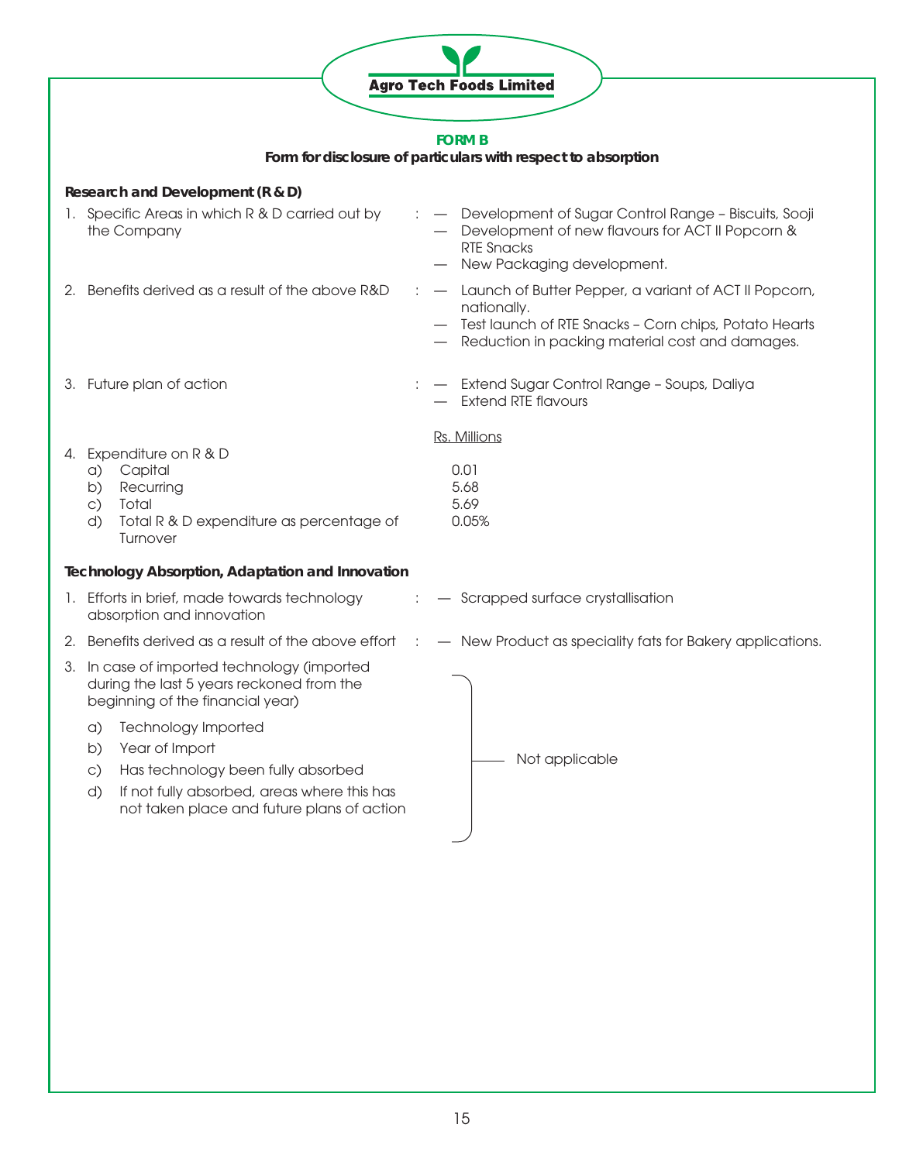|    |                                                                                                                                                                                                                | <b>Agro Tech Foods Limited</b>                |                                                                                                                                                                     |
|----|----------------------------------------------------------------------------------------------------------------------------------------------------------------------------------------------------------------|-----------------------------------------------|---------------------------------------------------------------------------------------------------------------------------------------------------------------------|
|    |                                                                                                                                                                                                                | <b>FORM B</b>                                 |                                                                                                                                                                     |
|    | Form for disclosure of particulars with respect to absorption                                                                                                                                                  |                                               |                                                                                                                                                                     |
|    | Research and Development (R & D)                                                                                                                                                                               |                                               |                                                                                                                                                                     |
|    | 1. Specific Areas in which R & D carried out by<br>the Company                                                                                                                                                 | <b>RTE Snacks</b>                             | - Development of Sugar Control Range - Biscuits, Sooji<br>Development of new flavours for ACT II Popcorn &<br>New Packaging development.                            |
|    | 2. Benefits derived as a result of the above R&D                                                                                                                                                               | nationally.                                   | - Launch of Butter Pepper, a variant of ACT II Popcorn,<br>Test launch of RTE Snacks - Corn chips, Potato Hearts<br>Reduction in packing material cost and damages. |
|    | 3. Future plan of action                                                                                                                                                                                       |                                               | - Extend Sugar Control Range - Soups, Daliya<br><b>Extend RTE flavours</b>                                                                                          |
| 4. | Expenditure on R & D<br>Capital<br>a)<br>Recurring<br>b)<br>$\circ$ )<br>Total<br>Total R & D expenditure as percentage of<br>d)<br>Turnover                                                                   | Rs. Millions<br>0.01<br>5.68<br>5.69<br>0.05% |                                                                                                                                                                     |
|    | <b>Technology Absorption, Adaptation and Innovation</b>                                                                                                                                                        |                                               |                                                                                                                                                                     |
|    | 1. Efforts in brief, made towards technology<br>absorption and innovation                                                                                                                                      |                                               | - Scrapped surface crystallisation                                                                                                                                  |
|    | 2. Benefits derived as a result of the above effort                                                                                                                                                            |                                               | - New Product as speciality fats for Bakery applications.                                                                                                           |
|    | 3. In case of imported technology (imported<br>during the last 5 years reckoned from the<br>beginning of the financial year)                                                                                   |                                               |                                                                                                                                                                     |
|    | <b>Technology Imported</b><br>a)<br>Year of Import<br>b)<br>Has technology been fully absorbed<br>$\circ$ )<br>If not fully absorbed, areas where this has<br>d)<br>not taken place and future plans of action |                                               | Not applicable                                                                                                                                                      |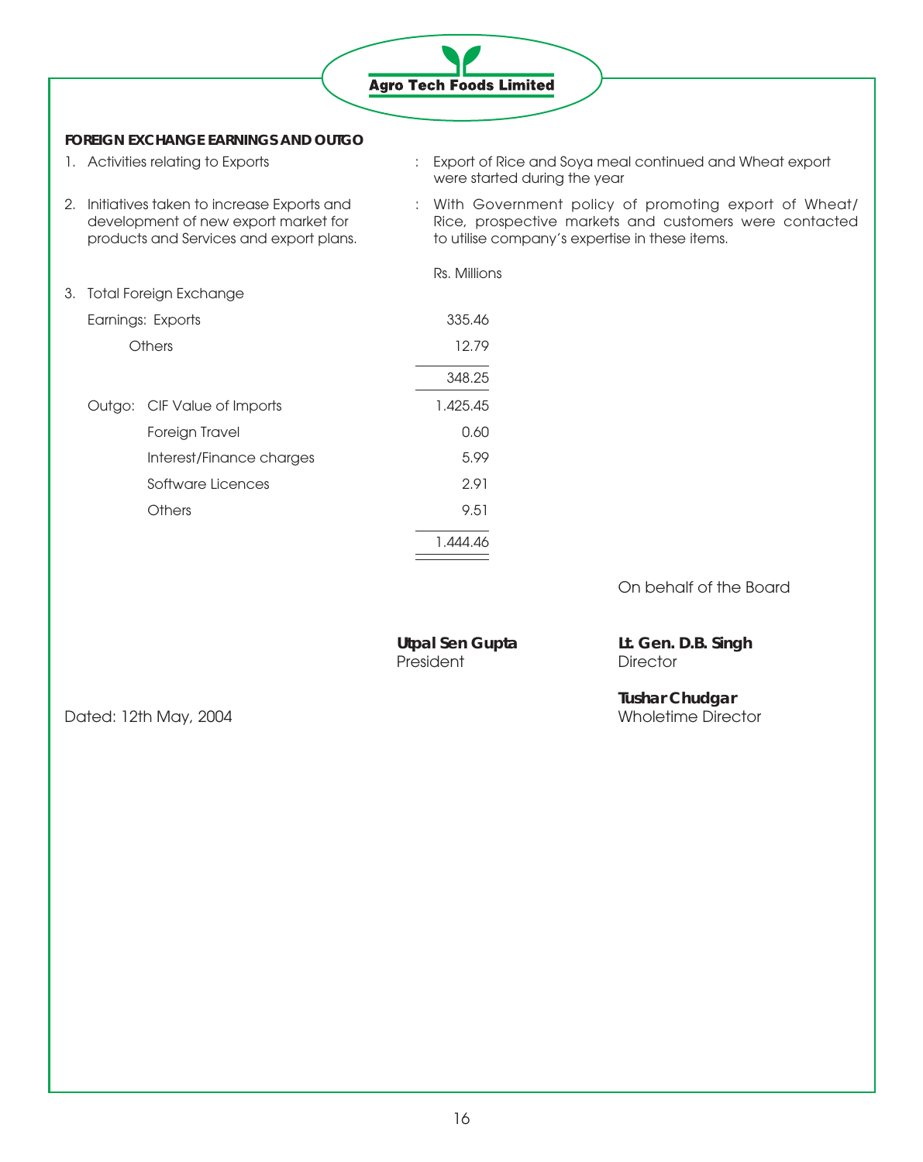

#### **FOREIGN EXCHANGE EARNINGS AND OUTGO**

- 
- 1. Activities relating to Exports : Export of Rice and Soya meal continued and Wheat export were started during the year
- 2. Initiatives taken to increase Exports and : With Government policy of promoting export of Wheat/<br>development of new export market for Rice, prospective markets and customers were contacted development of new export market for Rice, prospective markets and customers were contacted products and Services and export plans. to utilise company's expertise in these items.

|  |                             | Rs. Millions |
|--|-----------------------------|--------------|
|  | 3. Total Foreign Exchange   |              |
|  | Earnings: Exports           | 335.46       |
|  | Others                      | 12.79        |
|  |                             | 348.25       |
|  | Outgo: CIF Value of Imports | 1.425.45     |
|  | Foreign Travel              | 0.60         |
|  | Interest/Finance charges    | 5.99         |
|  | Software Licences           | 2.91         |
|  | Others                      | 9.51         |
|  |                             | 1.444.46     |
|  |                             |              |

On behalf of the Board

| <b>Utpal Sen Gupta</b> |  |
|------------------------|--|
| President              |  |

Lt. Gen. D.B. Singh Director

Dated: 12th May, 2004

**Tushar Chudgar**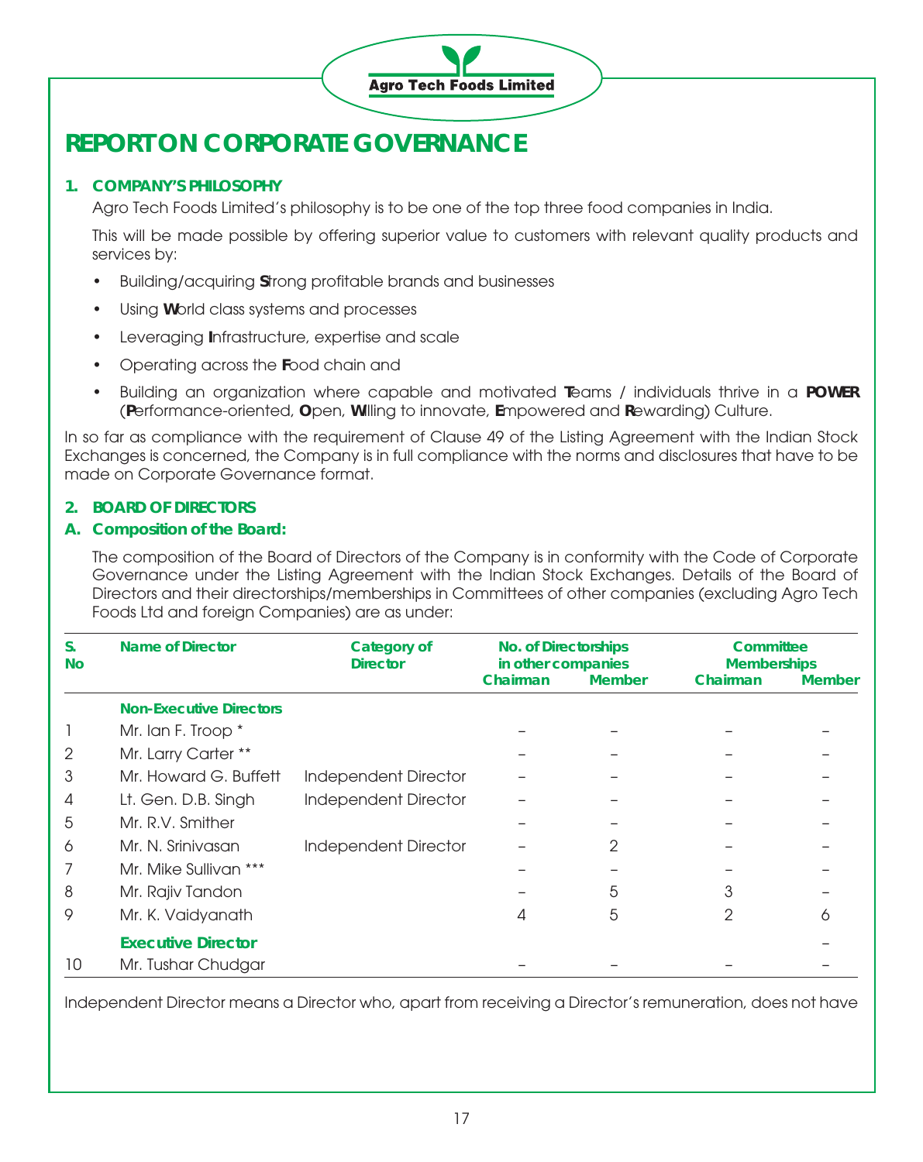

# **REPORT ON CORPORATE GOVERNANCE**

# **1. COMPANY'S PHILOSOPHY**

Agro Tech Foods Limited's philosophy is to be one of the top three food companies in India.

This will be made possible by offering superior value to customers with relevant quality products and services by:

- Building/acquiring **S**trong profitable brands and businesses
- Using **W**orld class systems and processes
- Leveraging **I**nfrastructure, expertise and scale
- Operating across the **F**ood chain and
- Building an organization where capable and motivated **T**eams / individuals thrive in a **POWER** (**P**erformance-oriented, **O**pen, **W**illing to innovate, **E**mpowered and **R**ewarding) Culture.

In so far as compliance with the requirement of Clause 49 of the Listing Agreement with the Indian Stock Exchanges is concerned, the Company is in full compliance with the norms and disclosures that have to be made on Corporate Governance format.

# **2. BOARD OF DIRECTORS**

# **A. Composition of the Board:**

The composition of the Board of Directors of the Company is in conformity with the Code of Corporate Governance under the Listing Agreement with the Indian Stock Exchanges. Details of the Board of Directors and their directorships/memberships in Committees of other companies (excluding Agro Tech Foods Ltd and foreign Companies) are as under:

| S.<br><b>No</b> | <b>Name of Director</b>        | <b>Category of</b><br><b>Director</b> | No. of Directorships<br>in other companies |               | Committee<br><b>Memberships</b> |               |
|-----------------|--------------------------------|---------------------------------------|--------------------------------------------|---------------|---------------------------------|---------------|
|                 |                                |                                       | Chairman                                   | <b>Member</b> | Chairman                        | <b>Member</b> |
|                 | <b>Non-Executive Directors</b> |                                       |                                            |               |                                 |               |
|                 | Mr. Ian F. Troop *             |                                       |                                            |               |                                 |               |
| 2               | Mr. Larry Carter **            |                                       |                                            |               |                                 |               |
| 3               | Mr. Howard G. Buffett          | <b>Independent Director</b>           |                                            |               |                                 |               |
| 4               | Lt. Gen. D.B. Singh            | Independent Director                  |                                            |               |                                 |               |
| 5               | Mr. R.V. Smither               |                                       |                                            |               |                                 |               |
| O               | Mr. N. Srinivasan              | Independent Director                  |                                            | 2             |                                 |               |
|                 | Mr. Mike Sullivan ***          |                                       |                                            |               |                                 |               |
| 8               | Mr. Rajiv Tandon               |                                       |                                            | 5             | 3                               |               |
| 9               | Mr. K. Vaidyanath              |                                       |                                            | 5             | 2                               | റ             |
|                 | <b>Executive Director</b>      |                                       |                                            |               |                                 |               |
| 10              | Mr. Tushar Chudgar             |                                       |                                            |               |                                 |               |

Independent Director means a Director who, apart from receiving a Director's remuneration, does not have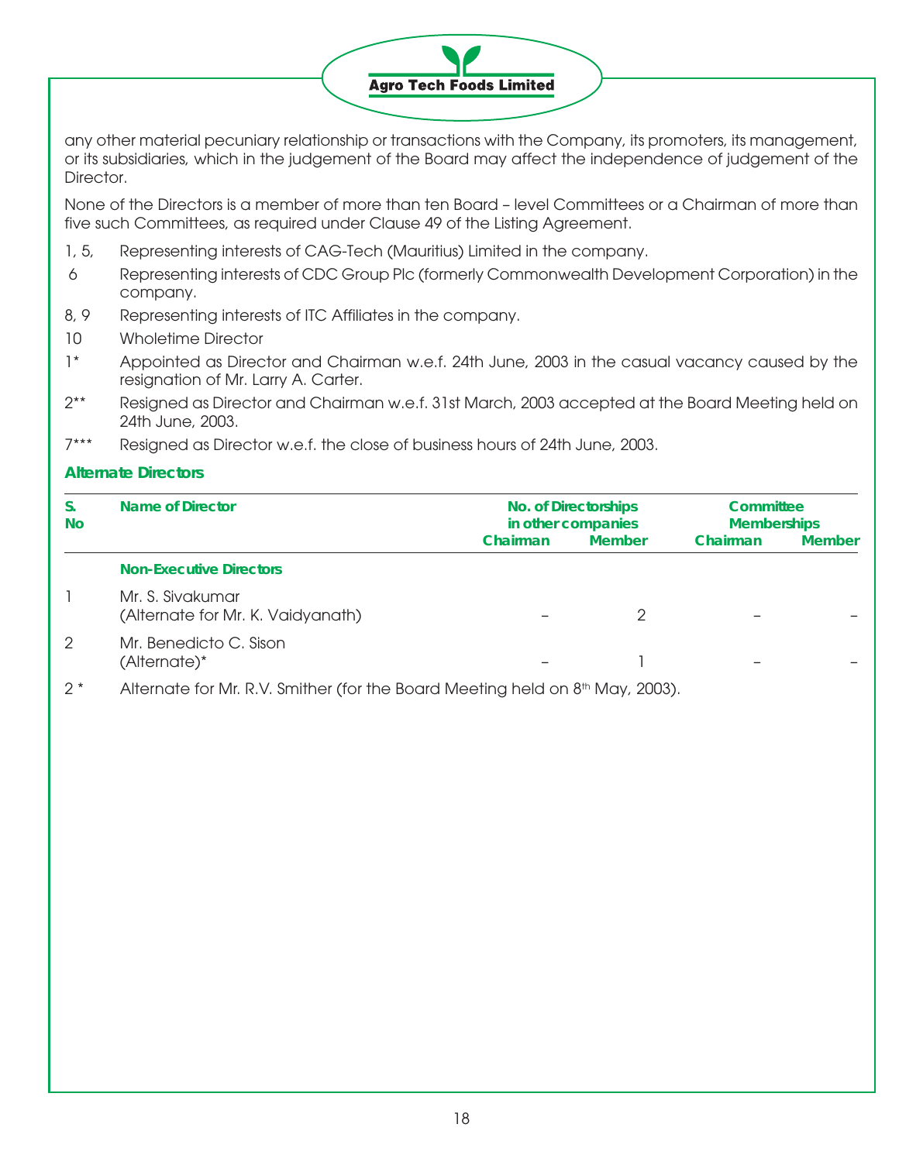# **Agro Tech Foods Limited**

any other material pecuniary relationship or transactions with the Company, its promoters, its management, or its subsidiaries, which in the judgement of the Board may affect the independence of judgement of the Director.

None of the Directors is a member of more than ten Board – level Committees or a Chairman of more than five such Committees, as required under Clause 49 of the Listing Agreement.

- 1, 5, Representing interests of CAG-Tech (Mauritius) Limited in the company.
- 6 Representing interests of CDC Group Plc (formerly Commonwealth Development Corporation) in the company.
- 8, 9 Representing interests of ITC Affiliates in the company.
- 10 Wholetime Director
- 1\* Appointed as Director and Chairman w.e.f. 24th June, 2003 in the casual vacancy caused by the resignation of Mr. Larry A. Carter.
- 2\*\* Resigned as Director and Chairman w.e.f. 31st March, 2003 accepted at the Board Meeting held on 24th June, 2003.
- 7\*\*\* Resigned as Director w.e.f. the close of business hours of 24th June, 2003.

# **Alternate Directors**

| S.<br><b>No</b> | <b>Name of Director</b>                               |          | <b>No. of Directorships</b><br>in other companies | Committee<br><b>Memberships</b> |               |
|-----------------|-------------------------------------------------------|----------|---------------------------------------------------|---------------------------------|---------------|
|                 |                                                       | Chairman | <b>Member</b>                                     | Chairman                        | <b>Member</b> |
|                 | <b>Non-Executive Directors</b>                        |          |                                                   |                                 |               |
|                 | Mr. S. Sivakumar<br>(Alternate for Mr. K. Vaidyanath) |          |                                                   |                                 |               |
| $\mathcal{P}$   | Mr. Benedicto C. Sison<br>(Alternate)*                |          |                                                   |                                 |               |

 $2^*$  Alternate for Mr. R.V. Smither (for the Board Meeting held on  $8^{th}$  May, 2003).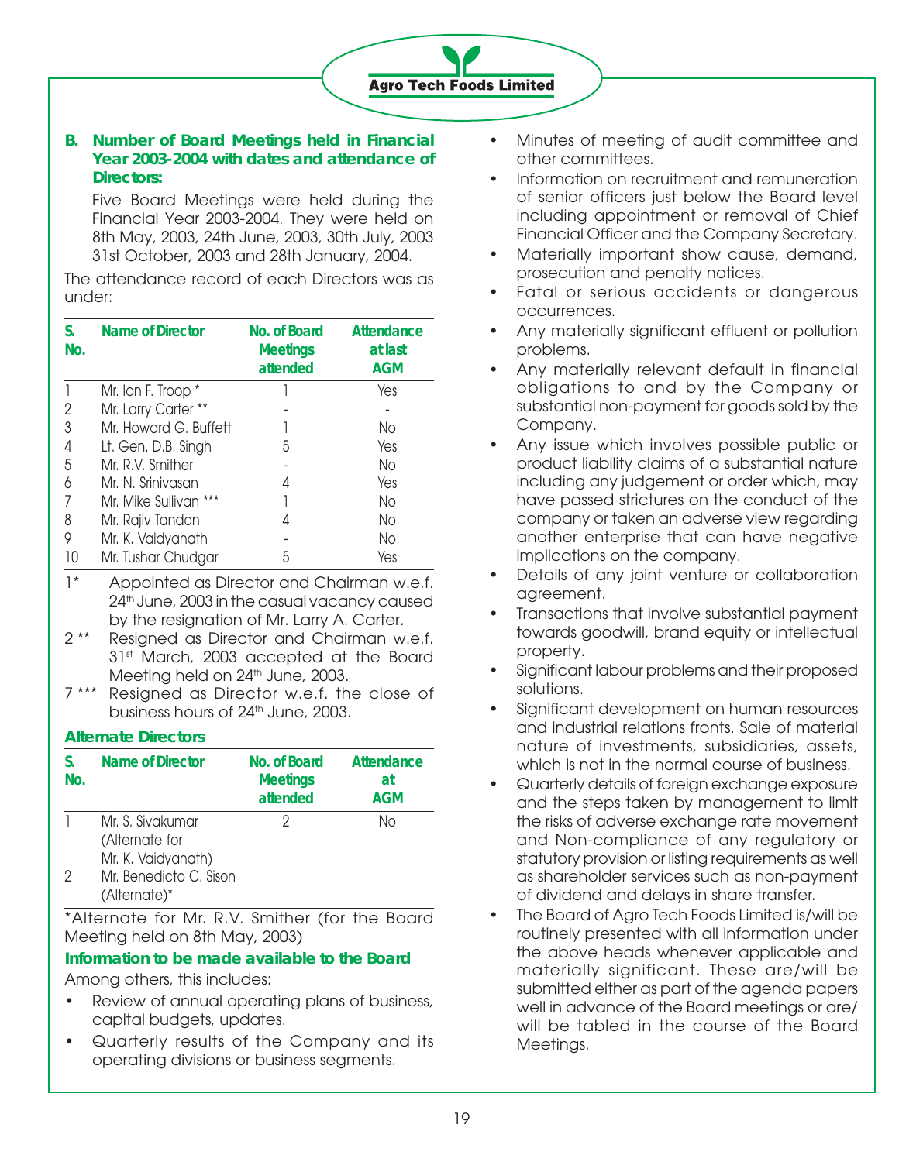**Agro Tech Foods Limited** 

#### **B. Number of Board Meetings held in Financial Year 2003-2004 with dates and attendance of Directors:**

Five Board Meetings were held during the Financial Year 2003-2004. They were held on 8th May, 2003, 24th June, 2003, 30th July, 2003 31st October, 2003 and 28th January, 2004.

The attendance record of each Directors was as under:

| S.<br>No. | Name of Director      | No. of Board<br><b>Meetings</b><br>attended | Attendance<br>at last<br><b>AGM</b> |
|-----------|-----------------------|---------------------------------------------|-------------------------------------|
|           | Mr. Ian F. Troop *    |                                             | Yes                                 |
| 2         | Mr. Larry Carter **   |                                             |                                     |
| 3         | Mr. Howard G. Buffett |                                             | No                                  |
| 4         | Lt. Gen. D.B. Singh   | 5                                           | Yes                                 |
| 5         | Mr. R.V. Smither      |                                             | No                                  |
| 6         | Mr. N. Srinivasan     | 4                                           | Yes                                 |
|           | Mr. Mike Sullivan *** |                                             | No                                  |
| 8         | Mr. Rajiv Tandon      |                                             | No                                  |
| 9         | Mr. K. Vaidyanath     |                                             | No                                  |
| 10        | Mr. Tushar Chudgar    | 5                                           | Yes                                 |

- 1\* Appointed as Director and Chairman w.e.f. 24<sup>th</sup> June, 2003 in the casual vacancy caused by the resignation of Mr. Larry A. Carter.
- 2 \*\* Resigned as Director and Chairman w.e.f. 31st March, 2003 accepted at the Board Meeting held on 24<sup>th</sup> June, 2003.
- 7 \*\*\* Resigned as Director w.e.f. the close of business hours of 24<sup>th</sup> June, 2003.

# **Alternate Directors**

| S.<br>No. | Name of Director                                         | No. of Board<br><b>Meetings</b><br>attended | Attendance<br>at<br>AGM |
|-----------|----------------------------------------------------------|---------------------------------------------|-------------------------|
|           | Mr. S. Sivakumar<br>(Alternate for<br>Mr. K. Vaidyanath) |                                             | Nο                      |
| 2         | Mr. Benedicto C. Sison<br>(Alternate)*                   |                                             |                         |

\*Alternate for Mr. R.V. Smither (for the Board Meeting held on 8th May, 2003)

# **Information to be made available to the Board**

Among others, this includes:

- Review of annual operating plans of business, capital budgets, updates.
- Quarterly results of the Company and its operating divisions or business segments.
- Minutes of meeting of audit committee and other committees.
- Information on recruitment and remuneration of senior officers just below the Board level including appointment or removal of Chief Financial Officer and the Company Secretary.
- Materially important show cause, demand, prosecution and penalty notices.
- Fatal or serious accidents or dangerous occurrences.
- Any materially significant effluent or pollution problems.
- Any materially relevant default in financial obligations to and by the Company or substantial non-payment for goods sold by the Company.
- Any issue which involves possible public or product liability claims of a substantial nature including any judgement or order which, may have passed strictures on the conduct of the company or taken an adverse view regarding another enterprise that can have negative implications on the company.
- Details of any joint venture or collaboration agreement.
- Transactions that involve substantial payment towards goodwill, brand equity or intellectual property.
- Significant labour problems and their proposed solutions.
- Significant development on human resources and industrial relations fronts. Sale of material nature of investments, subsidiaries, assets, which is not in the normal course of business.
- Quarterly details of foreign exchange exposure and the steps taken by management to limit the risks of adverse exchange rate movement and Non-compliance of any regulatory or statutory provision or listing requirements as well as shareholder services such as non-payment of dividend and delays in share transfer.
- The Board of Agro Tech Foods Limited is/will be routinely presented with all information under the above heads whenever applicable and materially significant. These are/will be submitted either as part of the agenda papers well in advance of the Board meetings or are/ will be tabled in the course of the Board Meetings.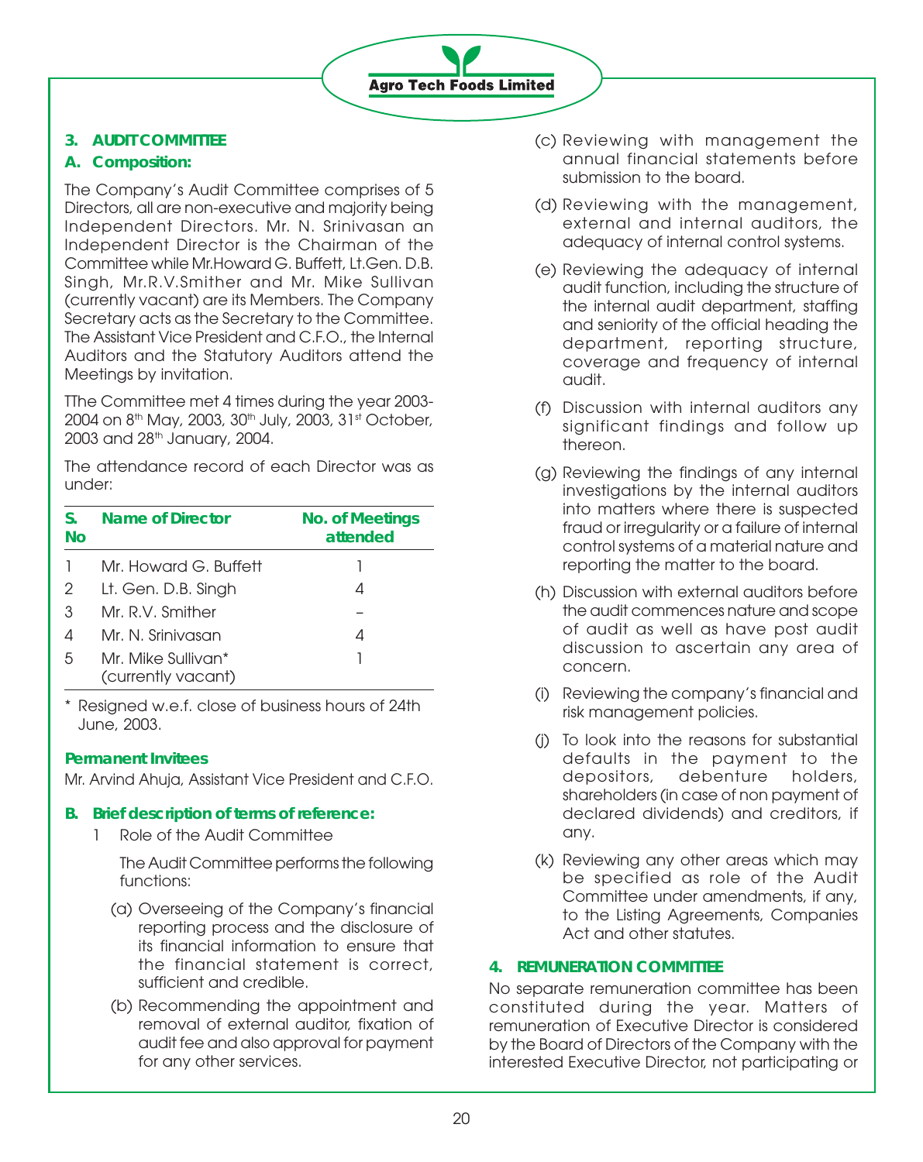# **Agro Tech Foods Limited**

# **3. AUDIT COMMITTEE**

# **A. Composition:**

The Company's Audit Committee comprises of 5 Directors, all are non-executive and majority being Independent Directors. Mr. N. Srinivasan an Independent Director is the Chairman of the Committee while Mr.Howard G. Buffett, Lt.Gen. D.B. Singh, Mr.R.V.Smither and Mr. Mike Sullivan (currently vacant) are its Members. The Company Secretary acts as the Secretary to the Committee. The Assistant Vice President and C.F.O., the Internal Auditors and the Statutory Auditors attend the Meetings by invitation.

TThe Committee met 4 times during the year 2003- 2004 on 8<sup>th</sup> May, 2003, 30<sup>th</sup> July, 2003, 31<sup>st</sup> October, 2003 and 28th January, 2004.

The attendance record of each Director was as under:

| S.<br>Nο | Name of Director                         | <b>No. of Meetings</b><br>attended |
|----------|------------------------------------------|------------------------------------|
|          | Mr. Howard G. Buffett                    |                                    |
| 2        | Lt. Gen. D.B. Singh                      |                                    |
| 3        | Mr. R.V. Smither                         |                                    |
| 4        | Mr. N. Srinivasan                        | 4                                  |
| 5        | Mr. Mike Sullivan*<br>(currently vacant) |                                    |

\* Resigned w.e.f. close of business hours of 24th June, 2003.

# **Permanent Invitees**

Mr. Arvind Ahuja, Assistant Vice President and C.F.O.

# **B. Brief description of terms of reference:**

1 Role of the Audit Committee

The Audit Committee performs the following functions:

- (a) Overseeing of the Company's financial reporting process and the disclosure of its financial information to ensure that the financial statement is correct, sufficient and credible.
- (b) Recommending the appointment and removal of external auditor, fixation of audit fee and also approval for payment for any other services.
- (c) Reviewing with management the annual financial statements before submission to the board.
- (d) Reviewing with the management, external and internal auditors, the adequacy of internal control systems.
- (e) Reviewing the adequacy of internal audit function, including the structure of the internal audit department, staffing and seniority of the official heading the department, reporting structure, coverage and frequency of internal audit.
- (f) Discussion with internal auditors any significant findings and follow up thereon.
- (g) Reviewing the findings of any internal investigations by the internal auditors into matters where there is suspected fraud or irregularity or a failure of internal control systems of a material nature and reporting the matter to the board.
- (h) Discussion with external auditors before the audit commences nature and scope of audit as well as have post audit discussion to ascertain any area of concern.
- (i) Reviewing the company's financial and risk management policies.
- (j) To look into the reasons for substantial defaults in the payment to the depositors, debenture holders, shareholders (in case of non payment of declared dividends) and creditors, if any.
- (k) Reviewing any other areas which may be specified as role of the Audit Committee under amendments, if any, to the Listing Agreements, Companies Act and other statutes.

# **4. REMUNERATION COMMITTEE**

No separate remuneration committee has been constituted during the year. Matters of remuneration of Executive Director is considered by the Board of Directors of the Company with the interested Executive Director, not participating or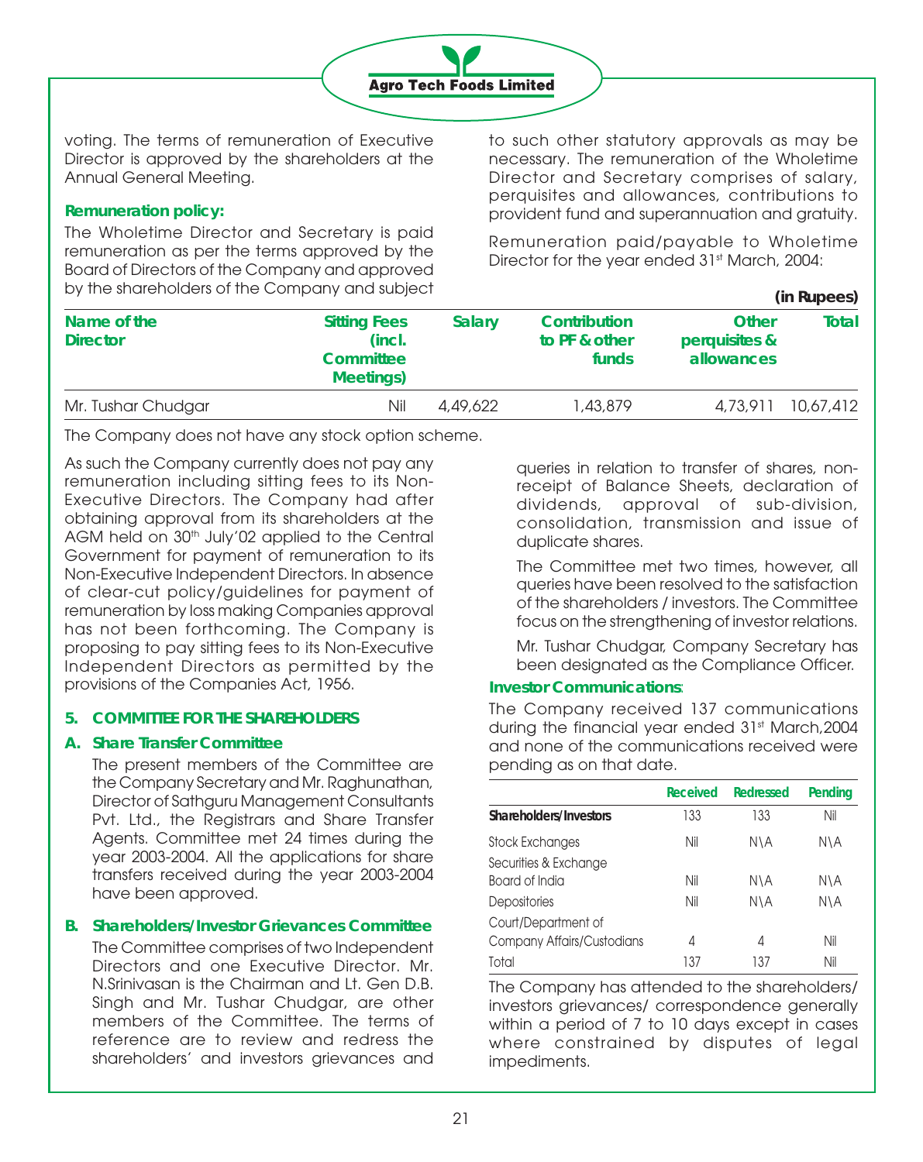

voting. The terms of remuneration of Executive Director is approved by the shareholders at the Annual General Meeting.

#### **Remuneration policy:**

The Wholetime Director and Secretary is paid remuneration as per the terms approved by the Board of Directors of the Company and approved by the shareholders of the Company and subject **(in Rupees)**

to such other statutory approvals as may be necessary. The remuneration of the Wholetime Director and Secretary comprises of salary, perquisites and allowances, contributions to provident fund and superannuation and gratuity.

Remuneration paid/payable to Wholetime Director for the year ended 31<sup>st</sup> March, 2004:

|                                |                                                                       |          |                                        |                                             | (III RUDEES) |
|--------------------------------|-----------------------------------------------------------------------|----------|----------------------------------------|---------------------------------------------|--------------|
| Name of the<br><b>Director</b> | <b>Sitting Fees</b><br>(incl.<br><b>Committee</b><br><b>Meetings)</b> | Salary   | Contribution<br>to PF & other<br>funds | <b>Other</b><br>perquisites &<br>allowances | Total        |
| Mr. Tushar Chudgar             | Nil                                                                   | 4,49,622 | 1,43,879                               | 4.73.911                                    | 10,67,412    |

The Company does not have any stock option scheme.

As such the Company currently does not pay any remuneration including sitting fees to its Non-Executive Directors. The Company had after obtaining approval from its shareholders at the AGM held on 30<sup>th</sup> July'02 applied to the Central Government for payment of remuneration to its Non-Executive Independent Directors. In absence of clear-cut policy/guidelines for payment of remuneration by loss making Companies approval has not been forthcoming. The Company is proposing to pay sitting fees to its Non-Executive Independent Directors as permitted by the provisions of the Companies Act, 1956.

#### **5. COMMITTEE FOR THE SHAREHOLDERS**

# **A. Share Transfer Committee**

The present members of the Committee are the Company Secretary and Mr. Raghunathan, Director of Sathguru Management Consultants Pvt. Ltd., the Registrars and Share Transfer Agents. Committee met 24 times during the year 2003-2004. All the applications for share transfers received during the year 2003-2004 have been approved.

# **B. Shareholders/Investor Grievances Committee**

The Committee comprises of two Independent Directors and one Executive Director. Mr. N.Srinivasan is the Chairman and Lt. Gen D.B. Singh and Mr. Tushar Chudgar, are other members of the Committee. The terms of reference are to review and redress the shareholders' and investors grievances and queries in relation to transfer of shares, nonreceipt of Balance Sheets, declaration of dividends, approval of sub-division, consolidation, transmission and issue of duplicate shares.

The Committee met two times, however, all queries have been resolved to the satisfaction of the shareholders / investors. The Committee focus on the strengthening of investor relations.

Mr. Tushar Chudgar, Company Secretary has been designated as the Compliance Officer.

#### **Investor Communications**:

The Company received 137 communications during the financial year ended 31st March, 2004 and none of the communications received were pending as on that date.

|                            | <b>Received</b> | <b>Redressed</b> | Pending |
|----------------------------|-----------------|------------------|---------|
| Shareholders/Investors     | 133             | 133              | Nil     |
| Stock Exchanges            | Nil             | N\A              | N\A     |
| Securities & Exchange      |                 |                  |         |
| Board of India             | Nil             | N\A              | N\A     |
| <b>Depositories</b>        | Nil             | N\A              | N\A     |
| Court/Department of        |                 |                  |         |
| Company Affairs/Custodians | 4               | 4                | Nil     |
| Total                      | 137             | 137              | Nil     |

The Company has attended to the shareholders/ investors grievances/ correspondence generally within a period of 7 to 10 days except in cases where constrained by disputes of legal impediments.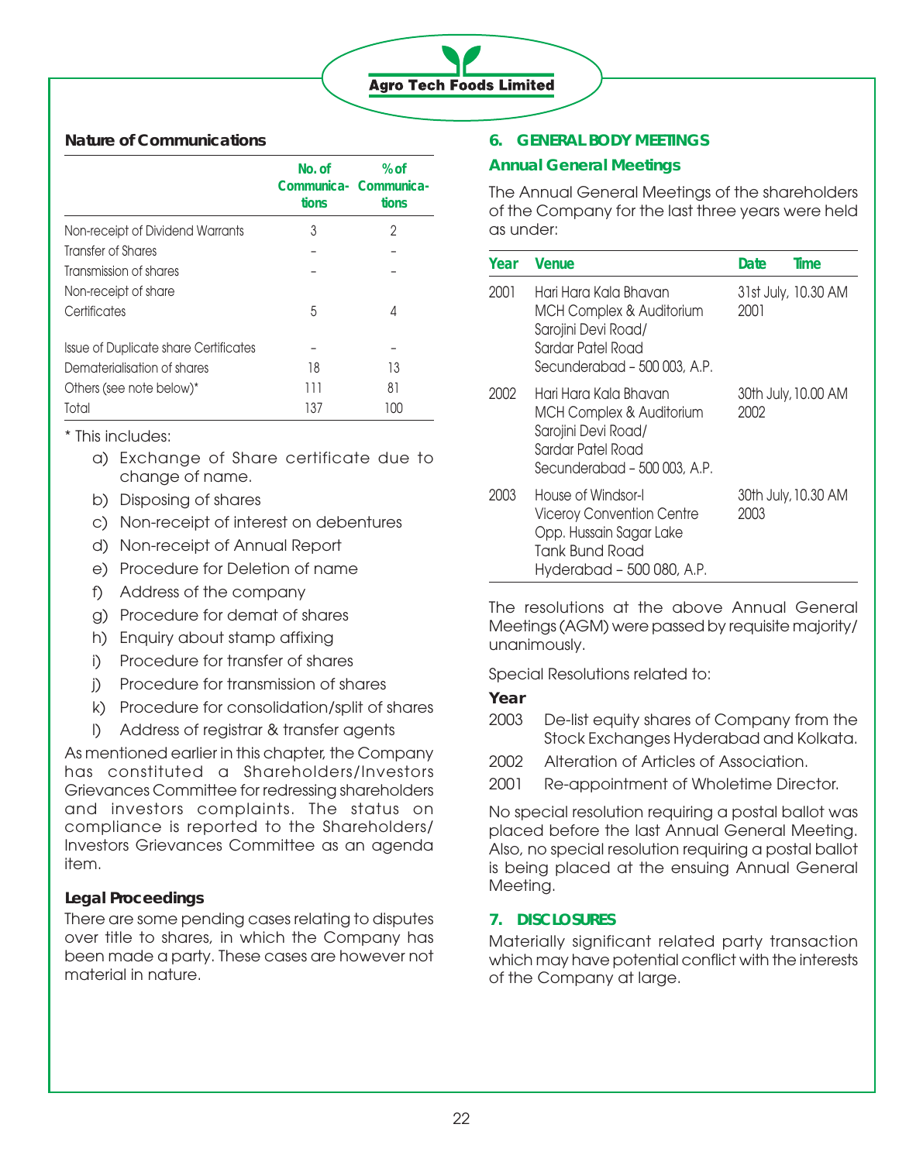# **Agro Tech Foods Limited**

# **Nature of Communications**

|                                       | No. of<br>tions | % of<br>Communica- Communica-<br>tions |
|---------------------------------------|-----------------|----------------------------------------|
| Non-receipt of Dividend Warrants      | 3               | 2                                      |
| Transfer of Shares                    |                 |                                        |
| Transmission of shares                |                 |                                        |
| Non-receipt of share                  |                 |                                        |
| Certificates                          | 5               | 4                                      |
| Issue of Duplicate share Certificates |                 |                                        |
| Dematerialisation of shares           | 18              | 13                                     |
| Others (see note below)*              | 111             | 81                                     |
| Total                                 | 137             | 100                                    |

\* This includes:

- a) Exchange of Share certificate due to change of name.
- b) Disposing of shares
- c) Non-receipt of interest on debentures
- d) Non-receipt of Annual Report
- e) Procedure for Deletion of name
- f) Address of the company
- g) Procedure for demat of shares
- h) Enquiry about stamp affixing
- i) Procedure for transfer of shares
- j) Procedure for transmission of shares
- k) Procedure for consolidation/split of shares
- l) Address of registrar & transfer agents

As mentioned earlier in this chapter, the Company has constituted a Shareholders/Investors Grievances Committee for redressing shareholders and investors complaints. The status on compliance is reported to the Shareholders/ Investors Grievances Committee as an agenda item.

# **Legal Proceedings**

There are some pending cases relating to disputes over title to shares, in which the Company has been made a party. These cases are however not material in nature.

# **6. GENERAL BODY MEETINGS**

# **Annual General Meetings**

The Annual General Meetings of the shareholders of the Company for the last three years were held as under:

| Year | Venue                                                                                                                                    | Date | Time                |
|------|------------------------------------------------------------------------------------------------------------------------------------------|------|---------------------|
| 2001 | Hari Hara Kala Bhavan<br><b>MCH Complex &amp; Auditorium</b><br>Sarojini Devi Road/<br>Sardar Patel Road<br>Secunderabad - 500 003, A.P. | 2001 | 31st July, 10.30 AM |
| 2002 | Hari Hara Kala Bhavan<br>MCH Complex & Auditorium<br>Sarojini Devi Road/<br>Sardar Patel Road<br>Secunderabad - 500 003, A.P.            | 2002 | 30th July, 10.00 AM |
| 2003 | House of Windsor-I<br>Viceroy Convention Centre<br>Opp. Hussain Sagar Lake<br>Tank Bund Road<br>Hyderabad - 500 080, A.P.                | 2003 | 30th July, 10.30 AM |

The resolutions at the above Annual General Meetings (AGM) were passed by requisite majority/ unanimously.

Special Resolutions related to:

**Year**

- 2003 De-list equity shares of Company from the Stock Exchanges Hyderabad and Kolkata.
- 2002 Alteration of Articles of Association.
- 2001 Re-appointment of Wholetime Director.

No special resolution requiring a postal ballot was placed before the last Annual General Meeting. Also, no special resolution requiring a postal ballot is being placed at the ensuing Annual General Meeting.

# **7. DISCLOSURES**

Materially significant related party transaction which may have potential conflict with the interests of the Company at large.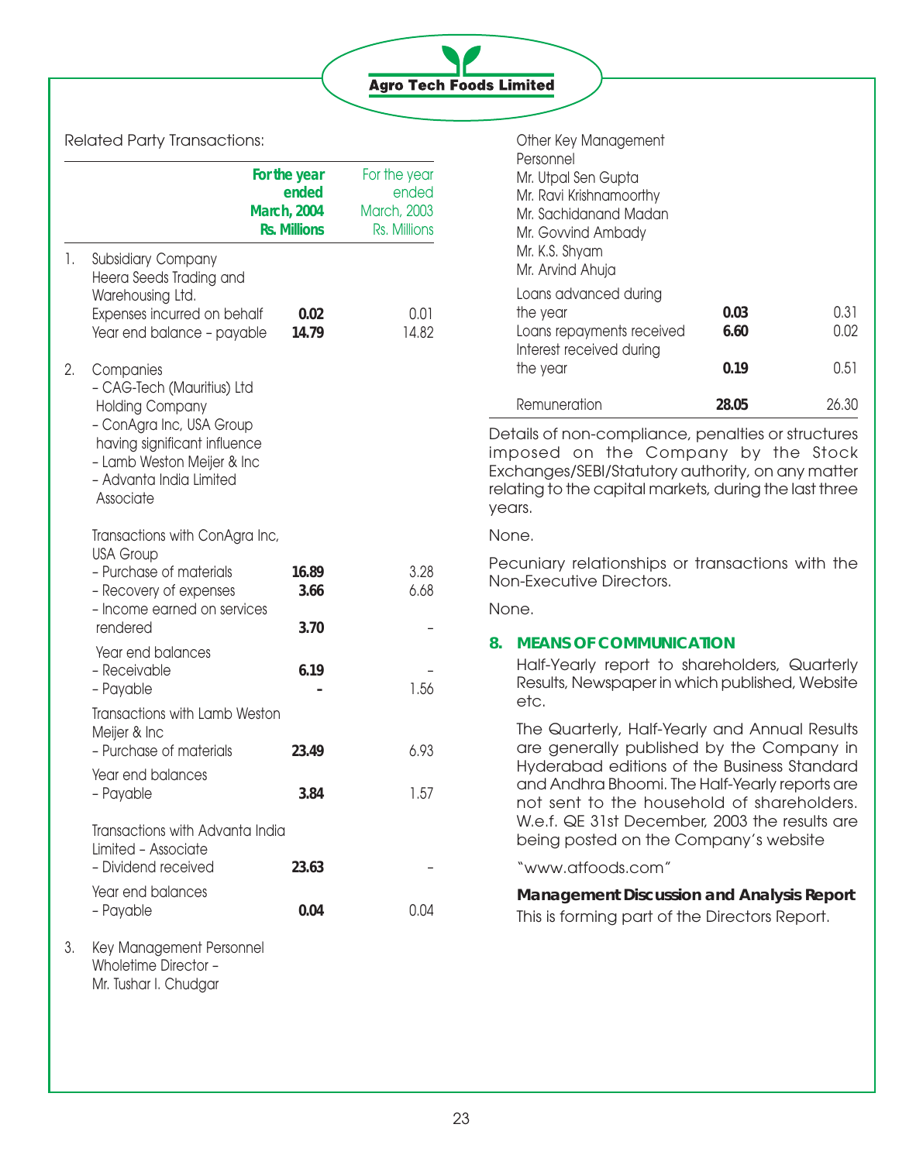

## Related Party Transactions:

|    |                                                                                                                                                                                                     | For the year<br>ended<br><b>March, 2004</b><br><b>Rs. Millions</b> | For the year<br>ended<br><b>March, 2003</b><br>Rs. Millions |
|----|-----------------------------------------------------------------------------------------------------------------------------------------------------------------------------------------------------|--------------------------------------------------------------------|-------------------------------------------------------------|
| 1. | <b>Subsidiary Company</b><br>Heera Seeds Trading and<br>Warehousing Ltd.<br>Expenses incurred on behalf<br>Year end balance - payable                                                               | 0.02<br>14.79                                                      | 0.01<br>14.82                                               |
| 2. | Companies<br>- CAG-Tech (Mauritius) Ltd<br><b>Holding Company</b><br>- ConAgra Inc, USA Group<br>having significant influence<br>- Lamb Weston Meijer & Inc<br>- Advanta India Limited<br>Associate |                                                                    |                                                             |
|    | Transactions with ConAgra Inc,                                                                                                                                                                      |                                                                    |                                                             |
|    | <b>USA Group</b><br>- Purchase of materials<br>- Recovery of expenses                                                                                                                               | 16.89<br>3.66                                                      | 3.28<br>6.68                                                |
|    | - Income earned on services<br>rendered                                                                                                                                                             | 3.70                                                               |                                                             |
|    | Year end balances<br>- Receivable<br>- Payable                                                                                                                                                      | 6.19                                                               | 1.56                                                        |
|    | Transactions with Lamb Weston                                                                                                                                                                       |                                                                    |                                                             |
|    | Meijer & Inc<br>- Purchase of materials                                                                                                                                                             | 23.49                                                              | 6.93                                                        |
|    | Year end balances<br>- Payable                                                                                                                                                                      | 3.84                                                               | 1.57                                                        |
|    | Transactions with Advanta India<br>Limited - Associate<br>- Dividend received                                                                                                                       | 23.63                                                              |                                                             |
|    | Year end balances<br>- Payable                                                                                                                                                                      | 0.04                                                               | 0.04                                                        |
| 3. | Key Management Personnel<br>Wholetime Director -<br>Mr. Tushar I. Chudgar                                                                                                                           |                                                                    |                                                             |

| Other Key Management<br>Personnel<br>Mr. Utpal Sen Gupta<br>Mr. Ravi Krishnamoorthy<br>Mr. Sachidanand Madan<br>Mr. Govvind Ambady<br>Mr. K.S. Shyam<br>Mr. Arvind Ahuja |                      |                      |
|--------------------------------------------------------------------------------------------------------------------------------------------------------------------------|----------------------|----------------------|
| Loans advanced during<br>the year<br>Loans repayments received<br>Interest received during<br>the year                                                                   | 0.03<br>6.60<br>0.19 | 0.31<br>0.02<br>0.51 |
| Remuneration                                                                                                                                                             | 28.05                | 26.30                |

Details of non-compliance, penalties or structures imposed on the Company by the Stock Exchanges/SEBI/Statutory authority, on any matter relating to the capital markets, during the last three years.

#### None.

Pecuniary relationships or transactions with the Non-Executive Directors.

None.

# **8. MEANS OF COMMUNICATION**

Half-Yearly report to shareholders, Quarterly Results, Newspaper in which published, Website etc.

The Quarterly, Half-Yearly and Annual Results are generally published by the Company in Hyderabad editions of the Business Standard and Andhra Bhoomi. The Half-Yearly reports are not sent to the household of shareholders. W.e.f. QE 31st December, 2003 the results are being posted on the Company's website

"www.atfoods.com"

# **Management Discussion and Analysis Report** This is forming part of the Directors Report.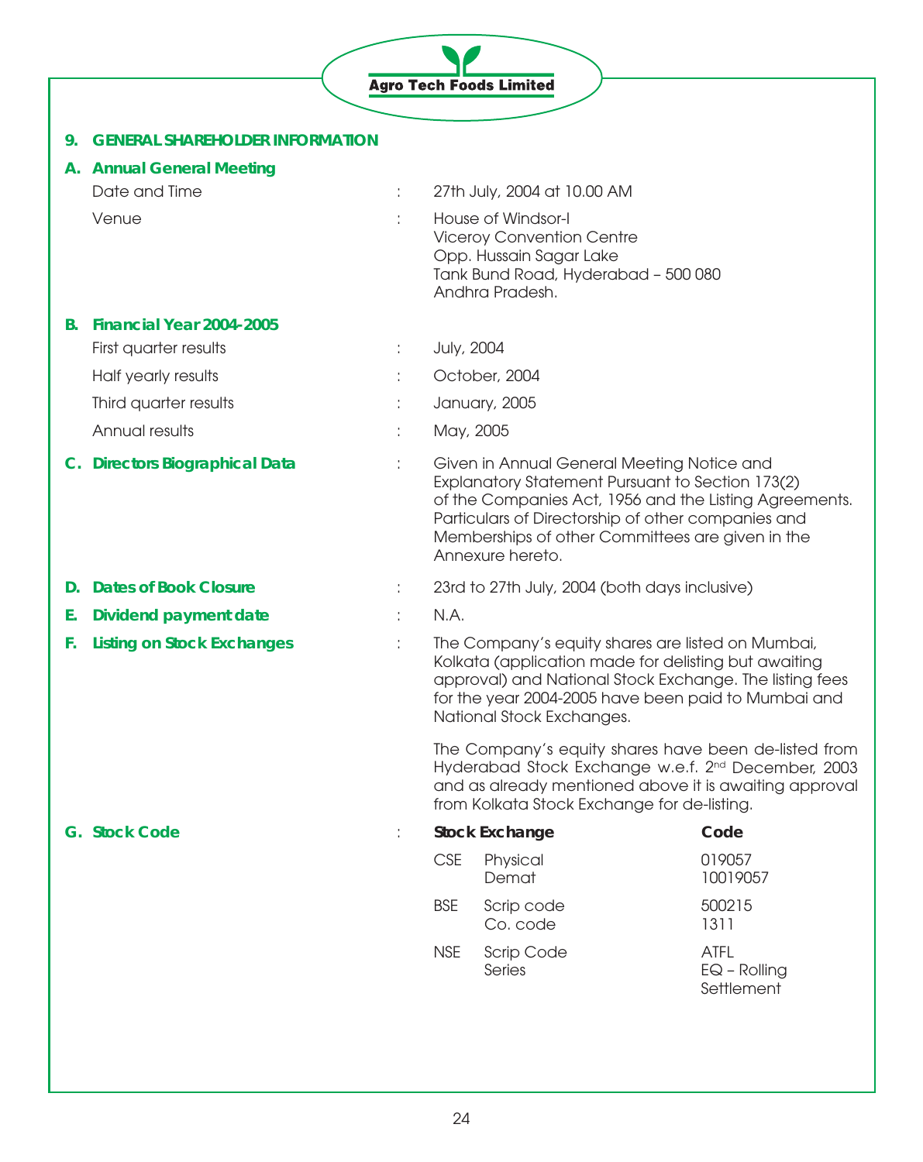|    |                                        |    |            | <b>Agro Tech Foods Limited</b>                                                                                                                                                                                                                                                         |                                             |
|----|----------------------------------------|----|------------|----------------------------------------------------------------------------------------------------------------------------------------------------------------------------------------------------------------------------------------------------------------------------------------|---------------------------------------------|
| 9. | <b>GENERAL SHAREHOLDER INFORMATION</b> |    |            |                                                                                                                                                                                                                                                                                        |                                             |
|    | A. Annual General Meeting              |    |            |                                                                                                                                                                                                                                                                                        |                                             |
|    | Date and Time                          |    |            | 27th July, 2004 at 10.00 AM                                                                                                                                                                                                                                                            |                                             |
|    | Venue                                  |    |            | House of Windsor-I<br><b>Viceroy Convention Centre</b><br>Opp. Hussain Sagar Lake<br>Tank Bund Road, Hyderabad - 500 080<br>Andhra Pradesh.                                                                                                                                            |                                             |
| В. | Financial Year 2004-2005               |    |            |                                                                                                                                                                                                                                                                                        |                                             |
|    | First quarter results                  |    | July, 2004 |                                                                                                                                                                                                                                                                                        |                                             |
|    | Half yearly results                    |    |            | October, 2004                                                                                                                                                                                                                                                                          |                                             |
|    | Third quarter results                  |    |            | January, 2005                                                                                                                                                                                                                                                                          |                                             |
|    | Annual results                         |    | May, 2005  |                                                                                                                                                                                                                                                                                        |                                             |
|    | C. Directors Biographical Data         |    |            | Given in Annual General Meeting Notice and<br>Explanatory Statement Pursuant to Section 173(2)<br>of the Companies Act, 1956 and the Listing Agreements.<br>Particulars of Directorship of other companies and<br>Memberships of other Committees are given in the<br>Annexure hereto. |                                             |
| D. | <b>Dates of Book Closure</b>           |    |            | 23rd to 27th July, 2004 (both days inclusive)                                                                                                                                                                                                                                          |                                             |
| Е. | <b>Dividend payment date</b>           |    | N.A.       |                                                                                                                                                                                                                                                                                        |                                             |
| F. | <b>Listing on Stock Exchanges</b>      |    |            | The Company's equity shares are listed on Mumbai,<br>Kolkata (application made for delisting but awaiting<br>approval) and National Stock Exchange. The listing fees<br>for the year 2004-2005 have been paid to Mumbai and<br>National Stock Exchanges.                               |                                             |
|    |                                        |    |            | The Company's equity shares have been de-listed from<br>Hyderabad Stock Exchange w.e.f. 2 <sup>nd</sup> December, 2003<br>and as already mentioned above it is awaiting approval<br>from Kolkata Stock Exchange for de-listing.                                                        |                                             |
|    | <b>G. Stock Code</b>                   | ÷. |            | <b>Stock Exchange</b>                                                                                                                                                                                                                                                                  | Code                                        |
|    |                                        |    | <b>CSE</b> | Physical<br>Demat                                                                                                                                                                                                                                                                      | 019057<br>10019057                          |
|    |                                        |    | <b>BSE</b> | Scrip code<br>Co. code                                                                                                                                                                                                                                                                 | 500215<br>1311                              |
|    |                                        |    | <b>NSE</b> | Scrip Code<br>Series                                                                                                                                                                                                                                                                   | <b>ATFL</b><br>$EQ - Rolling$<br>Settlement |

ŋ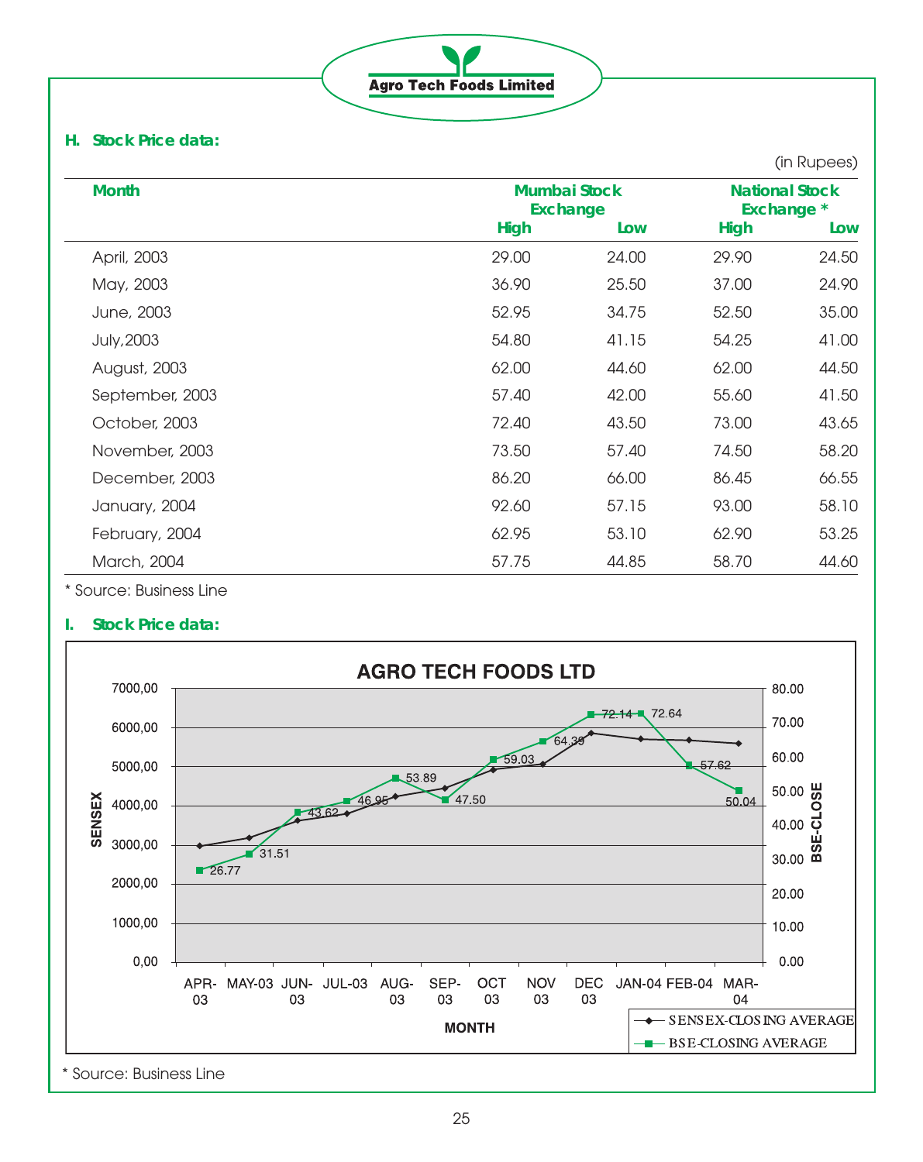**Agro Tech Foods Limited** 

# **H. Stock Price data:**

|                   |                                        |       |             | (in Rupees)                         |  |
|-------------------|----------------------------------------|-------|-------------|-------------------------------------|--|
| <b>Month</b>      | <b>Mumbai Stock</b><br><b>Exchange</b> |       |             | <b>National Stock</b><br>Exchange * |  |
|                   | <b>High</b>                            | Low   | <b>High</b> | Low                                 |  |
| April, 2003       | 29.00                                  | 24.00 | 29.90       | 24.50                               |  |
| May, 2003         | 36.90                                  | 25.50 | 37.00       | 24.90                               |  |
| June, 2003        | 52.95                                  | 34.75 | 52.50       | 35.00                               |  |
| <b>July, 2003</b> | 54.80                                  | 41.15 | 54.25       | 41.00                               |  |
| August, 2003      | 62.00                                  | 44.60 | 62.00       | 44.50                               |  |
| September, 2003   | 57.40                                  | 42.00 | 55.60       | 41.50                               |  |
| October, 2003     | 72.40                                  | 43.50 | 73.00       | 43.65                               |  |
| November, 2003    | 73.50                                  | 57.40 | 74.50       | 58.20                               |  |
| December, 2003    | 86.20                                  | 66.00 | 86.45       | 66.55                               |  |
| January, 2004     | 92.60                                  | 57.15 | 93.00       | 58.10                               |  |
| February, 2004    | 62.95                                  | 53.10 | 62.90       | 53.25                               |  |
| March, 2004       | 57.75                                  | 44.85 | 58.70       | 44.60                               |  |

\* Source: Business Line

# **I. Stock Price data:**

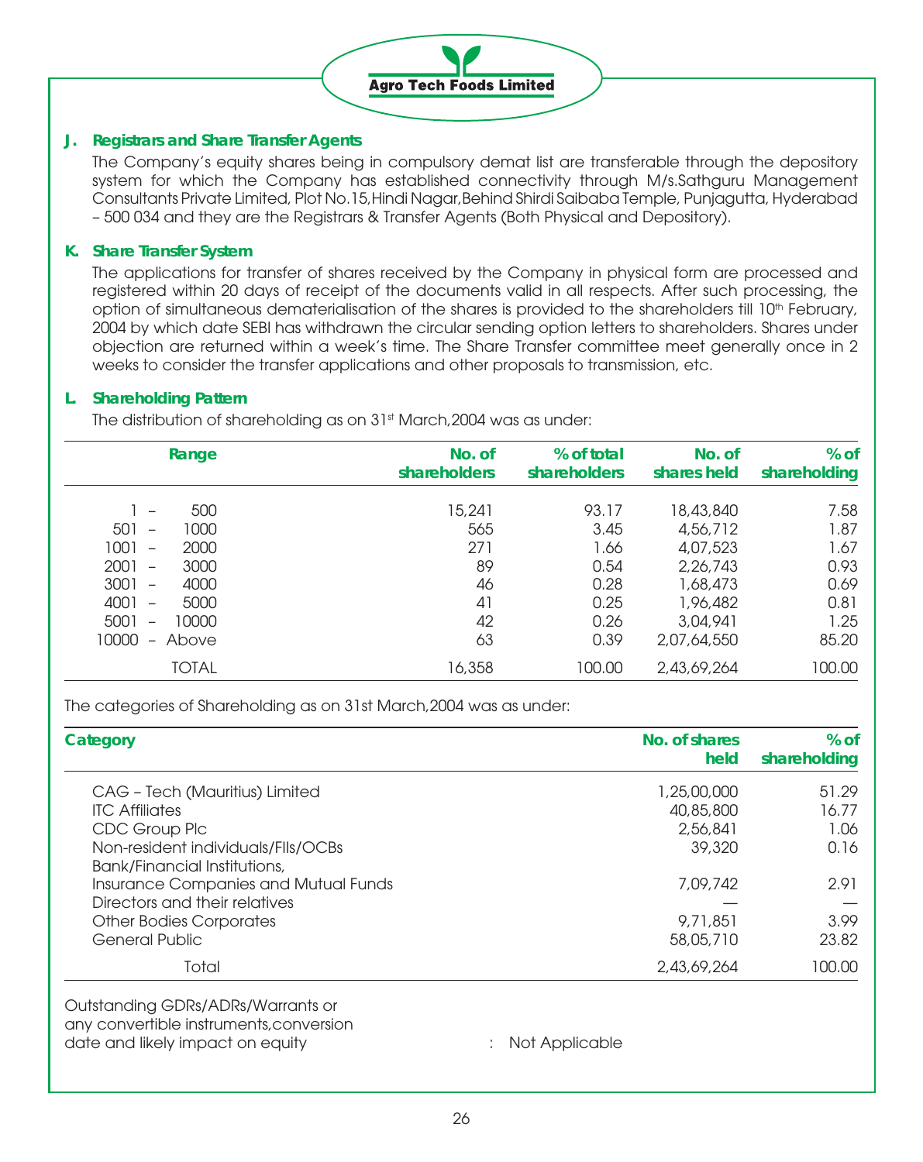

## **J. Registrars and Share Transfer Agents**

The Company's equity shares being in compulsory demat list are transferable through the depository system for which the Company has established connectivity through M/s.Sathguru Management Consultants Private Limited, Plot No.15,Hindi Nagar,Behind Shirdi Saibaba Temple, Punjagutta, Hyderabad – 500 034 and they are the Registrars & Transfer Agents (Both Physical and Depository).

## **K. Share Transfer System**

The applications for transfer of shares received by the Company in physical form are processed and registered within 20 days of receipt of the documents valid in all respects. After such processing, the option of simultaneous dematerialisation of the shares is provided to the shareholders till 10<sup>th</sup> February, 2004 by which date SEBI has withdrawn the circular sending option letters to shareholders. Shares under objection are returned within a week's time. The Share Transfer committee meet generally once in 2 weeks to consider the transfer applications and other proposals to transmission, etc.

## **L. Shareholding Pattern**

The distribution of shareholding as on 31<sup>st</sup> March, 2004 was as under:

| % of<br>% of total<br>No. of<br>shareholders<br>shares held<br>shareholding                                                                                                                | No. of<br>shareholders                       | Range                                                                                                                                                                                                                                                                |
|--------------------------------------------------------------------------------------------------------------------------------------------------------------------------------------------|----------------------------------------------|----------------------------------------------------------------------------------------------------------------------------------------------------------------------------------------------------------------------------------------------------------------------|
| 7.58<br>93.17<br>18,43,840<br>4,56,712<br>3.45<br>4,07,523<br>1.67<br>1.66<br>0.93<br>0.54<br>2,26,743<br>0.28<br>0.69<br>1,68,473<br>0.25<br>1,96,482<br>0.81<br>1.25<br>0.26<br>3,04,941 | 15,241<br>565<br>271<br>89<br>46<br>41<br>42 | 500<br>$\qquad \qquad -$<br>501<br>1000<br>$\overline{\phantom{m}}$<br>1001<br>2000<br>$\overline{\phantom{0}}$<br>2001<br>3000<br>$\overline{\phantom{m}}$<br>3001<br>4000<br>$\overline{\phantom{0}}$<br>4001<br>5000<br>5001<br>10000<br>$\overline{\phantom{0}}$ |
| 85.20<br>0.39<br>2,07,64,550                                                                                                                                                               | 63                                           | 10000<br>Above<br>$-$                                                                                                                                                                                                                                                |
| 100.00<br>100.00<br>2,43,69,264                                                                                                                                                            | 16,358                                       | <b>TOTAL</b>                                                                                                                                                                                                                                                         |

The categories of Shareholding as on 31st March,2004 was as under:

| $%$ of<br>shareholding | No. of shares<br>held | Category                             |
|------------------------|-----------------------|--------------------------------------|
| 51.29                  | 1,25,00,000           | CAG - Tech (Mauritius) Limited       |
| 16.77                  | 40,85,800             | <b>ITC Affiliates</b>                |
| 1.06                   | 2,56,841              | CDC Group Plc                        |
| 0.16                   | 39,320                | Non-resident individuals/Flls/OCBs   |
|                        |                       | Bank/Financial Institutions,         |
| 2.91                   | 7,09,742              | Insurance Companies and Mutual Funds |
|                        |                       | Directors and their relatives        |
| 3.99                   | 9,71,851              | <b>Other Bodies Corporates</b>       |
| 23.82                  | 58,05,710             | <b>General Public</b>                |
| 100.00                 | 2,43,69,264           | Total                                |

Outstanding GDRs/ADRs/Warrants or any convertible instruments,conversion date and likely impact on equity **interest and the contract on equity**  $\cdot$  Not Applicable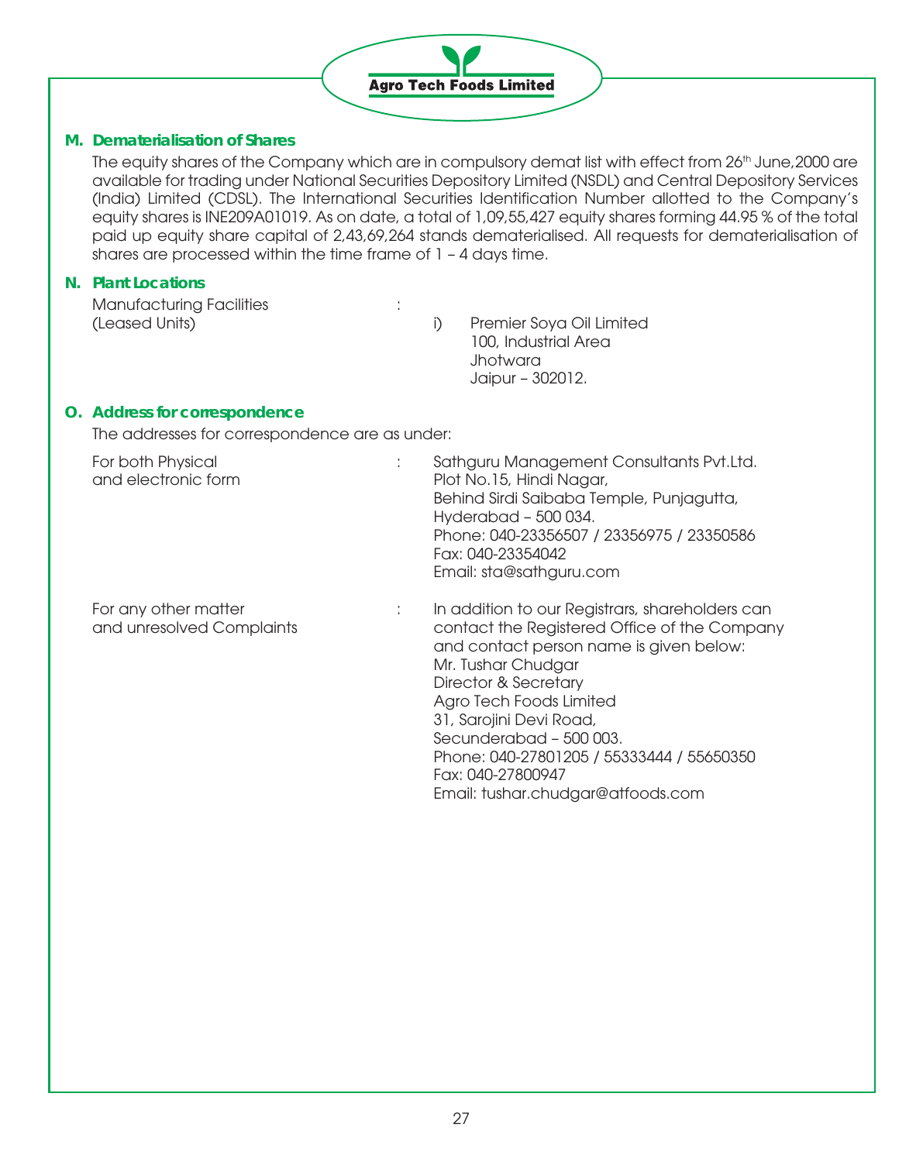

## **M. Dematerialisation of Shares**

The equity shares of the Company which are in compulsory demat list with effect from 26<sup>th</sup> June, 2000 are available for trading under National Securities Depository Limited (NSDL) and Central Depository Services (India) Limited (CDSL). The International Securities Identification Number allotted to the Company's equity shares is INE209A01019. As on date, a total of 1,09,55,427 equity shares forming 44.95 % of the total paid up equity share capital of 2,43,69,264 stands dematerialised. All requests for dematerialisation of shares are processed within the time frame of 1 – 4 days time.

#### **N. Plant Locations**

Manufacturing Facilities :<br>(Leased Units)

i) Premier Soya Oil Limited 100, Industrial Area Jhotwara Jaipur – 302012.

Agro Tech Foods Limited 31, Sarojini Devi Road, Secunderabad – 500 003.

Fax: 040-27800947

Phone: 040-27801205 / 55333444 / 55650350

Email: tushar.chudgar@atfoods.com

# **O. Address for correspondence**

The addresses for correspondence are as under:

| For both Physical<br>and electronic form          |   | Sathguru Management Consultants Pvt.Ltd.<br>Plot No.15, Hindi Nagar,<br>Behind Sirdi Saibaba Temple, Punjagutta,<br>Hyderabad - 500 034.<br>Phone: 040-23356507 / 23356975 / 23350586<br>Fax: 040-23354042<br>Email: sta@sathguru.com |
|---------------------------------------------------|---|---------------------------------------------------------------------------------------------------------------------------------------------------------------------------------------------------------------------------------------|
| For any other matter<br>and unresolved Complaints | ÷ | In addition to our Registrars, shareholders can<br>contact the Registered Office of the Company<br>and contact person name is given below:<br>Mr. Tushar Chudgar<br>Director & Secretary                                              |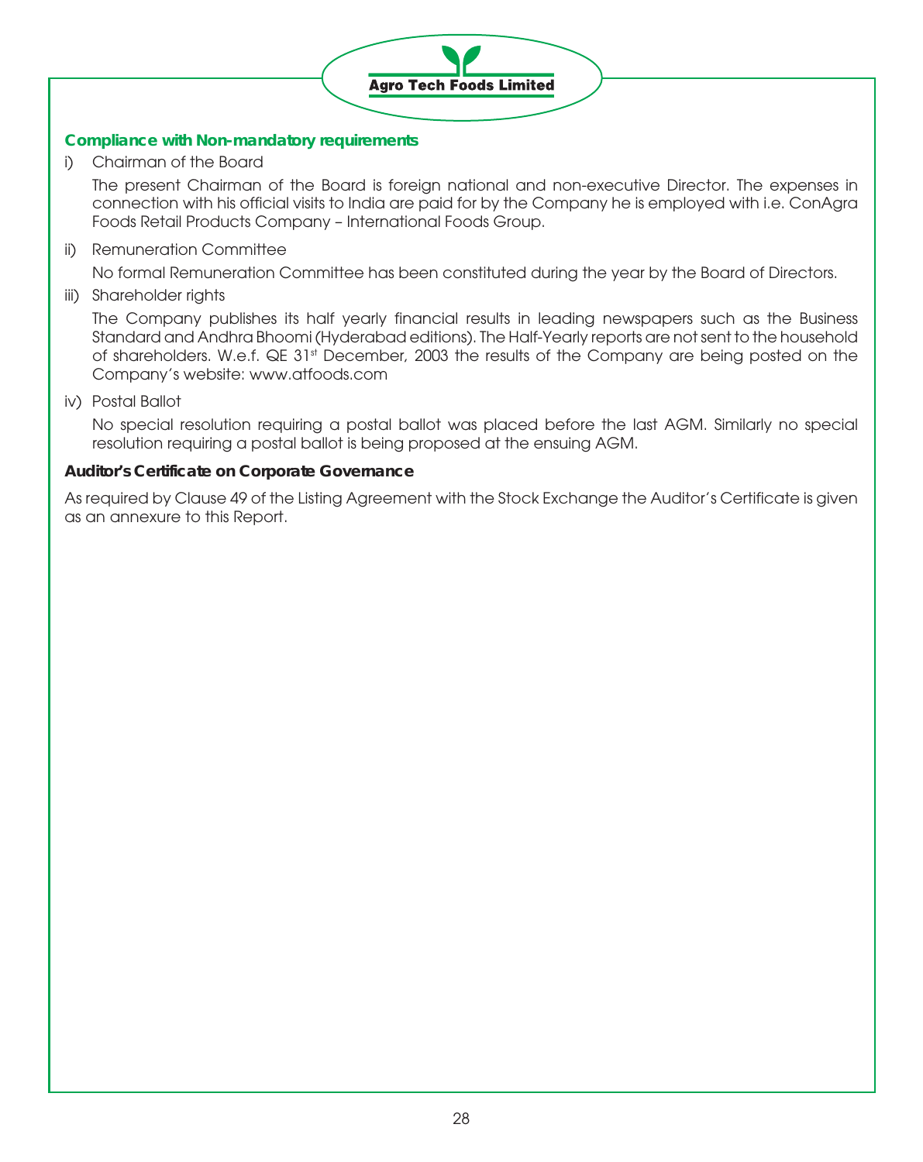

# **Compliance with Non-mandatory requirements**

i) Chairman of the Board

The present Chairman of the Board is foreign national and non-executive Director. The expenses in connection with his official visits to India are paid for by the Company he is employed with i.e. ConAgra Foods Retail Products Company – International Foods Group.

ii) Remuneration Committee

No formal Remuneration Committee has been constituted during the year by the Board of Directors.

iii) Shareholder rights

The Company publishes its half yearly financial results in leading newspapers such as the Business Standard and Andhra Bhoomi (Hyderabad editions). The Half-Yearly reports are not sent to the household of shareholders. W.e.f. QE 31st December, 2003 the results of the Company are being posted on the Company's website: www.atfoods.com

iv) Postal Ballot

No special resolution requiring a postal ballot was placed before the last AGM. Similarly no special resolution requiring a postal ballot is being proposed at the ensuing AGM.

## **Auditor's Certificate on Corporate Governance**

As required by Clause 49 of the Listing Agreement with the Stock Exchange the Auditor's Certificate is given as an annexure to this Report.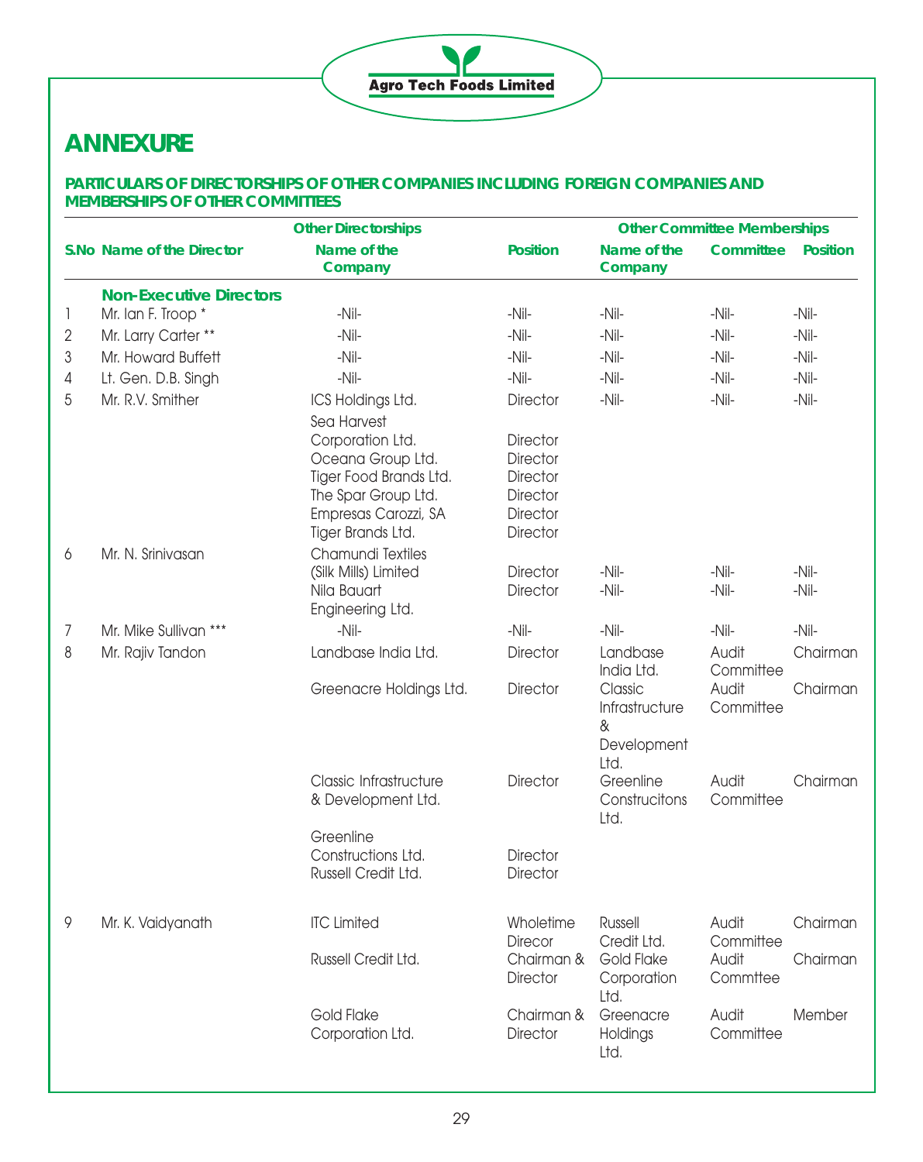# **Agro Tech Foods Limited**

# **ANNEXURE**

# **PARTICULARS OF DIRECTORSHIPS OF OTHER COMPANIES INCLUDING FOREIGN COMPANIES AND MEMBERSHIPS OF OTHER COMMITTEES**

|   |                                | <b>Other Directorships</b>                                                                                                          | <b>Other Committee Memberships</b>                                                               |                                                       |                    |                    |  |
|---|--------------------------------|-------------------------------------------------------------------------------------------------------------------------------------|--------------------------------------------------------------------------------------------------|-------------------------------------------------------|--------------------|--------------------|--|
|   | S.No Name of the Director      | Name of the<br>Company                                                                                                              | <b>Position</b>                                                                                  | Name of the<br>Company                                | Committee          | <b>Position</b>    |  |
|   | <b>Non-Executive Directors</b> |                                                                                                                                     |                                                                                                  |                                                       |                    |                    |  |
|   | Mr. Ian F. Troop *             | -Nil-                                                                                                                               | $-Nil-$                                                                                          | $-Nil-$                                               | $-Nil-$            | -Nil-              |  |
| 2 | Mr. Larry Carter **            | $-Nil-$                                                                                                                             | $-Nil-$                                                                                          | $-Nil-$                                               | $-Nil-$            | $-Nil-$            |  |
| 3 | Mr. Howard Buffett             | $-Nil-$                                                                                                                             | $-Nil-$                                                                                          | $-Nil-$                                               | $-Nil-$            | -Nil-              |  |
| 4 | Lt. Gen. D.B. Singh            | $-Nil-$                                                                                                                             | $-Nil-$                                                                                          | $-Nil-$                                               | $-Nil-$            | $-Nil-$            |  |
| 5 | Mr. R.V. Smither               | ICS Holdings Ltd.<br>Sea Harvest                                                                                                    | <b>Director</b>                                                                                  | $-Nil-$                                               | $-Nil-$            | $-Nil-$            |  |
|   |                                | Corporation Ltd.<br>Oceana Group Ltd.<br>Tiger Food Brands Ltd.<br>The Spar Group Ltd.<br>Empresas Carozzi, SA<br>Tiger Brands Ltd. | <b>Director</b><br><b>Director</b><br><b>Director</b><br><b>Director</b><br>Director<br>Director |                                                       |                    |                    |  |
| 6 | Mr. N. Srinivasan              | Chamundi Textiles<br>(Silk Mills) Limited<br>Nila Bauart<br>Engineering Ltd.                                                        | <b>Director</b><br><b>Director</b>                                                               | $-Nil-$<br>$-Nil-$                                    | $-Nil-$<br>$-Nil-$ | $-Nil-$<br>$-Nil-$ |  |
| 7 | Mr. Mike Sullivan ***          | $-Nil-$                                                                                                                             | $-Nil-$                                                                                          | $-Nil-$                                               | $-Nil-$            | $-Nil-$            |  |
| 8 | Mr. Rajiv Tandon               | Landbase India Ltd.                                                                                                                 | <b>Director</b>                                                                                  | Landbase<br>India Ltd.                                | Audit<br>Committee | Chairman           |  |
|   |                                | Greenacre Holdings Ltd.                                                                                                             | Director                                                                                         | Classic<br>Infrastructure<br>&<br>Development<br>Ltd. | Audit<br>Committee | Chairman           |  |
|   |                                | Classic Infrastructure<br>& Development Ltd.                                                                                        | <b>Director</b>                                                                                  | Greenline<br>Construcitons<br>Ltd.                    | Audit<br>Committee | Chairman           |  |
|   |                                | Greenline<br>Constructions Ltd.<br>Russell Credit Ltd.                                                                              | <b>Director</b><br><b>Director</b>                                                               |                                                       |                    |                    |  |
| 9 | Mr. K. Vaidyanath              | <b>ITC Limited</b>                                                                                                                  | Wholetime<br><b>Direcor</b>                                                                      | <b>Russell</b><br>Credit Ltd.                         | Audit<br>Committee | Chairman           |  |
|   |                                | Russell Credit Ltd.                                                                                                                 | Chairman &<br><b>Director</b>                                                                    | Gold Flake<br>Corporation<br>Ltd.                     | Audit<br>Commttee  | Chairman           |  |
|   |                                | Gold Flake<br>Corporation Ltd.                                                                                                      | Chairman &<br><b>Director</b>                                                                    | Greenacre<br>Holdings<br>Ltd.                         | Audit<br>Committee | Member             |  |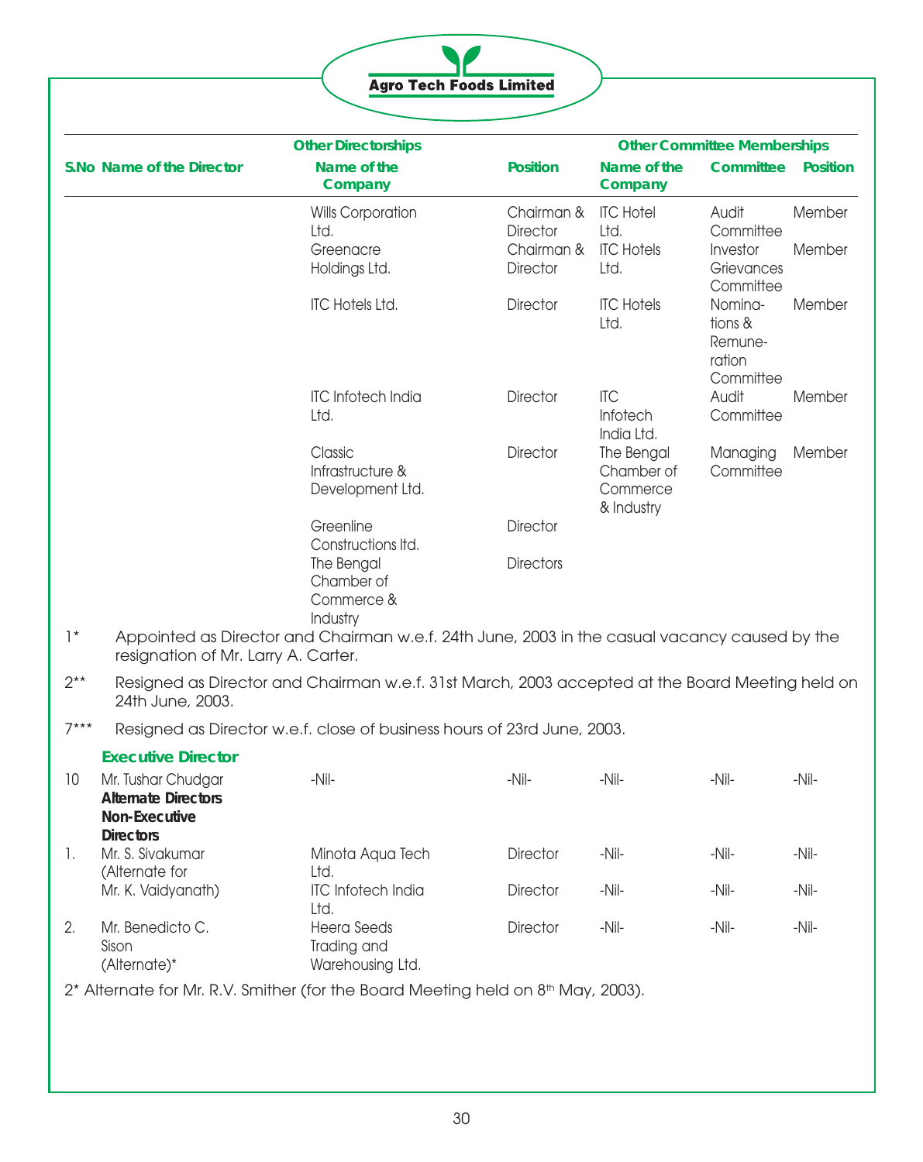|  |  | <b>Agro Tech Foods Limited</b> |  |
|--|--|--------------------------------|--|

|                 |                                                                                       | <b>Other Directorships</b>                                                                               |                               | <b>Other Committee Memberships</b>                 |                                                      |                 |  |
|-----------------|---------------------------------------------------------------------------------------|----------------------------------------------------------------------------------------------------------|-------------------------------|----------------------------------------------------|------------------------------------------------------|-----------------|--|
|                 | S.No Name of the Director                                                             | Name of the<br>Company                                                                                   | <b>Position</b>               | Name of the<br>Company                             | Committee                                            | <b>Position</b> |  |
|                 |                                                                                       | <b>Wills Corporation</b><br>Ltd.                                                                         | Chairman &<br><b>Director</b> | <b>ITC Hotel</b><br>Ltd.                           | Audit<br>Committee                                   | Member          |  |
|                 |                                                                                       | Greenacre<br>Holdings Ltd.                                                                               | Chairman &<br><b>Director</b> | <b>ITC Hotels</b><br>Ltd.                          | Investor<br>Grievances<br>Committee                  | Member          |  |
|                 |                                                                                       | <b>ITC Hotels Ltd.</b>                                                                                   | <b>Director</b>               | <b>ITC Hotels</b><br>Ltd.                          | Nomina-<br>tions &<br>Remune-<br>ration<br>Committee | Member          |  |
|                 |                                                                                       | <b>ITC Infotech India</b><br>Ltd.                                                                        | <b>Director</b>               | <b>ITC</b><br>Infotech<br>India Ltd.               | Audit<br>Committee                                   | Member          |  |
|                 |                                                                                       | Classic<br>Infrastructure &<br>Development Ltd.                                                          | <b>Director</b>               | The Bengal<br>Chamber of<br>Commerce<br>& Industry | Managing<br>Committee                                | Member          |  |
|                 |                                                                                       | Greenline<br>Constructions Itd.                                                                          | <b>Director</b>               |                                                    |                                                      |                 |  |
|                 |                                                                                       | The Bengal<br>Chamber of<br>Commerce &<br>Industry                                                       | <b>Directors</b>              |                                                    |                                                      |                 |  |
| $\mathcal{L}^*$ | resignation of Mr. Larry A. Carter.                                                   | Appointed as Director and Chairman w.e.f. 24th June, 2003 in the casual vacancy caused by the            |                               |                                                    |                                                      |                 |  |
| $2**$           | 24th June, 2003.                                                                      | Resigned as Director and Chairman w.e.f. 31st March, 2003 accepted at the Board Meeting held on          |                               |                                                    |                                                      |                 |  |
| $7***$          |                                                                                       | Resigned as Director w.e.f. close of business hours of 23rd June, 2003.                                  |                               |                                                    |                                                      |                 |  |
|                 | <b>Executive Director</b>                                                             |                                                                                                          |                               |                                                    |                                                      |                 |  |
| 10              | Mr. Tushar Chudgar<br><b>Alternate Directors</b><br>Non-Executive<br><b>Directors</b> | $-Nil-$                                                                                                  | $-Nil-$                       | -Nil-                                              | -Nil-                                                | $-Nil-$         |  |
| 1.              | Mr. S. Sivakumar<br>(Alternate for                                                    | Minota Aqua Tech<br>Ltd.                                                                                 | Director                      | $-Nil-$                                            | $-Nil-$                                              | $-Nil-$         |  |
|                 | Mr. K. Vaidyanath)                                                                    | <b>ITC Infotech India</b><br>Ltd.                                                                        | <b>Director</b>               | $-Nil-$                                            | $-Nil-$                                              | $-Nil-$         |  |
| 2.              | Mr. Benedicto C.<br>Sison<br>(Alternate)*                                             | <b>Heera Seeds</b><br>Trading and<br>Warehousing Ltd.                                                    | <b>Director</b>               | $-Nil-$                                            | $-Nil-$                                              | $-Nil-$         |  |
|                 |                                                                                       | 2 <sup>*</sup> Alternate for Mr. R.V. Smither (for the Board Meeting held on 8 <sup>th</sup> May, 2003). |                               |                                                    |                                                      |                 |  |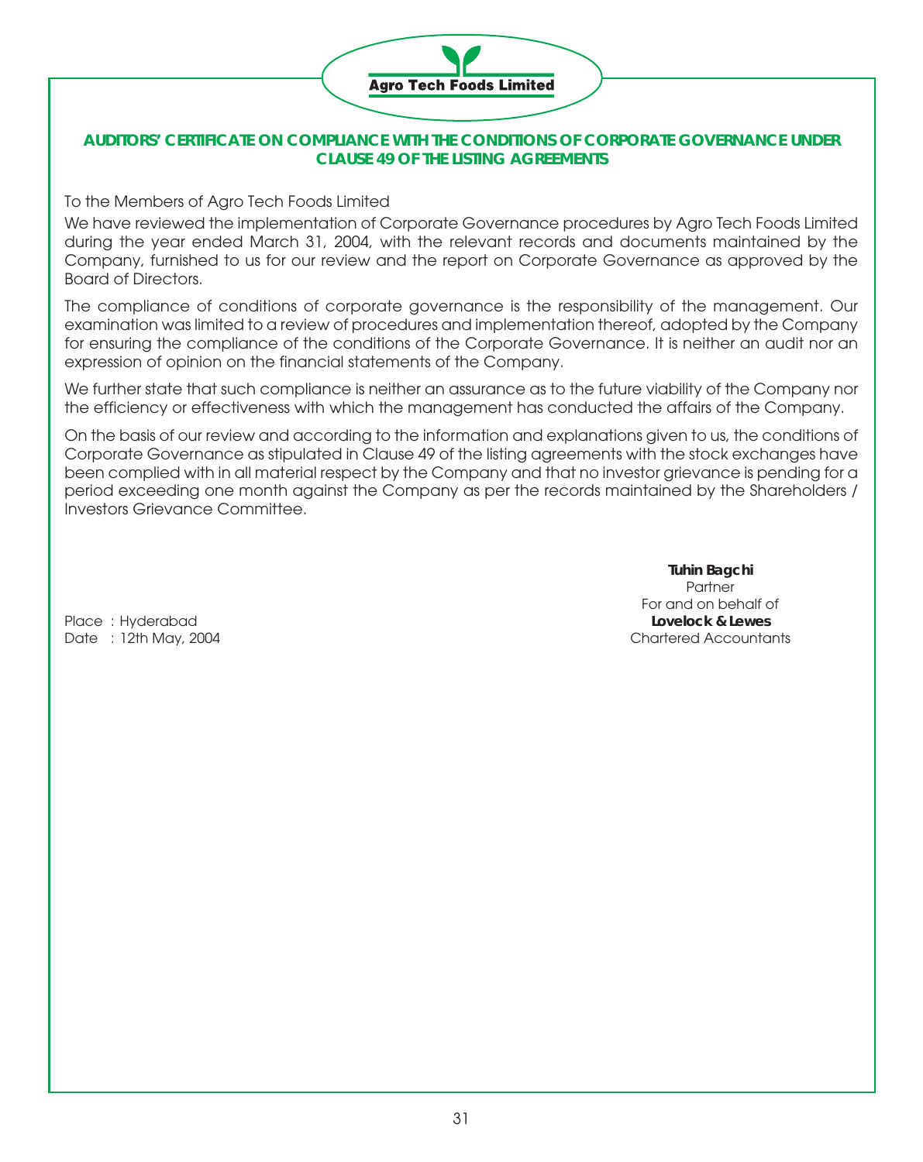

# **AUDITORS' CERTIFICATE ON COMPLIANCE WITH THE CONDITIONS OF CORPORATE GOVERNANCE UNDER CLAUSE 49 OF THE LISTING AGREEMENTS**

To the Members of Agro Tech Foods Limited

We have reviewed the implementation of Corporate Governance procedures by Agro Tech Foods Limited during the year ended March 31, 2004, with the relevant records and documents maintained by the Company, furnished to us for our review and the report on Corporate Governance as approved by the Board of Directors.

The compliance of conditions of corporate governance is the responsibility of the management. Our examination was limited to a review of procedures and implementation thereof, adopted by the Company for ensuring the compliance of the conditions of the Corporate Governance. It is neither an audit nor an expression of opinion on the financial statements of the Company.

We further state that such compliance is neither an assurance as to the future viability of the Company nor the efficiency or effectiveness with which the management has conducted the affairs of the Company.

On the basis of our review and according to the information and explanations given to us, the conditions of Corporate Governance as stipulated in Clause 49 of the listing agreements with the stock exchanges have been complied with in all material respect by the Company and that no investor grievance is pending for a period exceeding one month against the Company as per the records maintained by the Shareholders / Investors Grievance Committee.

**Tuhin Bagchi** Partner For and on behalf of Date : 12th May, 2004 Chartered Accountants

Place : Hyderabad **Lovelock & Lewes**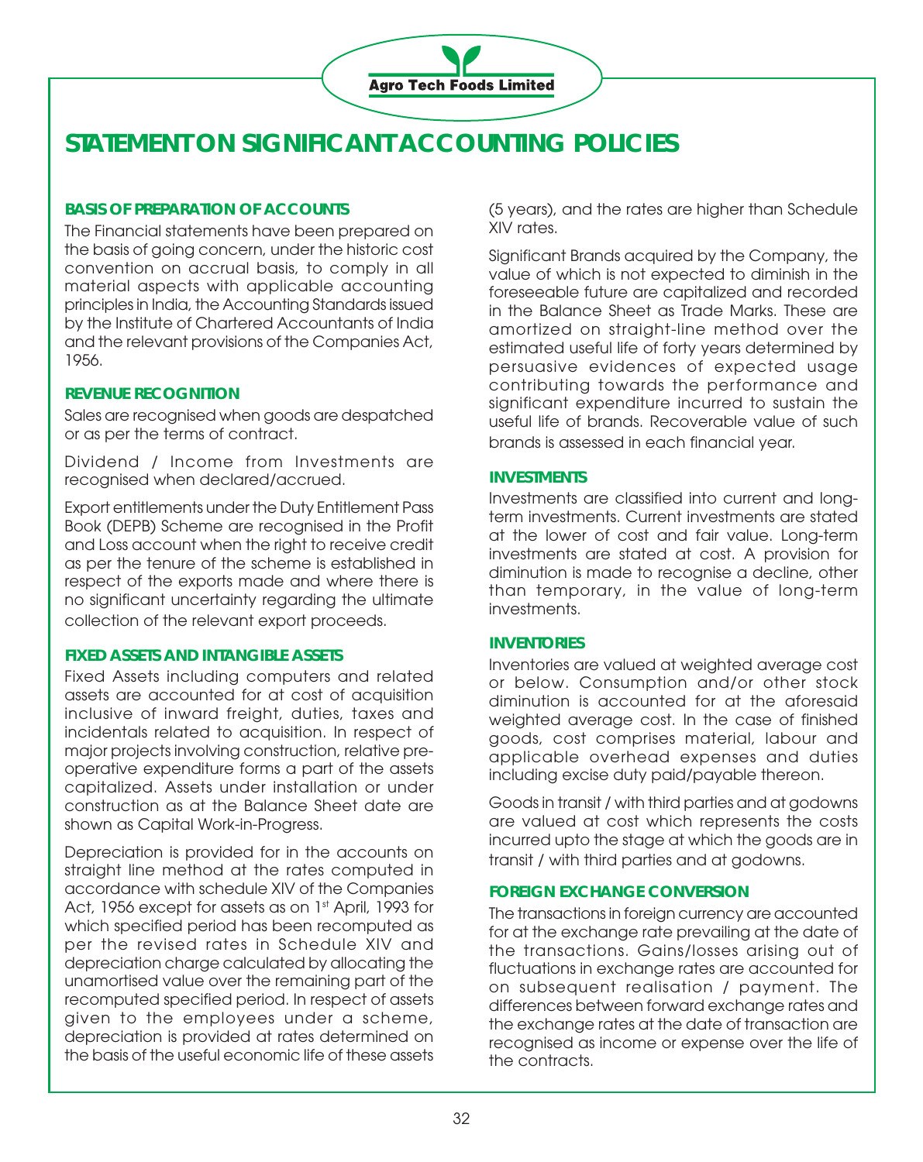

# **STATEMENT ON SIGNIFICANT ACCOUNTING POLICIES**

# **BASIS OF PREPARATION OF ACCOUNTS**

The Financial statements have been prepared on the basis of going concern, under the historic cost convention on accrual basis, to comply in all material aspects with applicable accounting principles in India, the Accounting Standards issued by the Institute of Chartered Accountants of India and the relevant provisions of the Companies Act, 1956.

# **REVENUE RECOGNITION**

Sales are recognised when goods are despatched or as per the terms of contract.

Dividend / Income from Investments are recognised when declared/accrued.

Export entitlements under the Duty Entitlement Pass Book (DEPB) Scheme are recognised in the Profit and Loss account when the right to receive credit as per the tenure of the scheme is established in respect of the exports made and where there is no significant uncertainty regarding the ultimate collection of the relevant export proceeds.

# **FIXED ASSETS AND INTANGIBLE ASSETS**

Fixed Assets including computers and related assets are accounted for at cost of acquisition inclusive of inward freight, duties, taxes and incidentals related to acquisition. In respect of major projects involving construction, relative preoperative expenditure forms a part of the assets capitalized. Assets under installation or under construction as at the Balance Sheet date are shown as Capital Work-in-Progress.

Depreciation is provided for in the accounts on straight line method at the rates computed in accordance with schedule XIV of the Companies Act, 1956 except for assets as on 1st April, 1993 for which specified period has been recomputed as per the revised rates in Schedule XIV and depreciation charge calculated by allocating the unamortised value over the remaining part of the recomputed specified period. In respect of assets given to the employees under a scheme, depreciation is provided at rates determined on the basis of the useful economic life of these assets

(5 years), and the rates are higher than Schedule XIV rates.

Significant Brands acquired by the Company, the value of which is not expected to diminish in the foreseeable future are capitalized and recorded in the Balance Sheet as Trade Marks. These are amortized on straight-line method over the estimated useful life of forty years determined by persuasive evidences of expected usage contributing towards the performance and significant expenditure incurred to sustain the useful life of brands. Recoverable value of such brands is assessed in each financial year.

## **INVESTMENTS**

Investments are classified into current and longterm investments. Current investments are stated at the lower of cost and fair value. Long-term investments are stated at cost. A provision for diminution is made to recognise a decline, other than temporary, in the value of long-term investments.

# **INVENTORIES**

Inventories are valued at weighted average cost or below. Consumption and/or other stock diminution is accounted for at the aforesaid weighted average cost. In the case of finished goods, cost comprises material, labour and applicable overhead expenses and duties including excise duty paid/payable thereon.

Goods in transit / with third parties and at godowns are valued at cost which represents the costs incurred upto the stage at which the goods are in transit / with third parties and at godowns.

# **FOREIGN EXCHANGE CONVERSION**

The transactions in foreign currency are accounted for at the exchange rate prevailing at the date of the transactions. Gains/losses arising out of fluctuations in exchange rates are accounted for on subsequent realisation / payment. The differences between forward exchange rates and the exchange rates at the date of transaction are recognised as income or expense over the life of the contracts.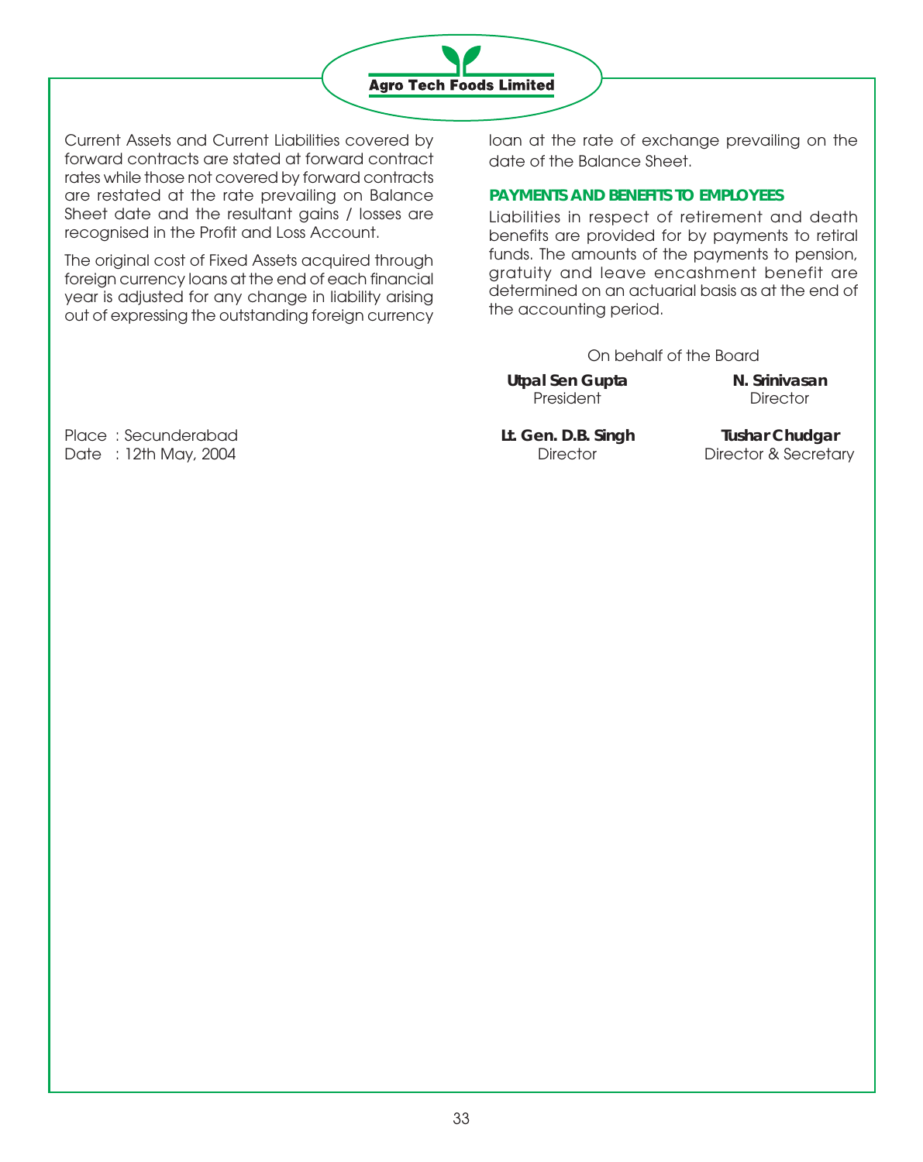

Current Assets and Current Liabilities covered by forward contracts are stated at forward contract rates while those not covered by forward contracts are restated at the rate prevailing on Balance Sheet date and the resultant gains / losses are recognised in the Profit and Loss Account.

The original cost of Fixed Assets acquired through foreign currency loans at the end of each financial year is adjusted for any change in liability arising out of expressing the outstanding foreign currency

loan at the rate of exchange prevailing on the date of the Balance Sheet.

## **PAYMENTS AND BENEFITS TO EMPLOYEES**

Liabilities in respect of retirement and death benefits are provided for by payments to retiral funds. The amounts of the payments to pension, gratuity and leave encashment benefit are determined on an actuarial basis as at the end of the accounting period.

On behalf of the Board

Utpal Sen Gupta **N. Srinivasan** President Director

Place : Secunderabad **Lt. Gen. D.B. Singh Tushar Chudgar** Date : 12th May, 2004 **Director Bullet Contract Contract Contract Contract Contract Contract Director & Secretary**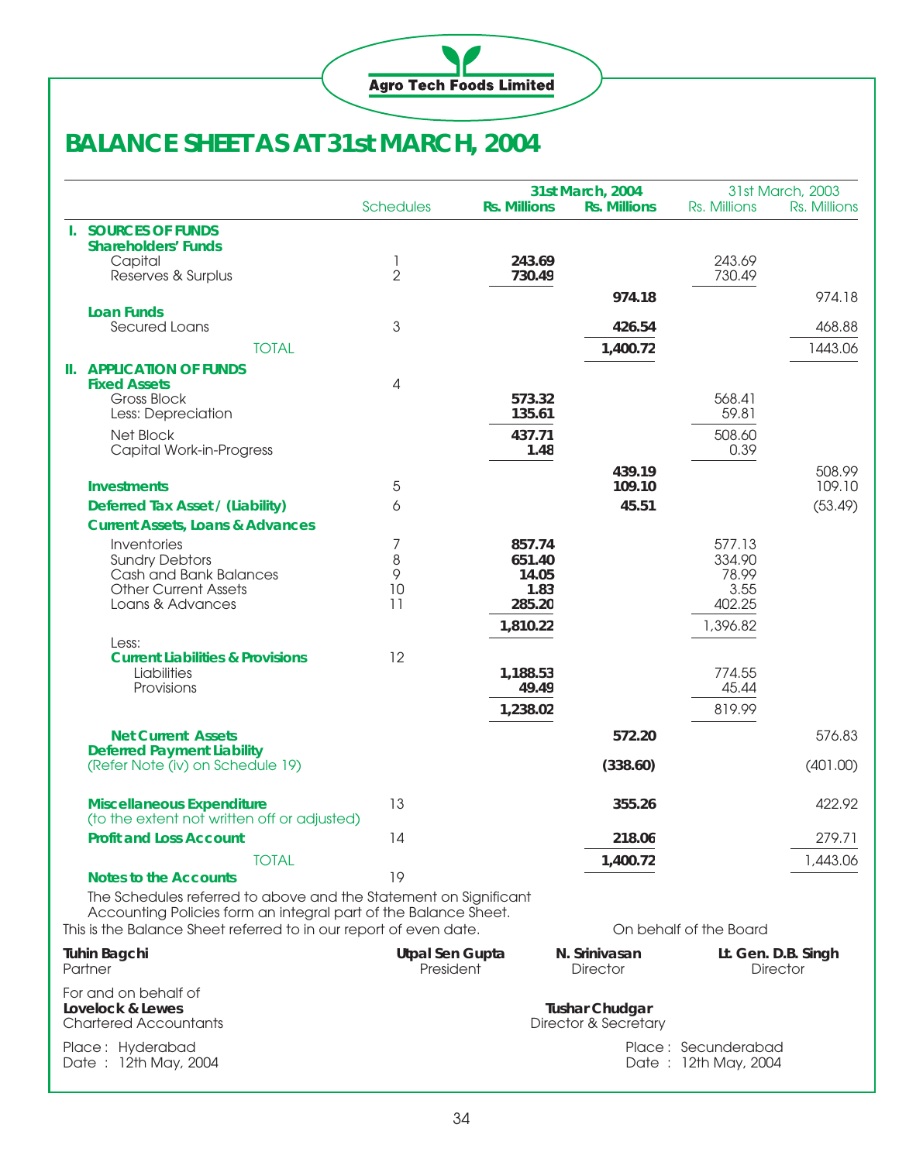

# **BALANCE SHEET AS AT 31st MARCH, 2004**

|                                                                   |                                                                                                                                     |                              |                     |       | 31st March, 2004                 |                                             | 31st March, 2003                       |  |
|-------------------------------------------------------------------|-------------------------------------------------------------------------------------------------------------------------------------|------------------------------|---------------------|-------|----------------------------------|---------------------------------------------|----------------------------------------|--|
|                                                                   |                                                                                                                                     | <b>Schedules</b>             | <b>Rs. Millions</b> |       | <b>Rs. Millions</b>              | Rs. Millions                                | Rs. Millions                           |  |
|                                                                   | <b>I. SOURCES OF FUNDS</b>                                                                                                          |                              |                     |       |                                  |                                             |                                        |  |
|                                                                   | <b>Shareholders' Funds</b>                                                                                                          |                              |                     |       |                                  |                                             |                                        |  |
|                                                                   | Capital<br>Reserves & Surplus                                                                                                       | 1<br>$\overline{2}$          | 243.69<br>730.49    |       |                                  | 243.69<br>730.49                            |                                        |  |
|                                                                   |                                                                                                                                     |                              |                     |       |                                  |                                             |                                        |  |
|                                                                   | <b>Loan Funds</b>                                                                                                                   |                              |                     |       | 974.18                           |                                             | 974.18                                 |  |
|                                                                   | Secured Loans                                                                                                                       | 3                            |                     |       | 426.54                           |                                             | 468.88                                 |  |
|                                                                   | <b>TOTAL</b>                                                                                                                        |                              |                     |       | 1,400.72                         |                                             | 1443.06                                |  |
|                                                                   | <b>II. APPLICATION OF FUNDS</b>                                                                                                     |                              |                     |       |                                  |                                             |                                        |  |
|                                                                   | <b>Fixed Assets</b>                                                                                                                 | 4                            |                     |       |                                  |                                             |                                        |  |
|                                                                   | Gross Block                                                                                                                         |                              | 573.32              |       |                                  | 568.41                                      |                                        |  |
|                                                                   | Less: Depreciation                                                                                                                  |                              | 135.61              |       |                                  | 59.81                                       |                                        |  |
|                                                                   | Net Block                                                                                                                           |                              | 437.71              |       |                                  | 508.60                                      |                                        |  |
|                                                                   | Capital Work-in-Progress                                                                                                            |                              |                     | 1.48  |                                  | 0.39                                        |                                        |  |
|                                                                   |                                                                                                                                     |                              |                     |       | 439.19                           |                                             | 508.99                                 |  |
|                                                                   | <b>Investments</b>                                                                                                                  | 5                            |                     |       | 109.10                           |                                             | 109.10                                 |  |
|                                                                   | Deferred Tax Asset / (Liability)                                                                                                    | 6                            |                     |       | 45.51                            |                                             | (53.49)                                |  |
|                                                                   | <b>Current Assets, Loans &amp; Advances</b>                                                                                         |                              |                     |       |                                  |                                             |                                        |  |
|                                                                   | Inventories                                                                                                                         | 7                            | 857.74              |       |                                  | 577.13                                      |                                        |  |
|                                                                   | <b>Sundry Debtors</b><br>Cash and Bank Balances                                                                                     | 8<br>9                       | 651.40              | 14.05 |                                  | 334.90<br>78.99                             |                                        |  |
|                                                                   | <b>Other Current Assets</b>                                                                                                         | 10                           |                     | 1.83  |                                  | 3.55                                        |                                        |  |
|                                                                   | Loans & Advances                                                                                                                    | 11                           | 285.20              |       |                                  | 402.25                                      |                                        |  |
|                                                                   |                                                                                                                                     |                              | 1,810.22            |       |                                  | 1,396.82                                    |                                        |  |
|                                                                   | Less:                                                                                                                               |                              |                     |       |                                  |                                             |                                        |  |
|                                                                   | <b>Current Liabilities &amp; Provisions</b>                                                                                         | 12                           |                     |       |                                  |                                             |                                        |  |
|                                                                   | Liabilities                                                                                                                         |                              | 1,188.53            |       |                                  | 774.55                                      |                                        |  |
|                                                                   | Provisions                                                                                                                          |                              |                     | 49.49 |                                  | 45.44                                       |                                        |  |
|                                                                   |                                                                                                                                     |                              | 1,238.02            |       |                                  | 819.99                                      |                                        |  |
|                                                                   | <b>Net Current Assets</b>                                                                                                           |                              |                     |       | 572.20                           |                                             | 576.83                                 |  |
|                                                                   | <b>Deferred Payment Liability</b>                                                                                                   |                              |                     |       |                                  |                                             |                                        |  |
|                                                                   | (Refer Note (iv) on Schedule 19)                                                                                                    |                              |                     |       | (338.60)                         |                                             | (401.00)                               |  |
|                                                                   |                                                                                                                                     |                              |                     |       |                                  |                                             |                                        |  |
|                                                                   | <b>Miscellaneous Expenditure</b><br>(to the extent not written off or adjusted)                                                     | 13                           |                     |       | 355.26                           |                                             | 422.92                                 |  |
|                                                                   | <b>Profit and Loss Account</b>                                                                                                      | 14                           |                     |       | 218.06                           |                                             | 279.71                                 |  |
|                                                                   |                                                                                                                                     |                              |                     |       |                                  |                                             |                                        |  |
|                                                                   | <b>TOTAL</b>                                                                                                                        |                              |                     |       | 1,400.72                         |                                             | 1,443.06                               |  |
|                                                                   | <b>Notes to the Accounts</b>                                                                                                        | 19                           |                     |       |                                  |                                             |                                        |  |
|                                                                   | The Schedules referred to above and the Statement on Significant<br>Accounting Policies form an integral part of the Balance Sheet. |                              |                     |       |                                  |                                             |                                        |  |
| This is the Balance Sheet referred to in our report of even date. |                                                                                                                                     |                              |                     |       |                                  | On behalf of the Board                      |                                        |  |
|                                                                   |                                                                                                                                     |                              |                     |       |                                  |                                             |                                        |  |
| <b>Tuhin Bagchi</b><br>Partner                                    |                                                                                                                                     | Utpal Sen Gupta<br>President |                     |       | N. Srinivasan<br><b>Director</b> |                                             | Lt. Gen. D.B. Singh<br><b>Director</b> |  |
|                                                                   |                                                                                                                                     |                              |                     |       |                                  |                                             |                                        |  |
| For and on behalf of<br>Lovelock & Lewes                          |                                                                                                                                     |                              |                     |       | <b>Tushar Chudgar</b>            |                                             |                                        |  |
| <b>Chartered Accountants</b>                                      |                                                                                                                                     |                              |                     |       | Director & Secretary             |                                             |                                        |  |
|                                                                   |                                                                                                                                     |                              |                     |       |                                  |                                             |                                        |  |
| Place: Hyderabad<br>Date: 12th May, 2004                          |                                                                                                                                     |                              |                     |       |                                  | Place: Secunderabad<br>Date: 12th May, 2004 |                                        |  |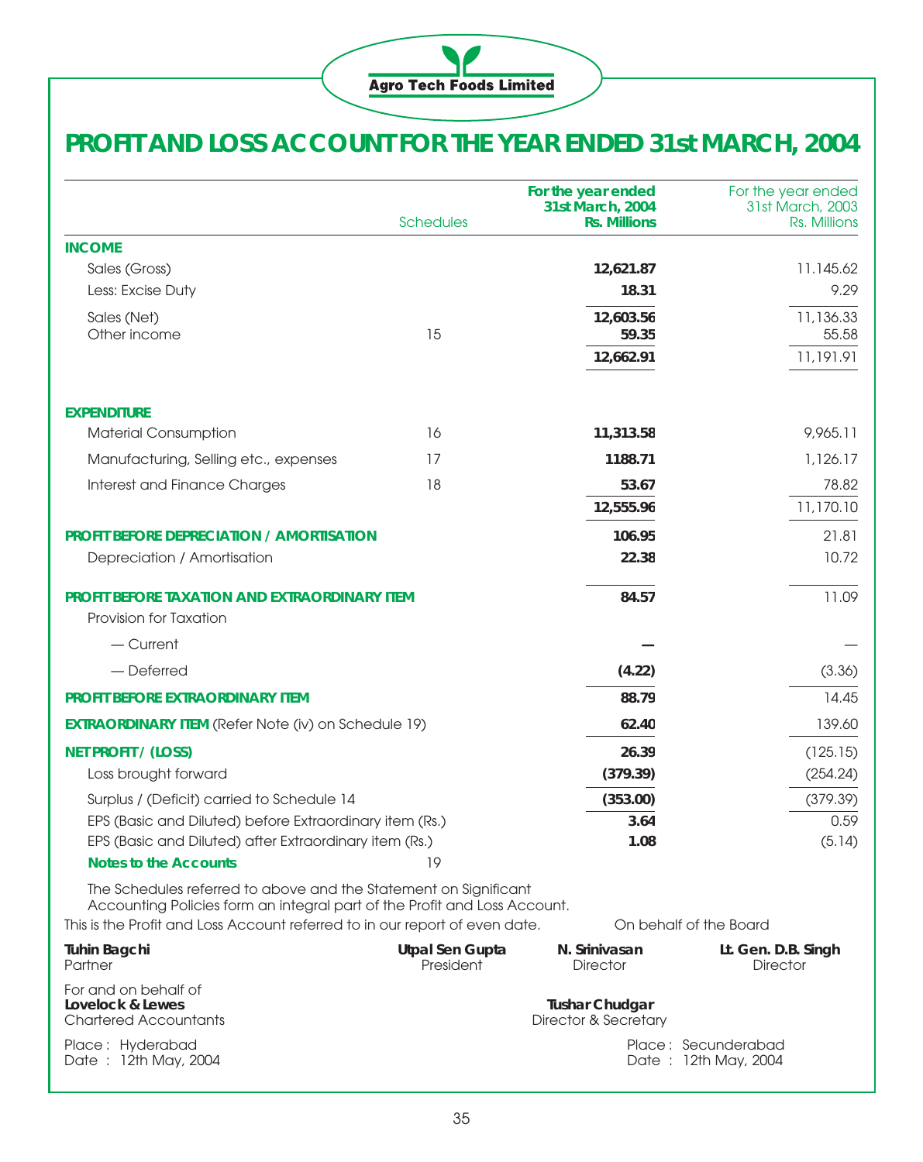

# **PROFIT AND LOSS ACCOUNT FOR THE YEAR ENDED 31st MARCH, 2004**

|                                                                                                                                                                                                                              | <b>Schedules</b>                    | For the year ended<br>31st March, 2004<br><b>Rs. Millions</b> | For the year ended<br>31st March, 2003<br>Rs. Millions |
|------------------------------------------------------------------------------------------------------------------------------------------------------------------------------------------------------------------------------|-------------------------------------|---------------------------------------------------------------|--------------------------------------------------------|
| <b>INCOME</b>                                                                                                                                                                                                                |                                     |                                                               |                                                        |
| Sales (Gross)                                                                                                                                                                                                                |                                     | 12,621.87                                                     | 11.145.62                                              |
| Less: Excise Duty                                                                                                                                                                                                            |                                     | 18.31                                                         | 9.29                                                   |
| Sales (Net)                                                                                                                                                                                                                  |                                     | 12,603.56                                                     | 11,136.33                                              |
| Other income                                                                                                                                                                                                                 | 15                                  | 59.35                                                         | 55.58                                                  |
|                                                                                                                                                                                                                              |                                     | 12,662.91                                                     | 11,191.91                                              |
| <b>EXPENDITURE</b>                                                                                                                                                                                                           |                                     |                                                               |                                                        |
| <b>Material Consumption</b>                                                                                                                                                                                                  | 16                                  | 11,313.58                                                     | 9,965.11                                               |
| Manufacturing, Selling etc., expenses                                                                                                                                                                                        | 17                                  | 1188.71                                                       | 1,126.17                                               |
| Interest and Finance Charges                                                                                                                                                                                                 | 18                                  | 53.67                                                         | 78.82                                                  |
|                                                                                                                                                                                                                              |                                     | 12,555.96                                                     | 11,170.10                                              |
| <b>PROFIT BEFORE DEPRECIATION / AMORTISATION</b>                                                                                                                                                                             |                                     | 106.95                                                        | 21.81                                                  |
| Depreciation / Amortisation                                                                                                                                                                                                  |                                     | 22.38                                                         | 10.72                                                  |
| PROFIT BEFORE TAXATION AND EXTRAORDINARY ITEM<br>Provision for Taxation                                                                                                                                                      |                                     | 84.57                                                         | 11.09                                                  |
| $-$ Current                                                                                                                                                                                                                  |                                     |                                                               |                                                        |
| - Deferred                                                                                                                                                                                                                   |                                     | (4.22)                                                        | (3.36)                                                 |
| PROFIT BEFORE EXTRAORDINARY ITEM                                                                                                                                                                                             |                                     | 88.79                                                         | 14.45                                                  |
| <b>EXTRAORDINARY ITEM (Refer Note (iv) on Schedule 19)</b>                                                                                                                                                                   |                                     | 62.40                                                         | 139.60                                                 |
| <b>NET PROFIT / (LOSS)</b>                                                                                                                                                                                                   |                                     | 26.39                                                         | (125.15)                                               |
| Loss brought forward                                                                                                                                                                                                         |                                     | (379.39)                                                      | (254.24)                                               |
| Surplus / (Deficit) carried to Schedule 14                                                                                                                                                                                   |                                     | (353.00)                                                      | (379.39)                                               |
| EPS (Basic and Diluted) before Extraordinary item (Rs.)                                                                                                                                                                      |                                     | 3.64                                                          | 0.59                                                   |
| EPS (Basic and Diluted) after Extraordinary item (Rs.)                                                                                                                                                                       |                                     | 1.08                                                          | (5.14)                                                 |
| Notes to the Accounts                                                                                                                                                                                                        | 19                                  |                                                               |                                                        |
| The Schedules referred to above and the Statement on Significant<br>Accounting Policies form an integral part of the Profit and Loss Account.<br>This is the Profit and Loss Account referred to in our report of even date. |                                     |                                                               | On behalf of the Board                                 |
|                                                                                                                                                                                                                              |                                     |                                                               |                                                        |
| <b>Tuhin Bagchi</b><br>Partner                                                                                                                                                                                               | <b>Utpal Sen Gupta</b><br>President | N. Srinivasan<br>Director                                     | Lt. Gen. D.B. Singh<br><b>Director</b>                 |
| For and on behalf of<br>Lovelock & Lewes<br><b>Chartered Accountants</b>                                                                                                                                                     |                                     | <b>Tushar Chudgar</b><br>Director & Secretary                 |                                                        |
| Place: Hyderabad<br>Date: 12th May, 2004                                                                                                                                                                                     |                                     |                                                               | Place: Secunderabad<br>Date: 12th May, 2004            |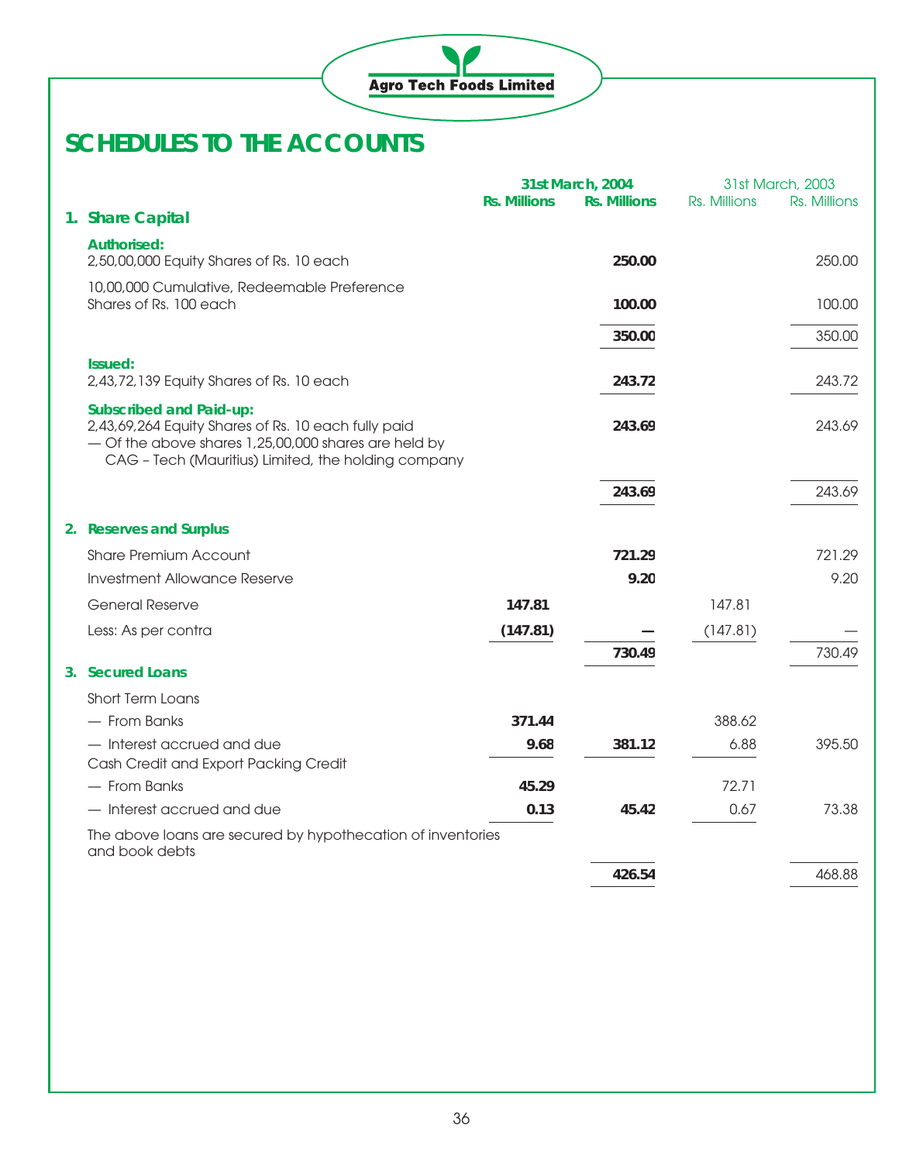

|                                                                                                                                                                                                      |                     | 31st March, 2004    |              | 31st March, 2003 |
|------------------------------------------------------------------------------------------------------------------------------------------------------------------------------------------------------|---------------------|---------------------|--------------|------------------|
| 1. Share Capital                                                                                                                                                                                     | <b>Rs. Millions</b> | <b>Rs. Millions</b> | Rs. Millions | Rs. Millions     |
|                                                                                                                                                                                                      |                     |                     |              |                  |
| <b>Authorised:</b><br>2,50,00,000 Equity Shares of Rs. 10 each                                                                                                                                       |                     | 250.00              |              | 250.00           |
| 10,00,000 Cumulative, Redeemable Preference<br>Shares of Rs. 100 each                                                                                                                                |                     | 100.00              |              | 100.00           |
|                                                                                                                                                                                                      |                     | 350.00              |              | 350.00           |
| Issued:                                                                                                                                                                                              |                     |                     |              |                  |
| 2,43,72,139 Equity Shares of Rs. 10 each                                                                                                                                                             |                     | 243.72              |              | 243.72           |
| <b>Subscribed and Paid-up:</b><br>2,43,69,264 Equity Shares of Rs. 10 each fully paid<br>- Of the above shares 1,25,00,000 shares are held by<br>CAG - Tech (Mauritius) Limited, the holding company |                     | 243.69              |              | 243.69           |
|                                                                                                                                                                                                      |                     | 243.69              |              | 243.69           |
| 2. Reserves and Surplus                                                                                                                                                                              |                     |                     |              |                  |
| <b>Share Premium Account</b>                                                                                                                                                                         |                     | 721.29              |              | 721.29           |
| <b>Investment Allowance Reserve</b>                                                                                                                                                                  |                     | 9.20                |              | 9.20             |
| General Reserve                                                                                                                                                                                      | 147.81              |                     | 147.81       |                  |
| Less: As per contra                                                                                                                                                                                  | (147.81)            |                     | (147.81)     |                  |
|                                                                                                                                                                                                      |                     | 730.49              |              | 730.49           |
| 3. Secured Loans                                                                                                                                                                                     |                     |                     |              |                  |
| Short Term Loans                                                                                                                                                                                     |                     |                     |              |                  |
| - From Banks                                                                                                                                                                                         | 371.44              |                     | 388.62       |                  |
| - Interest accrued and due<br>Cash Credit and Export Packing Credit                                                                                                                                  | 9.68                | 381.12              | 6.88         | 395.50           |
| - From Banks                                                                                                                                                                                         | 45.29               |                     | 72.71        |                  |
| - Interest accrued and due                                                                                                                                                                           | 0.13                | 45.42               | 0.67         | 73.38            |
| The above loans are secured by hypothecation of inventories<br>and book debts                                                                                                                        |                     |                     |              |                  |
|                                                                                                                                                                                                      |                     | 426.54              |              | 468.88           |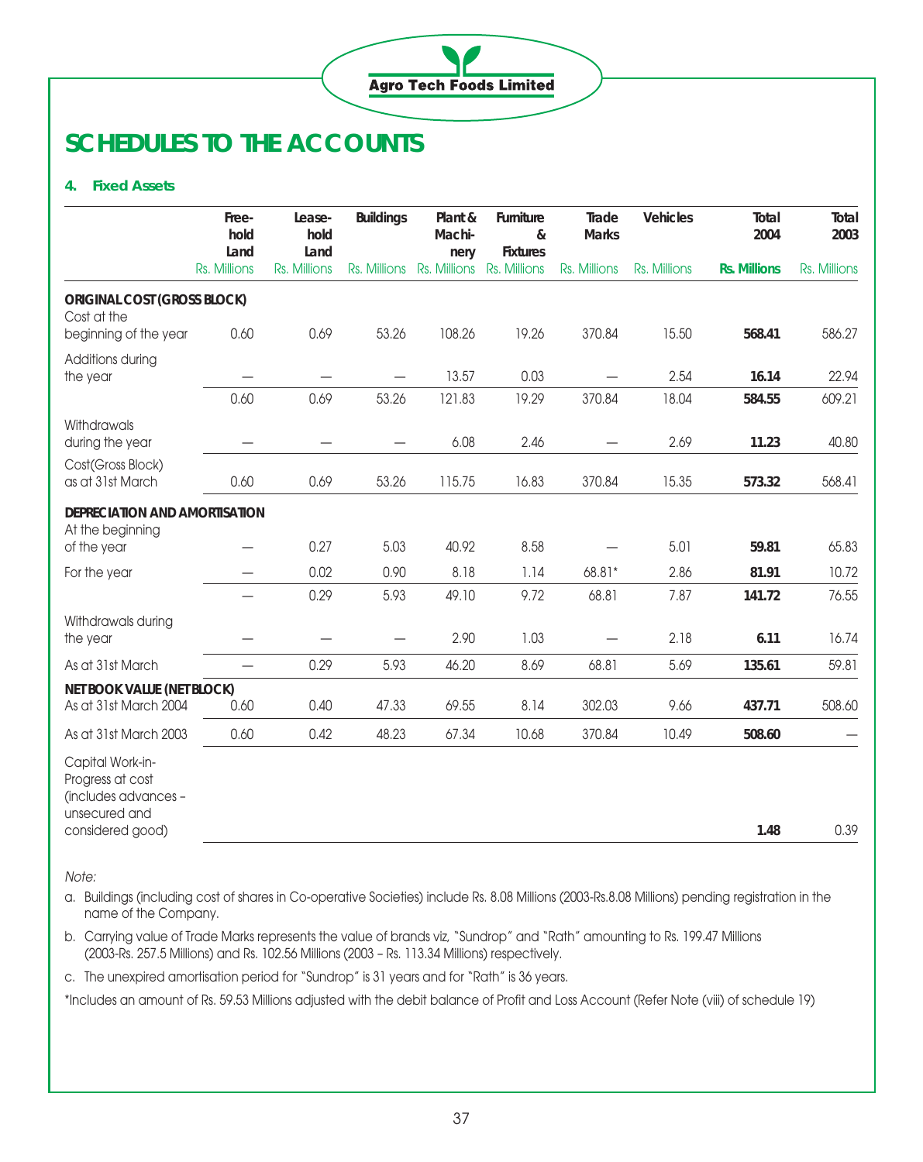

#### **4. Fixed Assets**

|                                                                                                   | Free-<br>hold<br>Land    | Lease-<br>hold<br>Land   | <b>Buildings</b>         | Plant &<br>Machi-<br>nery              | Furniture<br>&<br><b>Fixtures</b> | Trade<br><b>Marks</b> | Vehicles     | Total<br>2004       | Total<br>2003 |
|---------------------------------------------------------------------------------------------------|--------------------------|--------------------------|--------------------------|----------------------------------------|-----------------------------------|-----------------------|--------------|---------------------|---------------|
|                                                                                                   | Rs. Millions             | Rs. Millions             |                          | Rs. Millions Rs. Millions Rs. Millions |                                   | Rs. Millions          | Rs. Millions | <b>Rs. Millions</b> | Rs. Millions  |
| <b>ORIGINAL COST (GROSS BLOCK)</b><br>Cost at the                                                 |                          |                          |                          |                                        |                                   |                       |              |                     |               |
| beginning of the year                                                                             | 0.60                     | 0.69                     | 53.26                    | 108.26                                 | 19.26                             | 370.84                | 15.50        | 568.41              | 586.27        |
| Additions during<br>the year                                                                      |                          |                          | $\overline{\phantom{0}}$ | 13.57                                  | 0.03                              |                       | 2.54         | 16.14               | 22.94         |
|                                                                                                   | 0.60                     | 0.69                     | 53.26                    | 121.83                                 | 19.29                             | 370.84                | 18.04        | 584.55              | 609.21        |
| Withdrawals<br>during the year                                                                    |                          |                          |                          | 6.08                                   | 2.46                              |                       | 2.69         | 11.23               | 40.80         |
| Cost(Gross Block)<br>as at 31st March                                                             | 0.60                     | 0.69                     | 53.26                    | 115.75                                 | 16.83                             | 370.84                | 15.35        | 573.32              | 568.41        |
| DEPRECIATION AND AMORTISATION<br>At the beginning                                                 |                          |                          |                          |                                        |                                   |                       |              |                     |               |
| of the year                                                                                       |                          | 0.27                     | 5.03                     | 40.92                                  | 8.58                              |                       | 5.01         | 59.81               | 65.83         |
| For the year                                                                                      |                          | 0.02                     | 0.90                     | 8.18                                   | 1.14                              | 68.81*                | 2.86         | 81.91               | 10.72         |
|                                                                                                   |                          | 0.29                     | 5.93                     | 49.10                                  | 9.72                              | 68.81                 | 7.87         | 141.72              | 76.55         |
| Withdrawals during<br>the year                                                                    |                          | $\overline{\phantom{0}}$ | $\overline{\phantom{0}}$ | 2.90                                   | 1.03                              |                       | 2.18         | 6.11                | 16.74         |
| As at 31st March                                                                                  | $\overline{\phantom{0}}$ | 0.29                     | 5.93                     | 46.20                                  | 8.69                              | 68.81                 | 5.69         | 135.61              | 59.81         |
| NET BOOK VALUE (NET BLOCK)<br>As at 31st March 2004                                               | 0.60                     | 0.40                     | 47.33                    | 69.55                                  | 8.14                              | 302.03                | 9.66         | 437.71              | 508.60        |
| As at 31st March 2003                                                                             | 0.60                     | 0.42                     | 48.23                    | 67.34                                  | 10.68                             | 370.84                | 10.49        | 508.60              |               |
| Capital Work-in-<br>Progress at cost<br>(includes advances -<br>unsecured and<br>considered good) |                          |                          |                          |                                        |                                   |                       |              | 1.48                | 0.39          |

Note:

a. Buildings (including cost of shares in Co-operative Societies) include Rs. 8.08 Millions (2003-Rs.8.08 Millions) pending registration in the name of the Company.

b. Carrying value of Trade Marks represents the value of brands viz, "Sundrop" and "Rath" amounting to Rs. 199.47 Millions (2003-Rs. 257.5 Millions) and Rs. 102.56 Millions (2003 – Rs. 113.34 Millions) respectively.

c. The unexpired amortisation period for "Sundrop" is 31 years and for "Rath" is 36 years.

\*Includes an amount of Rs. 59.53 Millions adjusted with the debit balance of Profit and Loss Account (Refer Note (viii) of schedule 19)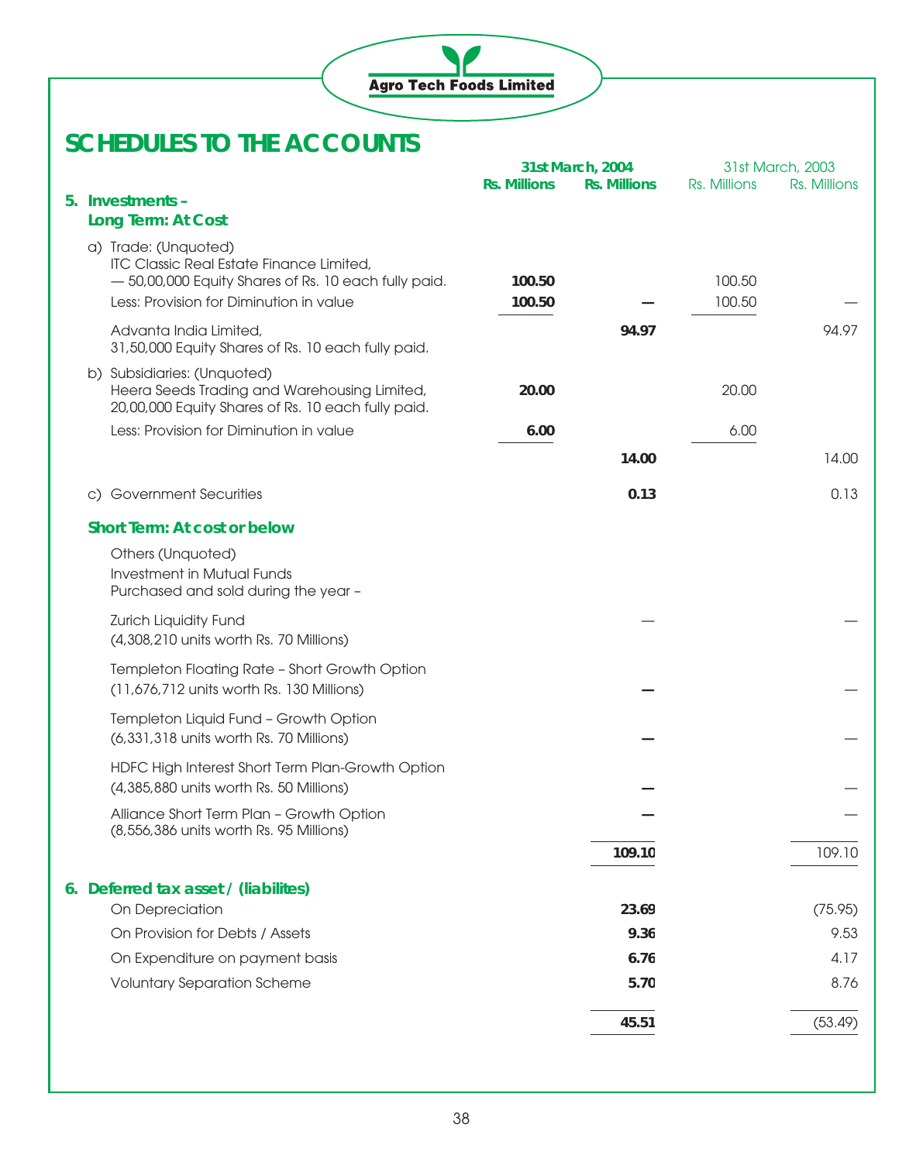

|                                                                                                    |                     | 31st March, 2004    |              | 31st March, 2003 |
|----------------------------------------------------------------------------------------------------|---------------------|---------------------|--------------|------------------|
|                                                                                                    | <b>Rs. Millions</b> | <b>Rs. Millions</b> | Rs. Millions | Rs. Millions     |
| 5. Investments -                                                                                   |                     |                     |              |                  |
| Long Term: At Cost                                                                                 |                     |                     |              |                  |
| a) Trade: (Unquoted)                                                                               |                     |                     |              |                  |
| ITC Classic Real Estate Finance Limited,<br>- 50,00,000 Equity Shares of Rs. 10 each fully paid.   | 100.50              |                     | 100.50       |                  |
| Less: Provision for Diminution in value                                                            | 100.50              |                     | 100.50       |                  |
|                                                                                                    |                     |                     |              |                  |
| Advanta India Limited,<br>31,50,000 Equity Shares of Rs. 10 each fully paid.                       |                     | 94.97               |              | 94.97            |
| b) Subsidiaries: (Unquoted)                                                                        |                     |                     |              |                  |
| Heera Seeds Trading and Warehousing Limited,<br>20,00,000 Equity Shares of Rs. 10 each fully paid. | 20.00               |                     | 20.00        |                  |
| Less: Provision for Diminution in value                                                            | 6.00                |                     | 6.00         |                  |
|                                                                                                    |                     | 14.00               |              | 14.00            |
| c) Government Securities                                                                           |                     | 0.13                |              | 0.13             |
| <b>Short Term: At cost or below</b>                                                                |                     |                     |              |                  |
| Others (Unquoted)                                                                                  |                     |                     |              |                  |
| <b>Investment in Mutual Funds</b>                                                                  |                     |                     |              |                  |
| Purchased and sold during the year -                                                               |                     |                     |              |                  |
| Zurich Liquidity Fund                                                                              |                     |                     |              |                  |
| (4,308,210 units worth Rs. 70 Millions)                                                            |                     |                     |              |                  |
| Templeton Floating Rate - Short Growth Option                                                      |                     |                     |              |                  |
| (11,676,712 units worth Rs. 130 Millions)                                                          |                     |                     |              |                  |
| Templeton Liquid Fund - Growth Option                                                              |                     |                     |              |                  |
| (6,331,318 units worth Rs. 70 Millions)                                                            |                     |                     |              |                  |
| HDFC High Interest Short Term Plan-Growth Option                                                   |                     |                     |              |                  |
| (4,385,880 units worth Rs. 50 Millions)                                                            |                     |                     |              |                  |
| Alliance Short Term Plan - Growth Option                                                           |                     |                     |              |                  |
| (8,556,386 units worth Rs. 95 Millions)                                                            |                     |                     |              |                  |
|                                                                                                    |                     | 109.10              |              | 109.10           |
| 6. Deferred tax asset / (liabilites)                                                               |                     |                     |              |                  |
| On Depreciation                                                                                    |                     | 23.69               |              | (75.95)          |
| On Provision for Debts / Assets                                                                    |                     | 9.36                |              | 9.53             |
| On Expenditure on payment basis                                                                    |                     | 6.76                |              | 4.17             |
| <b>Voluntary Separation Scheme</b>                                                                 |                     | 5.70                |              | 8.76             |
|                                                                                                    |                     |                     |              |                  |
|                                                                                                    |                     | 45.51               |              | (53.49)          |
|                                                                                                    |                     |                     |              |                  |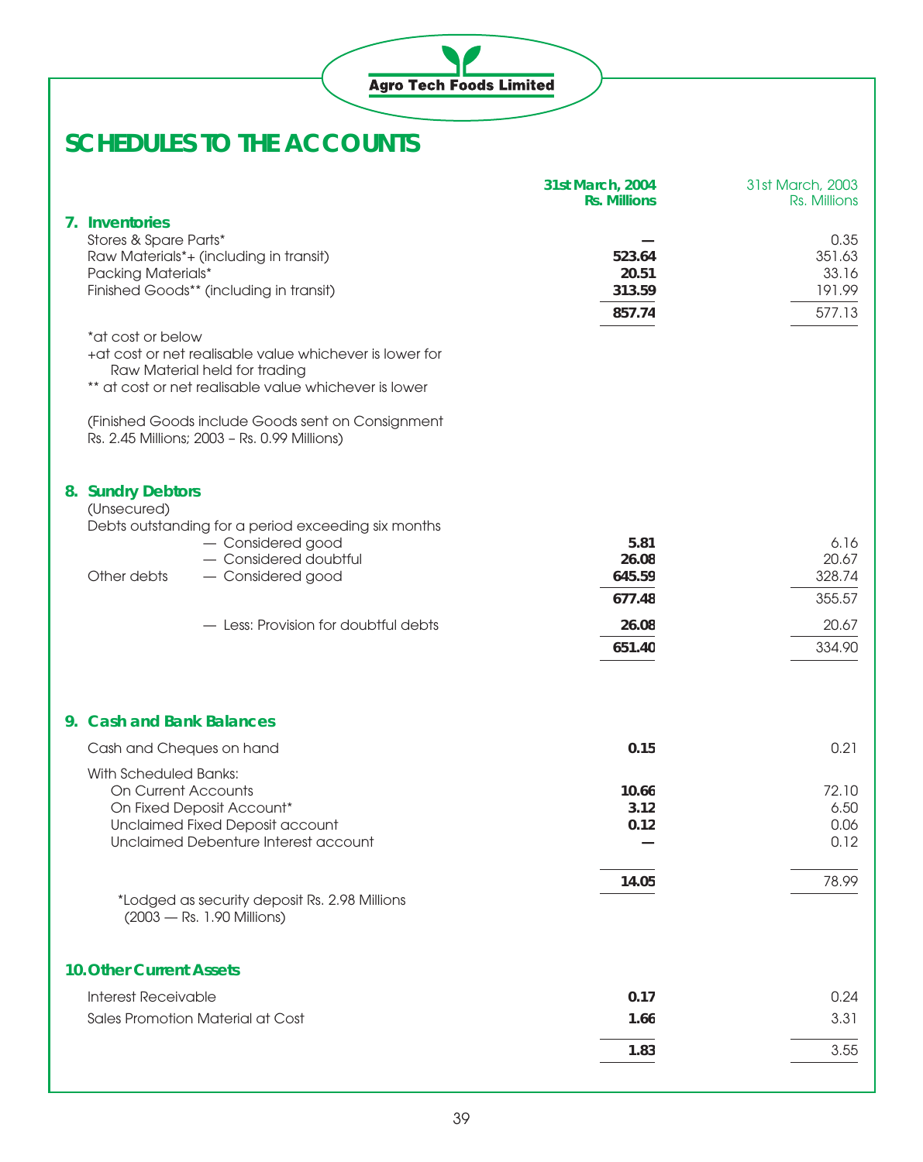|                                                                                                                                                                                                                                                        | 31st March, 2004<br><b>Rs. Millions</b> | 31st March, 2003<br>Rs. Millions            |
|--------------------------------------------------------------------------------------------------------------------------------------------------------------------------------------------------------------------------------------------------------|-----------------------------------------|---------------------------------------------|
| 7. Inventories<br>Stores & Spare Parts*<br>Raw Materials*+ (including in transit)<br>Packing Materials*<br>Finished Goods** (including in transit)<br>*at cost or below                                                                                | 523.64<br>20.51<br>313.59<br>857.74     | 0.35<br>351.63<br>33.16<br>191.99<br>577.13 |
| +at cost or net realisable value whichever is lower for<br>Raw Material held for trading<br>** at cost or net realisable value whichever is lower<br>(Finished Goods include Goods sent on Consignment<br>Rs. 2.45 Millions; 2003 - Rs. 0.99 Millions) |                                         |                                             |
| 8. Sundry Debtors<br>(Unsecured)<br>Debts outstanding for a period exceeding six months<br>- Considered good                                                                                                                                           | 5.81                                    | 6.16                                        |
| - Considered doubtful                                                                                                                                                                                                                                  | 26.08                                   | 20.67                                       |
| Other debts<br>- Considered good                                                                                                                                                                                                                       | 645.59                                  | 328.74                                      |
|                                                                                                                                                                                                                                                        | 677.48                                  | 355.57                                      |
| - Less: Provision for doubtful debts                                                                                                                                                                                                                   | 26.08                                   | 20.67                                       |
|                                                                                                                                                                                                                                                        | 651.40                                  | 334.90                                      |
| 9. Cash and Bank Balances                                                                                                                                                                                                                              |                                         |                                             |
| Cash and Cheques on hand                                                                                                                                                                                                                               | 0.15                                    | 0.21                                        |
| With Scheduled Banks:<br>On Current Accounts<br>On Fixed Deposit Account*<br>Unclaimed Fixed Deposit account<br>Unclaimed Debenture Interest account                                                                                                   | 10.66<br>3.12<br>0.12                   | 72.10<br>6.50<br>0.06<br>0.12               |
| *Lodged as security deposit Rs. 2.98 Millions<br>(2003 - Rs. 1.90 Millions)                                                                                                                                                                            | 14.05                                   | 78.99                                       |
| <b>10. Other Current Assets</b>                                                                                                                                                                                                                        |                                         |                                             |
| <b>Interest Receivable</b>                                                                                                                                                                                                                             | 0.17                                    | 0.24                                        |
| Sales Promotion Material at Cost                                                                                                                                                                                                                       | 1.66                                    | 3.31                                        |
|                                                                                                                                                                                                                                                        | 1.83                                    | 3.55                                        |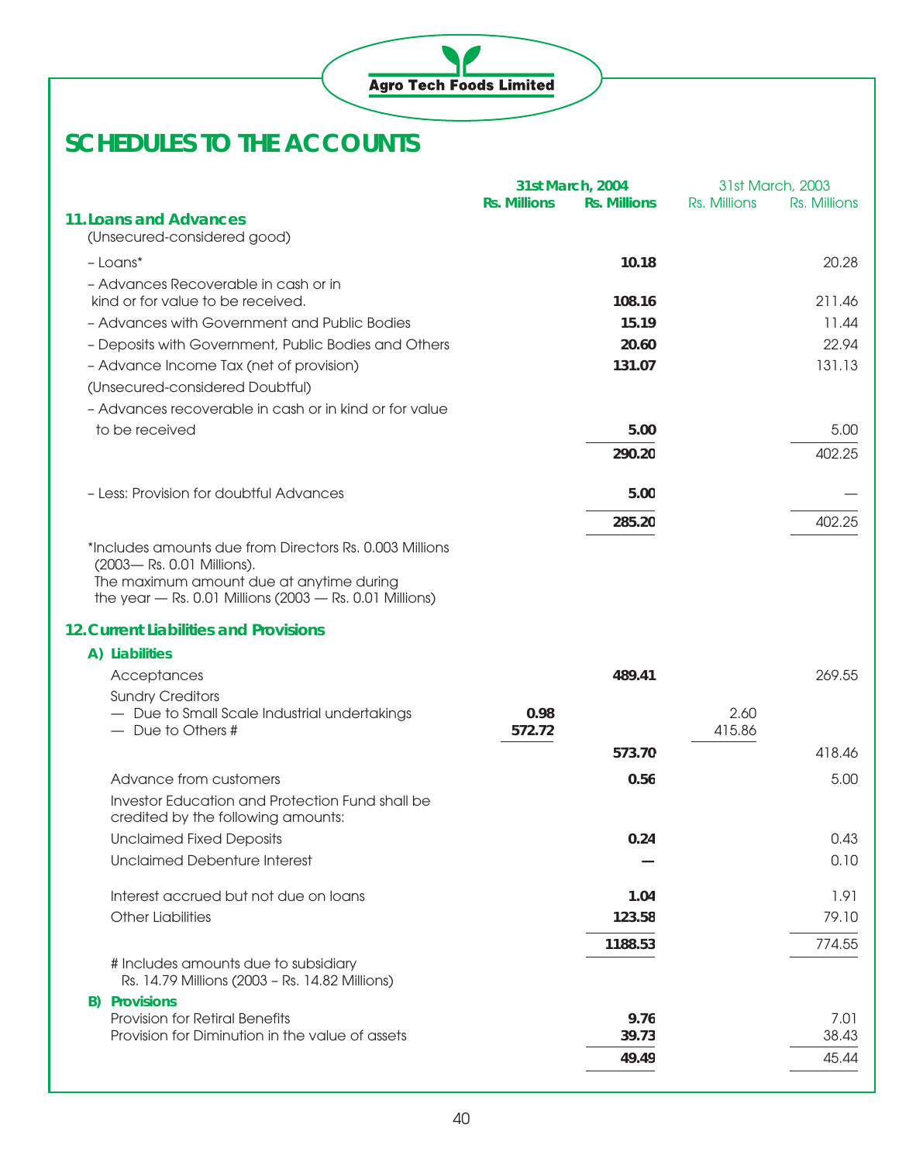

|                                                                                                                                                                                                 | <b>Rs. Millions</b> | 31st March, 2004<br><b>Rs. Millions</b> | Rs. Millions   | 31st March, 2003<br>Rs. Millions |
|-------------------------------------------------------------------------------------------------------------------------------------------------------------------------------------------------|---------------------|-----------------------------------------|----------------|----------------------------------|
| <b>11. Loans and Advances</b><br>(Unsecured-considered good)                                                                                                                                    |                     |                                         |                |                                  |
| $-Loans*$                                                                                                                                                                                       |                     | 10.18                                   |                | 20.28                            |
| - Advances Recoverable in cash or in                                                                                                                                                            |                     |                                         |                |                                  |
| kind or for value to be received.                                                                                                                                                               |                     | 108.16                                  |                | 211.46                           |
| - Advances with Government and Public Bodies                                                                                                                                                    |                     | 15.19                                   |                | 11.44                            |
| - Deposits with Government, Public Bodies and Others                                                                                                                                            |                     | 20.60                                   |                | 22.94                            |
| - Advance Income Tax (net of provision)                                                                                                                                                         |                     | 131.07                                  |                | 131.13                           |
| (Unsecured-considered Doubtful)                                                                                                                                                                 |                     |                                         |                |                                  |
| - Advances recoverable in cash or in kind or for value                                                                                                                                          |                     |                                         |                |                                  |
| to be received                                                                                                                                                                                  |                     | 5.00                                    |                | 5.00                             |
|                                                                                                                                                                                                 |                     | 290.20                                  |                | 402.25                           |
| - Less: Provision for doubtful Advances                                                                                                                                                         |                     | 5.00                                    |                |                                  |
|                                                                                                                                                                                                 |                     | 285.20                                  |                | 402.25                           |
| *Includes amounts due from Directors Rs. 0.003 Millions<br>(2003-Rs. 0.01 Millions).<br>The maximum amount due at anytime during<br>the year $-$ Rs. 0.01 Millions (2003 $-$ Rs. 0.01 Millions) |                     |                                         |                |                                  |
| <b>12. Current Liabilities and Provisions</b>                                                                                                                                                   |                     |                                         |                |                                  |
| A) Liabilities                                                                                                                                                                                  |                     |                                         |                |                                  |
| Acceptances                                                                                                                                                                                     |                     | 489.41                                  |                | 269.55                           |
| <b>Sundry Creditors</b>                                                                                                                                                                         |                     |                                         |                |                                  |
| - Due to Small Scale Industrial undertakings<br>- Due to Others #                                                                                                                               | 0.98<br>572.72      |                                         | 2.60<br>415.86 |                                  |
|                                                                                                                                                                                                 |                     |                                         |                |                                  |
|                                                                                                                                                                                                 |                     | 573.70                                  |                | 418.46                           |
| Advance from customers                                                                                                                                                                          |                     | 0.56                                    |                | 5.00                             |
| Investor Education and Protection Fund shall be<br>credited by the following amounts:                                                                                                           |                     |                                         |                |                                  |
| <b>Unclaimed Fixed Deposits</b>                                                                                                                                                                 |                     | 0.24                                    |                | 0.43                             |
| <b>Unclaimed Debenture Interest</b>                                                                                                                                                             |                     |                                         |                | 0.10                             |
| Interest accrued but not due on loans                                                                                                                                                           |                     | 1.04                                    |                | 1.91                             |
| <b>Other Liabilities</b>                                                                                                                                                                        |                     | 123.58                                  |                | 79.10                            |
|                                                                                                                                                                                                 |                     | 1188.53                                 |                | 774.55                           |
| # Includes amounts due to subsidiary<br>Rs. 14.79 Millions (2003 - Rs. 14.82 Millions)                                                                                                          |                     |                                         |                |                                  |
| <b>B)</b> Provisions                                                                                                                                                                            |                     |                                         |                |                                  |
| Provision for Retiral Benefits                                                                                                                                                                  |                     | 9.76                                    |                | 7.01                             |
| Provision for Diminution in the value of assets                                                                                                                                                 |                     | 39.73                                   |                | 38.43                            |
|                                                                                                                                                                                                 |                     | 49.49                                   |                | 45.44                            |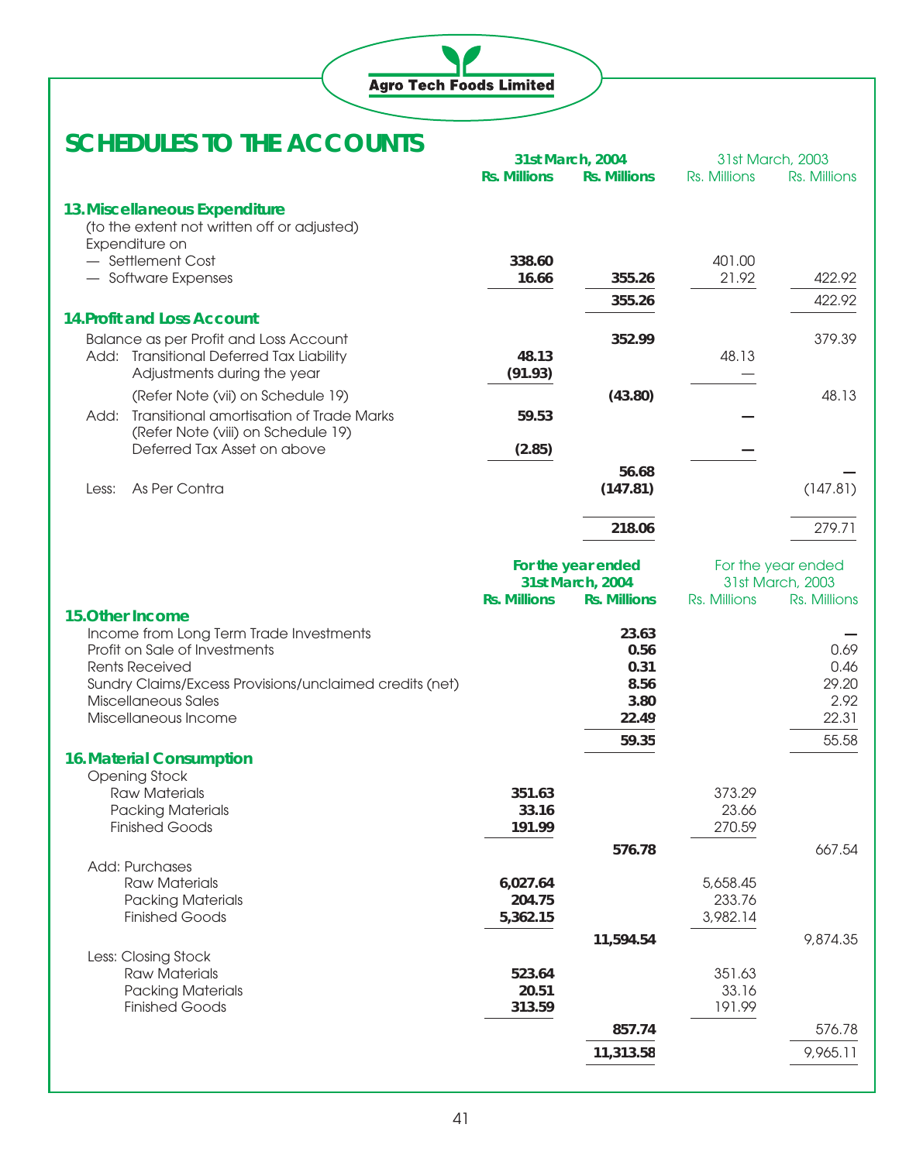

|       |                                                                                       |                     | 31st March, 2004    |                 | 31st March, 2003   |
|-------|---------------------------------------------------------------------------------------|---------------------|---------------------|-----------------|--------------------|
|       |                                                                                       | <b>Rs. Millions</b> | <b>Rs. Millions</b> | Rs. Millions    | Rs. Millions       |
|       | 13. Miscellaneous Expenditure                                                         |                     |                     |                 |                    |
|       | (to the extent not written off or adjusted)                                           |                     |                     |                 |                    |
|       | Expenditure on                                                                        |                     |                     |                 |                    |
|       | - Settlement Cost                                                                     | 338.60<br>16.66     | 355.26              | 401.00<br>21.92 | 422.92             |
|       | - Software Expenses                                                                   |                     |                     |                 |                    |
|       | <b>14. Profit and Loss Account</b>                                                    |                     | 355.26              |                 | 422.92             |
|       | Balance as per Profit and Loss Account                                                |                     | 352.99              |                 | 379.39             |
|       | Add: Transitional Deferred Tax Liability                                              | 48.13               |                     | 48.13           |                    |
|       | Adjustments during the year                                                           | (91.93)             |                     |                 |                    |
|       | (Refer Note (vii) on Schedule 19)                                                     |                     | (43.80)             |                 | 48.13              |
| Add:  | <b>Transitional amortisation of Trade Marks</b><br>(Refer Note (viii) on Schedule 19) | 59.53               |                     |                 |                    |
|       | Deferred Tax Asset on above                                                           | (2.85)              |                     |                 |                    |
|       |                                                                                       |                     | 56.68               |                 |                    |
| Less: | As Per Contra                                                                         |                     | (147.81)            |                 | (147.81)           |
|       |                                                                                       |                     | 218.06              |                 | 279.71             |
|       |                                                                                       |                     | For the year ended  |                 | For the year ended |
|       |                                                                                       |                     | 31st March, 2004    |                 | 31st March, 2003   |
|       | 15. Other Income                                                                      | <b>Rs. Millions</b> | <b>Rs. Millions</b> | Rs. Millions    | Rs. Millions       |
|       | Income from Long Term Trade Investments                                               |                     | 23.63               |                 |                    |
|       | Profit on Sale of Investments                                                         |                     | 0.56                |                 | 0.69               |
|       | <b>Rents Received</b>                                                                 |                     | 0.31                |                 | 0.46               |
|       | Sundry Claims/Excess Provisions/unclaimed credits (net)                               |                     | 8.56                |                 | 29.20              |
|       | Miscellaneous Sales<br>Miscellaneous Income                                           |                     | 3.80<br>22.49       |                 | 2.92<br>22.31      |
|       |                                                                                       |                     |                     |                 | 55.58              |
|       | <b>16. Material Consumption</b>                                                       |                     | 59.35               |                 |                    |
|       | Opening Stock                                                                         |                     |                     |                 |                    |
|       | Raw Materials                                                                         | 351.63              |                     | 373.29          |                    |
|       | <b>Packing Materials</b>                                                              | 33.16               |                     | 23.66           |                    |
|       | <b>Finished Goods</b>                                                                 | 191.99              |                     | 270.59          |                    |
|       |                                                                                       |                     | 576.78              |                 | 667.54             |
|       | Add: Purchases<br><b>Raw Materials</b>                                                | 6,027.64            |                     | 5,658.45        |                    |
|       | <b>Packing Materials</b>                                                              | 204.75              |                     | 233.76          |                    |
|       | <b>Finished Goods</b>                                                                 | 5,362.15            |                     | 3,982.14        |                    |
|       |                                                                                       |                     | 11,594.54           |                 | 9,874.35           |
|       | Less: Closing Stock                                                                   |                     |                     |                 |                    |
|       | <b>Raw Materials</b>                                                                  | 523.64              |                     | 351.63          |                    |
|       | <b>Packing Materials</b><br><b>Finished Goods</b>                                     | 20.51               |                     | 33.16<br>191.99 |                    |
|       |                                                                                       | 313.59              |                     |                 |                    |
|       |                                                                                       |                     | 857.74              |                 | 576.78             |
|       |                                                                                       |                     | 11,313.58           |                 | 9,965.11           |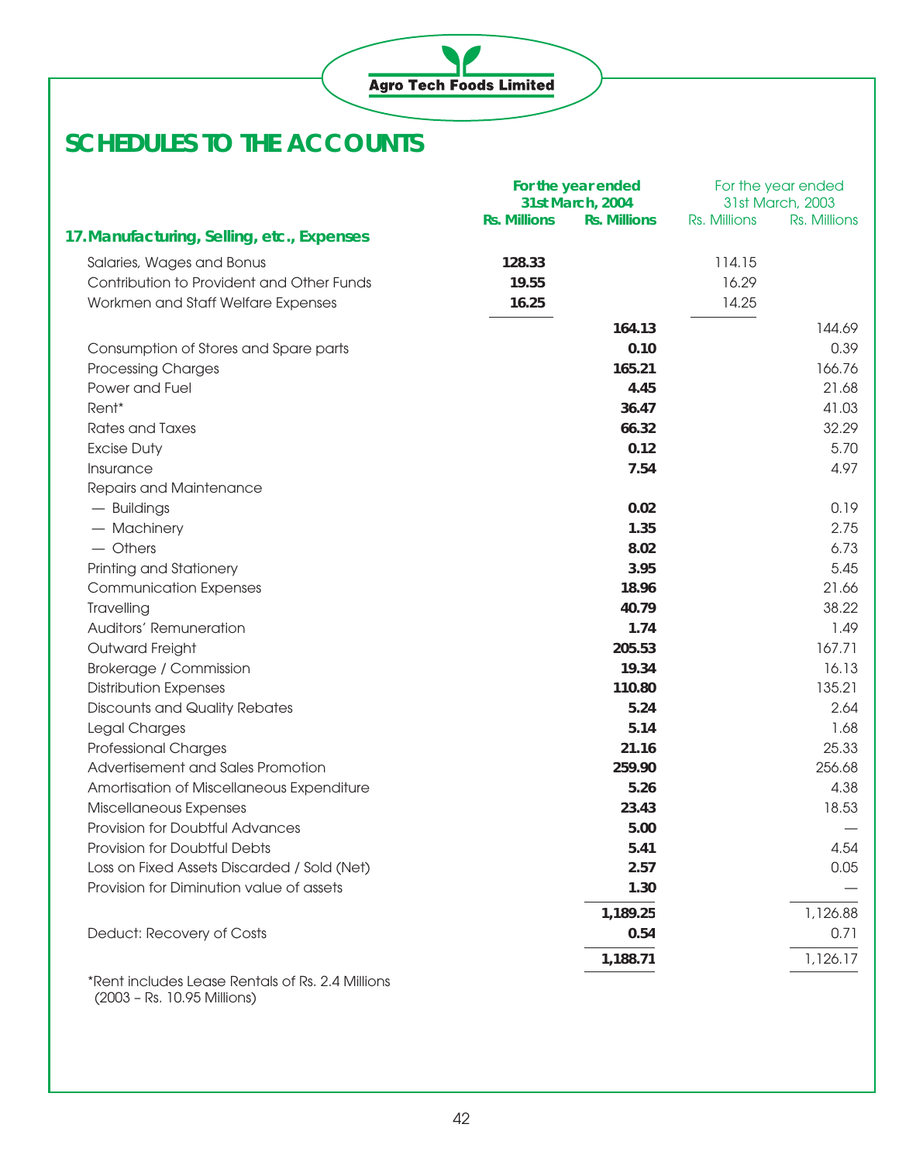|                                                  |                     | For the year ended                      |              | For the year ended               |
|--------------------------------------------------|---------------------|-----------------------------------------|--------------|----------------------------------|
|                                                  | <b>Rs. Millions</b> | 31st March, 2004<br><b>Rs. Millions</b> |              | 31st March, 2003<br>Rs. Millions |
| 17. Manufacturing, Selling, etc., Expenses       |                     |                                         | Rs. Millions |                                  |
|                                                  |                     |                                         |              |                                  |
| Salaries, Wages and Bonus                        | 128.33              |                                         | 114.15       |                                  |
| Contribution to Provident and Other Funds        | 19.55               |                                         | 16.29        |                                  |
| Workmen and Staff Welfare Expenses               | 16.25               |                                         | 14.25        |                                  |
|                                                  |                     | 164.13                                  |              | 144.69                           |
| Consumption of Stores and Spare parts            |                     | 0.10                                    |              | 0.39                             |
| <b>Processing Charges</b>                        |                     | 165.21                                  |              | 166.76                           |
| Power and Fuel                                   |                     | 4.45                                    |              | 21.68                            |
| Rent*                                            |                     | 36.47                                   |              | 41.03                            |
| <b>Rates and Taxes</b>                           |                     | 66.32                                   |              | 32.29                            |
| <b>Excise Duty</b>                               |                     | 0.12                                    |              | 5.70                             |
| Insurance                                        |                     | 7.54                                    |              | 4.97                             |
| Repairs and Maintenance                          |                     |                                         |              |                                  |
| - Buildings                                      |                     | 0.02                                    |              | 0.19                             |
| - Machinery                                      |                     | 1.35                                    |              | 2.75                             |
| $-$ Others                                       |                     | 8.02                                    |              | 6.73                             |
| Printing and Stationery                          |                     | 3.95                                    |              | 5.45                             |
| <b>Communication Expenses</b>                    |                     | 18.96                                   |              | 21.66                            |
| Travelling                                       |                     | 40.79                                   |              | 38.22                            |
| Auditors' Remuneration                           |                     | 1.74                                    |              | 1.49                             |
| Outward Freight                                  |                     | 205.53                                  |              | 167.71                           |
| Brokerage / Commission                           |                     | 19.34                                   |              | 16.13                            |
| <b>Distribution Expenses</b>                     |                     | 110.80                                  |              | 135.21                           |
| <b>Discounts and Quality Rebates</b>             |                     | 5.24                                    |              | 2.64                             |
| Legal Charges                                    |                     | 5.14                                    |              | 1.68                             |
| Professional Charges                             |                     | 21.16                                   |              | 25.33                            |
| Advertisement and Sales Promotion                |                     | 259.90                                  |              | 256.68                           |
| Amortisation of Miscellaneous Expenditure        |                     | 5.26                                    |              | 4.38                             |
| Miscellaneous Expenses                           |                     | 23.43                                   |              | 18.53                            |
| Provision for Doubtful Advances                  |                     | 5.00                                    |              |                                  |
| Provision for Doubtful Debts                     |                     | 5.41                                    |              | 4.54                             |
| Loss on Fixed Assets Discarded / Sold (Net)      |                     | 2.57                                    |              | 0.05                             |
| Provision for Diminution value of assets         |                     | 1.30                                    |              |                                  |
|                                                  |                     | 1,189.25                                |              | 1,126.88                         |
| Deduct: Recovery of Costs                        |                     | 0.54                                    |              | 0.71                             |
|                                                  |                     | 1,188.71                                |              | 1,126.17                         |
|                                                  |                     |                                         |              |                                  |
| *Rent includes Lease Rentals of Rs. 2.4 Millions |                     |                                         |              |                                  |

(2003 – Rs. 10.95 Millions)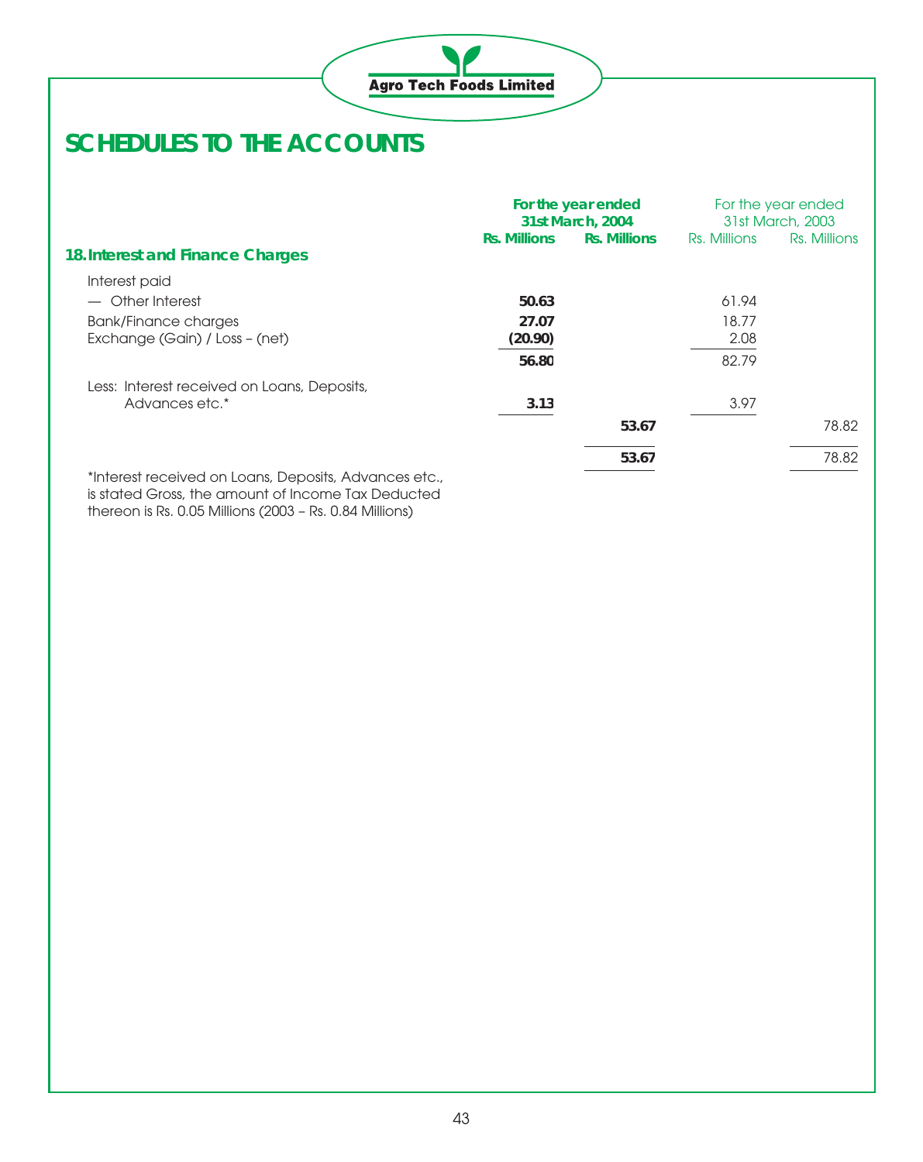

|                                                       | For the year ended<br>31st March, 2004 |                     |              | For the year ended<br>31st March, 2003 |
|-------------------------------------------------------|----------------------------------------|---------------------|--------------|----------------------------------------|
|                                                       | <b>Rs. Millions</b>                    | <b>Rs. Millions</b> | Rs. Millions | Rs. Millions                           |
| 18. Interest and Finance Charges                      |                                        |                     |              |                                        |
| Interest paid                                         |                                        |                     |              |                                        |
| - Other Interest                                      | 50.63                                  |                     | 61.94        |                                        |
| Bank/Finance charges                                  | 27.07                                  |                     | 18.77        |                                        |
| Exchange (Gain) / Loss - (net)                        | (20.90)                                |                     | 2.08         |                                        |
|                                                       | 56.80                                  |                     | 82.79        |                                        |
| Less: Interest received on Loans, Deposits,           |                                        |                     |              |                                        |
| Advances etc.*                                        | 3.13                                   |                     | 3.97         |                                        |
|                                                       |                                        | 53.67               |              | 78.82                                  |
|                                                       |                                        | 53.67               |              | 78.82                                  |
| *Interest received on Loans, Deposits, Advances etc., |                                        |                     |              |                                        |

is stated Gross, the amount of Income Tax Deducted thereon is Rs. 0.05 Millions (2003 – Rs. 0.84 Millions)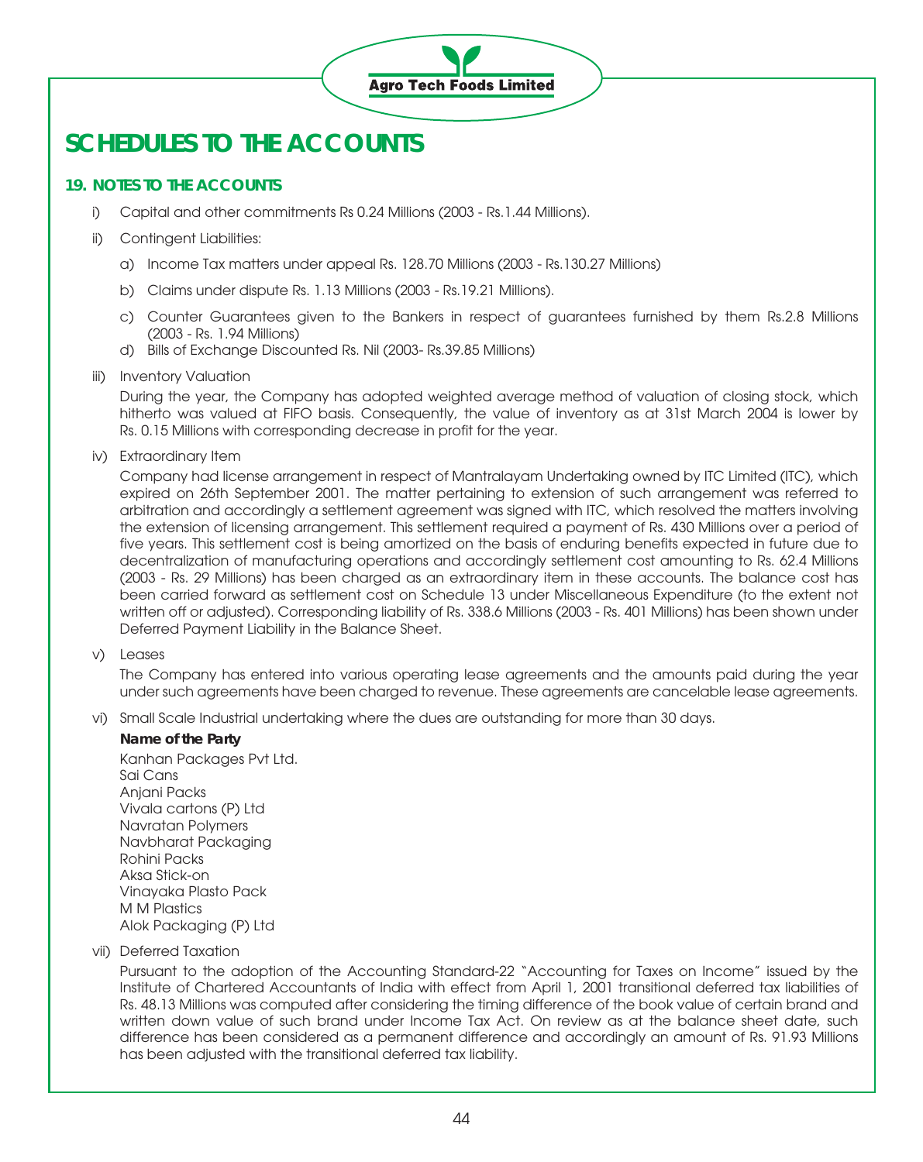

### **19. NOTES TO THE ACCOUNTS**

i) Capital and other commitments Rs 0.24 Millions (2003 - Rs.1.44 Millions).

#### ii) Contingent Liabilities:

- a) Income Tax matters under appeal Rs. 128.70 Millions (2003 Rs.130.27 Millions)
- b) Claims under dispute Rs. 1.13 Millions (2003 Rs.19.21 Millions).
- c) Counter Guarantees given to the Bankers in respect of guarantees furnished by them Rs.2.8 Millions (2003 - Rs. 1.94 Millions)
- d) Bills of Exchange Discounted Rs. Nil (2003- Rs.39.85 Millions)

#### iii) Inventory Valuation

During the year, the Company has adopted weighted average method of valuation of closing stock, which hitherto was valued at FIFO basis. Consequently, the value of inventory as at 31st March 2004 is lower by Rs. 0.15 Millions with corresponding decrease in profit for the year.

#### iv) Extraordinary Item

Company had license arrangement in respect of Mantralayam Undertaking owned by ITC Limited (ITC), which expired on 26th September 2001. The matter pertaining to extension of such arrangement was referred to arbitration and accordingly a settlement agreement was signed with ITC, which resolved the matters involving the extension of licensing arrangement. This settlement required a payment of Rs. 430 Millions over a period of five years. This settlement cost is being amortized on the basis of enduring benefits expected in future due to decentralization of manufacturing operations and accordingly settlement cost amounting to Rs. 62.4 Millions (2003 - Rs. 29 Millions) has been charged as an extraordinary item in these accounts. The balance cost has been carried forward as settlement cost on Schedule 13 under Miscellaneous Expenditure (to the extent not written off or adjusted). Corresponding liability of Rs. 338.6 Millions (2003 - Rs. 401 Millions) has been shown under Deferred Payment Liability in the Balance Sheet.

v) Leases

The Company has entered into various operating lease agreements and the amounts paid during the year under such agreements have been charged to revenue. These agreements are cancelable lease agreements.

vi) Small Scale Industrial undertaking where the dues are outstanding for more than 30 days.

### **Name of the Party**

Kanhan Packages Pvt Ltd. Sai Cans Anjani Packs Vivala cartons (P) Ltd Navratan Polymers Navbharat Packaging Rohini Packs Aksa Stick-on Vinayaka Plasto Pack M M Plastics Alok Packaging (P) Ltd

vii) Deferred Taxation

Pursuant to the adoption of the Accounting Standard-22 "Accounting for Taxes on Income" issued by the Institute of Chartered Accountants of India with effect from April 1, 2001 transitional deferred tax liabilities of Rs. 48.13 Millions was computed after considering the timing difference of the book value of certain brand and written down value of such brand under Income Tax Act. On review as at the balance sheet date, such difference has been considered as a permanent difference and accordingly an amount of Rs. 91.93 Millions has been adjusted with the transitional deferred tax liability.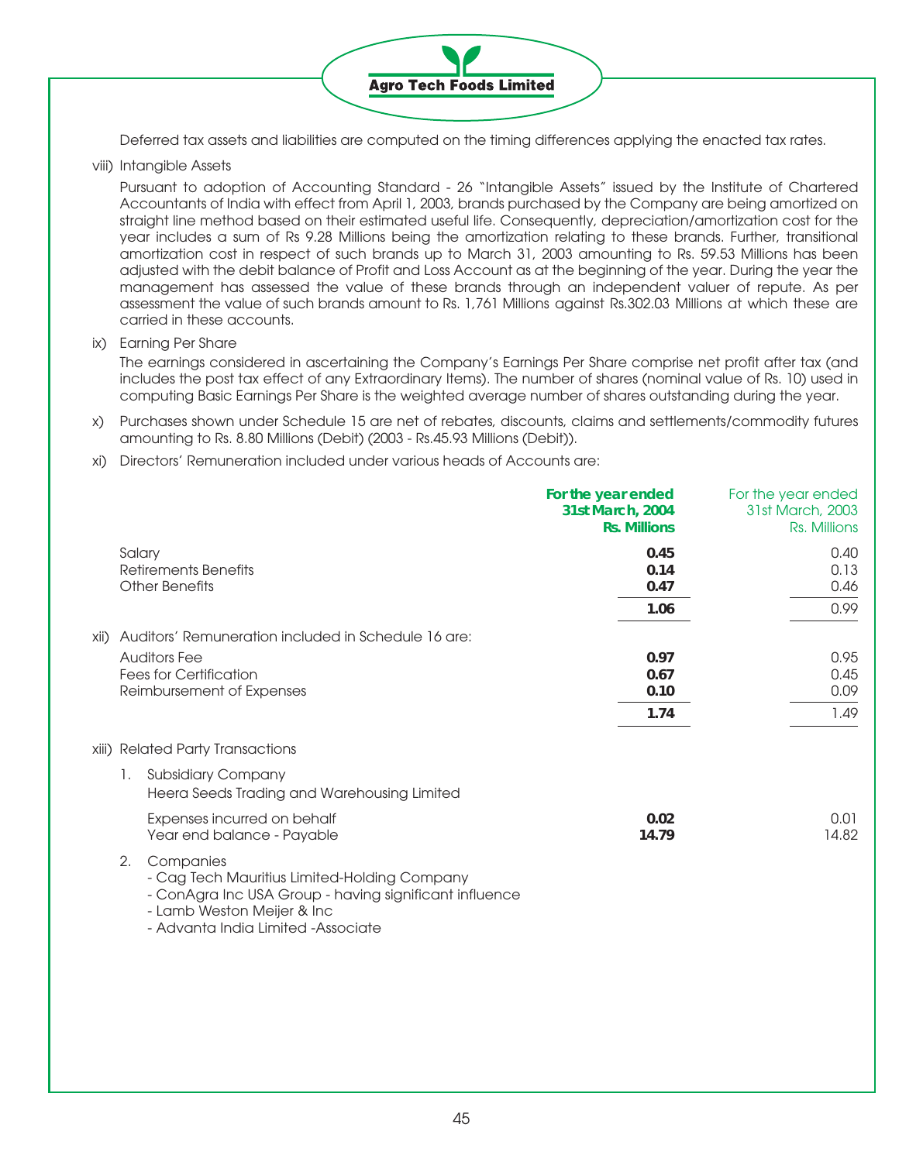

Deferred tax assets and liabilities are computed on the timing differences applying the enacted tax rates.

viii) Intangible Assets

Pursuant to adoption of Accounting Standard - 26 "Intangible Assets" issued by the Institute of Chartered Accountants of India with effect from April 1, 2003, brands purchased by the Company are being amortized on straight line method based on their estimated useful life. Consequently, depreciation/amortization cost for the year includes a sum of Rs 9.28 Millions being the amortization relating to these brands. Further, transitional amortization cost in respect of such brands up to March 31, 2003 amounting to Rs. 59.53 Millions has been adjusted with the debit balance of Profit and Loss Account as at the beginning of the year. During the year the management has assessed the value of these brands through an independent valuer of repute. As per assessment the value of such brands amount to Rs. 1,761 Millions against Rs.302.03 Millions at which these are carried in these accounts.

ix) Earning Per Share

The earnings considered in ascertaining the Company's Earnings Per Share comprise net profit after tax (and includes the post tax effect of any Extraordinary Items). The number of shares (nominal value of Rs. 10) used in computing Basic Earnings Per Share is the weighted average number of shares outstanding during the year.

- x) Purchases shown under Schedule 15 are net of rebates, discounts, claims and settlements/commodity futures amounting to Rs. 8.80 Millions (Debit) (2003 - Rs.45.93 Millions (Debit)).
- xi) Directors' Remuneration included under various heads of Accounts are:

|      |        |                                                                                                                                                                                                                       | For the year ended<br>31st March, 2004<br><b>Rs. Millions</b> | For the year ended<br>31st March, 2003<br>Rs. Millions |
|------|--------|-----------------------------------------------------------------------------------------------------------------------------------------------------------------------------------------------------------------------|---------------------------------------------------------------|--------------------------------------------------------|
|      | Salary | Retirements Benefits<br><b>Other Benefits</b>                                                                                                                                                                         | 0.45<br>0.14<br>0.47<br>1.06                                  | 0.40<br>0.13<br>0.46<br>0.99                           |
| xii) |        | Auditors' Remuneration included in Schedule 16 are:<br><b>Auditors Fee</b><br><b>Fees for Certification</b><br>Reimbursement of Expenses                                                                              | 0.97<br>0.67<br>0.10<br>1.74                                  | 0.95<br>0.45<br>0.09<br>1.49                           |
|      |        | xiii) Related Party Transactions                                                                                                                                                                                      |                                                               |                                                        |
|      | 1.     | <b>Subsidiary Company</b><br>Heera Seeds Trading and Warehousing Limited<br>Expenses incurred on behalf                                                                                                               | 0.02                                                          | 0.01<br>14.82                                          |
|      | 2.     | Year end balance - Payable<br>Companies<br>- Cag Tech Mauritius Limited-Holding Company<br>- ConAgra Inc USA Group - having significant influence<br>- Lamb Weston Meijer & Inc<br>- Advanta India Limited -Associate | 14.79                                                         |                                                        |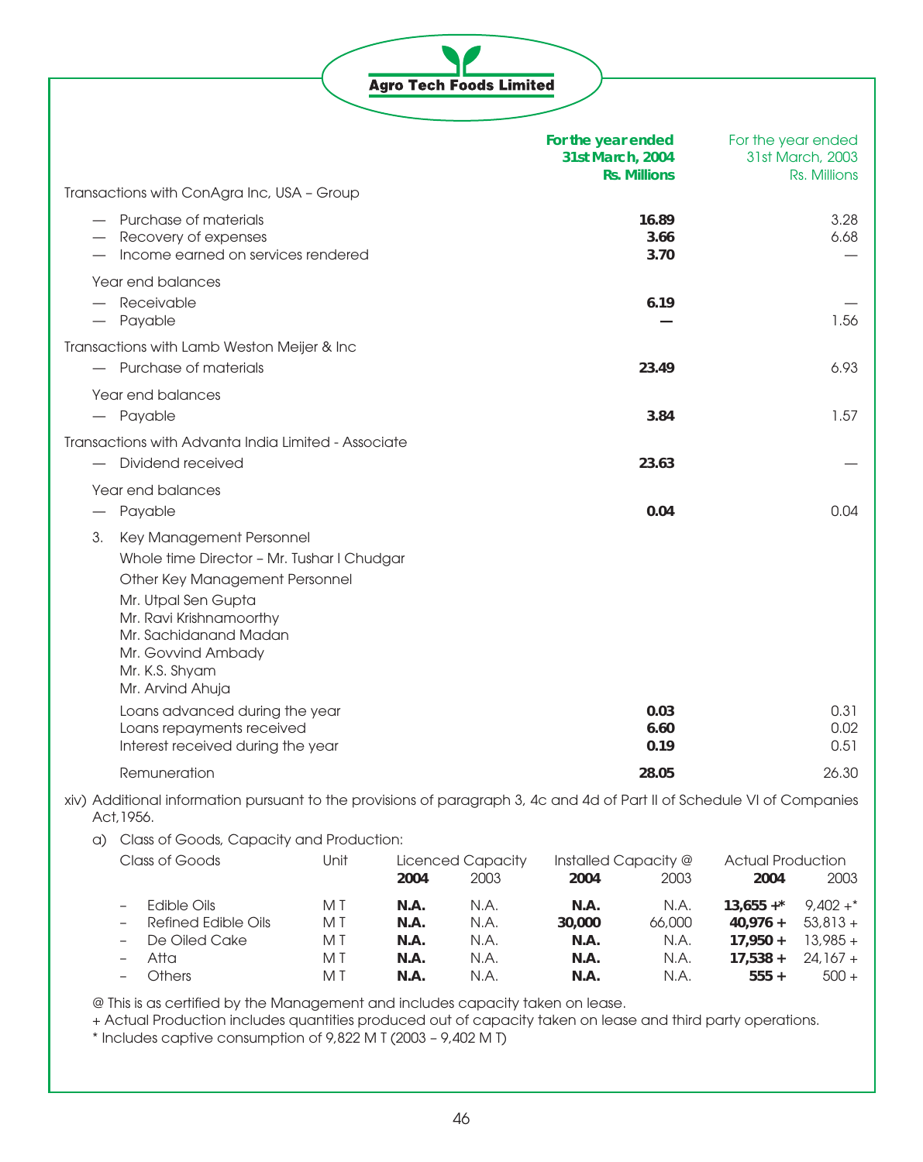|                          |                                                                                                                                                                                                                                                 |      |      | <b>Agro Tech Foods Limited</b>   |                                        |                       |                                                        |
|--------------------------|-------------------------------------------------------------------------------------------------------------------------------------------------------------------------------------------------------------------------------------------------|------|------|----------------------------------|----------------------------------------|-----------------------|--------------------------------------------------------|
|                          |                                                                                                                                                                                                                                                 |      |      |                                  | For the year ended<br>31st March, 2004 | <b>Rs. Millions</b>   | For the year ended<br>31st March, 2003<br>Rs. Millions |
|                          | Transactions with ConAgra Inc, USA - Group                                                                                                                                                                                                      |      |      |                                  |                                        |                       |                                                        |
|                          | - Purchase of materials<br>Recovery of expenses<br>Income earned on services rendered                                                                                                                                                           |      |      |                                  |                                        | 16.89<br>3.66<br>3.70 | 3.28<br>6.68                                           |
| $\overline{\phantom{0}}$ | Year end balances<br>- Receivable<br>Payable                                                                                                                                                                                                    |      |      |                                  |                                        | 6.19                  | 1.56                                                   |
|                          | Transactions with Lamb Weston Meijer & Inc<br>- Purchase of materials                                                                                                                                                                           |      |      |                                  |                                        | 23.49                 | 6.93                                                   |
|                          | Year end balances<br>- Payable                                                                                                                                                                                                                  |      |      |                                  |                                        | 3.84                  | 1.57                                                   |
|                          | Transactions with Advanta India Limited - Associate<br>Dividend received                                                                                                                                                                        |      |      |                                  |                                        | 23.63                 |                                                        |
|                          | Year end balances<br>Payable                                                                                                                                                                                                                    |      |      |                                  |                                        | 0.04                  | 0.04                                                   |
| З.                       | Key Management Personnel<br>Whole time Director - Mr. Tushar I Chudgar<br>Other Key Management Personnel<br>Mr. Utpal Sen Gupta<br>Mr. Ravi Krishnamoorthy<br>Mr. Sachidanand Madan<br>Mr. Govvind Ambady<br>Mr. K.S. Shyam<br>Mr. Arvind Ahuja |      |      |                                  |                                        |                       |                                                        |
|                          | Loans advanced during the year<br>Loans repayments received<br>Interest received during the year                                                                                                                                                |      |      |                                  |                                        | 0.03<br>6.60<br>0.19  | 0.31<br>0.02<br>0.51                                   |
|                          | Remuneration                                                                                                                                                                                                                                    |      |      |                                  |                                        | 28.05                 | 26.30                                                  |
|                          | xiv) Additional information pursuant to the provisions of paragraph 3, 4c and 4d of Part II of Schedule VI of Companies<br>Act, 1956.                                                                                                           |      |      |                                  |                                        |                       |                                                        |
|                          | a) Class of Goods, Capacity and Production:<br>Class of Goods                                                                                                                                                                                   | Unit | 2004 | <b>Licenced Capacity</b><br>2003 | Installed Capacity @<br>2004           | 2003                  | <b>Actual Production</b><br>2003<br>2004               |

|                     |     | 2004 | 2003 | 2004   | 2003   | 2004         | 2003        |
|---------------------|-----|------|------|--------|--------|--------------|-------------|
| Edible Oils         | M T | N.A. | N.A. | N.A.   | N.A.   | $13.655 +$ * | $9.402 +$ * |
| Refined Edible Oils | M T | N.A. | N.A. | 30,000 | 66,000 | $40.976 +$   | $53.813 +$  |
| De Oiled Cake       | M T | N.A. | N.A. | N.A.   | N.A.   | $17.950 +$   | $13.985 +$  |
| Atta                | M T | N.A. | N.A. | N.A.   | N.A.   | $17.538 +$   | $24.167 +$  |
| <b>Others</b>       | M T | N.A. | N.A. | N.A.   | N.A.   | $555 +$      | $500 +$     |

@ This is as certified by the Management and includes capacity taken on lease.

+ Actual Production includes quantities produced out of capacity taken on lease and third party operations.

\* Includes captive consumption of 9,822 M T (2003 – 9,402 M T)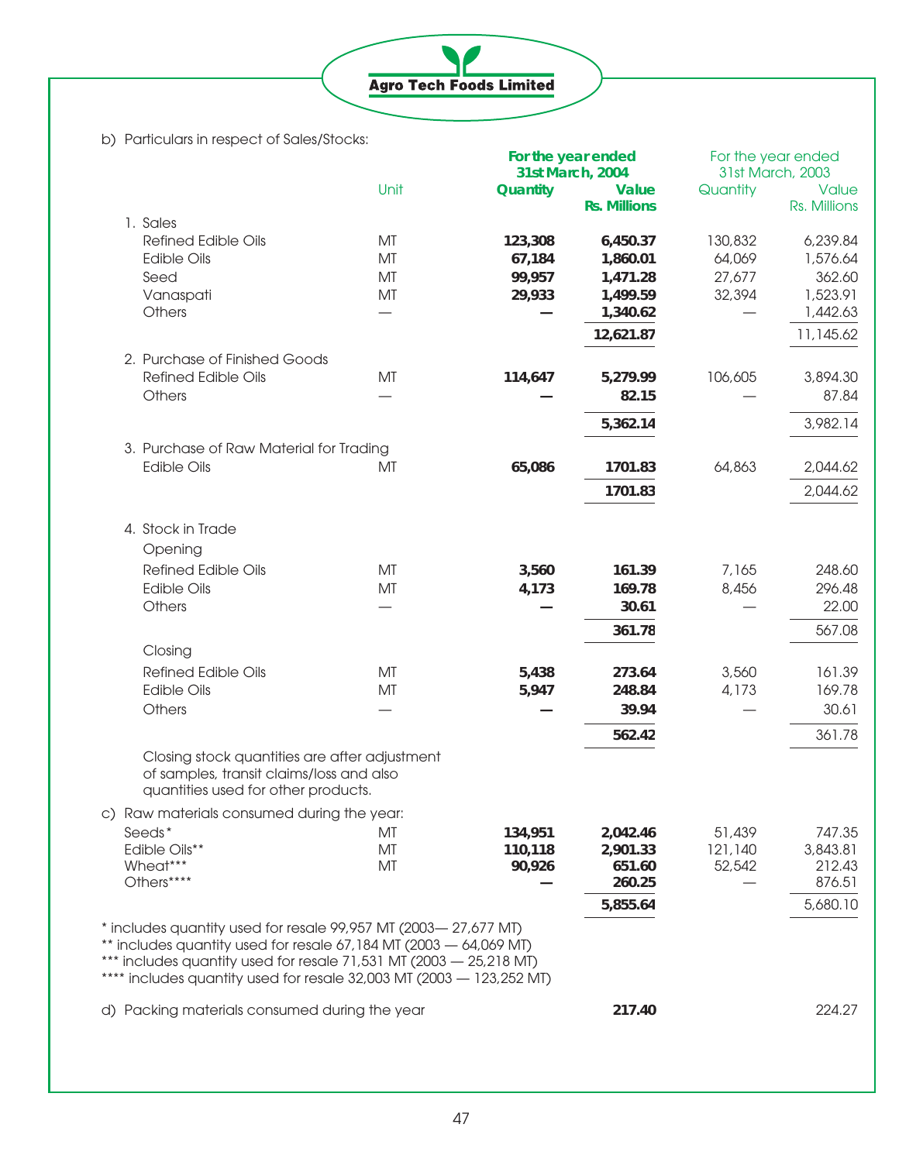**Agro Tech Foods Limited** 

b) Particulars in respect of Sales/Stocks:

|                               |                                                                                                                                                                                                                                                                                      |                  | For the year ended<br>31st March, 2004 |                  | For the year ended<br>31st March, 2003 |
|-------------------------------|--------------------------------------------------------------------------------------------------------------------------------------------------------------------------------------------------------------------------------------------------------------------------------------|------------------|----------------------------------------|------------------|----------------------------------------|
|                               | Unit                                                                                                                                                                                                                                                                                 | Quantity         | <b>Value</b><br><b>Rs. Millions</b>    | Quantity         | Value<br>Rs. Millions                  |
| 1. Sales                      |                                                                                                                                                                                                                                                                                      |                  |                                        |                  |                                        |
| <b>Refined Edible Oils</b>    | MT                                                                                                                                                                                                                                                                                   | 123,308          | 6,450.37                               | 130,832          | 6,239.84                               |
| <b>Edible Oils</b>            | MT                                                                                                                                                                                                                                                                                   | 67,184           | 1,860.01                               | 64,069           | 1,576.64                               |
| Seed                          | MT<br>MT                                                                                                                                                                                                                                                                             | 99,957<br>29,933 | 1,471.28<br>1,499.59                   | 27,677<br>32,394 | 362.60<br>1,523.91                     |
| Vanaspati<br>Others           |                                                                                                                                                                                                                                                                                      |                  | 1,340.62                               |                  | 1,442.63                               |
|                               |                                                                                                                                                                                                                                                                                      |                  | 12,621.87                              |                  | 11,145.62                              |
| 2. Purchase of Finished Goods |                                                                                                                                                                                                                                                                                      |                  |                                        |                  |                                        |
| <b>Refined Edible Oils</b>    | MT                                                                                                                                                                                                                                                                                   | 114,647          | 5,279.99                               | 106,605          | 3,894.30                               |
| Others                        |                                                                                                                                                                                                                                                                                      |                  | 82.15                                  |                  | 87.84                                  |
|                               |                                                                                                                                                                                                                                                                                      |                  | 5,362.14                               |                  | 3,982.14                               |
|                               | 3. Purchase of Raw Material for Trading                                                                                                                                                                                                                                              |                  |                                        |                  |                                        |
| <b>Edible Oils</b>            | MT                                                                                                                                                                                                                                                                                   | 65,086           | 1701.83                                | 64,863           | 2,044.62                               |
|                               |                                                                                                                                                                                                                                                                                      |                  | 1701.83                                |                  | 2,044.62                               |
|                               |                                                                                                                                                                                                                                                                                      |                  |                                        |                  |                                        |
| 4. Stock in Trade             |                                                                                                                                                                                                                                                                                      |                  |                                        |                  |                                        |
| Opening                       |                                                                                                                                                                                                                                                                                      |                  |                                        |                  |                                        |
| <b>Refined Edible Oils</b>    | MT                                                                                                                                                                                                                                                                                   | 3,560            | 161.39                                 | 7,165            | 248.60                                 |
| <b>Edible Oils</b>            | MT                                                                                                                                                                                                                                                                                   | 4,173            | 169.78                                 | 8,456            | 296.48                                 |
| Others                        |                                                                                                                                                                                                                                                                                      |                  | 30.61                                  |                  | 22.00                                  |
|                               |                                                                                                                                                                                                                                                                                      |                  | 361.78                                 |                  | 567.08                                 |
| Closing                       |                                                                                                                                                                                                                                                                                      |                  |                                        |                  |                                        |
| <b>Refined Edible Oils</b>    | MT                                                                                                                                                                                                                                                                                   | 5,438            | 273.64                                 | 3,560            | 161.39                                 |
| <b>Edible Oils</b>            | MT                                                                                                                                                                                                                                                                                   | 5,947            | 248.84                                 | 4,173            | 169.78                                 |
| Others                        |                                                                                                                                                                                                                                                                                      |                  | 39.94                                  |                  | 30.61                                  |
|                               |                                                                                                                                                                                                                                                                                      |                  | 562.42                                 |                  | 361.78                                 |
|                               | Closing stock quantities are after adjustment<br>of samples, transit claims/loss and also<br>quantities used for other products.                                                                                                                                                     |                  |                                        |                  |                                        |
|                               | c) Raw materials consumed during the year:                                                                                                                                                                                                                                           |                  |                                        |                  |                                        |
| Seeds*                        | МT                                                                                                                                                                                                                                                                                   | 134,951          | 2,042.46                               | 51,439           | 747.35                                 |
| Edible Oils**                 | МT                                                                                                                                                                                                                                                                                   | 110,118          | 2,901.33                               | 121,140          | 3,843.81                               |
| Wheat***<br>Others****        | MT                                                                                                                                                                                                                                                                                   | 90,926           | 651.60<br>260.25                       | 52,542           | 212.43<br>876.51                       |
|                               |                                                                                                                                                                                                                                                                                      |                  |                                        |                  |                                        |
|                               |                                                                                                                                                                                                                                                                                      |                  | 5,855.64                               |                  | 5,680.10                               |
|                               | * includes quantity used for resale 99,957 MT (2003-27,677 MT)<br>$*$ includes quantity used for resale 67,184 MT (2003 $-$ 64,069 MT)<br>*** includes quantity used for resale 71,531 MT (2003 - 25,218 MT)<br>**** includes quantity used for resale 32,003 MT (2003 - 123,252 MT) |                  |                                        |                  |                                        |
|                               | d) Packing materials consumed during the year                                                                                                                                                                                                                                        |                  | 217.40                                 |                  | 224.27                                 |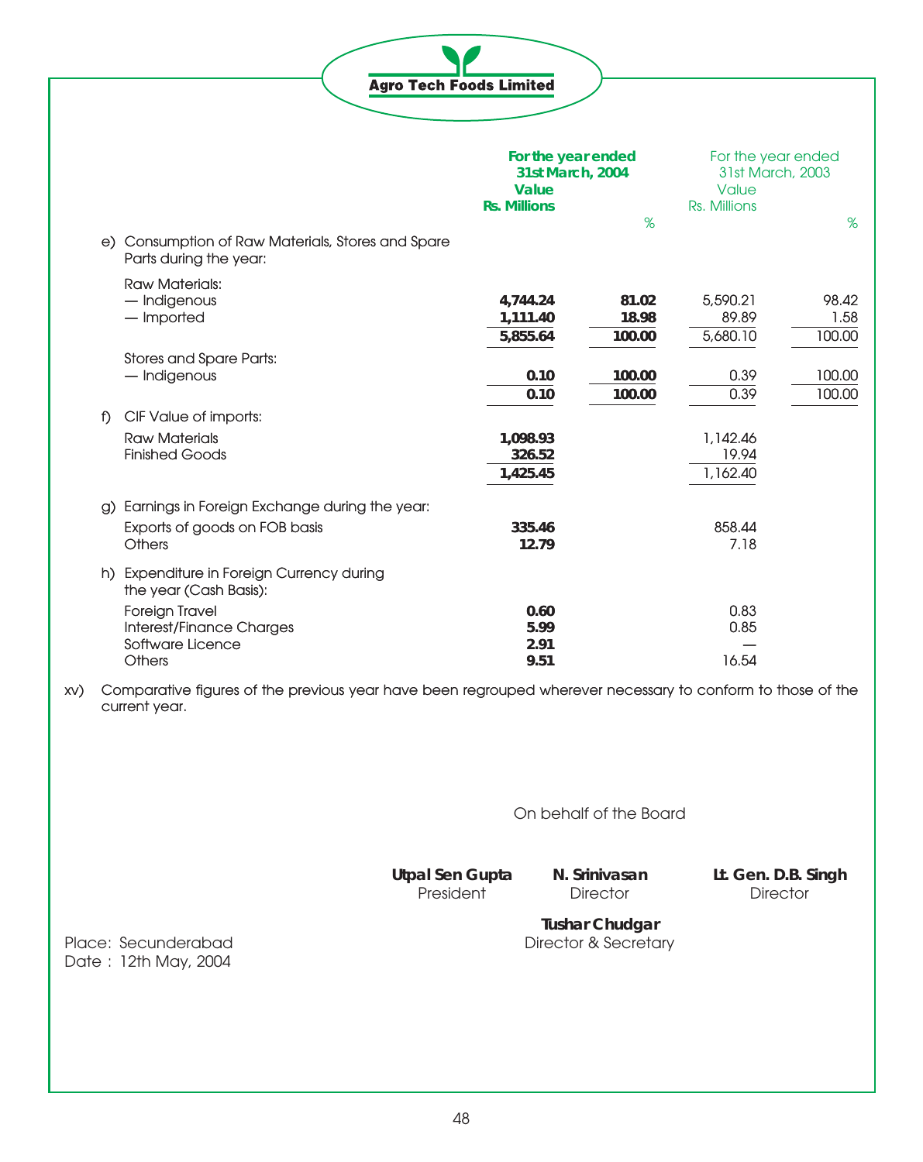**Agro Tech Foods Limited** 

|          |                                                                          | For the year ended<br>31st March, 2004 |        | For the year ended |        |
|----------|--------------------------------------------------------------------------|----------------------------------------|--------|--------------------|--------|
|          |                                                                          |                                        |        | 31st March, 2003   |        |
|          |                                                                          | Value                                  |        | Value              |        |
|          |                                                                          | <b>Rs. Millions</b>                    |        | Rs. Millions       |        |
| e)       | Consumption of Raw Materials, Stores and Spare<br>Parts during the year: |                                        | %      |                    | %      |
|          | <b>Raw Materials:</b>                                                    |                                        |        |                    |        |
|          | - Indigenous                                                             | 4,744.24                               | 81.02  | 5,590.21           | 98.42  |
|          | - Imported                                                               | 1,111.40                               | 18.98  | 89.89              | 1.58   |
|          |                                                                          | 5,855.64                               | 100.00 | 5,680.10           | 100.00 |
|          | Stores and Spare Parts:                                                  |                                        |        |                    |        |
|          | - Indigenous                                                             | 0.10                                   | 100.00 | 0.39               | 100.00 |
|          |                                                                          | 0.10                                   | 100.00 | 0.39               | 100.00 |
| f)       | CIF Value of imports:                                                    |                                        |        |                    |        |
|          | <b>Raw Materials</b>                                                     | 1,098.93                               |        | 1,142.46           |        |
|          | <b>Finished Goods</b>                                                    | 326.52                                 |        | 19.94              |        |
|          |                                                                          | 1,425.45                               |        | 1,162.40           |        |
| $\alpha$ | Earnings in Foreign Exchange during the year:                            |                                        |        |                    |        |
|          | Exports of goods on FOB basis                                            | 335.46                                 |        | 858.44             |        |
|          | <b>Others</b>                                                            | 12.79                                  |        | 7.18               |        |
|          | h) Expenditure in Foreign Currency during<br>the year (Cash Basis):      |                                        |        |                    |        |
|          | Foreign Travel                                                           | 0.60                                   |        | 0.83               |        |
|          | Interest/Finance Charges                                                 | 5.99                                   |        | 0.85               |        |
|          | Software Licence                                                         | 2.91                                   |        |                    |        |
|          | Others                                                                   | 9.51                                   |        | 16.54              |        |

xv) Comparative figures of the previous year have been regrouped wherever necessary to conform to those of the current year.

On behalf of the Board

President<sup>1</sup>

**Utpal Sen Gupta N. Srinivasan Lt. Gen. D.B. Singh**

**Tushar Chudgar** Place: Secunderabad Director & Secretary

Date: 12th May, 2004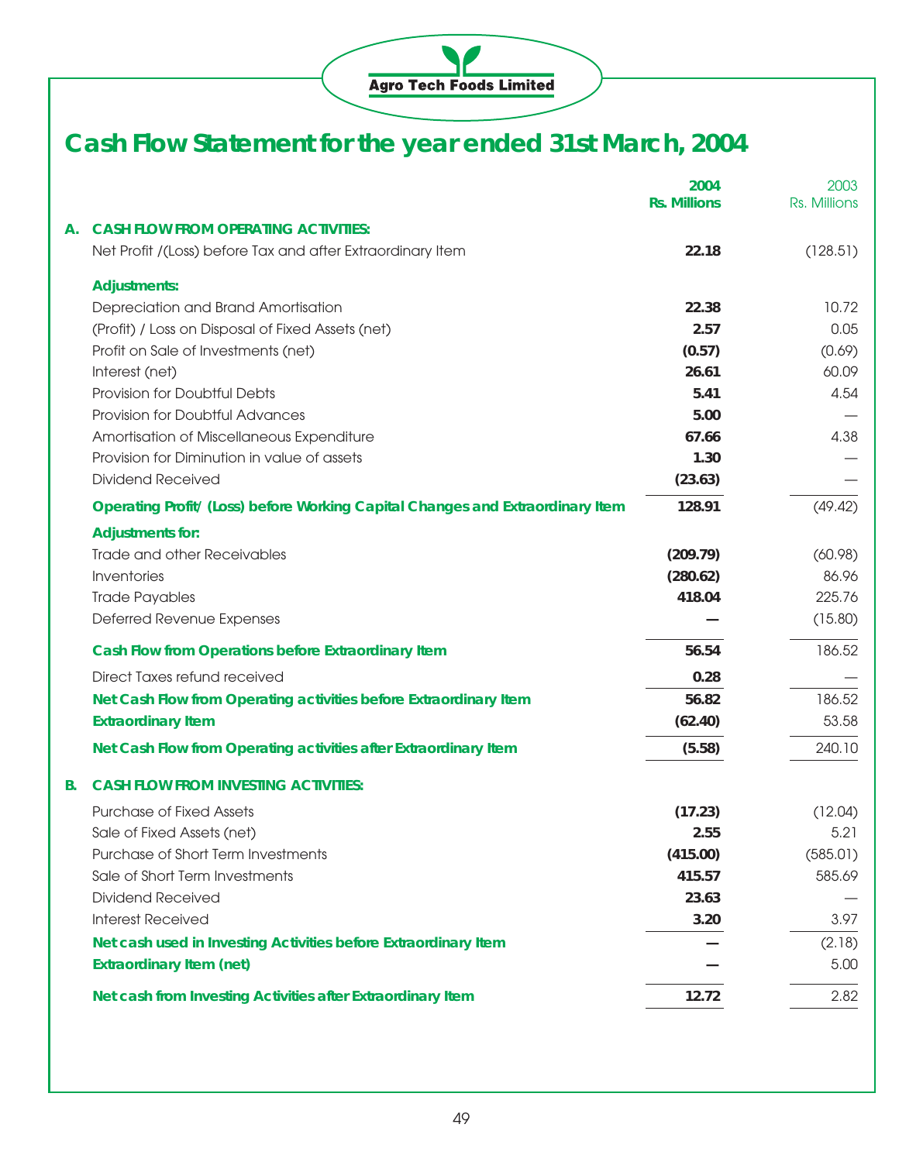

# **Cash Flow Statement for the year ended 31st March, 2004**

|                                                                                | 2004<br><b>Rs. Millions</b> | 2003<br>Rs. Millions |
|--------------------------------------------------------------------------------|-----------------------------|----------------------|
| <b>CASH FLOW FROM OPERATING ACTIVITIES:</b><br>А.                              |                             |                      |
| Net Profit /(Loss) before Tax and after Extraordinary Item                     | 22.18                       | (128.51)             |
| <b>Adjustments:</b>                                                            |                             |                      |
| Depreciation and Brand Amortisation                                            | 22.38                       | 10.72                |
| (Profit) / Loss on Disposal of Fixed Assets (net)                              | 2.57                        | 0.05                 |
| Profit on Sale of Investments (net)                                            | (0.57)                      | (0.69)               |
| Interest (net)                                                                 | 26.61                       | 60.09                |
| Provision for Doubtful Debts                                                   | 5.41                        | 4.54                 |
| Provision for Doubtful Advances                                                | 5.00                        |                      |
| Amortisation of Miscellaneous Expenditure                                      | 67.66                       | 4.38                 |
| Provision for Diminution in value of assets                                    | 1.30                        |                      |
| <b>Dividend Received</b>                                                       | (23.63)                     |                      |
| Operating Profit/ (Loss) before Working Capital Changes and Extraordinary Item | 128.91                      | (49.42)              |
| <b>Adjustments for:</b>                                                        |                             |                      |
| Trade and other Receivables                                                    | (209.79)                    | (60.98)              |
| Inventories                                                                    | (280.62)                    | 86.96                |
| <b>Trade Payables</b>                                                          | 418.04                      | 225.76               |
| Deferred Revenue Expenses                                                      |                             | (15.80)              |
| Cash Flow from Operations before Extraordinary Item                            | 56.54                       | 186.52               |
| Direct Taxes refund received                                                   | 0.28                        |                      |
| Net Cash Flow from Operating activities before Extraordinary Item              | 56.82                       | 186.52               |
| <b>Extraordinary Item</b>                                                      | (62.40)                     | 53.58                |
| Net Cash Flow from Operating activities after Extraordinary Item               | (5.58)                      | 240.10               |
| <b>CASH FLOW FROM INVESTING ACTIVITIES:</b><br>В.                              |                             |                      |
| <b>Purchase of Fixed Assets</b>                                                | (17.23)                     | (12.04)              |
| Sale of Fixed Assets (net)                                                     | 2.55                        | 5.21                 |
| Purchase of Short Term Investments                                             | (415.00)                    | (585.01)             |
| Sale of Short Term Investments                                                 | 415.57                      | 585.69               |
| <b>Dividend Received</b>                                                       | 23.63                       |                      |
| <b>Interest Received</b>                                                       | 3.20                        | 3.97                 |
| Net cash used in Investing Activities before Extraordinary Item                |                             | (2.18)               |
| <b>Extraordinary Item (net)</b>                                                |                             | 5.00                 |
| Net cash from Investing Activities after Extraordinary Item                    | 12.72                       | 2.82                 |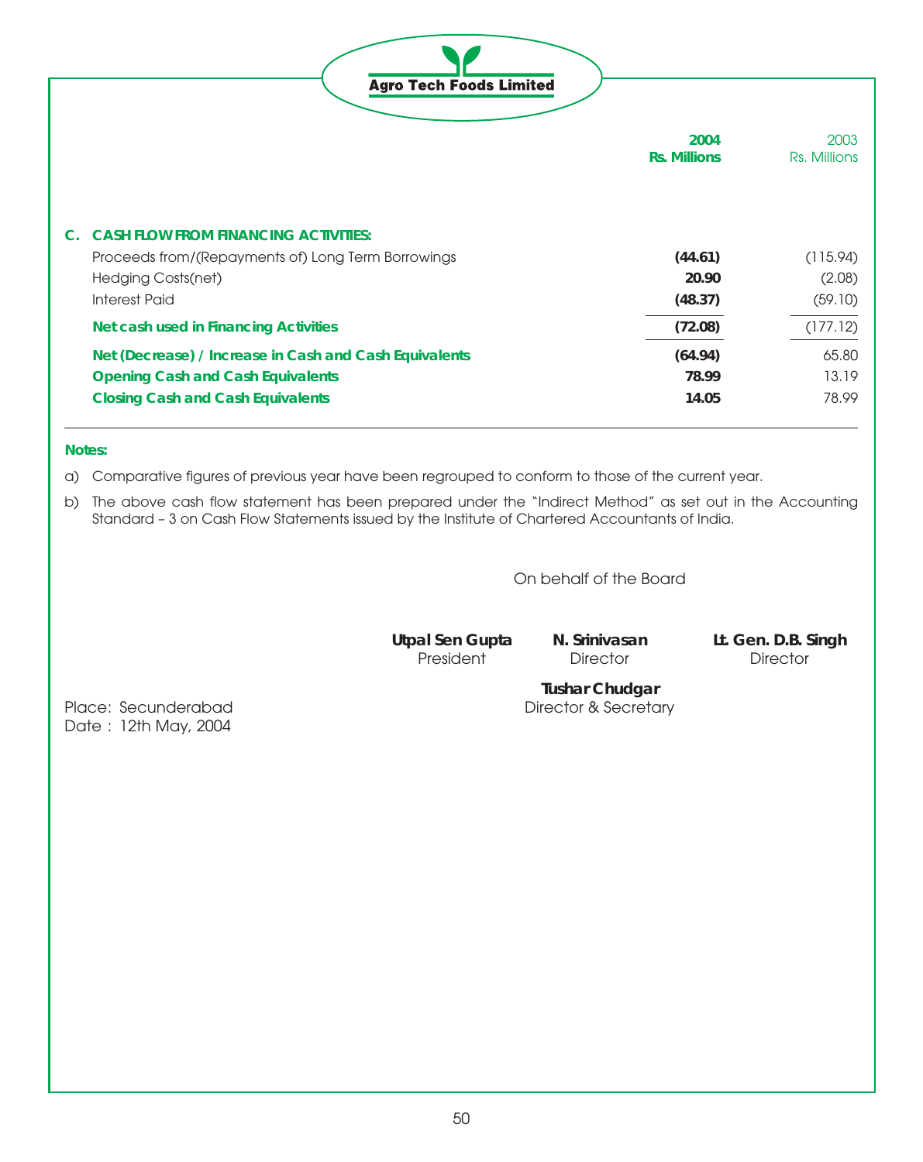| <b>Agro Tech Foods Limited</b>                         |                             |                      |
|--------------------------------------------------------|-----------------------------|----------------------|
|                                                        | 2004<br><b>Rs. Millions</b> | 2003<br>Rs. Millions |
| <b>CASH FLOW FROM FINANCING ACTIVITIES:</b><br>C.      |                             |                      |
| Proceeds from/(Repayments of) Long Term Borrowings     | (44.61)                     | (115.94)             |
| Hedging Costs(net)                                     | 20.90                       | (2.08)               |
| <b>Interest Paid</b>                                   | (48.37)                     | (59.10)              |
| Net cash used in Financing Activities                  | (72.08)                     | (177.12)             |
| Net (Decrease) / Increase in Cash and Cash Equivalents | (64.94)                     | 65.80                |
| <b>Opening Cash and Cash Equivalents</b>               | 78.99                       | 13.19                |
| <b>Closing Cash and Cash Equivalents</b>               | 14.05                       | 78.99                |

#### **Notes:**

a) Comparative figures of previous year have been regrouped to conform to those of the current year.

b) The above cash flow statement has been prepared under the "Indirect Method" as set out in the Accounting Standard – 3 on Cash Flow Statements issued by the Institute of Chartered Accountants of India.

On behalf of the Board

President<sup>'</sup>

**Utpal Sen Gupta N. Srinivasan Lt. Gen. D.B. Singh**

**Tushar Chudgar**

Place: Secunderabad Director & Secretary Date: 12th May, 2004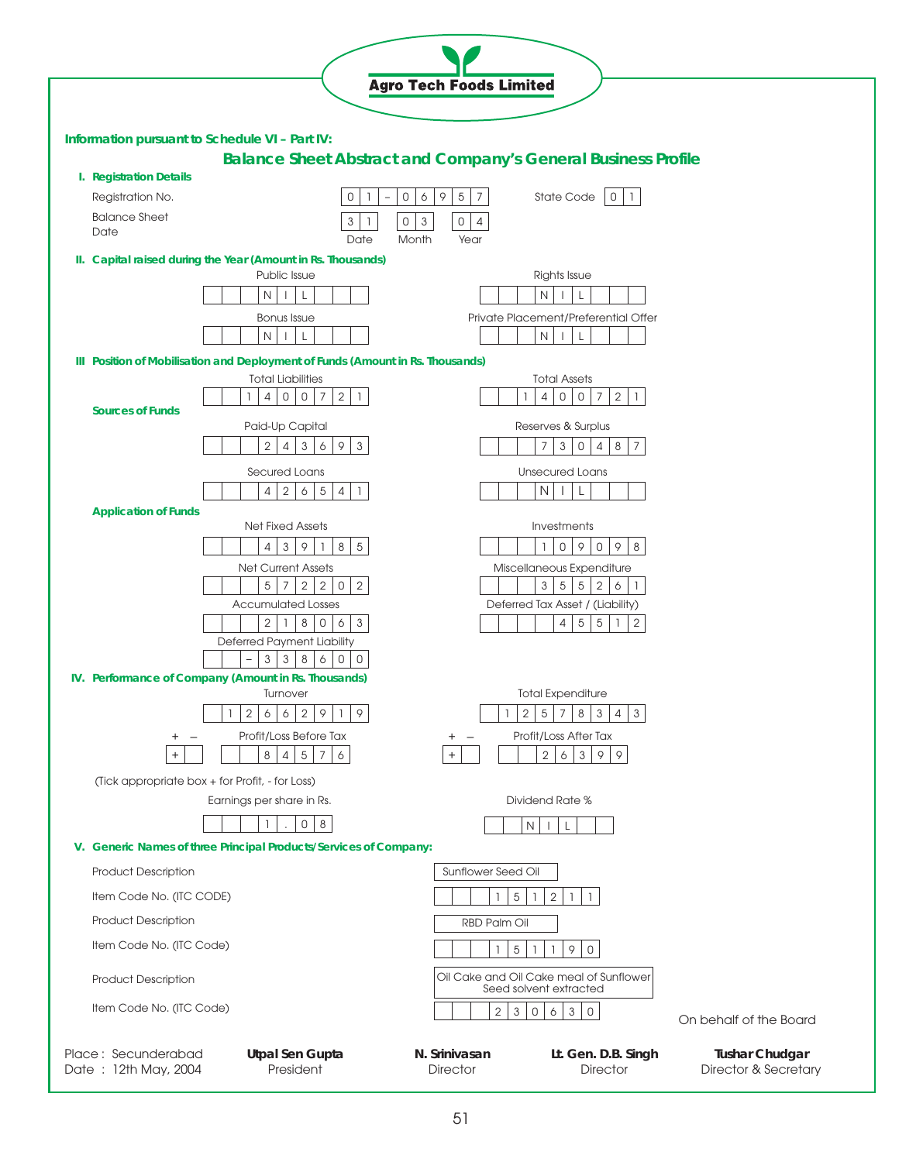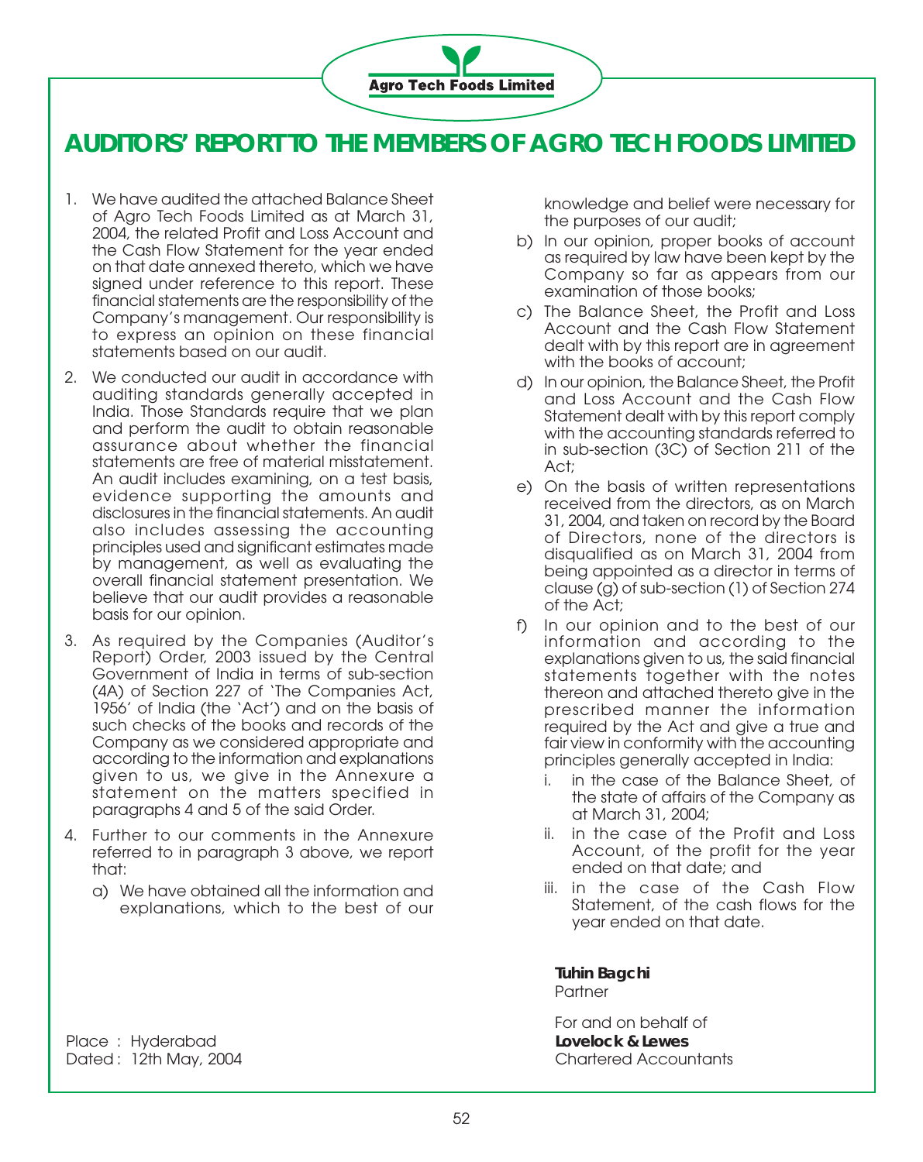

### **AUDITORS' REPORT TO THE MEMBERS OF AGRO TECH FOODS LIMITED**

- 1. We have audited the attached Balance Sheet of Agro Tech Foods Limited as at March 31, 2004, the related Profit and Loss Account and the Cash Flow Statement for the year ended on that date annexed thereto, which we have signed under reference to this report. These financial statements are the responsibility of the Company's management. Our responsibility is to express an opinion on these financial statements based on our audit.
- 2. We conducted our audit in accordance with auditing standards generally accepted in India. Those Standards require that we plan and perform the audit to obtain reasonable assurance about whether the financial statements are free of material misstatement. An audit includes examining, on a test basis, evidence supporting the amounts and disclosures in the financial statements. An audit also includes assessing the accounting principles used and significant estimates made by management, as well as evaluating the overall financial statement presentation. We believe that our audit provides a reasonable basis for our opinion.
- 3. As required by the Companies (Auditor's Report) Order, 2003 issued by the Central Government of India in terms of sub-section (4A) of Section 227 of 'The Companies Act, 1956' of India (the 'Act') and on the basis of such checks of the books and records of the Company as we considered appropriate and according to the information and explanations given to us, we give in the Annexure a statement on the matters specified in paragraphs 4 and 5 of the said Order.
- 4. Further to our comments in the Annexure referred to in paragraph 3 above, we report that:
	- a) We have obtained all the information and explanations, which to the best of our

knowledge and belief were necessary for the purposes of our audit;

- b) In our opinion, proper books of account as required by law have been kept by the Company so far as appears from our examination of those books;
- c) The Balance Sheet, the Profit and Loss Account and the Cash Flow Statement dealt with by this report are in agreement with the books of account;
- d) In our opinion, the Balance Sheet, the Profit and Loss Account and the Cash Flow Statement dealt with by this report comply with the accounting standards referred to in sub-section (3C) of Section 211 of the Act;
- e) On the basis of written representations received from the directors, as on March 31, 2004, and taken on record by the Board of Directors, none of the directors is disqualified as on March 31, 2004 from being appointed as a director in terms of clause (g) of sub-section (1) of Section 274 of the Act;
- f) In our opinion and to the best of our information and according to the explanations given to us, the said financial statements together with the notes thereon and attached thereto give in the prescribed manner the information required by the Act and give a true and fair view in conformity with the accounting principles generally accepted in India:
	- i. in the case of the Balance Sheet, of the state of affairs of the Company as at March 31, 2004;
	- ii. in the case of the Profit and Loss Account, of the profit for the year ended on that date; and
	- iii. in the case of the Cash Flow Statement, of the cash flows for the year ended on that date.

**Tuhin Bagchi Partner** 

For and on behalf of

Place : Hyderabad **Lovelock & Lewes** Dated : 12th May, 2004 Chartered Accountants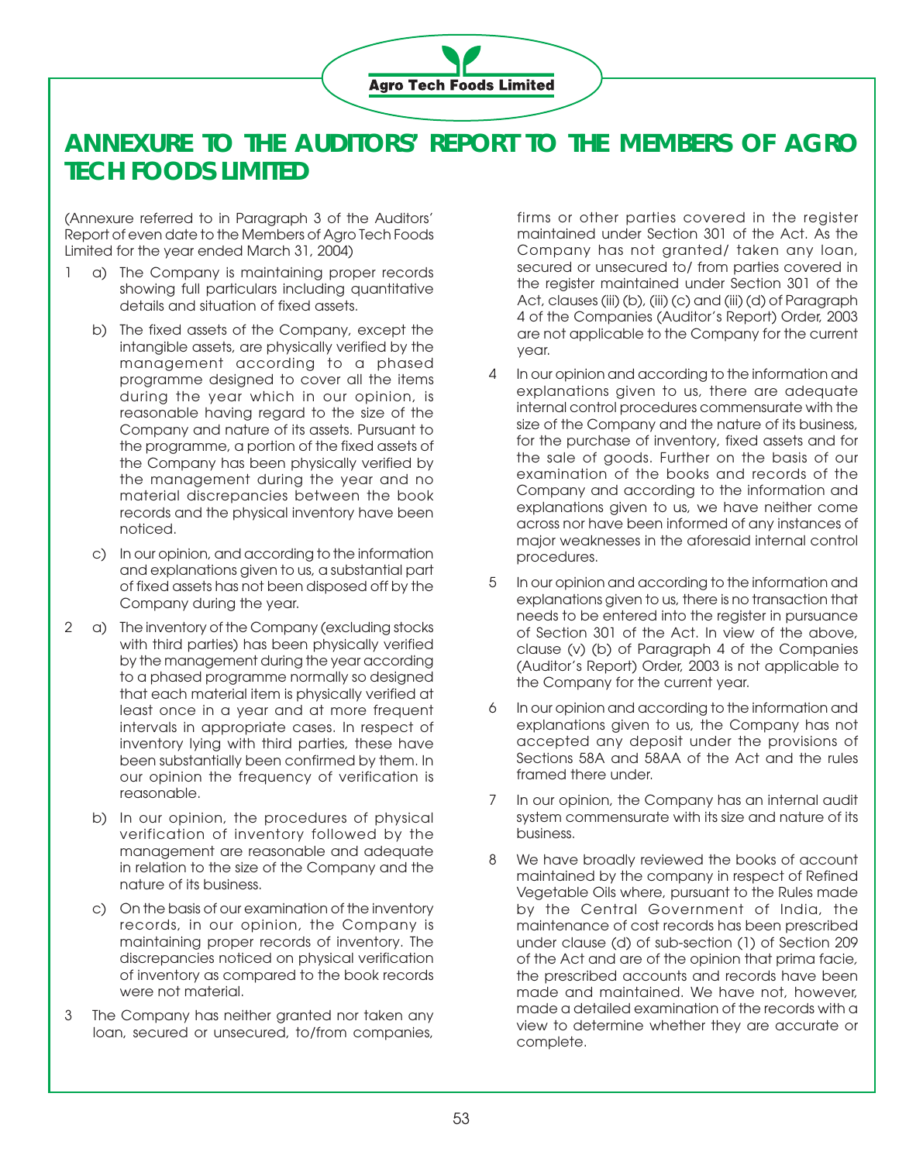

### **ANNEXURE TO THE AUDITORS' REPORT TO THE MEMBERS OF AGRO TECH FOODS LIMITED**

(Annexure referred to in Paragraph 3 of the Auditors' Report of even date to the Members of Agro Tech Foods Limited for the year ended March 31, 2004)

- 1 a) The Company is maintaining proper records showing full particulars including quantitative details and situation of fixed assets.
	- b) The fixed assets of the Company, except the intangible assets, are physically verified by the management according to a phased programme designed to cover all the items during the year which in our opinion, is reasonable having regard to the size of the Company and nature of its assets. Pursuant to the programme, a portion of the fixed assets of the Company has been physically verified by the management during the year and no material discrepancies between the book records and the physical inventory have been noticed.
	- c) In our opinion, and according to the information and explanations given to us, a substantial part of fixed assets has not been disposed off by the Company during the year.
- 2 a) The inventory of the Company (excluding stocks with third parties) has been physically verified by the management during the year according to a phased programme normally so designed that each material item is physically verified at least once in a year and at more frequent intervals in appropriate cases. In respect of inventory lying with third parties, these have been substantially been confirmed by them. In our opinion the frequency of verification is reasonable.
	- b) In our opinion, the procedures of physical verification of inventory followed by the management are reasonable and adequate in relation to the size of the Company and the nature of its business.
	- c) On the basis of our examination of the inventory records, in our opinion, the Company is maintaining proper records of inventory. The discrepancies noticed on physical verification of inventory as compared to the book records were not material.
- 3 The Company has neither granted nor taken any loan, secured or unsecured, to/from companies,

firms or other parties covered in the register maintained under Section 301 of the Act. As the Company has not granted/ taken any loan, secured or unsecured to/ from parties covered in the register maintained under Section 301 of the Act, clauses (iii) (b), (iii) (c) and (iii) (d) of Paragraph 4 of the Companies (Auditor's Report) Order, 2003 are not applicable to the Company for the current year.

- 4 In our opinion and according to the information and explanations given to us, there are adequate internal control procedures commensurate with the size of the Company and the nature of its business, for the purchase of inventory, fixed assets and for the sale of goods. Further on the basis of our examination of the books and records of the Company and according to the information and explanations given to us, we have neither come across nor have been informed of any instances of major weaknesses in the aforesaid internal control procedures.
- 5 In our opinion and according to the information and explanations given to us, there is no transaction that needs to be entered into the register in pursuance of Section 301 of the Act. In view of the above, clause (v) (b) of Paragraph 4 of the Companies (Auditor's Report) Order, 2003 is not applicable to the Company for the current year.
- 6 In our opinion and according to the information and explanations given to us, the Company has not accepted any deposit under the provisions of Sections 58A and 58AA of the Act and the rules framed there under.
- 7 In our opinion, the Company has an internal audit system commensurate with its size and nature of its business.
- 8 We have broadly reviewed the books of account maintained by the company in respect of Refined Vegetable Oils where, pursuant to the Rules made by the Central Government of India, the maintenance of cost records has been prescribed under clause (d) of sub-section (1) of Section 209 of the Act and are of the opinion that prima facie, the prescribed accounts and records have been made and maintained. We have not, however, made a detailed examination of the records with a view to determine whether they are accurate or complete.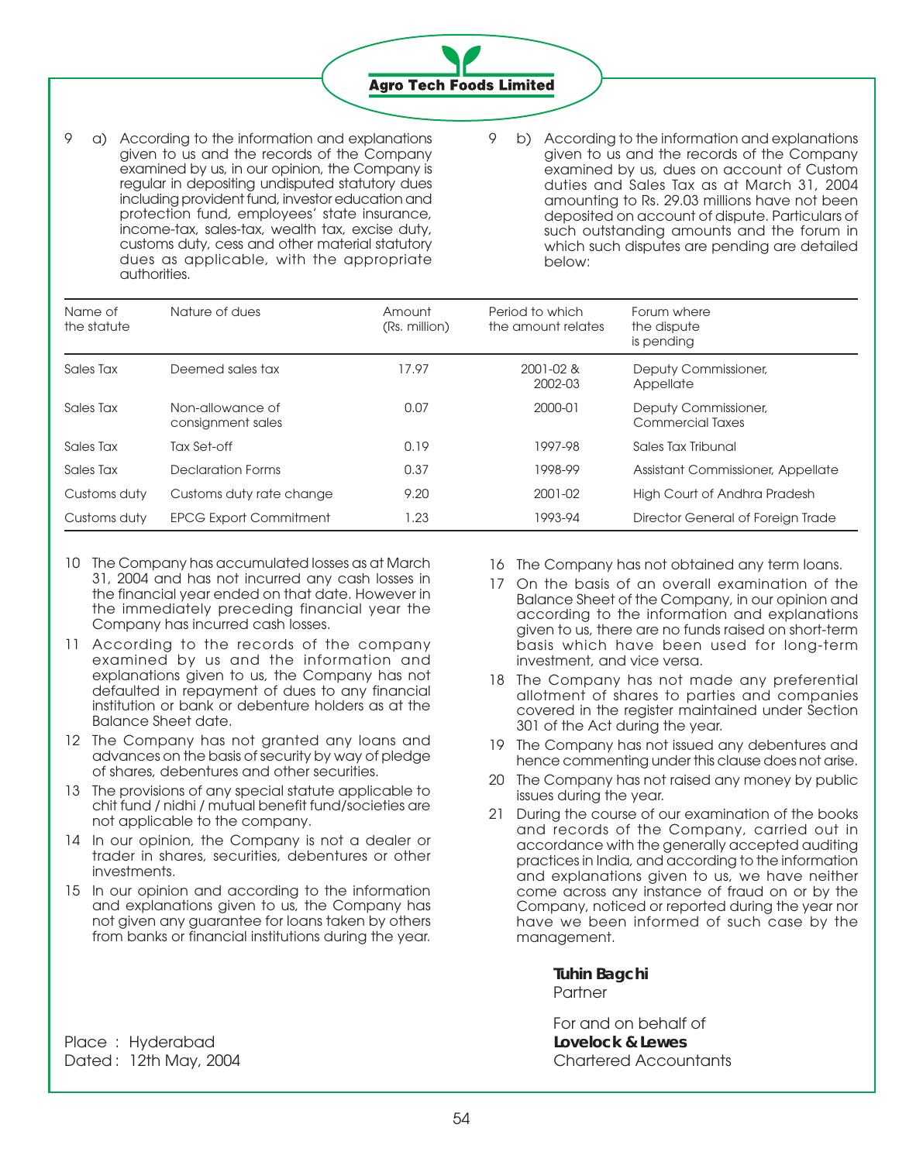

- 9 a) According to the information and explanations given to us and the records of the Company examined by us, in our opinion, the Company is regular in depositing undisputed statutory dues including provident fund, investor education and protection fund, employees' state insurance, income-tax, sales-tax, wealth tax, excise duty, customs duty, cess and other material statutory dues as applicable, with the appropriate authorities.
- 9 b) According to the information and explanations given to us and the records of the Company examined by us, dues on account of Custom duties and Sales Tax as at March 31, 2004 amounting to Rs. 29.03 millions have not been deposited on account of dispute. Particulars of such outstanding amounts and the forum in which such disputes are pending are detailed below:

| Name of<br>the statute | Nature of dues                        | Amount<br>(Rs. million) | Period to which<br>the amount relates | Forum where<br>the dispute<br>is pending |
|------------------------|---------------------------------------|-------------------------|---------------------------------------|------------------------------------------|
| Sales Tax              | Deemed sales tax                      | 17.97                   | 2001-02 &<br>2002-03                  | Deputy Commissioner,<br>Appellate        |
| Sales Tax              | Non-allowance of<br>consignment sales | 0.07                    | 2000-01                               | Deputy Commissioner,<br>Commercial Taxes |
| Sales Tax              | Tax Set-off                           | 0.19                    | 1997-98                               | Sales Tax Tribunal                       |
| Sales Tax              | Declaration Forms                     | 0.37                    | 1998-99                               | Assistant Commissioner, Appellate        |
| Customs duty           | Customs duty rate change              | 9.20                    | 2001-02                               | High Court of Andhra Pradesh             |
| Customs duty           | <b>EPCG Export Commitment</b>         | 1.23                    | 1993-94                               | Director General of Foreign Trade        |

- 10 The Company has accumulated losses as at March 31, 2004 and has not incurred any cash losses in the financial year ended on that date. However in the immediately preceding financial year the Company has incurred cash losses.
- 11 According to the records of the company examined by us and the information and explanations given to us, the Company has not defaulted in repayment of dues to any financial institution or bank or debenture holders as at the Balance Sheet date.
- 12 The Company has not granted any loans and advances on the basis of security by way of pledge of shares, debentures and other securities.
- 13 The provisions of any special statute applicable to chit fund / nidhi / mutual benefit fund/societies are not applicable to the company.
- 14 In our opinion, the Company is not a dealer or trader in shares, securities, debentures or other investments.
- 15 In our opinion and according to the information and explanations given to us, the Company has not given any guarantee for loans taken by others from banks or financial institutions during the year.
- 16 The Company has not obtained any term loans.
- 17 On the basis of an overall examination of the Balance Sheet of the Company, in our opinion and according to the information and explanations given to us, there are no funds raised on short-term basis which have been used for long-term investment, and vice versa.
- 18 The Company has not made any preferential allotment of shares to parties and companies covered in the register maintained under Section 301 of the Act during the year.
- 19 The Company has not issued any debentures and hence commenting under this clause does not arise.
- 20 The Company has not raised any money by public issues during the year.
- 21 During the course of our examination of the books and records of the Company, carried out in accordance with the generally accepted auditing practices in India, and according to the information and explanations given to us, we have neither come across any instance of fraud on or by the Company, noticed or reported during the year nor have we been informed of such case by the management.

**Tuhin Bagchi** Partner

For and on behalf of

Place : Hyderabad **Lovelock & Lewes** Dated : 12th May, 2004 Chartered Accountants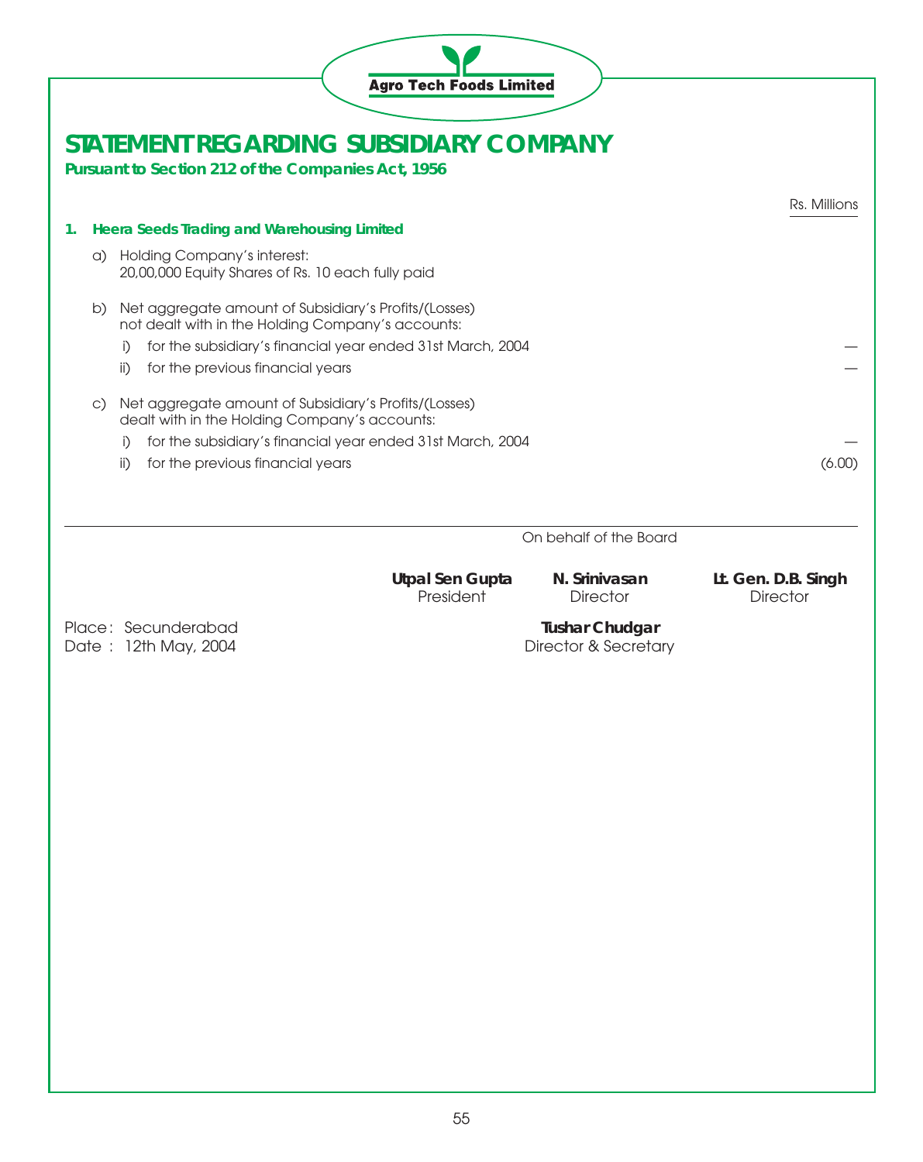|           | <b>Agro Tech Foods Limited</b>                                                                             |                                               |                                        |
|-----------|------------------------------------------------------------------------------------------------------------|-----------------------------------------------|----------------------------------------|
|           | STATEMENT REGARDING SUBSIDIARY COMPANY<br>Pursuant to Section 212 of the Companies Act, 1956               |                                               |                                        |
|           |                                                                                                            |                                               | Rs. Millions                           |
| 1.        | <b>Heera Seeds Trading and Warehousing Limited</b>                                                         |                                               |                                        |
|           | Holding Company's interest:<br>a)<br>20,00,000 Equity Shares of Rs. 10 each fully paid                     |                                               |                                        |
| b)        | Net aggregate amount of Subsidiary's Profits/(Losses)<br>not dealt with in the Holding Company's accounts: |                                               |                                        |
|           | for the subsidiary's financial year ended 31st March, 2004<br>i)                                           |                                               |                                        |
|           | for the previous financial years<br>ii)                                                                    |                                               |                                        |
| $\circ$ ) | Net aggregate amount of Subsidiary's Profits/(Losses)<br>dealt with in the Holding Company's accounts:     |                                               |                                        |
|           | for the subsidiary's financial year ended 31st March, 2004<br>i)                                           |                                               |                                        |
|           | for the previous financial years<br>ii)                                                                    |                                               | (6.00)                                 |
|           |                                                                                                            | On behalf of the Board                        |                                        |
|           | <b>Utpal Sen Gupta</b><br>President                                                                        | N. Srinivasan<br><b>Director</b>              | Lt. Gen. D.B. Singh<br><b>Director</b> |
|           | Place: Secunderabad<br>Date: 12th May, 2004                                                                | <b>Tushar Chudgar</b><br>Director & Secretary |                                        |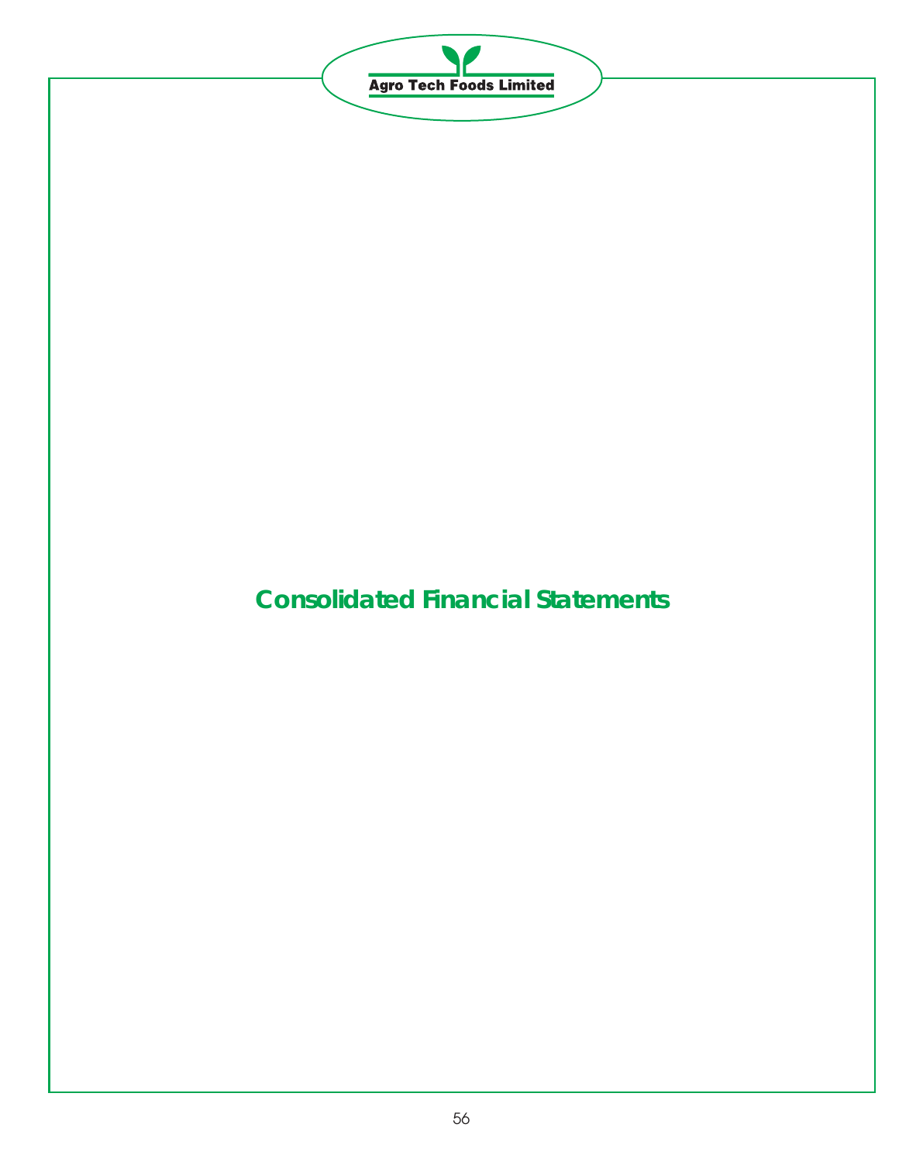

# **Consolidated Financial Statements**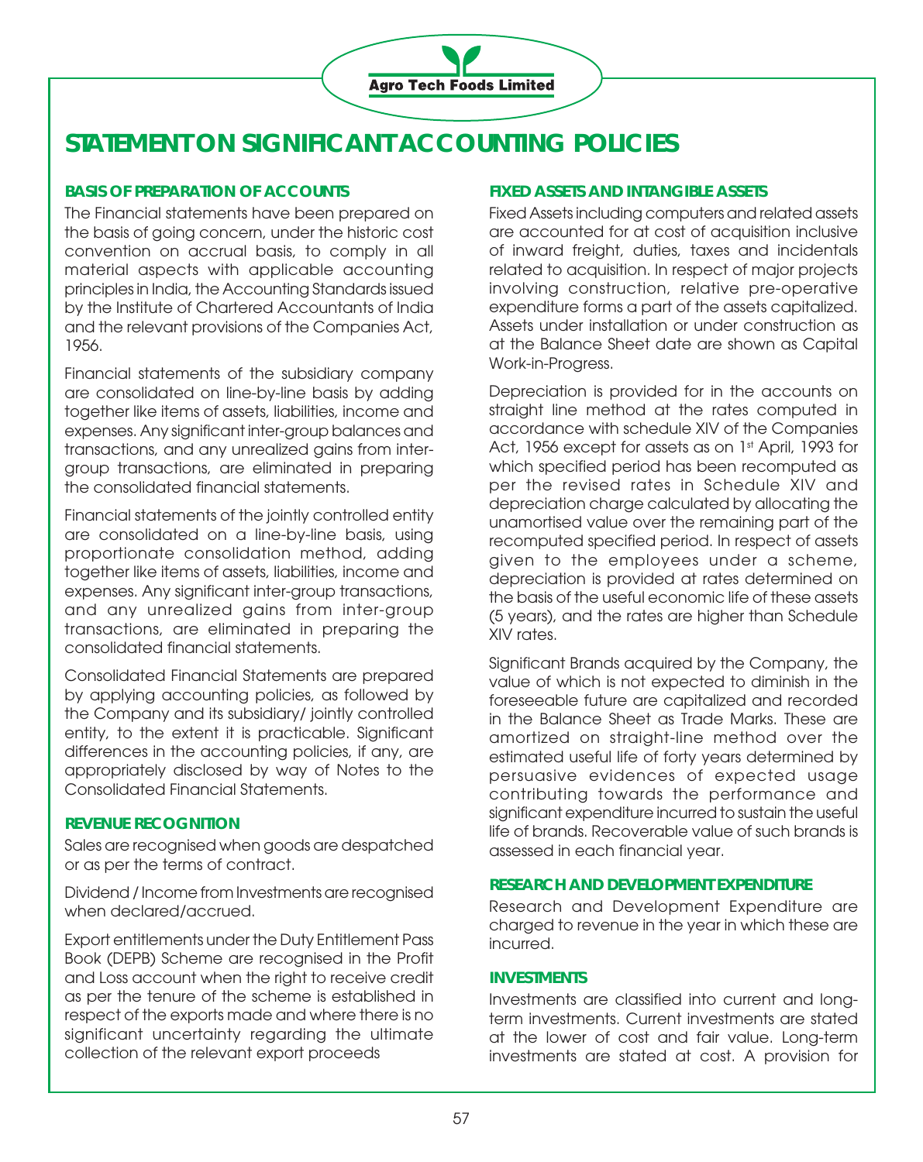

## **STATEMENT ON SIGNIFICANT ACCOUNTING POLICIES**

### **BASIS OF PREPARATION OF ACCOUNTS**

The Financial statements have been prepared on the basis of going concern, under the historic cost convention on accrual basis, to comply in all material aspects with applicable accounting principles in India, the Accounting Standards issued by the Institute of Chartered Accountants of India and the relevant provisions of the Companies Act, 1956.

Financial statements of the subsidiary company are consolidated on line-by-line basis by adding together like items of assets, liabilities, income and expenses. Any significant inter-group balances and transactions, and any unrealized gains from intergroup transactions, are eliminated in preparing the consolidated financial statements.

Financial statements of the jointly controlled entity are consolidated on a line-by-line basis, using proportionate consolidation method, adding together like items of assets, liabilities, income and expenses. Any significant inter-group transactions, and any unrealized gains from inter-group transactions, are eliminated in preparing the consolidated financial statements.

Consolidated Financial Statements are prepared by applying accounting policies, as followed by the Company and its subsidiary/ jointly controlled entity, to the extent it is practicable. Significant differences in the accounting policies, if any, are appropriately disclosed by way of Notes to the Consolidated Financial Statements.

### **REVENUE RECOGNITION**

Sales are recognised when goods are despatched or as per the terms of contract.

Dividend / Income from Investments are recognised when declared/accrued.

Export entitlements under the Duty Entitlement Pass Book (DEPB) Scheme are recognised in the Profit and Loss account when the right to receive credit as per the tenure of the scheme is established in respect of the exports made and where there is no significant uncertainty regarding the ultimate collection of the relevant export proceeds

### **FIXED ASSETS AND INTANGIBLE ASSETS**

Fixed Assets including computers and related assets are accounted for at cost of acquisition inclusive of inward freight, duties, taxes and incidentals related to acquisition. In respect of major projects involving construction, relative pre-operative expenditure forms a part of the assets capitalized. Assets under installation or under construction as at the Balance Sheet date are shown as Capital Work-in-Progress.

Depreciation is provided for in the accounts on straight line method at the rates computed in accordance with schedule XIV of the Companies Act, 1956 except for assets as on 1st April, 1993 for which specified period has been recomputed as per the revised rates in Schedule XIV and depreciation charge calculated by allocating the unamortised value over the remaining part of the recomputed specified period. In respect of assets given to the employees under a scheme, depreciation is provided at rates determined on the basis of the useful economic life of these assets (5 years), and the rates are higher than Schedule XIV rates.

Significant Brands acquired by the Company, the value of which is not expected to diminish in the foreseeable future are capitalized and recorded in the Balance Sheet as Trade Marks. These are amortized on straight-line method over the estimated useful life of forty years determined by persuasive evidences of expected usage contributing towards the performance and significant expenditure incurred to sustain the useful life of brands. Recoverable value of such brands is assessed in each financial year.

### **RESEARCH AND DEVELOPMENT EXPENDITURE**

Research and Development Expenditure are charged to revenue in the year in which these are incurred.

### **INVESTMENTS**

Investments are classified into current and longterm investments. Current investments are stated at the lower of cost and fair value. Long-term investments are stated at cost. A provision for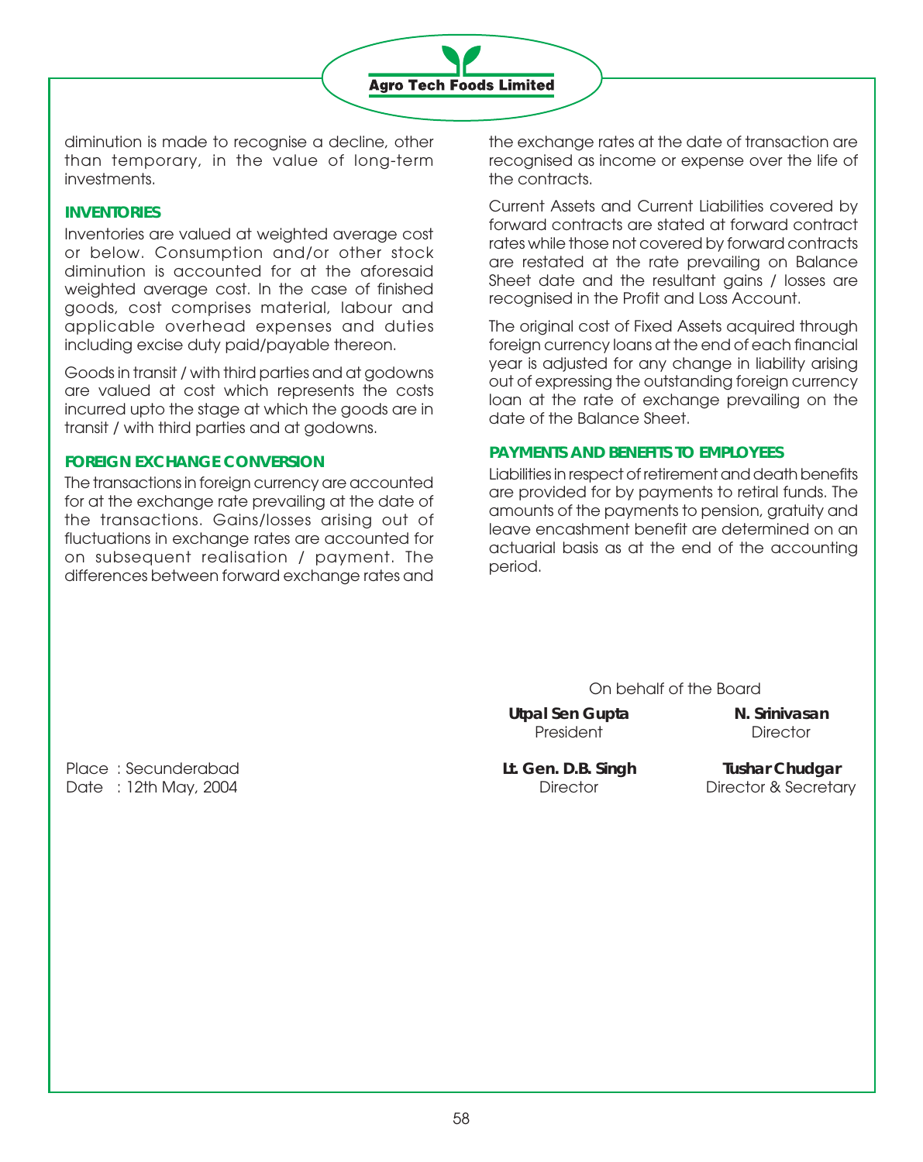

diminution is made to recognise a decline, other than temporary, in the value of long-term investments.

### **INVENTORIES**

Inventories are valued at weighted average cost or below. Consumption and/or other stock diminution is accounted for at the aforesaid weighted average cost. In the case of finished goods, cost comprises material, labour and applicable overhead expenses and duties including excise duty paid/payable thereon.

Goods in transit / with third parties and at godowns are valued at cost which represents the costs incurred upto the stage at which the goods are in transit / with third parties and at godowns.

### **FOREIGN EXCHANGE CONVERSION**

The transactions in foreign currency are accounted for at the exchange rate prevailing at the date of the transactions. Gains/losses arising out of fluctuations in exchange rates are accounted for on subsequent realisation / payment. The differences between forward exchange rates and the exchange rates at the date of transaction are recognised as income or expense over the life of the contracts.

Current Assets and Current Liabilities covered by forward contracts are stated at forward contract rates while those not covered by forward contracts are restated at the rate prevailing on Balance Sheet date and the resultant gains / losses are recognised in the Profit and Loss Account.

The original cost of Fixed Assets acquired through foreign currency loans at the end of each financial year is adjusted for any change in liability arising out of expressing the outstanding foreign currency loan at the rate of exchange prevailing on the date of the Balance Sheet.

### **PAYMENTS AND BENEFITS TO EMPLOYEES**

Liabilities in respect of retirement and death benefits are provided for by payments to retiral funds. The amounts of the payments to pension, gratuity and leave encashment benefit are determined on an actuarial basis as at the end of the accounting period.

On behalf of the Board

Utpal Sen Gupta **N. Srinivasan** President Director

Place : Secunderabad **Lt. Gen. D.B. Singh Tushar Chudgar** Date : 12th May, 2004 **Director** Director **Director B** Director **& Secretary**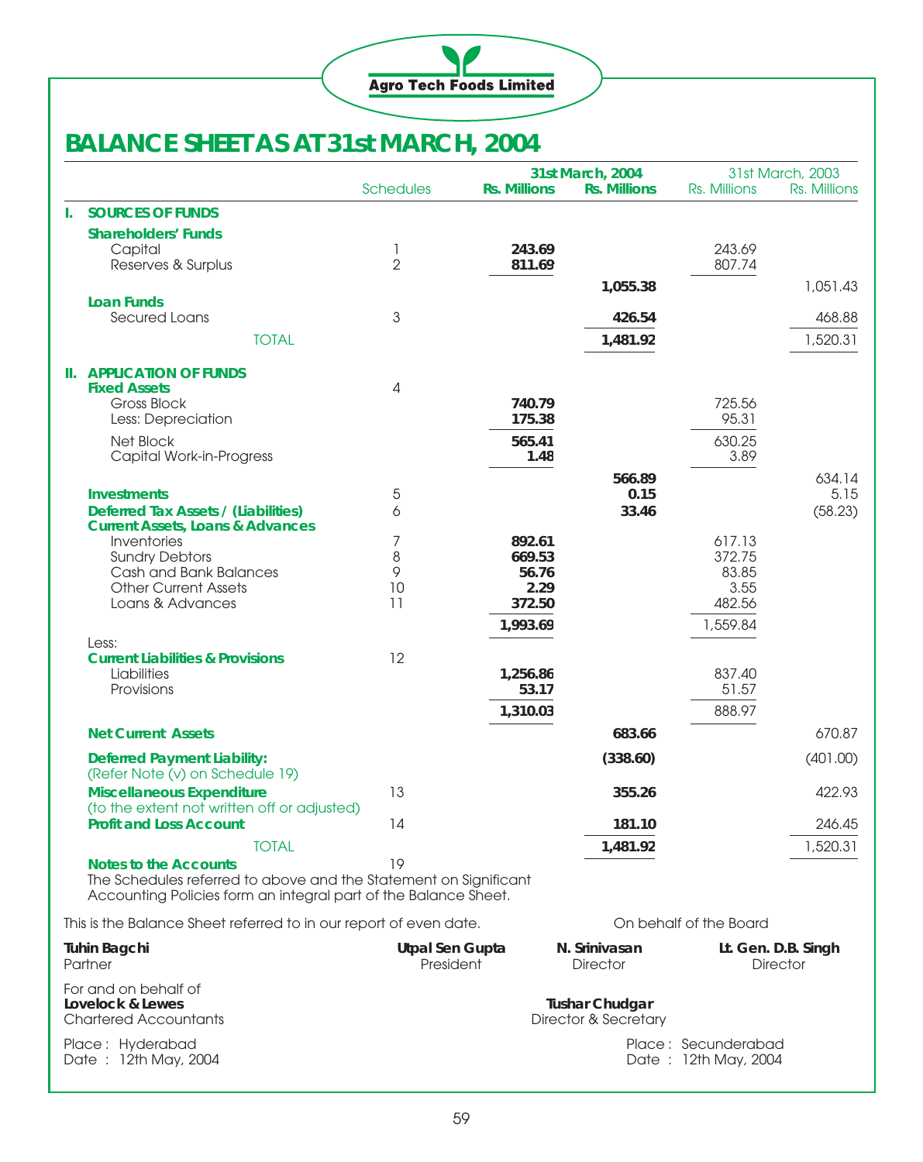

## **BALANCE SHEET AS AT 31st MARCH, 2004**

|                                                                   |                                                                                                                                     |                  |                       | 31st March, 2004 |                      | 31st March, 2003       |                     |
|-------------------------------------------------------------------|-------------------------------------------------------------------------------------------------------------------------------------|------------------|-----------------------|------------------|----------------------|------------------------|---------------------|
|                                                                   |                                                                                                                                     | <b>Schedules</b> | <b>Rs. Millions</b>   |                  | <b>Rs. Millions</b>  | Rs. Millions           | Rs. Millions        |
| L.                                                                | <b>SOURCES OF FUNDS</b>                                                                                                             |                  |                       |                  |                      |                        |                     |
|                                                                   | <b>Shareholders' Funds</b>                                                                                                          |                  |                       |                  |                      |                        |                     |
|                                                                   | Capital                                                                                                                             | 1                | 243.69                |                  |                      | 243.69                 |                     |
|                                                                   | Reserves & Surplus                                                                                                                  | $\overline{2}$   | 811.69                |                  |                      | 807.74                 |                     |
|                                                                   |                                                                                                                                     |                  |                       |                  | 1,055.38             |                        | 1,051.43            |
|                                                                   | <b>Loan Funds</b><br>Secured Loans                                                                                                  | 3                |                       |                  | 426.54               |                        | 468.88              |
|                                                                   | <b>TOTAL</b>                                                                                                                        |                  |                       |                  | 1,481.92             |                        | 1,520.31            |
|                                                                   |                                                                                                                                     |                  |                       |                  |                      |                        |                     |
|                                                                   | <b>II. APPLICATION OF FUNDS</b><br><b>Fixed Assets</b>                                                                              | 4                |                       |                  |                      |                        |                     |
|                                                                   | Gross Block                                                                                                                         |                  | 740.79                |                  |                      | 725.56                 |                     |
|                                                                   | Less: Depreciation                                                                                                                  |                  | 175.38                |                  |                      | 95.31                  |                     |
|                                                                   | Net Block                                                                                                                           |                  |                       | 565.41           |                      | 630.25                 |                     |
|                                                                   | Capital Work-in-Progress                                                                                                            |                  |                       | 1.48             |                      | 3.89                   |                     |
|                                                                   |                                                                                                                                     |                  |                       |                  | 566.89               |                        | 634.14              |
|                                                                   | <b>Investments</b>                                                                                                                  | 5                |                       |                  | 0.15                 |                        | 5.15                |
|                                                                   | Deferred Tax Assets / (Liabilities)                                                                                                 | 6                |                       |                  | 33.46                |                        | (58.23)             |
|                                                                   | <b>Current Assets, Loans &amp; Advances</b>                                                                                         |                  |                       |                  |                      | 617.13                 |                     |
|                                                                   | Inventories<br><b>Sundry Debtors</b>                                                                                                | 7<br>8           | 892.61<br>669.53      |                  |                      | 372.75                 |                     |
|                                                                   | Cash and Bank Balances                                                                                                              | 9                |                       | 56.76            |                      | 83.85                  |                     |
|                                                                   | <b>Other Current Assets</b>                                                                                                         | 10               |                       | 2.29             |                      | 3.55                   |                     |
|                                                                   | Loans & Advances                                                                                                                    | 11               | 372.50                |                  |                      | 482.56                 |                     |
|                                                                   |                                                                                                                                     |                  | 1,993.69              |                  |                      | 1,559.84               |                     |
|                                                                   | Less:                                                                                                                               |                  |                       |                  |                      |                        |                     |
|                                                                   | <b>Current Liabilities &amp; Provisions</b>                                                                                         | 12               |                       |                  |                      |                        |                     |
|                                                                   | Liabilities<br>Provisions                                                                                                           |                  | 1,256.86              | 53.17            |                      | 837.40<br>51.57        |                     |
|                                                                   |                                                                                                                                     |                  |                       |                  |                      |                        |                     |
|                                                                   |                                                                                                                                     |                  | 1,310.03              |                  |                      | 888.97                 |                     |
|                                                                   | <b>Net Current Assets</b>                                                                                                           |                  |                       |                  | 683.66               |                        | 670.87              |
|                                                                   | <b>Deferred Payment Liability:</b><br>(Refer Note (v) on Schedule 19)                                                               |                  |                       |                  | (338.60)             |                        | (401.00)            |
|                                                                   | <b>Miscellaneous Expenditure</b><br>(to the extent not written off or adjusted)                                                     | 13               |                       |                  | 355.26               |                        | 422.93              |
|                                                                   | <b>Profit and Loss Account</b>                                                                                                      | 14               |                       |                  | 181.10               |                        | 246.45              |
|                                                                   | <b>TOTAL</b>                                                                                                                        |                  |                       |                  | 1,481.92             |                        | 1,520.31            |
|                                                                   | Notes to the Accounts                                                                                                               | 19               |                       |                  |                      |                        |                     |
|                                                                   | The Schedules referred to above and the Statement on Significant<br>Accounting Policies form an integral part of the Balance Sheet. |                  |                       |                  |                      |                        |                     |
| This is the Balance Sheet referred to in our report of even date. |                                                                                                                                     |                  |                       |                  |                      | On behalf of the Board |                     |
| <b>Tuhin Bagchi</b>                                               |                                                                                                                                     | Utpal Sen Gupta  |                       |                  | N. Srinivasan        |                        | Lt. Gen. D.B. Singh |
|                                                                   | Partner                                                                                                                             | President        |                       |                  | Director             |                        | <b>Director</b>     |
|                                                                   | For and on behalf of                                                                                                                |                  |                       |                  |                      |                        |                     |
| Lovelock & Lewes                                                  |                                                                                                                                     |                  | <b>Tushar Chudgar</b> |                  |                      |                        |                     |
| <b>Chartered Accountants</b>                                      |                                                                                                                                     |                  |                       |                  | Director & Secretary |                        |                     |

Place : Hyderabad Place : Secunderabad

Date : 12th May, 2004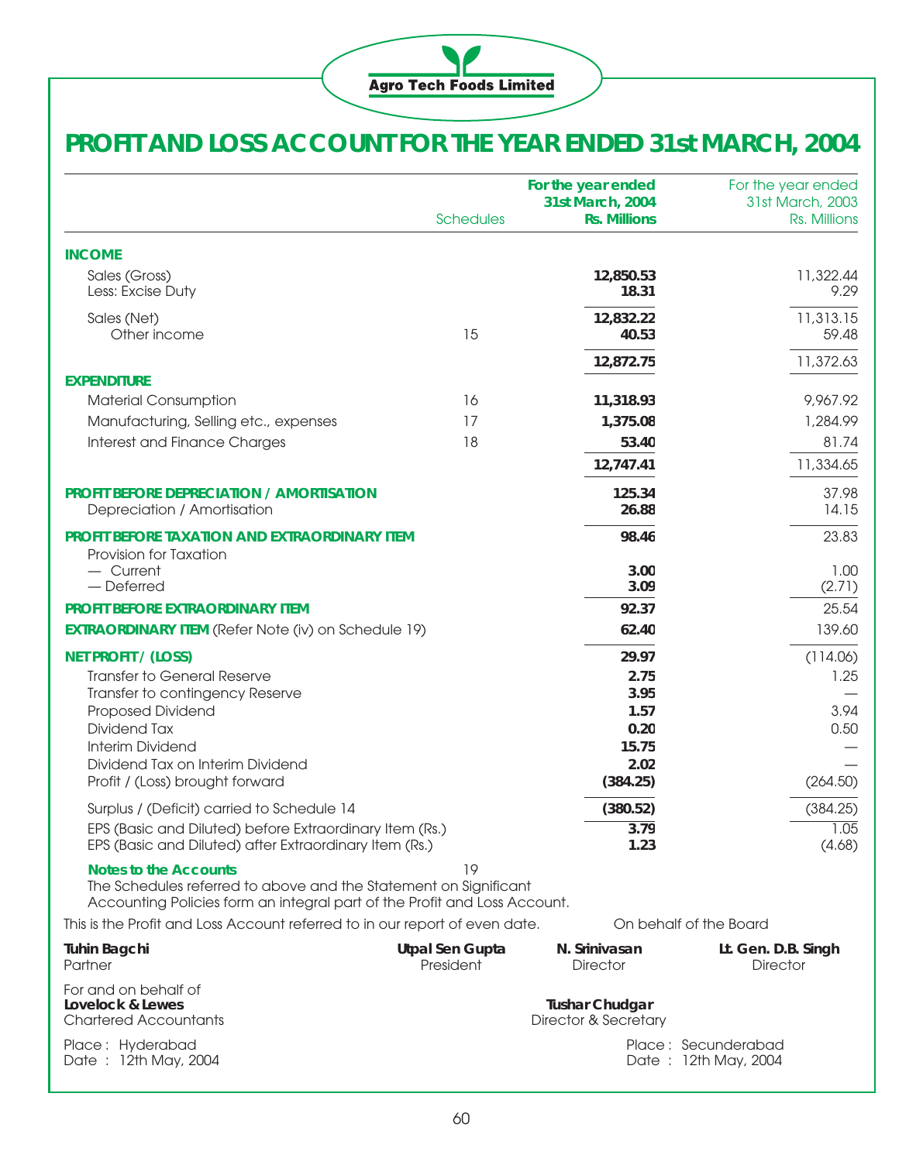

# **PROFIT AND LOSS ACCOUNT FOR THE YEAR ENDED 31st MARCH, 2004**

|                                                                                                                                                                               | <b>Schedules</b>                    | For the year ended<br>31st March, 2004<br><b>Rs. Millions</b> | For the year ended<br>31st March, 2003<br>Rs. Millions |
|-------------------------------------------------------------------------------------------------------------------------------------------------------------------------------|-------------------------------------|---------------------------------------------------------------|--------------------------------------------------------|
| <b>INCOME</b>                                                                                                                                                                 |                                     |                                                               |                                                        |
| Sales (Gross)<br>Less: Excise Duty                                                                                                                                            |                                     | 12,850.53<br>18.31                                            | 11,322.44<br>9.29                                      |
| Sales (Net)<br>Other income                                                                                                                                                   | 15                                  | 12,832.22<br>40.53                                            | 11,313.15<br>59.48                                     |
|                                                                                                                                                                               |                                     | 12,872.75                                                     | 11,372.63                                              |
| <b>EXPENDITURE</b>                                                                                                                                                            |                                     |                                                               |                                                        |
| <b>Material Consumption</b>                                                                                                                                                   | 16                                  | 11,318.93                                                     | 9,967.92                                               |
| Manufacturing, Selling etc., expenses                                                                                                                                         | 17                                  | 1,375.08                                                      | 1,284.99                                               |
| Interest and Finance Charges                                                                                                                                                  | 18                                  | 53.40                                                         | 81.74                                                  |
|                                                                                                                                                                               |                                     | 12,747.41                                                     | 11,334.65                                              |
| <b>PROFIT BEFORE DEPRECIATION / AMORTISATION</b><br>Depreciation / Amortisation                                                                                               |                                     | 125.34<br>26.88                                               | 37.98<br>14.15                                         |
| PROFIT BEFORE TAXATION AND EXTRAORDINARY ITEM<br>Provision for Taxation                                                                                                       |                                     | 98.46                                                         | 23.83                                                  |
| - Current<br>- Deferred                                                                                                                                                       |                                     | 3.00<br>3.09                                                  | 1.00<br>(2.71)                                         |
| <b>PROFIT BEFORE EXTRAORDINARY ITEM</b>                                                                                                                                       |                                     | 92.37                                                         | 25.54                                                  |
| <b>EXTRAORDINARY ITEM (Refer Note (iv) on Schedule 19)</b>                                                                                                                    |                                     | 62.40                                                         | 139.60                                                 |
| <b>NET PROFIT / (LOSS)</b>                                                                                                                                                    |                                     | 29.97                                                         | (114.06)                                               |
| <b>Transfer to General Reserve</b>                                                                                                                                            |                                     | 2.75                                                          | 1.25                                                   |
| Transfer to contingency Reserve                                                                                                                                               |                                     | 3.95                                                          |                                                        |
| Proposed Dividend                                                                                                                                                             |                                     | 1.57                                                          | 3.94                                                   |
| Dividend Tax                                                                                                                                                                  |                                     | 0.20                                                          | 0.50                                                   |
| Interim Dividend                                                                                                                                                              |                                     | 15.75                                                         |                                                        |
| Dividend Tax on Interim Dividend<br>Profit / (Loss) brought forward                                                                                                           |                                     | 2.02<br>(384.25)                                              | (264.50)                                               |
| Surplus / (Deficit) carried to Schedule 14                                                                                                                                    |                                     | (380.52)                                                      | (384.25)                                               |
| EPS (Basic and Diluted) before Extraordinary Item (Rs.)                                                                                                                       |                                     | 3.79                                                          | 1.05                                                   |
| EPS (Basic and Diluted) after Extraordinary Item (Rs.)                                                                                                                        |                                     | 1.23                                                          | (4.68)                                                 |
| <b>Notes to the Accounts</b><br>The Schedules referred to above and the Statement on Significant<br>Accounting Policies form an integral part of the Profit and Loss Account. | 19                                  |                                                               |                                                        |
| This is the Profit and Loss Account referred to in our report of even date.                                                                                                   |                                     |                                                               | On behalf of the Board                                 |
| <b>Tuhin Bagchi</b><br>Partner                                                                                                                                                | <b>Utpal Sen Gupta</b><br>President | N. Srinivasan<br><b>Director</b>                              | Lt. Gen. D.B. Singh<br><b>Director</b>                 |
| For and on behalf of<br>Lovelock & Lewes<br><b>Chartered Accountants</b>                                                                                                      |                                     | <b>Tushar Chudgar</b><br>Director & Secretary                 |                                                        |
| Place: Hyderabad<br>Date: 12th May, 2004                                                                                                                                      |                                     |                                                               | Place: Secunderabad<br>Date: 12th May, 2004            |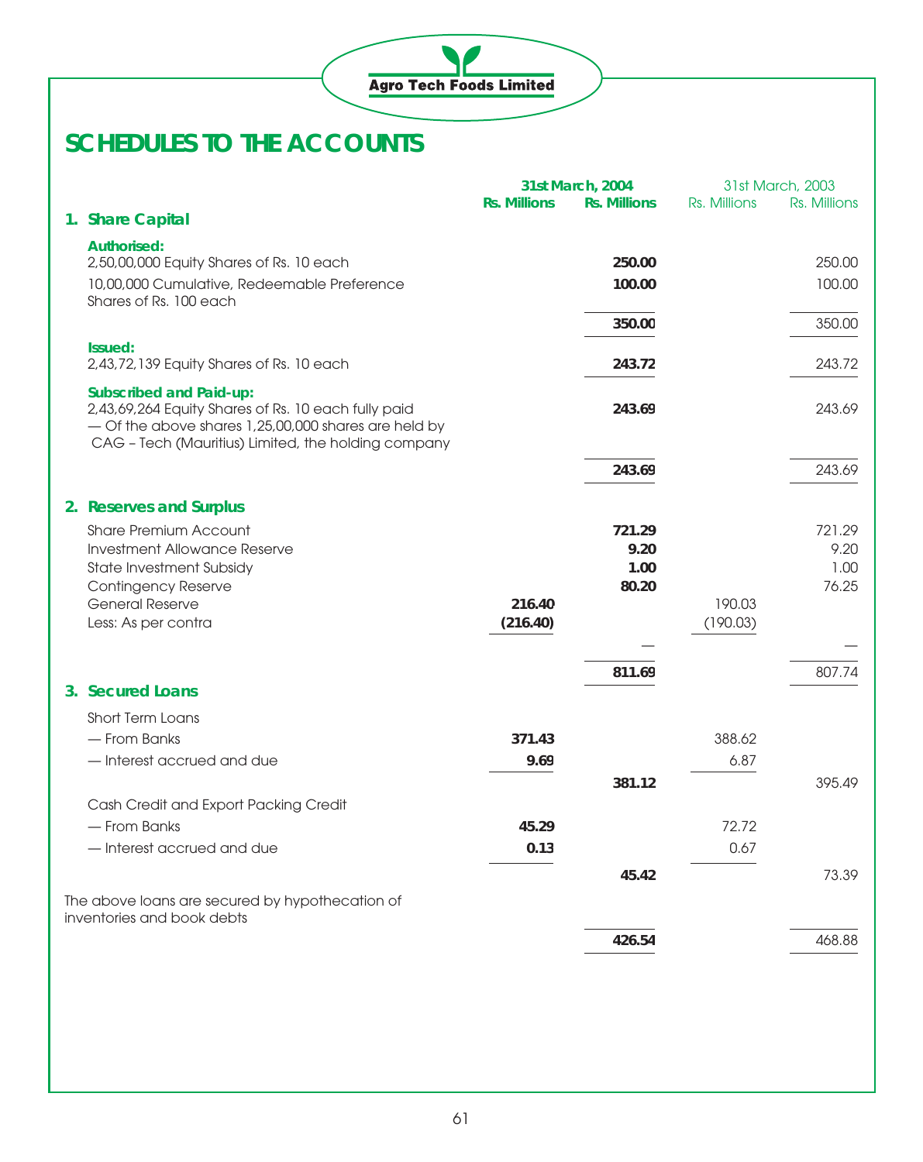

|                                                                                                                                               |                     | 31st March, 2004    |              | 31st March, 2003 |
|-----------------------------------------------------------------------------------------------------------------------------------------------|---------------------|---------------------|--------------|------------------|
| 1. Share Capital                                                                                                                              | <b>Rs. Millions</b> | <b>Rs. Millions</b> | Rs. Millions | Rs. Millions     |
| <b>Authorised:</b>                                                                                                                            |                     |                     |              |                  |
| 2,50,00,000 Equity Shares of Rs. 10 each                                                                                                      |                     | 250.00              |              | 250.00           |
| 10,00,000 Cumulative, Redeemable Preference                                                                                                   |                     | 100.00              |              | 100,00           |
| Shares of Rs. 100 each                                                                                                                        |                     |                     |              |                  |
|                                                                                                                                               |                     | 350.00              |              | 350.00           |
| Issued:<br>2,43,72,139 Equity Shares of Rs. 10 each                                                                                           |                     | 243.72              |              | 243.72           |
|                                                                                                                                               |                     |                     |              |                  |
| <b>Subscribed and Paid-up:</b><br>2,43,69,264 Equity Shares of Rs. 10 each fully paid<br>- Of the above shares 1,25,00,000 shares are held by |                     | 243.69              |              | 243.69           |
| CAG - Tech (Mauritius) Limited, the holding company                                                                                           |                     |                     |              |                  |
|                                                                                                                                               |                     | 243.69              |              | 243.69           |
| 2. Reserves and Surplus                                                                                                                       |                     |                     |              |                  |
| <b>Share Premium Account</b>                                                                                                                  |                     | 721.29              |              | 721.29           |
| <b>Investment Allowance Reserve</b>                                                                                                           |                     | 9.20                |              | 9.20             |
| State Investment Subsidy                                                                                                                      |                     | 1.00                |              | 1.00             |
| <b>Contingency Reserve</b><br><b>General Reserve</b>                                                                                          | 216.40              | 80.20               | 190.03       | 76.25            |
| Less: As per contra                                                                                                                           | (216.40)            |                     | (190.03)     |                  |
|                                                                                                                                               |                     |                     |              |                  |
|                                                                                                                                               |                     | 811.69              |              | 807.74           |
| 3. Secured Loans                                                                                                                              |                     |                     |              |                  |
| Short Term Loans                                                                                                                              |                     |                     |              |                  |
| - From Banks                                                                                                                                  | 371.43              |                     | 388.62       |                  |
| - Interest accrued and due                                                                                                                    | 9.69                |                     | 6.87         |                  |
|                                                                                                                                               |                     | 381.12              |              | 395.49           |
| Cash Credit and Export Packing Credit                                                                                                         |                     |                     |              |                  |
| - From Banks                                                                                                                                  | 45.29               |                     | 72.72        |                  |
| - Interest accrued and due                                                                                                                    | 0.13                |                     | 0.67         |                  |
|                                                                                                                                               |                     | 45.42               |              | 73.39            |
| The above loans are secured by hypothecation of                                                                                               |                     |                     |              |                  |
| inventories and book debts                                                                                                                    |                     |                     |              |                  |
|                                                                                                                                               |                     | 426.54              |              | 468.88           |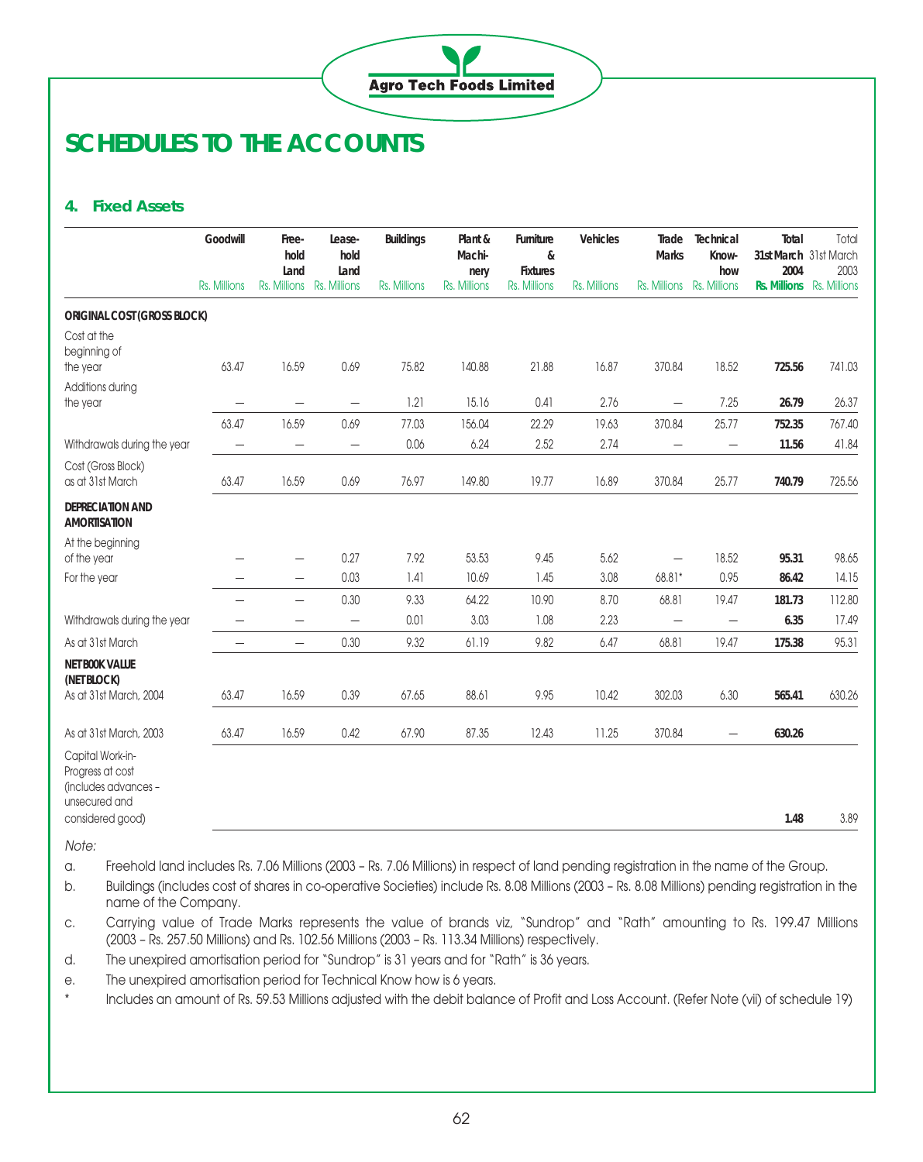

### **4. Fixed Assets**

|                                                                               | Goodwill                 | Free-<br>hold<br>Land    | Lease-<br>hold<br>Land    | <b>Buildings</b> | Plant &<br>Machi-<br>nery | Furniture<br>&<br><b>Fixtures</b> | <b>Vehicles</b> | Trade<br><b>Marks</b>    | Technical<br>Know-<br>how        | Total<br>31st March 31st March<br>2004 | Total<br>2003 |
|-------------------------------------------------------------------------------|--------------------------|--------------------------|---------------------------|------------------|---------------------------|-----------------------------------|-----------------|--------------------------|----------------------------------|----------------------------------------|---------------|
|                                                                               | Rs. Millions             |                          | Rs. Millions Rs. Millions | Rs. Millions     | Rs. Millions              | Rs. Millions                      | Rs. Millions    | Rs. Millions             | Rs. Millions                     | Rs. Millions Rs. Millions              |               |
| <b>ORIGINAL COST (GROSS BLOCK)</b>                                            |                          |                          |                           |                  |                           |                                   |                 |                          |                                  |                                        |               |
| Cost at the<br>beginning of<br>the year                                       | 63.47                    | 16.59                    | 0.69                      | 75.82            | 140.88                    | 21.88                             | 16.87           | 370.84                   | 18.52                            | 725.56                                 | 741.03        |
| Additions during<br>the year                                                  | $\overline{\phantom{0}}$ | $\overline{\phantom{0}}$ | $\overline{\phantom{0}}$  | 1.21             | 15.16                     | 0.41                              | 2.76            | $\overline{\phantom{0}}$ | 7.25                             | 26.79                                  | 26.37         |
|                                                                               | 63.47                    | 16.59                    | 0.69                      | 77.03            | 156.04                    | 22.29                             | 19.63           | 370.84                   | 25.77                            | 752.35                                 | 767.40        |
| Withdrawals during the year                                                   | $\qquad \qquad -$        | $\qquad \qquad -$        | —                         | 0.06             | 6.24                      | 2.52                              | 2.74            | -                        | $\overline{\phantom{0}}$         | 11.56                                  | 41.84         |
| Cost (Gross Block)<br>as at 31st March                                        | 63.47                    | 16.59                    | 0.69                      | 76.97            | 149.80                    | 19.77                             | 16.89           | 370.84                   | 25.77                            | 740.79                                 | 725.56        |
| DEPRECIATION AND<br><b>AMORTISATION</b>                                       |                          |                          |                           |                  |                           |                                   |                 |                          |                                  |                                        |               |
| At the beginning<br>of the year                                               |                          |                          | 0.27                      | 7.92             | 53.53                     | 9.45                              | 5.62            |                          | 18.52                            | 95.31                                  | 98.65         |
| For the year                                                                  |                          | $\overline{\phantom{0}}$ | 0.03                      | 1.41             | 10.69                     | 1.45                              | 3.08            | 68.81*                   | 0.95                             | 86.42                                  | 14.15         |
|                                                                               | —                        | $\overline{\phantom{0}}$ | 0.30                      | 9.33             | 64.22                     | 10.90                             | 8.70            | 68.81                    | 19.47                            | 181.73                                 | 112.80        |
| Withdrawals during the year                                                   | -                        | $\qquad \qquad -$        | $\overline{\phantom{0}}$  | 0.01             | 3.03                      | 1.08                              | 2.23            | $\overline{\phantom{0}}$ | $\qquad \qquad -$                | 6.35                                   | 17.49         |
| As at 31st March                                                              | —                        | $\qquad \qquad -$        | 0.30                      | 9.32             | 61.19                     | 9.82                              | 6.47            | 68.81                    | 19.47                            | 175.38                                 | 95.31         |
| <b>NET BOOK VALUE</b><br>(NET BLOCK)                                          |                          |                          |                           |                  |                           |                                   |                 |                          |                                  |                                        |               |
| As at 31st March, 2004                                                        | 63.47                    | 16.59                    | 0.39                      | 67.65            | 88.61                     | 9.95                              | 10.42           | 302.03                   | 6.30                             | 565.41                                 | 630.26        |
| As at 31st March, 2003                                                        | 63.47                    | 16.59                    | 0.42                      | 67.90            | 87.35                     | 12.43                             | 11.25           | 370.84                   | $\overbrace{\phantom{12322111}}$ | 630.26                                 |               |
| Capital Work-in-<br>Progress at cost<br>(includes advances -<br>unsecured and |                          |                          |                           |                  |                           |                                   |                 |                          |                                  |                                        |               |
| considered good)                                                              |                          |                          |                           |                  |                           |                                   |                 |                          |                                  | 1.48                                   | 3.89          |

Note:

a. Freehold land includes Rs. 7.06 Millions (2003 – Rs. 7.06 Millions) in respect of land pending registration in the name of the Group.

b. Buildings (includes cost of shares in co-operative Societies) include Rs. 8.08 Millions (2003 – Rs. 8.08 Millions) pending registration in the name of the Company.

c. Carrying value of Trade Marks represents the value of brands viz, "Sundrop" and "Rath" amounting to Rs. 199.47 Millions (2003 – Rs. 257.50 Millions) and Rs. 102.56 Millions (2003 – Rs. 113.34 Millions) respectively.

d. The unexpired amortisation period for "Sundrop" is 31 years and for "Rath" is 36 years.

e. The unexpired amortisation period for Technical Know how is 6 years.

\* Includes an amount of Rs. 59.53 Millions adjusted with the debit balance of Profit and Loss Account. (Refer Note (vii) of schedule 19)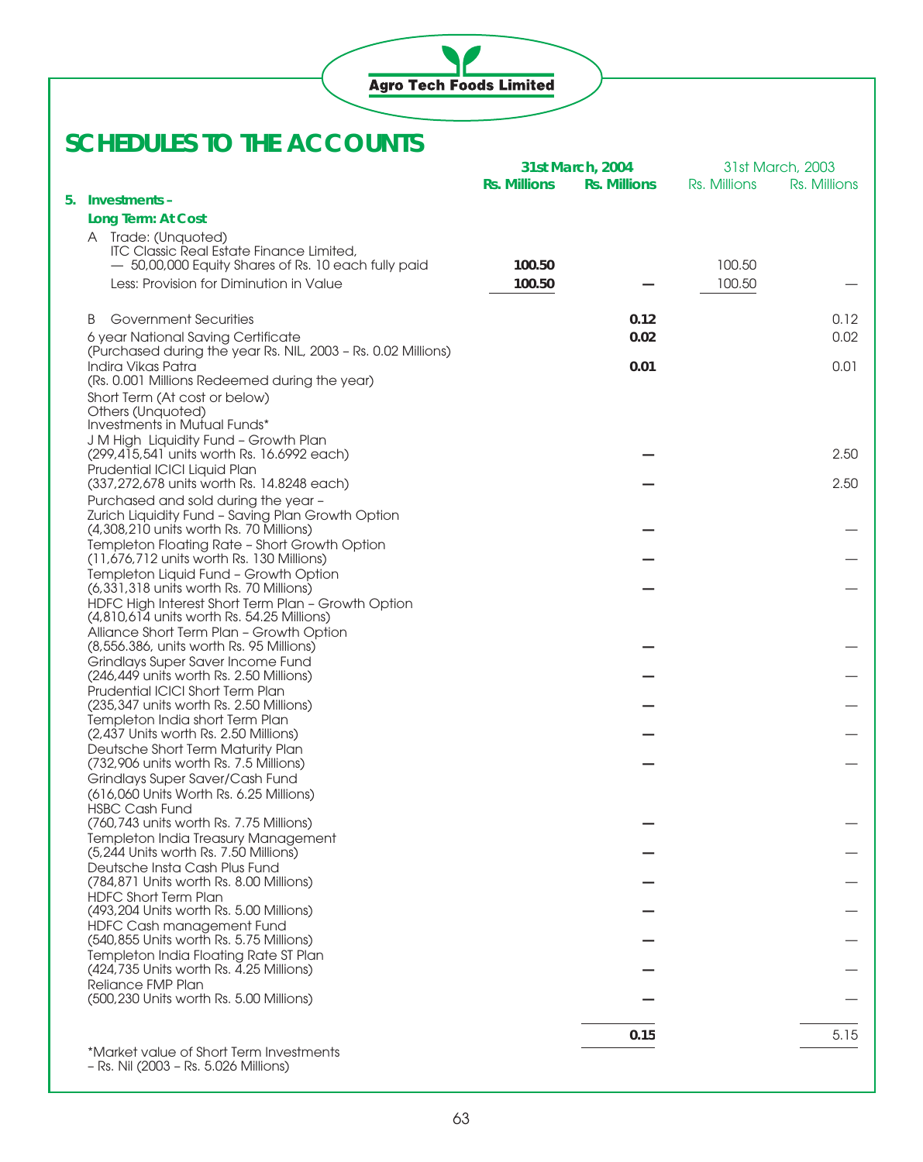

|                                                                                                  |                     | 31st March, 2004    |              | 31st March, 2003 |
|--------------------------------------------------------------------------------------------------|---------------------|---------------------|--------------|------------------|
|                                                                                                  | <b>Rs. Millions</b> | <b>Rs. Millions</b> | Rs. Millions | Rs. Millions     |
| 5. Investments –                                                                                 |                     |                     |              |                  |
| Long Term: At Cost                                                                               |                     |                     |              |                  |
| A Trade: (Unquoted)<br><b>ITC Classic Real Estate Finance Limited.</b>                           |                     |                     |              |                  |
| - 50,00,000 Equity Shares of Rs. 10 each fully paid                                              | 100.50              |                     | 100.50       |                  |
| Less: Provision for Diminution in Value                                                          | 100.50              |                     | 100.50       |                  |
|                                                                                                  |                     |                     |              |                  |
| <b>B</b> Government Securities                                                                   |                     | 0.12                |              | 0.12             |
| 6 year National Saving Certificate                                                               |                     | 0.02                |              | 0.02             |
| (Purchased during the year Rs. NIL, 2003 - Rs. 0.02 Millions)                                    |                     |                     |              |                  |
| Indira Vikas Patra                                                                               |                     | 0.01                |              | 0.01             |
| (Rs. 0.001 Millions Redeemed during the year)<br>Short Term (At cost or below)                   |                     |                     |              |                  |
| Others (Unquoted)                                                                                |                     |                     |              |                  |
| Investments in Mutual Funds*                                                                     |                     |                     |              |                  |
| J M High Liquidity Fund - Growth Plan                                                            |                     |                     |              |                  |
| (299,415,541 units worth Rs. 16.6992 each)<br>Prudential ICICI Liquid Plan                       |                     |                     |              | 2.50             |
| (337,272,678 units worth Rs. 14.8248 each)                                                       |                     |                     |              | 2.50             |
| Purchased and sold during the year -                                                             |                     |                     |              |                  |
| Zurich Liquidity Fund - Saving Plan Growth Option                                                |                     |                     |              |                  |
| (4,308,210 units worth Rs. 70 Millions)<br>Templeton Floating Rate - Short Growth Option         |                     |                     |              |                  |
| (11,676,712 units worth Rs. 130 Millions)                                                        |                     |                     |              |                  |
| Templeton Liquid Fund - Growth Option                                                            |                     |                     |              |                  |
| (6,331,318 units worth Rs. 70 Millions)                                                          |                     |                     |              |                  |
| HDFC High Interest Short Term Plan - Growth Option<br>(4,810,614 units worth Rs. 54.25 Millions) |                     |                     |              |                  |
| Alliance Short Term Plan - Growth Option                                                         |                     |                     |              |                  |
| (8,556.386, units worth Rs. 95 Millions)                                                         |                     |                     |              |                  |
| Grindlays Super Saver Income Fund                                                                |                     |                     |              |                  |
| (246,449 units worth Rs. 2.50 Millions)<br>Prudential ICICI Short Term Plan                      |                     |                     |              |                  |
| (235,347 units worth Rs. 2.50 Millions)                                                          |                     |                     |              |                  |
| Templeton India short Term Plan                                                                  |                     |                     |              |                  |
| (2,437 Units worth Rs. 2.50 Millions)                                                            |                     |                     |              |                  |
| Deutsche Short Term Maturity Plan<br>(732,906 units worth Rs. 7.5 Millions)                      |                     |                     |              |                  |
| Grindlays Super Saver/Cash Fund                                                                  |                     |                     |              |                  |
| (616,060 Units Worth Rs. 6.25 Millions)                                                          |                     |                     |              |                  |
| <b>HSBC Cash Fund</b>                                                                            |                     |                     |              |                  |
| (760,743 units worth Rs. 7.75 Millions)<br>Templeton India Treasury Management                   |                     |                     |              |                  |
| (5,244 Units worth Rs. 7.50 Millions)                                                            |                     |                     |              |                  |
| Deutsche Insta Cash Plus Fund                                                                    |                     |                     |              |                  |
| (784.871 Units worth Rs. 8.00 Millions)                                                          |                     |                     |              |                  |
| <b>HDFC Short Term Plan</b><br>(493,204 Units worth Rs. 5.00 Millions)                           |                     |                     |              |                  |
| HDFC Cash management Fund                                                                        |                     |                     |              |                  |
| (540,855 Units worth Rs. 5.75 Millions)                                                          |                     |                     |              |                  |
| Templeton India Floating Rate ST Plan                                                            |                     |                     |              |                  |
| (424,735 Units worth Rs. 4.25 Millions)<br>Reliance FMP Plan                                     |                     |                     |              |                  |
| (500,230 Units worth Rs. 5.00 Millions)                                                          |                     |                     |              |                  |
|                                                                                                  |                     |                     |              |                  |
|                                                                                                  |                     | 0.15                |              | 5.15             |
| *Market value of Short Term Investments                                                          |                     |                     |              |                  |
| - Rs. Nil (2003 - Rs. 5.026 Millions)                                                            |                     |                     |              |                  |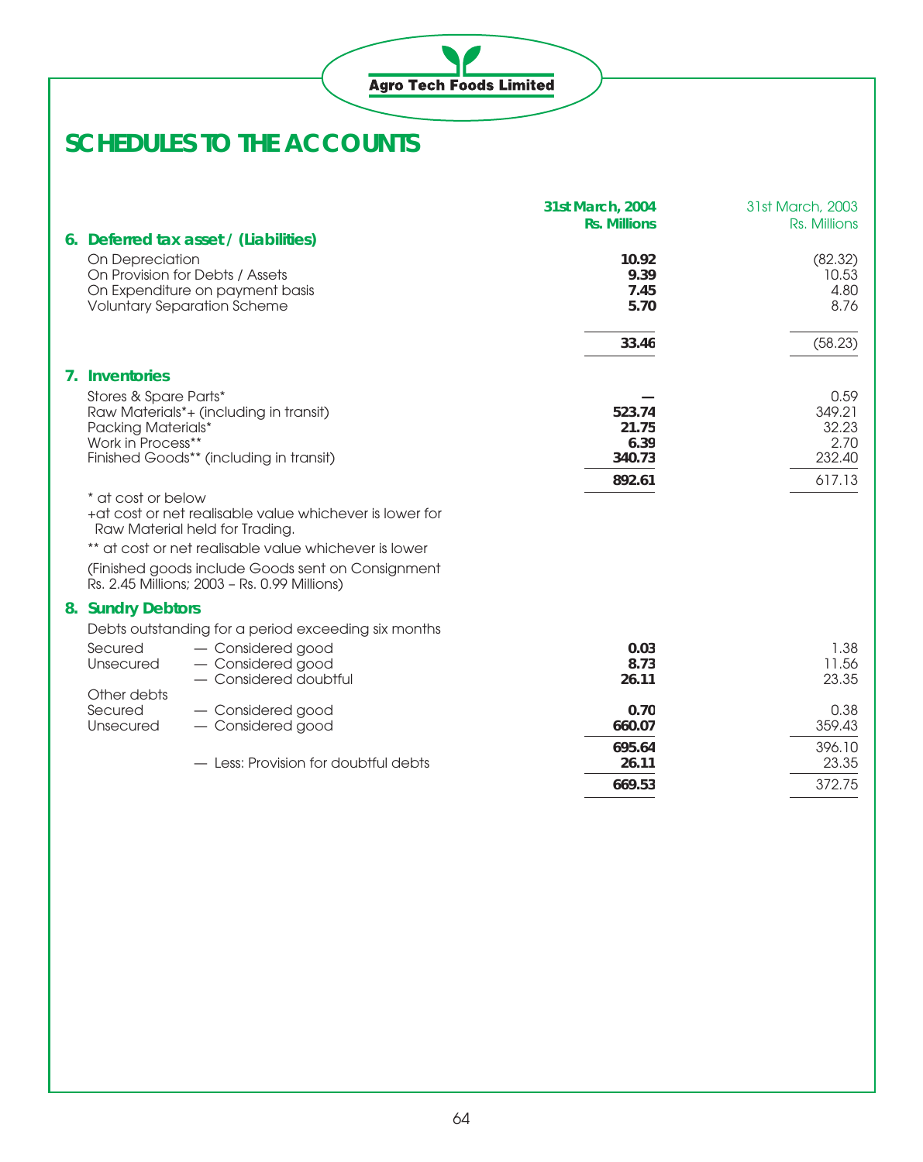|                                                                         |                                                                                                          | 31st March, 2004<br><b>Rs. Millions</b> | 31st March, 2003<br>Rs. Millions          |
|-------------------------------------------------------------------------|----------------------------------------------------------------------------------------------------------|-----------------------------------------|-------------------------------------------|
|                                                                         | 6. Deferred tax asset / (Liabilities)                                                                    |                                         |                                           |
| On Depreciation                                                         | On Provision for Debts / Assets<br>On Expenditure on payment basis<br><b>Voluntary Separation Scheme</b> | 10.92<br>9.39<br>7.45<br>5.70           | (82.32)<br>10.53<br>4.80<br>8.76          |
|                                                                         |                                                                                                          | 33.46                                   | (58.23)                                   |
| 7. Inventories                                                          |                                                                                                          |                                         |                                           |
| Stores & Spare Parts*<br><b>Packing Materials*</b><br>Work in Process** | Raw Materials*+ (including in transit)<br>Finished Goods** (including in transit)                        | 523.74<br>21.75<br>6.39<br>340.73       | 0.59<br>349.21<br>32.23<br>2.70<br>232.40 |
|                                                                         |                                                                                                          | 892.61                                  | 617.13                                    |
| * at cost or below                                                      | +at cost or net realisable value whichever is lower for<br>Raw Material held for Trading.                |                                         |                                           |
|                                                                         | ** at cost or net realisable value whichever is lower                                                    |                                         |                                           |
|                                                                         | (Finished goods include Goods sent on Consignment<br>Rs. 2.45 Millions; 2003 - Rs. 0.99 Millions)        |                                         |                                           |
| 8. Sundry Debtors                                                       |                                                                                                          |                                         |                                           |
|                                                                         | Debts outstanding for a period exceeding six months                                                      |                                         |                                           |
| Secured<br>Unsecured                                                    | - Considered good<br>- Considered good<br>- Considered doubtful                                          | 0.03<br>8.73<br>26.11                   | 1.38<br>11.56<br>23.35                    |
| Other debts                                                             |                                                                                                          |                                         |                                           |
| Secured<br>Unsecured                                                    | - Considered good<br>- Considered good                                                                   | 0.70<br>660.07                          | 0.38<br>359.43                            |
|                                                                         | - Less: Provision for doubtful debts                                                                     | 695.64<br>26.11                         | 396.10<br>23.35                           |
|                                                                         |                                                                                                          | 669.53                                  | 372.75                                    |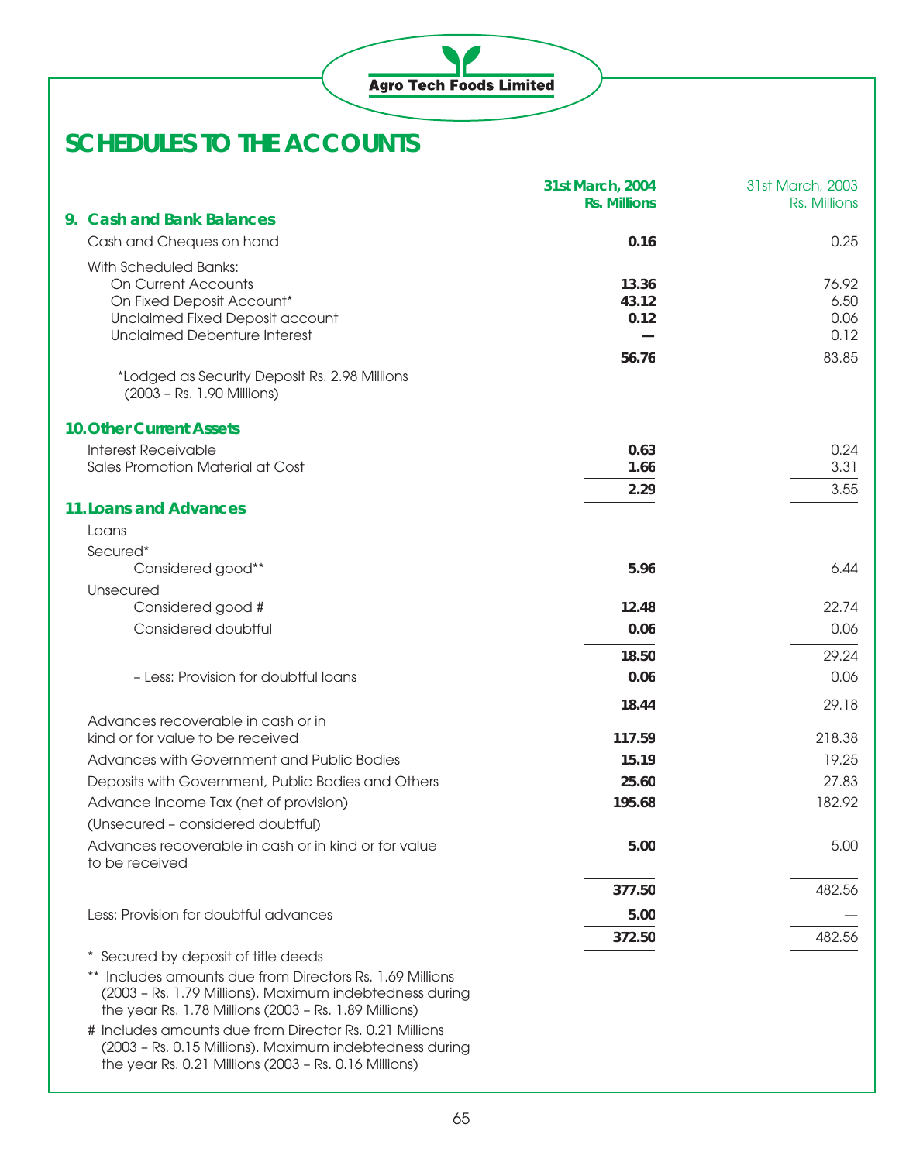|                                                                             | 31st March, 2004<br><b>Rs. Millions</b> | 31st March, 2003<br>Rs. Millions |
|-----------------------------------------------------------------------------|-----------------------------------------|----------------------------------|
| 9. Cash and Bank Balances                                                   |                                         |                                  |
| Cash and Cheques on hand                                                    | 0.16                                    | 0.25                             |
| With Scheduled Banks:<br><b>On Current Accounts</b>                         | 13.36                                   | 76.92                            |
| On Fixed Deposit Account*                                                   | 43.12                                   | 6.50                             |
| Unclaimed Fixed Deposit account                                             | 0.12                                    | 0.06                             |
| <b>Unclaimed Debenture Interest</b>                                         |                                         | 0.12                             |
| *Lodged as Security Deposit Rs. 2.98 Millions<br>(2003 - Rs. 1.90 Millions) | 56.76                                   | 83.85                            |
| <b>10. Other Current Assets</b>                                             |                                         |                                  |
| <b>Interest Receivable</b>                                                  | 0.63                                    | 0.24                             |
| Sales Promotion Material at Cost                                            | 1.66                                    | 3.31                             |
|                                                                             | 2.29                                    | 3.55                             |
| <b>11. Loans and Advances</b>                                               |                                         |                                  |
| Loans                                                                       |                                         |                                  |
| Secured*                                                                    |                                         |                                  |
| Considered good**                                                           | 5.96                                    | 6.44                             |
| Unsecured<br>Considered good #                                              | 12.48                                   | 22.74                            |
| Considered doubtful                                                         | 0.06                                    | 0.06                             |
|                                                                             |                                         |                                  |
|                                                                             | 18.50                                   | 29.24                            |
| - Less: Provision for doubtful loans                                        | 0.06                                    | 0.06                             |
|                                                                             | 18.44                                   | 29.18                            |
| Advances recoverable in cash or in<br>kind or for value to be received      | 117.59                                  | 218.38                           |
| Advances with Government and Public Bodies                                  | 15.19                                   | 19.25                            |
| Deposits with Government, Public Bodies and Others                          | 25.60                                   | 27.83                            |
| Advance Income Tax (net of provision)                                       | 195.68                                  | 182.92                           |
| (Unsecured - considered doubtful)                                           |                                         |                                  |
| Advances recoverable in cash or in kind or for value<br>to be received      | 5.00                                    | 5.00                             |
|                                                                             | 377.50                                  | 482.56                           |
| Less: Provision for doubtful advances                                       | 5.00                                    |                                  |
|                                                                             | 372.50                                  | 482.56                           |
| Secured by deposit of title deeds                                           |                                         |                                  |
| Includes amounts due from Directors Rs. 1.69 Millions                       |                                         |                                  |

(2003 – Rs. 1.79 Millions). Maximum indebtedness during the year Rs. 1.78 Millions (2003 – Rs. 1.89 Millions)

# Includes amounts due from Director Rs. 0.21 Millions (2003 – Rs. 0.15 Millions). Maximum indebtedness during the year Rs. 0.21 Millions (2003 – Rs. 0.16 Millions)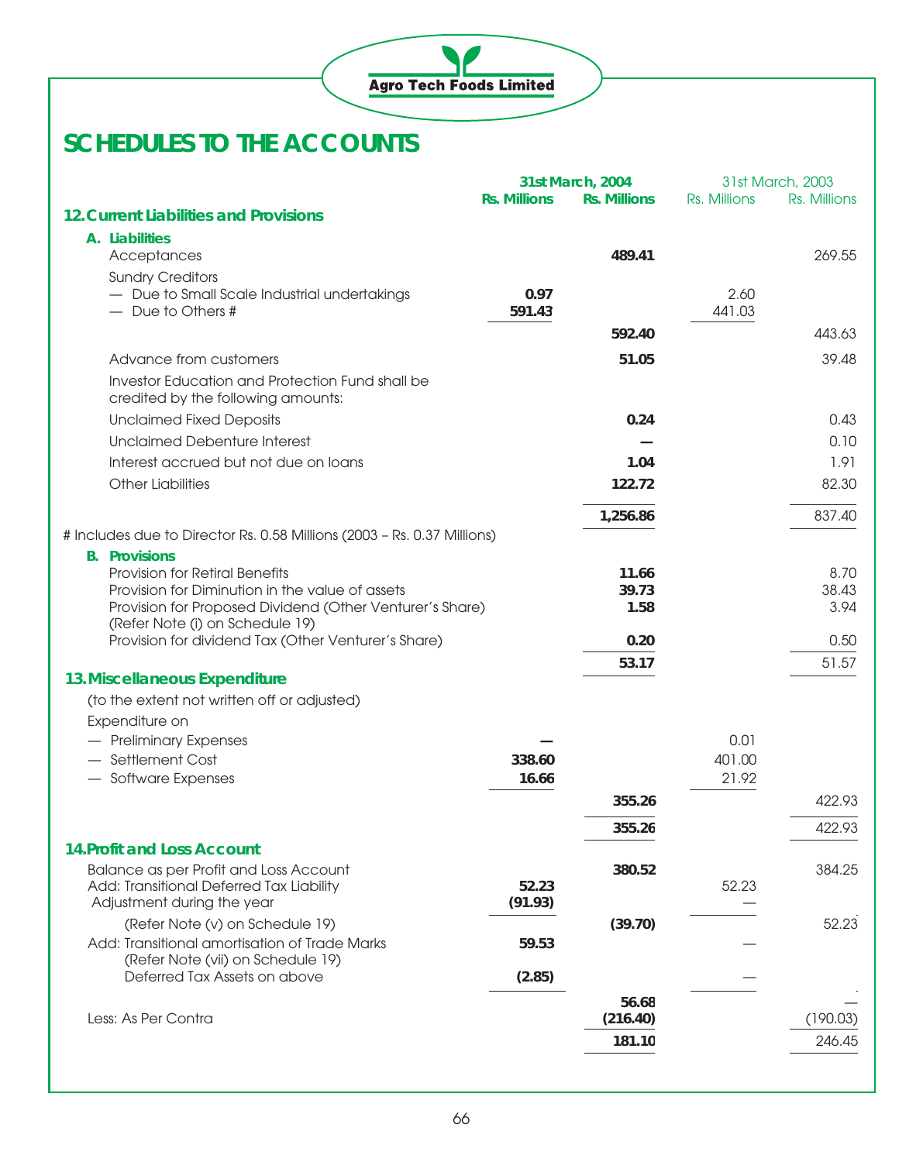

|                                                                                        | 31st March, 2003<br>31st March, 2004 |                     |              |              |
|----------------------------------------------------------------------------------------|--------------------------------------|---------------------|--------------|--------------|
|                                                                                        | <b>Rs. Millions</b>                  | <b>Rs. Millions</b> | Rs. Millions | Rs. Millions |
| <b>12. Current Liabilities and Provisions</b>                                          |                                      |                     |              |              |
| A. Liabilities                                                                         |                                      |                     |              |              |
| Acceptances                                                                            |                                      | 489.41              |              | 269.55       |
| <b>Sundry Creditors</b><br>- Due to Small Scale Industrial undertakings                | 0.97                                 |                     | 2.60         |              |
| - Due to Others #                                                                      | 591.43                               |                     | 441.03       |              |
|                                                                                        |                                      | 592.40              |              | 443.63       |
| Advance from customers                                                                 |                                      | 51.05               |              | 39.48        |
| Investor Education and Protection Fund shall be                                        |                                      |                     |              |              |
| credited by the following amounts:                                                     |                                      |                     |              |              |
| <b>Unclaimed Fixed Deposits</b>                                                        |                                      | 0.24                |              | 0.43         |
| <b>Unclaimed Debenture Interest</b>                                                    |                                      |                     |              | 0.10         |
| Interest accrued but not due on loans                                                  |                                      | 1.04                |              | 1.91         |
| <b>Other Liabilities</b>                                                               |                                      | 122.72              |              | 82.30        |
|                                                                                        |                                      |                     |              |              |
|                                                                                        |                                      | 1,256.86            |              | 837.40       |
| # Includes due to Director Rs. 0.58 Millions (2003 - Rs. 0.37 Millions)                |                                      |                     |              |              |
| <b>B.</b> Provisions<br><b>Provision for Retiral Benefits</b>                          |                                      | 11.66               |              | 8.70         |
| Provision for Diminution in the value of assets                                        |                                      | 39.73               |              | 38.43        |
| Provision for Proposed Dividend (Other Venturer's Share)                               |                                      | 1.58                |              | 3.94         |
| (Refer Note (i) on Schedule 19)<br>Provision for dividend Tax (Other Venturer's Share) |                                      | 0.20                |              | 0.50         |
|                                                                                        |                                      |                     |              | 51.57        |
| 13. Miscellaneous Expenditure                                                          |                                      | 53.17               |              |              |
| (to the extent not written off or adjusted)                                            |                                      |                     |              |              |
| Expenditure on                                                                         |                                      |                     |              |              |
| - Preliminary Expenses                                                                 |                                      |                     | 0.01         |              |
| - Settlement Cost                                                                      | 338.60                               |                     | 401.00       |              |
| - Software Expenses                                                                    | 16.66                                |                     | 21.92        |              |
|                                                                                        |                                      | 355.26              |              | 422.93       |
|                                                                                        |                                      | 355.26              |              | 422.93       |
| <b>14. Profit and Loss Account</b>                                                     |                                      |                     |              |              |
| Balance as per Profit and Loss Account                                                 |                                      | 380.52              |              | 384.25       |
| Add: Transitional Deferred Tax Liability                                               | 52.23                                |                     | 52.23        |              |
| Adjustment during the year                                                             | (91.93)                              |                     |              |              |
| (Refer Note (v) on Schedule 19)<br>Add: Transitional amortisation of Trade Marks       |                                      | (39.70)             |              | 52.23        |
| (Refer Note (vii) on Schedule 19)                                                      | 59.53                                |                     |              |              |
| Deferred Tax Assets on above                                                           | (2.85)                               |                     |              |              |
|                                                                                        |                                      | 56.68               |              |              |
| Less: As Per Contra                                                                    |                                      | (216.40)            |              | (190.03)     |
|                                                                                        |                                      | 181.10              |              | 246.45       |
|                                                                                        |                                      |                     |              |              |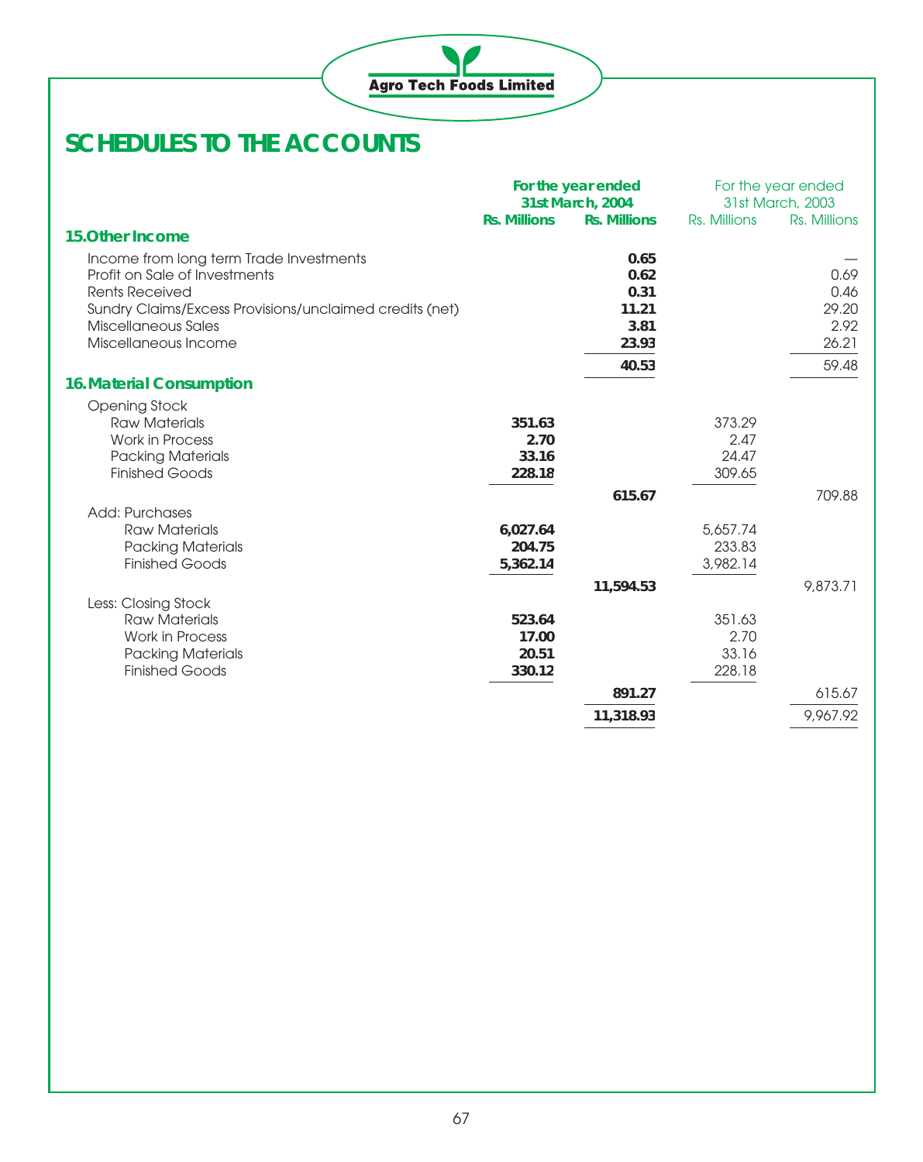

|                                                         |                     | For the year ended<br>31st March, 2004 |                 | For the year ended<br>31st March, 2003 |
|---------------------------------------------------------|---------------------|----------------------------------------|-----------------|----------------------------------------|
|                                                         | <b>Rs. Millions</b> | <b>Rs. Millions</b>                    | Rs. Millions    | Rs. Millions                           |
| <b>15.Other Income</b>                                  |                     |                                        |                 |                                        |
| Income from long term Trade Investments                 |                     | 0.65                                   |                 |                                        |
| Profit on Sale of Investments                           |                     | 0.62                                   |                 | 0.69                                   |
| <b>Rents Received</b>                                   |                     | 0.31                                   |                 | 0.46                                   |
| Sundry Claims/Excess Provisions/unclaimed credits (net) |                     | 11.21                                  |                 | 29.20                                  |
| Miscellaneous Sales                                     |                     | 3.81                                   |                 | 2.92                                   |
| Miscellaneous Income                                    |                     | 23.93                                  |                 | 26.21                                  |
|                                                         |                     | 40.53                                  |                 | 59.48                                  |
| <b>16. Material Consumption</b>                         |                     |                                        |                 |                                        |
| <b>Opening Stock</b>                                    |                     |                                        |                 |                                        |
| <b>Raw Materials</b>                                    | 351.63              |                                        | 373.29          |                                        |
| <b>Work in Process</b>                                  | 2.70                |                                        | 2.47            |                                        |
| <b>Packing Materials</b>                                | 33.16               |                                        | 24.47           |                                        |
| <b>Finished Goods</b>                                   | 228.18              |                                        | 309.65          |                                        |
|                                                         |                     | 615.67                                 |                 | 709.88                                 |
| Add: Purchases                                          |                     |                                        |                 |                                        |
| <b>Raw Materials</b>                                    | 6,027.64            |                                        | 5,657.74        |                                        |
| <b>Packing Materials</b>                                | 204.75              |                                        | 233.83          |                                        |
| <b>Finished Goods</b>                                   | 5,362.14            |                                        | 3,982.14        |                                        |
|                                                         |                     | 11,594.53                              |                 | 9,873.71                               |
| Less: Closing Stock                                     |                     |                                        |                 |                                        |
| <b>Raw Materials</b>                                    | 523.64              |                                        | 351.63          |                                        |
| <b>Work in Process</b>                                  | 17.00               |                                        | 2.70            |                                        |
| <b>Packing Materials</b><br><b>Finished Goods</b>       | 20.51<br>330.12     |                                        | 33.16<br>228.18 |                                        |
|                                                         |                     |                                        |                 |                                        |
|                                                         |                     | 891.27                                 |                 | 615.67                                 |
|                                                         |                     | 11,318.93                              |                 | 9,967.92                               |
|                                                         |                     |                                        |                 |                                        |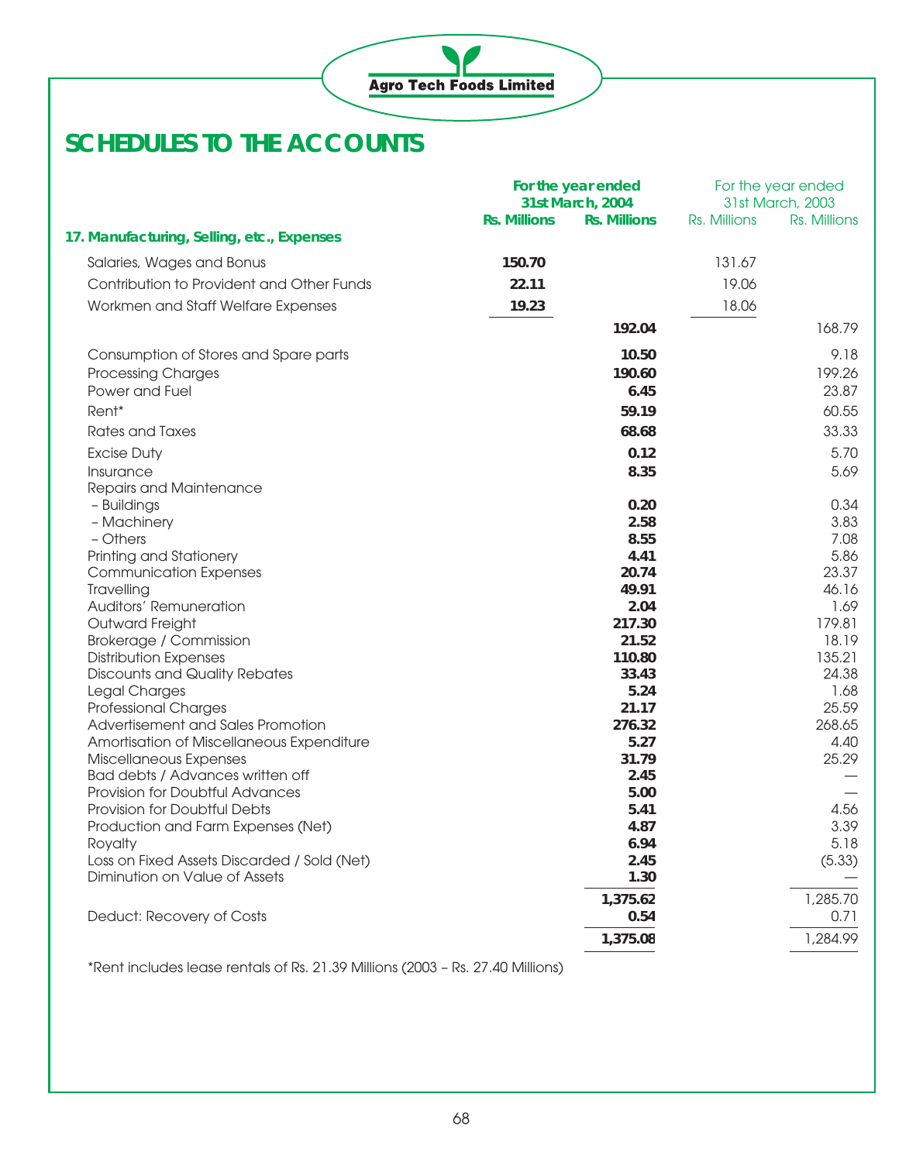

|                                                        | For the year ended  |                     | For the year ended |                 |
|--------------------------------------------------------|---------------------|---------------------|--------------------|-----------------|
|                                                        | 31st March, 2004    |                     | 31st March, 2003   |                 |
|                                                        | <b>Rs. Millions</b> | <b>Rs. Millions</b> | Rs. Millions       | Rs. Millions    |
| 17. Manufacturing, Selling, etc., Expenses             |                     |                     |                    |                 |
| Salaries, Wages and Bonus                              | 150.70              |                     | 131.67             |                 |
| Contribution to Provident and Other Funds              | 22.11               |                     | 19.06              |                 |
| Workmen and Staff Welfare Expenses                     | 19.23               |                     | 18.06              |                 |
|                                                        |                     | 192.04              |                    | 168.79          |
|                                                        |                     |                     |                    |                 |
| Consumption of Stores and Spare parts                  |                     | 10.50               |                    | 9.18            |
| <b>Processing Charges</b>                              |                     | 190.60              |                    | 199.26          |
| Power and Fuel                                         |                     | 6.45                |                    | 23.87           |
| Rent*                                                  |                     | 59.19               |                    | 60.55           |
| Rates and Taxes                                        |                     | 68.68               |                    | 33.33           |
| <b>Excise Duty</b>                                     |                     | 0.12                |                    | 5.70            |
| Insurance                                              |                     | 8.35                |                    | 5.69            |
| Repairs and Maintenance                                |                     |                     |                    |                 |
| - Buildings                                            |                     | 0.20                |                    | 0.34            |
| - Machinery                                            |                     | 2.58                |                    | 3.83            |
| - Others                                               |                     | 8.55                |                    | 7.08            |
| Printing and Stationery                                |                     | 4.41                |                    | 5.86            |
| <b>Communication Expenses</b>                          |                     | 20.74               |                    | 23.37           |
| Travelling                                             |                     | 49.91               |                    | 46.16           |
| Auditors' Remuneration                                 |                     | 2.04                |                    | 1.69            |
| Outward Freight                                        |                     | 217.30<br>21.52     |                    | 179.81<br>18.19 |
| Brokerage / Commission<br><b>Distribution Expenses</b> |                     | 110.80              |                    | 135.21          |
| <b>Discounts and Quality Rebates</b>                   |                     | 33.43               |                    | 24.38           |
| Legal Charges                                          |                     | 5.24                |                    | 1.68            |
| <b>Professional Charges</b>                            |                     | 21.17               |                    | 25.59           |
| Advertisement and Sales Promotion                      |                     | 276.32              |                    | 268.65          |
| Amortisation of Miscellaneous Expenditure              |                     | 5.27                |                    | 4.40            |
| Miscellaneous Expenses                                 |                     | 31.79               |                    | 25.29           |
| Bad debts / Advances written off                       |                     | 2.45                |                    |                 |
| Provision for Doubtful Advances                        |                     | 5.00                |                    |                 |
| Provision for Doubtful Debts                           |                     | 5.41                |                    | 4.56            |
| Production and Farm Expenses (Net)                     |                     | 4.87                |                    | 3.39            |
| Royalty<br>Loss on Fixed Assets Discarded / Sold (Net) |                     | 6.94<br>2.45        |                    | 5.18<br>(5.33)  |
| Diminution on Value of Assets                          |                     | 1.30                |                    |                 |
|                                                        |                     |                     |                    |                 |
|                                                        |                     | 1,375.62            |                    | 1,285.70        |
| Deduct: Recovery of Costs                              |                     | 0.54                |                    | 0.71            |
|                                                        |                     | 1,375.08            |                    | 1,284.99        |
|                                                        |                     |                     |                    |                 |

\*Rent includes lease rentals of Rs. 21.39 Millions (2003 – Rs. 27.40 Millions)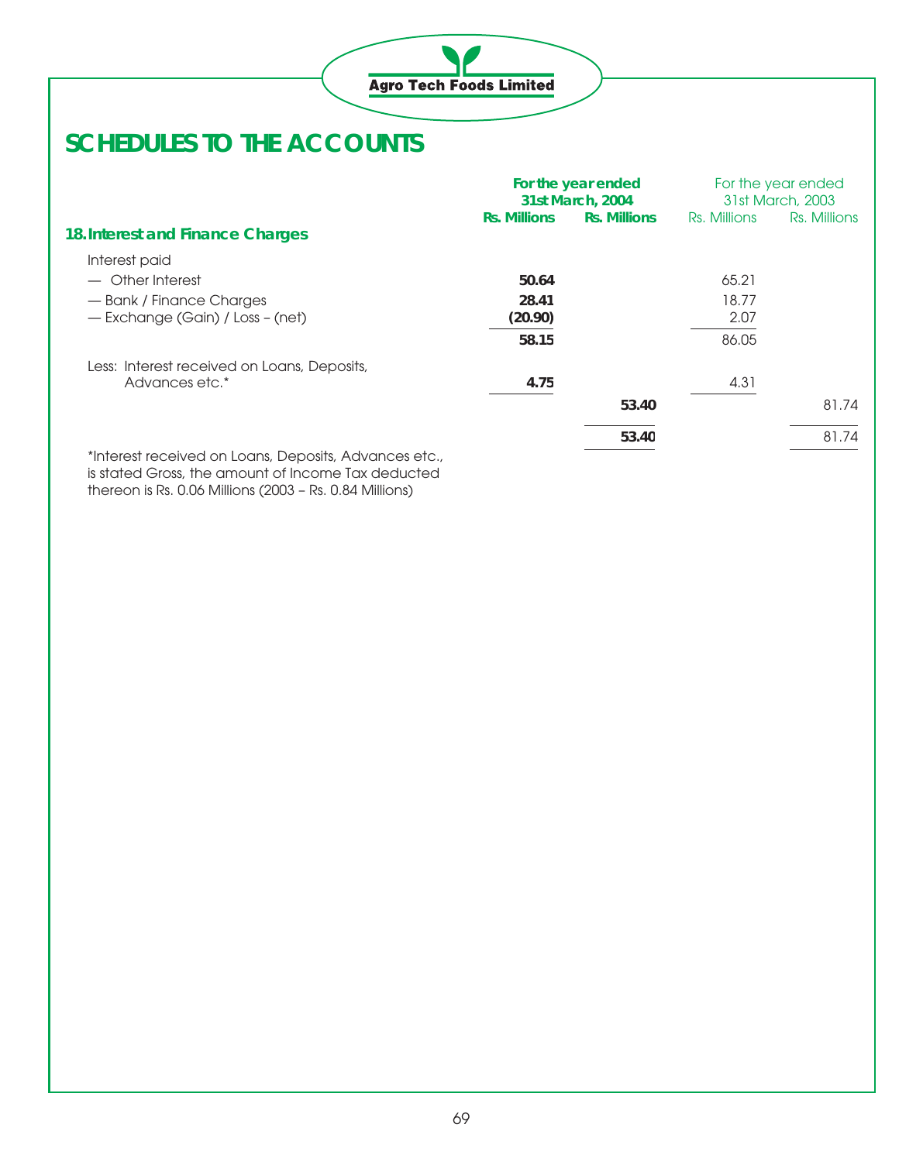

|                                                     |                     | For the year ended<br>31st March, 2004 |              | For the year ended<br>31st March, 2003 |
|-----------------------------------------------------|---------------------|----------------------------------------|--------------|----------------------------------------|
|                                                     | <b>Rs. Millions</b> | <b>Rs. Millions</b>                    | Rs. Millions | Rs. Millions                           |
| 18. Interest and Finance Charges                    |                     |                                        |              |                                        |
| Interest paid                                       |                     |                                        |              |                                        |
| - Other Interest                                    | 50.64               |                                        | 65.21        |                                        |
| - Bank / Finance Charges                            | 28.41               |                                        | 18.77        |                                        |
| - Exchange (Gain) / Loss - (net)                    | (20.90)             |                                        | 2.07         |                                        |
|                                                     | 58.15               |                                        | 86.05        |                                        |
| Less: Interest received on Loans, Deposits,         |                     |                                        |              |                                        |
| Advances etc.*                                      | 4.75                |                                        | 4.31         |                                        |
|                                                     |                     | 53.40                                  |              | 81.74                                  |
|                                                     |                     | 53.40                                  |              | 81.74                                  |
| *Interest received on Logne Deposits, Advances etc. |                     |                                        |              |                                        |

\*Interest received on Loans, Deposits, Advances etc., is stated Gross, the amount of Income Tax deducted thereon is Rs. 0.06 Millions (2003 – Rs. 0.84 Millions)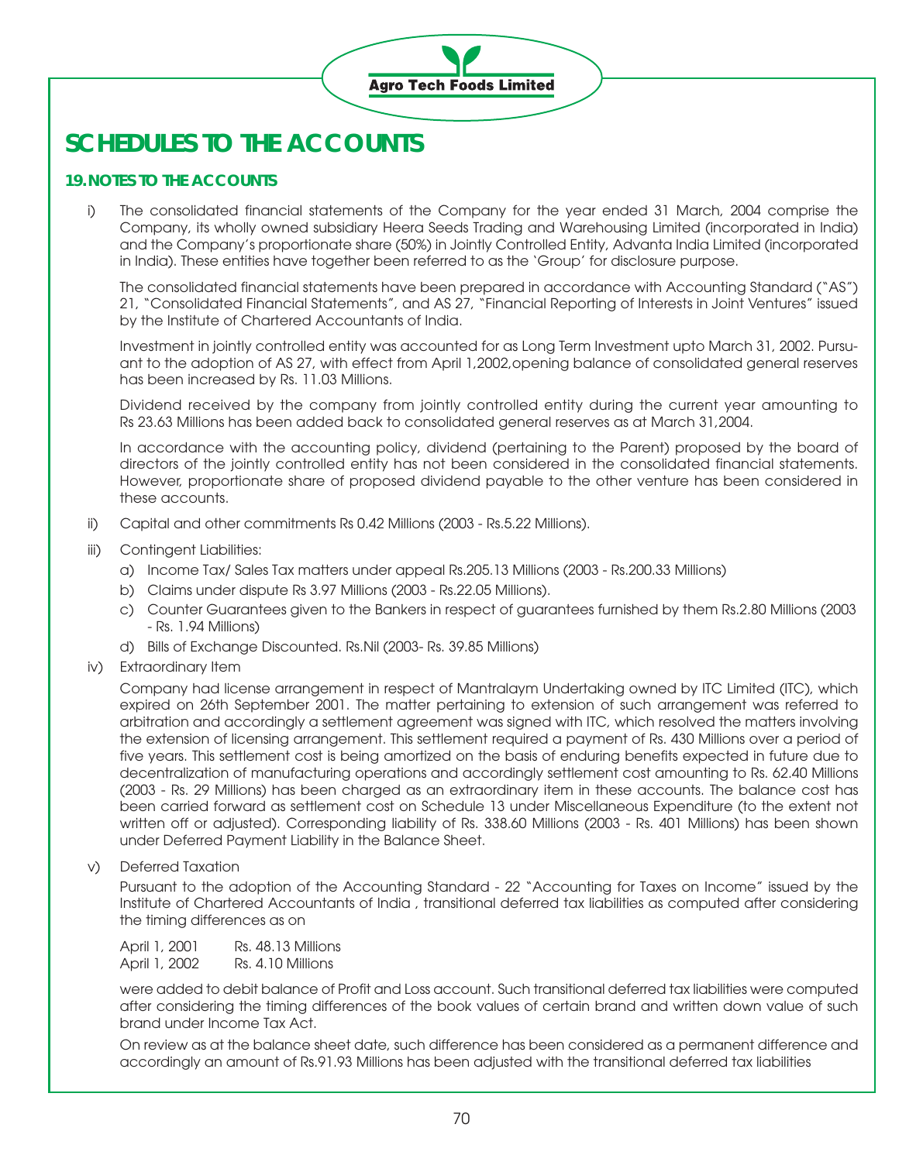

### **19.NOTES TO THE ACCOUNTS**

i) The consolidated financial statements of the Company for the year ended 31 March, 2004 comprise the Company, its wholly owned subsidiary Heera Seeds Trading and Warehousing Limited (incorporated in India) and the Company's proportionate share (50%) in Jointly Controlled Entity, Advanta India Limited (incorporated in India). These entities have together been referred to as the 'Group' for disclosure purpose.

The consolidated financial statements have been prepared in accordance with Accounting Standard ("AS") 21, "Consolidated Financial Statements", and AS 27, "Financial Reporting of Interests in Joint Ventures" issued by the Institute of Chartered Accountants of India.

Investment in jointly controlled entity was accounted for as Long Term Investment upto March 31, 2002. Pursuant to the adoption of AS 27, with effect from April 1,2002,opening balance of consolidated general reserves has been increased by Rs. 11.03 Millions.

Dividend received by the company from jointly controlled entity during the current year amounting to Rs 23.63 Millions has been added back to consolidated general reserves as at March 31,2004.

In accordance with the accounting policy, dividend (pertaining to the Parent) proposed by the board of directors of the jointly controlled entity has not been considered in the consolidated financial statements. However, proportionate share of proposed dividend payable to the other venture has been considered in these accounts.

- ii) Capital and other commitments Rs 0.42 Millions (2003 Rs.5.22 Millions).
- iii) Contingent Liabilities:
	- a) Income Tax/ Sales Tax matters under appeal Rs.205.13 Millions (2003 Rs.200.33 Millions)
	- b) Claims under dispute Rs 3.97 Millions (2003 Rs.22.05 Millions).
	- c) Counter Guarantees given to the Bankers in respect of guarantees furnished by them Rs.2.80 Millions (2003 - Rs. 1.94 Millions)
	- d) Bills of Exchange Discounted. Rs.Nil (2003- Rs. 39.85 Millions)
- iv) Extraordinary Item

Company had license arrangement in respect of Mantralaym Undertaking owned by ITC Limited (ITC), which expired on 26th September 2001. The matter pertaining to extension of such arrangement was referred to arbitration and accordingly a settlement agreement was signed with ITC, which resolved the matters involving the extension of licensing arrangement. This settlement required a payment of Rs. 430 Millions over a period of five years. This settlement cost is being amortized on the basis of enduring benefits expected in future due to decentralization of manufacturing operations and accordingly settlement cost amounting to Rs. 62.40 Millions (2003 - Rs. 29 Millions) has been charged as an extraordinary item in these accounts. The balance cost has been carried forward as settlement cost on Schedule 13 under Miscellaneous Expenditure (to the extent not written off or adjusted). Corresponding liability of Rs. 338.60 Millions (2003 - Rs. 401 Millions) has been shown under Deferred Payment Liability in the Balance Sheet.

v) Deferred Taxation

Pursuant to the adoption of the Accounting Standard - 22 "Accounting for Taxes on Income" issued by the Institute of Chartered Accountants of India , transitional deferred tax liabilities as computed after considering the timing differences as on

| April 1, 2001 | Rs. 48.13 Millions |
|---------------|--------------------|
| April 1, 2002 | Rs. 4.10 Millions  |

were added to debit balance of Profit and Loss account. Such transitional deferred tax liabilities were computed after considering the timing differences of the book values of certain brand and written down value of such brand under Income Tax Act.

On review as at the balance sheet date, such difference has been considered as a permanent difference and accordingly an amount of Rs.91.93 Millions has been adjusted with the transitional deferred tax liabilities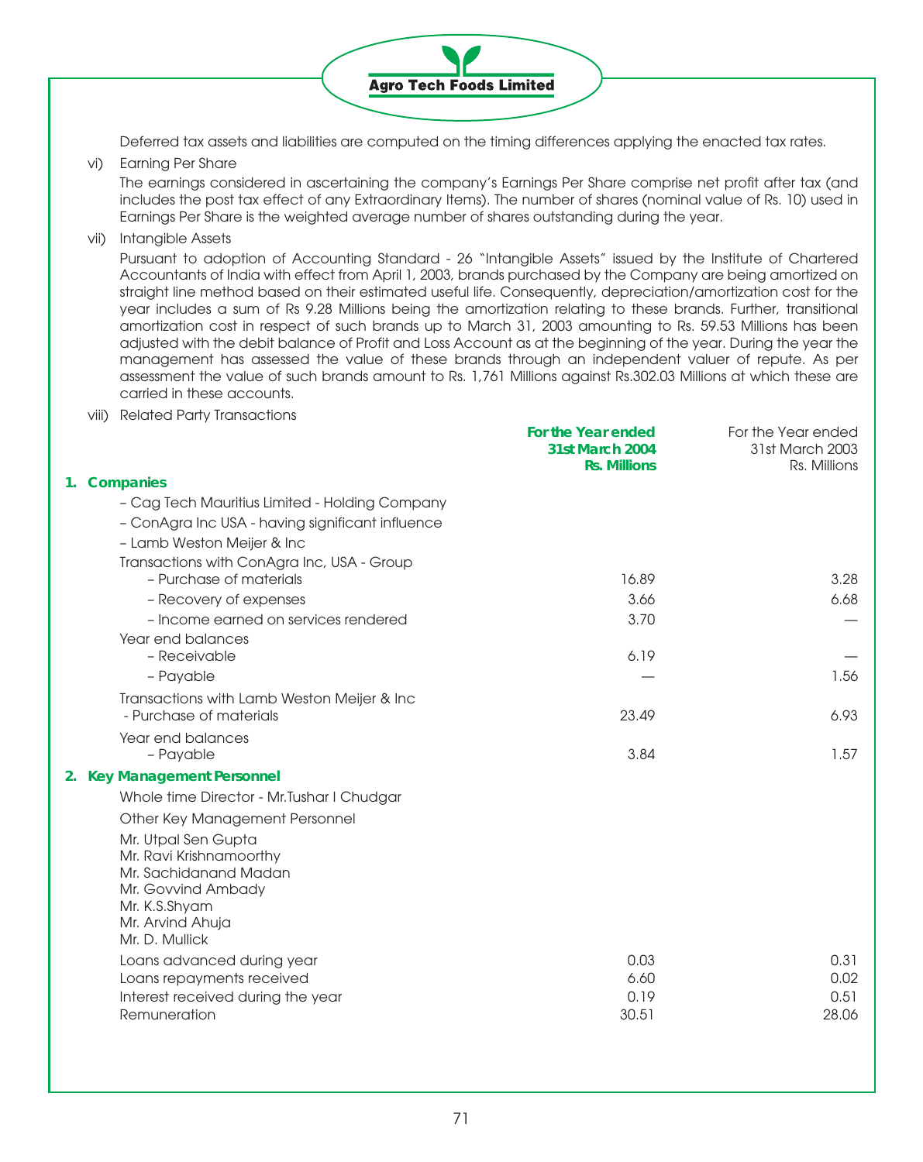

Deferred tax assets and liabilities are computed on the timing differences applying the enacted tax rates.

vi) Earning Per Share

The earnings considered in ascertaining the company's Earnings Per Share comprise net profit after tax (and includes the post tax effect of any Extraordinary Items). The number of shares (nominal value of Rs. 10) used in Earnings Per Share is the weighted average number of shares outstanding during the year.

vii) Intangible Assets

Pursuant to adoption of Accounting Standard - 26 "Intangible Assets" issued by the Institute of Chartered Accountants of India with effect from April 1, 2003, brands purchased by the Company are being amortized on straight line method based on their estimated useful life. Consequently, depreciation/amortization cost for the year includes a sum of Rs 9.28 Millions being the amortization relating to these brands. Further, transitional amortization cost in respect of such brands up to March 31, 2003 amounting to Rs. 59.53 Millions has been adjusted with the debit balance of Profit and Loss Account as at the beginning of the year. During the year the management has assessed the value of these brands through an independent valuer of repute. As per assessment the value of such brands amount to Rs. 1,761 Millions against Rs.302.03 Millions at which these are carried in these accounts.

viii) Related Party Transactions

|                                                                                                                                                      |                                                                                                                                                                                                                                                                      | For the Year ended<br>31st March 2003                                                                   |
|------------------------------------------------------------------------------------------------------------------------------------------------------|----------------------------------------------------------------------------------------------------------------------------------------------------------------------------------------------------------------------------------------------------------------------|---------------------------------------------------------------------------------------------------------|
|                                                                                                                                                      | <b>Rs. Millions</b>                                                                                                                                                                                                                                                  | Rs. Millions                                                                                            |
| 1. Companies                                                                                                                                         |                                                                                                                                                                                                                                                                      |                                                                                                         |
| - Cag Tech Mauritius Limited - Holding Company                                                                                                       |                                                                                                                                                                                                                                                                      |                                                                                                         |
| - ConAgra Inc USA - having significant influence                                                                                                     |                                                                                                                                                                                                                                                                      |                                                                                                         |
| - Lamb Weston Meijer & Inc                                                                                                                           |                                                                                                                                                                                                                                                                      |                                                                                                         |
| Transactions with ConAgra Inc, USA - Group                                                                                                           |                                                                                                                                                                                                                                                                      |                                                                                                         |
|                                                                                                                                                      |                                                                                                                                                                                                                                                                      | 3.28                                                                                                    |
| - Recovery of expenses                                                                                                                               |                                                                                                                                                                                                                                                                      | 6.68                                                                                                    |
|                                                                                                                                                      |                                                                                                                                                                                                                                                                      |                                                                                                         |
|                                                                                                                                                      |                                                                                                                                                                                                                                                                      |                                                                                                         |
|                                                                                                                                                      |                                                                                                                                                                                                                                                                      |                                                                                                         |
|                                                                                                                                                      |                                                                                                                                                                                                                                                                      | 1.56                                                                                                    |
|                                                                                                                                                      |                                                                                                                                                                                                                                                                      |                                                                                                         |
|                                                                                                                                                      |                                                                                                                                                                                                                                                                      | 6.93                                                                                                    |
| - Payable                                                                                                                                            | 3.84                                                                                                                                                                                                                                                                 | 1.57                                                                                                    |
| 2. Key Management Personnel                                                                                                                          |                                                                                                                                                                                                                                                                      |                                                                                                         |
| Whole time Director - Mr. Tushar I Chudgar                                                                                                           |                                                                                                                                                                                                                                                                      |                                                                                                         |
| Other Key Management Personnel                                                                                                                       |                                                                                                                                                                                                                                                                      |                                                                                                         |
| Mr. Utpal Sen Gupta<br>Mr. Ravi Krishnamoorthy<br>Mr. Sachidanand Madan<br>Mr. Govvind Ambady<br>Mr. K.S.Shyam<br>Mr. Arvind Ahuja<br>Mr. D. Mullick |                                                                                                                                                                                                                                                                      |                                                                                                         |
| Loans advanced during year                                                                                                                           | 0.03                                                                                                                                                                                                                                                                 | 0.31                                                                                                    |
| Loans repayments received                                                                                                                            | 6.60                                                                                                                                                                                                                                                                 | 0.02                                                                                                    |
|                                                                                                                                                      |                                                                                                                                                                                                                                                                      | 0.51                                                                                                    |
|                                                                                                                                                      |                                                                                                                                                                                                                                                                      | 28.06                                                                                                   |
|                                                                                                                                                      | - Purchase of materials<br>- Income earned on services rendered<br>Year end balances<br>- Receivable<br>- Payable<br>Transactions with Lamb Weston Meijer & Inc<br>- Purchase of materials<br>Year end balances<br>Interest received during the year<br>Remuneration | For the Year ended<br><b>31st March 2004</b><br>16.89<br>3.66<br>3.70<br>6.19<br>23.49<br>0.19<br>30.51 |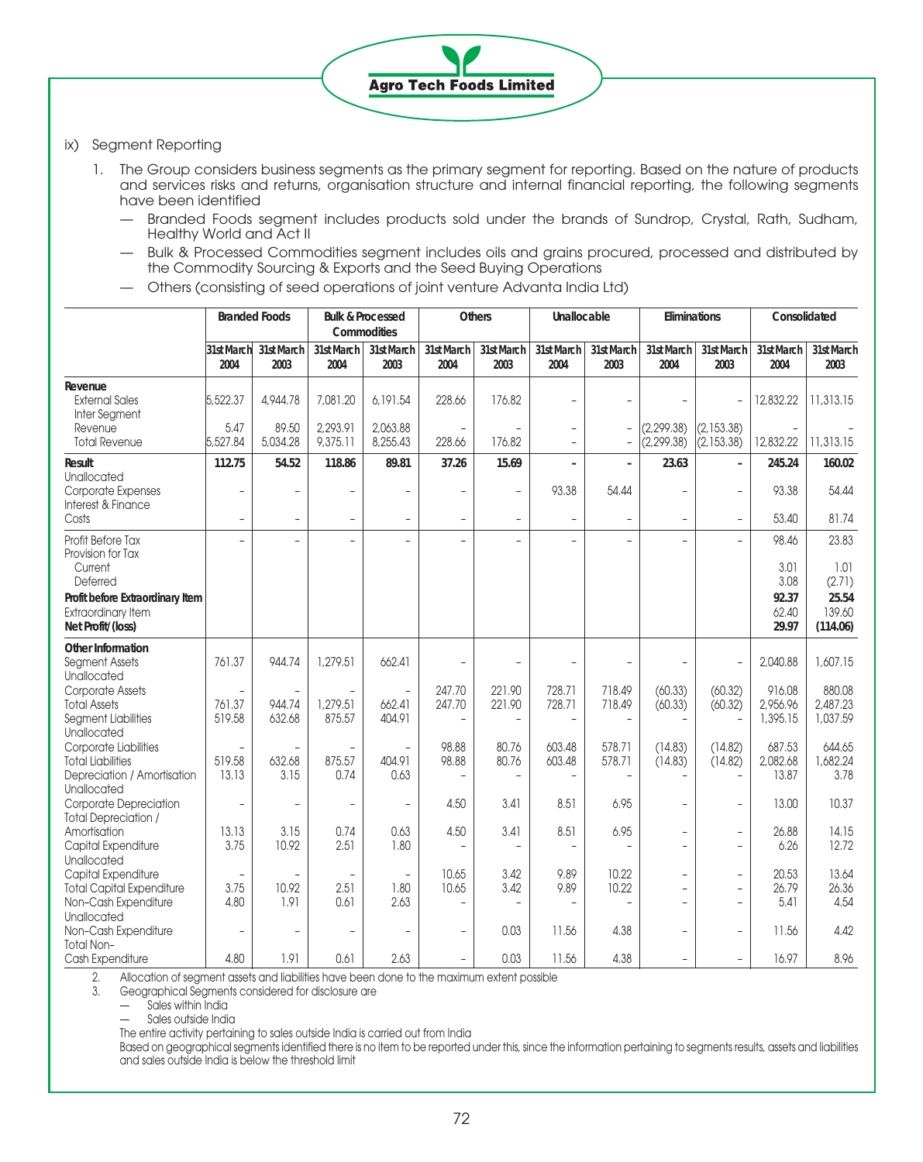## ix) Segment Reporting

1. The Group considers business segments as the primary segment for reporting. Based on the nature of products and services risks and returns, organisation structure and internal financial reporting, the following segments have been identified

**Agro Tech Foods Limited** 

- Branded Foods segment includes products sold under the brands of Sundrop, Crystal, Rath, Sudham, Healthy World and Act II
- Bulk & Processed Commodities segment includes oils and grains procured, processed and distributed by the Commodity Sourcing & Exports and the Seed Buying Operations
- Others (consisting of seed operations of joint venture Advanta India Ltd)

|                                                                                             |                                          | <b>Branded Foods</b>   |                                  | <b>Bulk &amp; Processed</b><br>Commodities |                          | <b>Others</b>            | Unallocable                              |                          | Eliminations                                               |                                            | Consolidated                   |                                |
|---------------------------------------------------------------------------------------------|------------------------------------------|------------------------|----------------------------------|--------------------------------------------|--------------------------|--------------------------|------------------------------------------|--------------------------|------------------------------------------------------------|--------------------------------------------|--------------------------------|--------------------------------|
|                                                                                             | 31st March<br>2004                       | 31st March<br>2003     | 31st March<br>2004               | 31st March<br>2003                         | 31st March<br>2004       | 31st March<br>2003       | 31st March<br>2004                       | 31st March<br>2003       | 31st March<br>2004                                         | 31st March<br>2003                         | 31st March<br>2004             | 31st March<br>2003             |
| Revenue<br><b>External Sales</b><br>Inter Segment                                           | 5,522.37                                 | 4,944.78               | 7,081.20                         | 6,191.54                                   | 228.66                   | 176.82                   |                                          |                          |                                                            | $\bar{ }$                                  | 12,832.22                      | 11,313.15                      |
| Revenue<br><b>Total Revenue</b>                                                             | 5.47<br>5,527,84                         | 89.50<br>5,034.28      | 2,293.91<br>9,375.11             | 2,063,88<br>8,255,43                       | 228.66                   | 176.82                   | $\overline{\phantom{a}}$<br>$\mathbf{r}$ | $\overline{a}$           | (2, 299.38)<br>(2, 299.38)                                 | (2, 153.38)<br>(2, 153.38)                 | 12,832.22                      | 11,313.15                      |
| Result                                                                                      | 112.75                                   | 54.52                  | 118.86                           | 89.81                                      | 37.26                    | 15.69                    | $\overline{a}$                           | $\overline{a}$           | 23.63                                                      | $\overline{\phantom{a}}$                   | 245.24                         | 160.02                         |
| Unallocated<br>Corporate Expenses<br>Interest & Finance                                     |                                          |                        | L.                               | L,                                         | $\overline{\phantom{a}}$ | $\overline{\phantom{a}}$ | 93.38                                    | 54.44                    | L,                                                         | L,                                         | 93.38                          | 54.44                          |
| Costs                                                                                       | $\overline{\phantom{a}}$                 | $\overline{a}$         | $\overline{\phantom{a}}$         | $\overline{\phantom{a}}$                   | $\overline{a}$           | $\overline{\phantom{a}}$ | $\overline{\phantom{0}}$                 | $\overline{\phantom{0}}$ | $\overline{\phantom{0}}$                                   | $\frac{1}{2}$                              | 53.40                          | 81.74                          |
| Profit Before Tax<br>Provision for Tax                                                      |                                          | $\overline{a}$         |                                  |                                            |                          | L.                       | $\bar{a}$                                | L                        | $\overline{a}$                                             | $\equiv$                                   | 98.46                          | 23.83                          |
| Current<br>Deferred                                                                         |                                          |                        |                                  |                                            |                          |                          |                                          |                          |                                                            |                                            | 3.01<br>3.08                   | 1.01<br>(2.71)                 |
| Profit before Extraordinary Item<br><b>Extraordinary Item</b><br>Net Profit/(loss)          |                                          |                        |                                  |                                            |                          |                          |                                          |                          |                                                            |                                            | 92.37<br>62.40<br>29.97        | 25.54<br>139.60<br>(114.06)    |
| Other Information<br>Segment Assets<br>Unallocated                                          | 761.37                                   | 944.74                 | 1,279.51                         | 662.41                                     | $\overline{\phantom{a}}$ | ۳                        |                                          |                          |                                                            | L.                                         | 2,040.88                       | 1,607.15                       |
| <b>Corporate Assets</b><br><b>Total Assets</b><br><b>Segment Liabilities</b><br>Unallocated | 761.37<br>519.58                         | 944.74<br>632.68       | 1,279.51<br>875.57               | 662.41<br>404.91                           | 247.70<br>247.70         | 221.90<br>221.90         | 728.71<br>728.71                         | 718.49<br>718.49         | (60.33)<br>(60.33)                                         | (60.32)<br>(60.32)                         | 916.08<br>2,956.96<br>1,395.15 | 880,08<br>2,487.23<br>1,037.59 |
| Corporate Liabilities<br><b>Total Liabilities</b>                                           | 519.58                                   | 632.68                 | 875.57                           | 404.91                                     | 98.88<br>98.88           | 80.76<br>80.76           | 603.48<br>603.48                         | 578.71<br>578.71         | (14.83)<br>(14.83)                                         | (14.82)<br>(14.82)                         | 687.53<br>2,082.68             | 644.65<br>1,682.24             |
| Depreciation / Amortisation<br>Unallocated<br>Corporate Depreciation                        | 13.13<br>$\overline{\phantom{a}}$        | 3.15<br>$\overline{a}$ | 0.74<br>$\overline{\phantom{a}}$ | 0.63<br>L,                                 | 4.50                     | 3.41                     | 8.51                                     | 6.95                     | $\overline{a}$<br>$\overline{\phantom{0}}$                 | $\overline{\phantom{a}}$                   | 13.87<br>13,00                 | 3.78<br>10.37                  |
| <b>Total Depreciation /</b>                                                                 |                                          |                        |                                  |                                            |                          |                          |                                          |                          |                                                            |                                            |                                |                                |
| Amortisation<br>Capital Expenditure<br>Unallocated                                          | 13.13<br>3.75                            | 3.15<br>10.92          | 0.74<br>2.51                     | 0.63<br>1.80                               | 4.50<br>$\overline{a}$   | 3.41                     | 8.51                                     | 6.95                     | ÷,<br>$\overline{\phantom{0}}$                             | $\overline{\phantom{0}}$<br>$\overline{a}$ | 26.88<br>6.26                  | 14.15<br>12.72                 |
| Capital Expenditure<br><b>Total Capital Expenditure</b><br>Non-Cash Expenditure             | $\overline{\phantom{a}}$<br>3.75<br>4.80 | ۳<br>10.92<br>1.91     | $\sim$<br>2.51<br>0.61           | $\bar{a}$<br>1.80<br>2.63                  | 10.65<br>10.65           | 3.42<br>3.42             | 9.89<br>9.89                             | 10.22<br>10.22           | $\overline{\phantom{0}}$<br>$\overline{\phantom{0}}$<br>L. | $\overline{\phantom{a}}$<br>L,<br>L.       | 20.53<br>26.79<br>5.41         | 13.64<br>26.36<br>4.54         |
| Unallocated<br>Non-Cash Expenditure                                                         |                                          |                        |                                  | $\overline{\phantom{a}}$                   | $\overline{\phantom{a}}$ | 0.03                     | 11.56                                    | 4.38                     | L.                                                         | L.                                         | 11.56                          | 4.42                           |
| <b>Total Non-</b><br>Cash Expenditure                                                       | 4.80                                     | 1.91                   | 0.61                             | 2.63                                       | $\overline{\phantom{a}}$ | 0.03                     | 11.56                                    | 4.38                     | ÷.                                                         | $\overline{\phantom{a}}$                   | 16.97                          | 8.96                           |

2. Allocation of segment assets and liabilities have been done to the maximum extent possible

3. Geographical Segments considered for disclosure are

Sales within India

Sales outside India

The entire activity pertaining to sales outside India is carried out from India

Based on geographical segments identified there is no item to be reported under this, since the information pertaining to segments results, assets and liabilities and sales outside India is below the threshold limit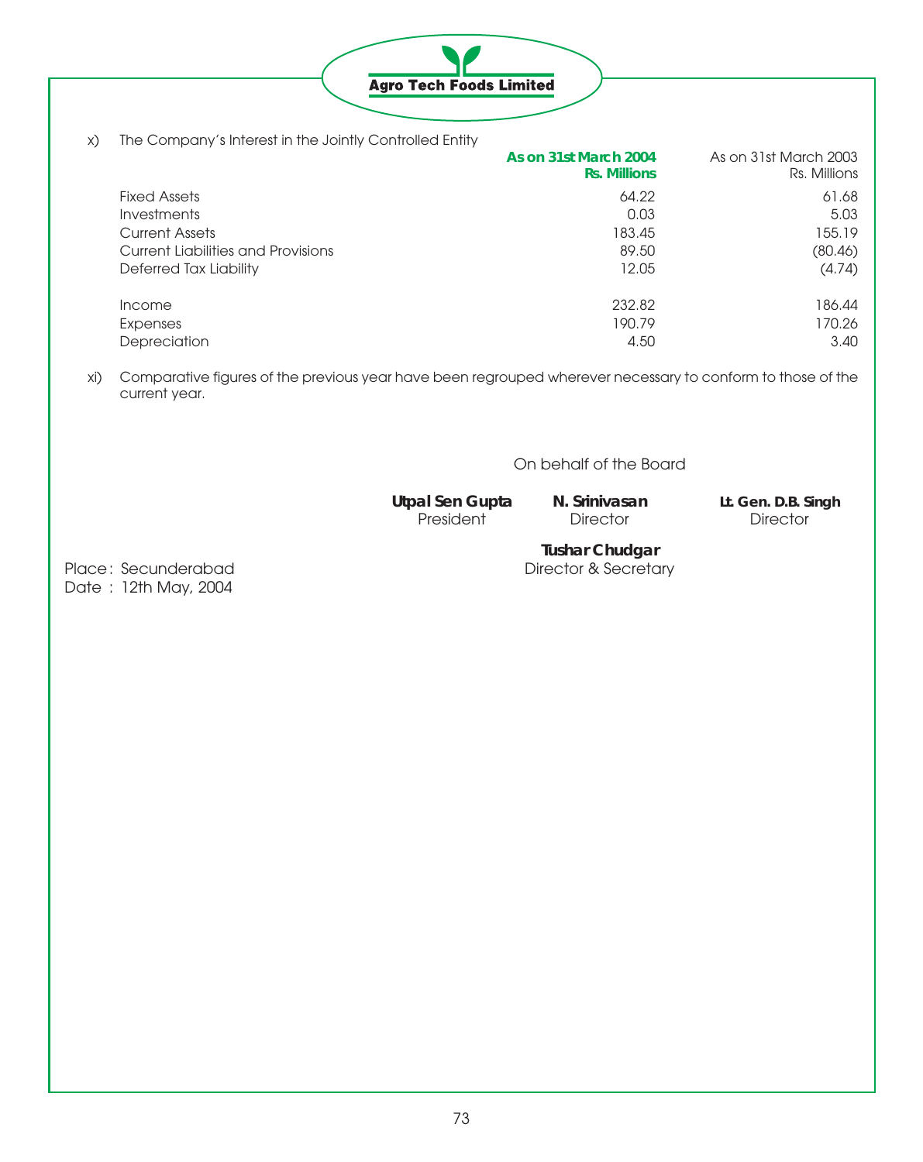

x) The Company's Interest in the Jointly Controlled Entity

|                                    | As on 31st March 2004<br><b>Rs. Millions</b> | As on 31st March 2003<br>Rs. Millions |
|------------------------------------|----------------------------------------------|---------------------------------------|
| <b>Fixed Assets</b>                | 64.22                                        | 61.68                                 |
| <i><u><b>Investments</b></u></i>   | 0.03                                         | 5.03                                  |
| <b>Current Assets</b>              | 183.45                                       | 155.19                                |
| Current Liabilities and Provisions | 89.50                                        | (80.46)                               |
| Deferred Tax Liability             | 12.05                                        | (4.74)                                |
| <i>Income</i>                      | 232.82                                       | 186.44                                |
| Expenses                           | 190.79                                       | 170.26                                |
| Depreciation                       | 4.50                                         | 3.40                                  |

xi) Comparative figures of the previous year have been regrouped wherever necessary to conform to those of the current year.

On behalf of the Board

**Utpal Sen Gupta N. Srinivasan Lt. Gen. D.B. Singh** Director

**Tushar Chudgar**

Place: Secunderabad Director & Secretary Date : 12th May, 2004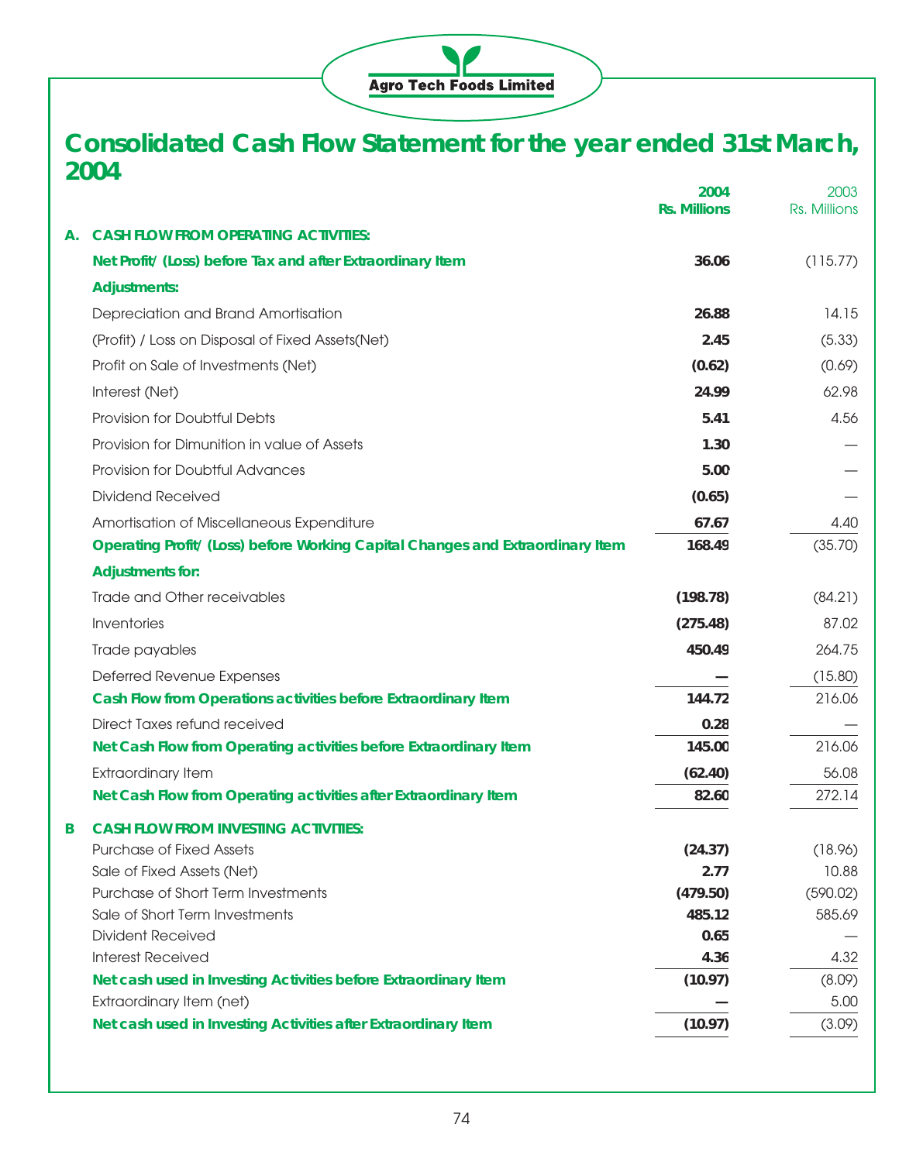

# **Consolidated Cash Flow Statement for the year ended 31st March, 2004**

|    |                                                                                | 2004<br><b>Rs. Millions</b> | 2003<br>Rs. Millions |
|----|--------------------------------------------------------------------------------|-----------------------------|----------------------|
| Α. | <b>CASH FLOW FROM OPERATING ACTIVITIES:</b>                                    |                             |                      |
|    | Net Profit/ (Loss) before Tax and after Extraordinary Item                     | 36.06                       | (115.77)             |
|    | <b>Adjustments:</b>                                                            |                             |                      |
|    | Depreciation and Brand Amortisation                                            | 26.88                       | 14.15                |
|    | (Profit) / Loss on Disposal of Fixed Assets(Net)                               | 2.45                        | (5.33)               |
|    | Profit on Sale of Investments (Net)                                            | (0.62)                      | (0.69)               |
|    | Interest (Net)                                                                 | 24.99                       | 62.98                |
|    | Provision for Doubtful Debts                                                   | 5.41                        | 4.56                 |
|    | Provision for Dimunition in value of Assets                                    | 1.30                        |                      |
|    | Provision for Doubtful Advances                                                | 5.00                        |                      |
|    | <b>Dividend Received</b>                                                       | (0.65)                      |                      |
|    | Amortisation of Miscellaneous Expenditure                                      | 67.67                       | 4.40                 |
|    | Operating Profit/ (Loss) before Working Capital Changes and Extraordinary Item | 168.49                      | (35.70)              |
|    | <b>Adjustments for:</b>                                                        |                             |                      |
|    | Trade and Other receivables                                                    | (198.78)                    | (84.21)              |
|    | Inventories                                                                    | (275.48)                    | 87.02                |
|    | Trade payables                                                                 | 450.49                      | 264.75               |
|    | Deferred Revenue Expenses                                                      |                             | (15.80)              |
|    | Cash Flow from Operations activities before Extraordinary Item                 | 144.72                      | 216.06               |
|    | Direct Taxes refund received                                                   | 0.28                        |                      |
|    | Net Cash Flow from Operating activities before Extraordinary Item              | 145.00                      | 216.06               |
|    | <b>Extraordinary Item</b>                                                      | (62.40)                     | 56.08                |
|    | Net Cash Flow from Operating activities after Extraordinary Item               | 82.60                       | 272.14               |
| B  | <b>CASH FLOW FROM INVESTING ACTIVITIES:</b>                                    |                             |                      |
|    | <b>Purchase of Fixed Assets</b>                                                | (24.37)                     | (18.96)              |
|    | Sale of Fixed Assets (Net)                                                     | 2.77                        | 10.88                |
|    | Purchase of Short Term Investments                                             | (479.50)                    | (590.02)             |
|    | Sale of Short Term Investments                                                 | 485.12                      | 585.69               |
|    | <b>Divident Received</b>                                                       | 0.65                        |                      |
|    | <b>Interest Received</b>                                                       | 4.36                        | 4.32                 |
|    | Net cash used in Investing Activities before Extraordinary Item                | (10.97)                     | (8.09)               |
|    | Extraordinary Item (net)                                                       |                             | 5.00                 |
|    | Net cash used in Investing Activities after Extraordinary Item                 | (10.97)                     | (3.09)               |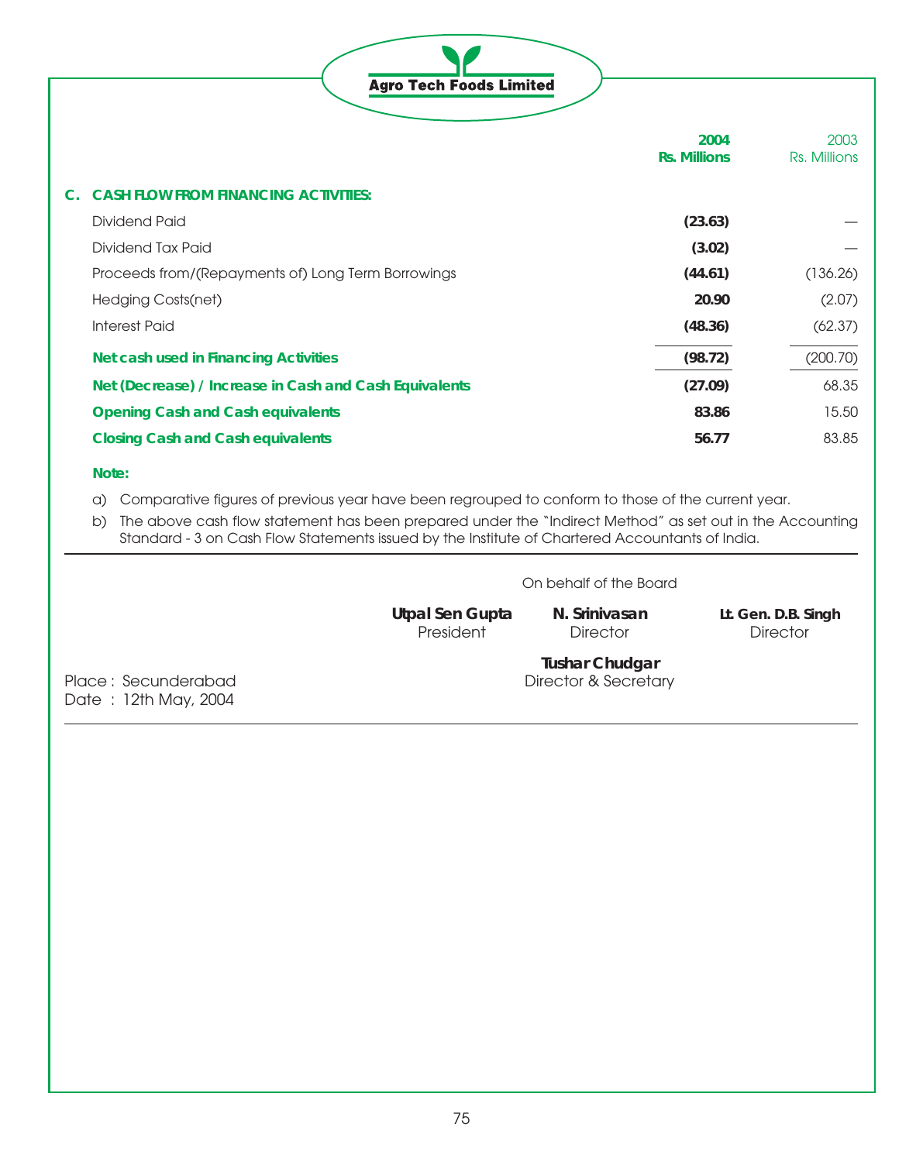|  | <b>Agro Tech Foods Limited</b> |
|--|--------------------------------|

|                                                        | 2004<br><b>Rs. Millions</b> | 2003<br>Rs. Millions |
|--------------------------------------------------------|-----------------------------|----------------------|
| <b>CASH FLOW FROM FINANCING ACTIVITIES:</b>            |                             |                      |
| Dividend Paid                                          | (23.63)                     |                      |
| Dividend Tax Paid                                      | (3.02)                      |                      |
| Proceeds from/(Repayments of) Long Term Borrowings     | (44.61)                     | (136.26)             |
| Hedging Costs(net)                                     | 20.90                       | (2.07)               |
| <b>Interest Paid</b>                                   | (48.36)                     | (62.37)              |
| Net cash used in Financing Activities                  | (98.72)                     | (200.70)             |
| Net (Decrease) / Increase in Cash and Cash Equivalents | (27.09)                     | 68.35                |
| <b>Opening Cash and Cash equivalents</b>               | 83.86                       | 15.50                |
| <b>Closing Cash and Cash equivalents</b>               | 56.77                       | 83.85                |

# **Note:**

- a) Comparative figures of previous year have been regrouped to conform to those of the current year.
- b) The above cash flow statement has been prepared under the "Indirect Method" as set out in the Accounting Standard - 3 on Cash Flow Statements issued by the Institute of Chartered Accountants of India.

| On behalf of the Board |
|------------------------|
|------------------------|

**Utpal Sen Gupta N. Srinivasan Lt. Gen. D.B. Singh**

President Director Director Director

Date : 12th May, 2004

**Tushar Chudgar** Place : Secunderabad Director & Secretary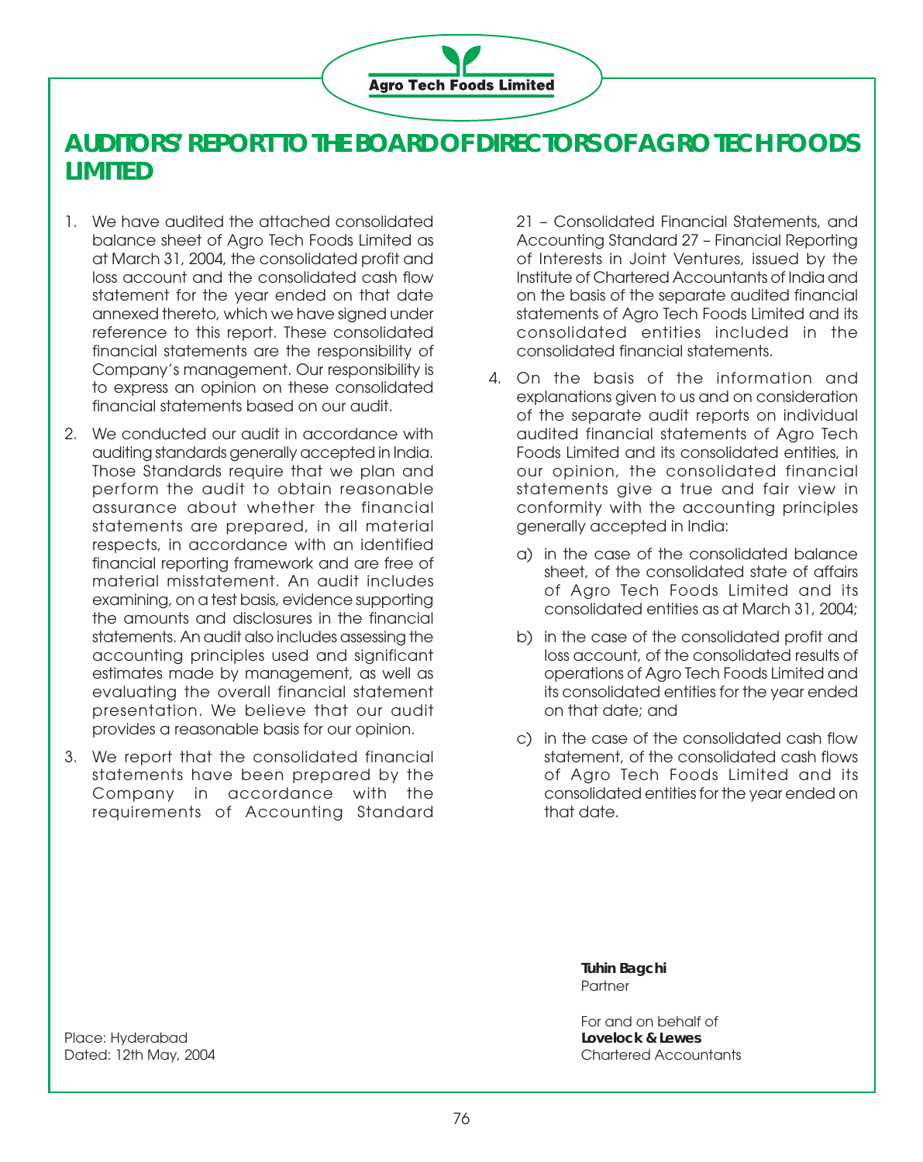

# **AUDITORS' REPORT TO THE BOARD OF DIRECTORS OF AGRO TECH FOODS LIMITED**

- 1. We have audited the attached consolidated balance sheet of Agro Tech Foods Limited as at March 31, 2004, the consolidated profit and loss account and the consolidated cash flow statement for the year ended on that date annexed thereto, which we have signed under reference to this report. These consolidated financial statements are the responsibility of Company's management. Our responsibility is to express an opinion on these consolidated financial statements based on our audit.
- 2. We conducted our audit in accordance with auditing standards generally accepted in India. Those Standards require that we plan and perform the audit to obtain reasonable assurance about whether the financial statements are prepared, in all material respects, in accordance with an identified financial reporting framework and are free of material misstatement. An audit includes examining, on a test basis, evidence supporting the amounts and disclosures in the financial statements. An audit also includes assessing the accounting principles used and significant estimates made by management, as well as evaluating the overall financial statement presentation. We believe that our audit provides a reasonable basis for our opinion.
- 3. We report that the consolidated financial statements have been prepared by the Company in accordance with the requirements of Accounting Standard

21 – Consolidated Financial Statements, and Accounting Standard 27 – Financial Reporting of Interests in Joint Ventures, issued by the Institute of Chartered Accountants of India and on the basis of the separate audited financial statements of Agro Tech Foods Limited and its consolidated entities included in the consolidated financial statements.

- 4. On the basis of the information and explanations given to us and on consideration of the separate audit reports on individual audited financial statements of Agro Tech Foods Limited and its consolidated entities, in our opinion, the consolidated financial statements give a true and fair view in conformity with the accounting principles generally accepted in India:
	- a) in the case of the consolidated balance sheet, of the consolidated state of affairs of Agro Tech Foods Limited and its consolidated entities as at March 31, 2004;
	- b) in the case of the consolidated profit and loss account, of the consolidated results of operations of Agro Tech Foods Limited and its consolidated entities for the year ended on that date; and
	- c) in the case of the consolidated cash flow statement, of the consolidated cash flows of Agro Tech Foods Limited and its consolidated entities for the year ended on that date.

**Tuhin Bagchi Partner** 

For and on behalf of Dated: 12th May, 2004 Chartered Accountants

Place: Hyderabad **Lovelock & Lewes**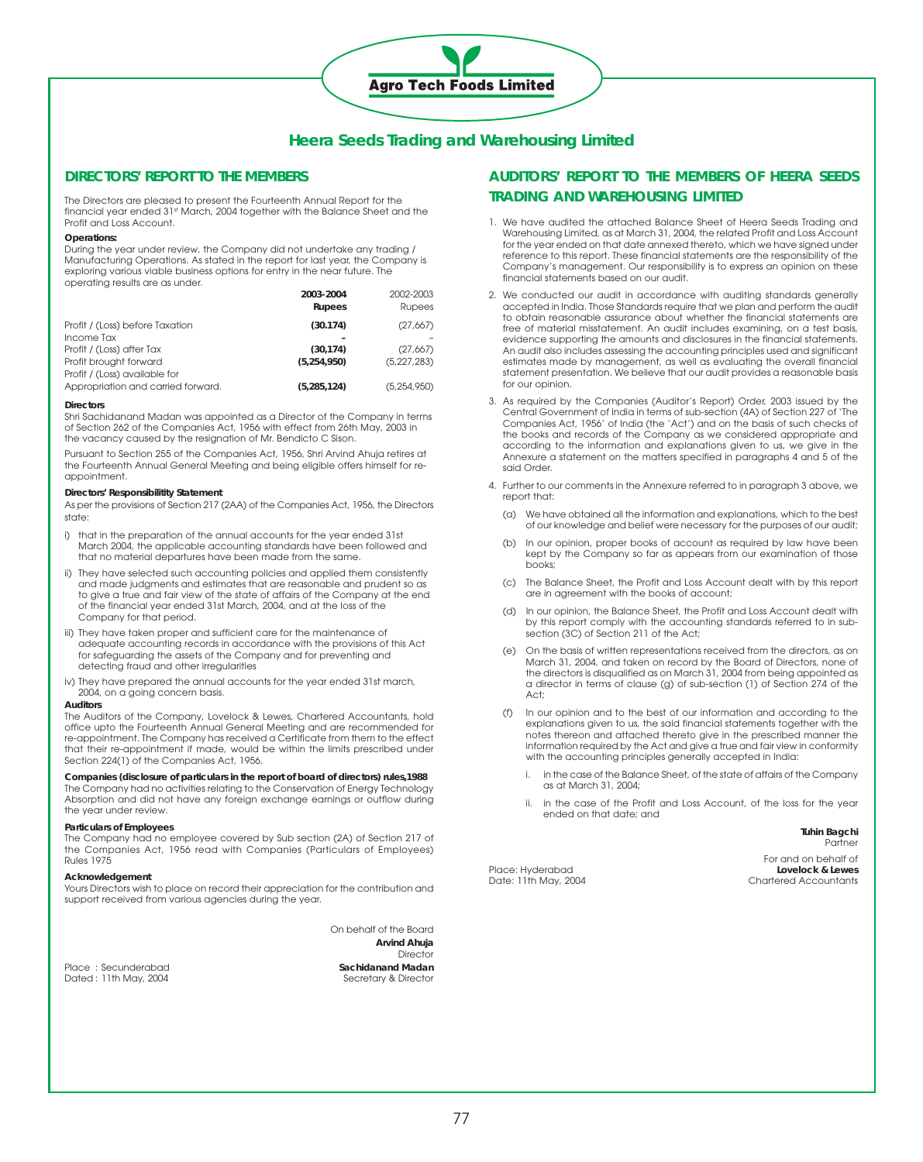# **Heera Seeds Trading and Warehousing Limited**

**Agro Tech Foods Limited** 

### **DIRECTORS' REPORT TO THE MEMBERS**

The Directors are pleased to present the Fourteenth Annual Report for the financial year ended 31st March, 2004 together with the Balance Sheet and the Profit and Loss Account.

#### **Operations:**

During the year under review, the Company did not undertake any trading / Manufacturing Operations. As stated in the report for last year, the Company is exploring various viable business options for entry in the near future. The operating results are as under.

|                                    | 2003-2004<br><b>Rupees</b> | 2002-2003<br>Rupees |
|------------------------------------|----------------------------|---------------------|
| Profit / (Loss) before Taxation    | (30.174)                   | (27,667)            |
| Income Tax                         |                            |                     |
| Profit / (Loss) after Tax          | (30.174)                   | (27,667)            |
| Profit brought forward             | (5.254.950)                | (5,227,283)         |
| Profit / (Loss) available for      |                            |                     |
| Appropriation and carried forward. | (5, 285, 124)              | (5, 254, 950)       |

#### **Directors**

Shri Sachidanand Madan was appointed as a Director of the Company in terms of Section 262 of the Companies Act, 1956 with effect from 26th May, 2003 in the vacancy caused by the resignation of Mr. Bendicto C Sison.

Pursuant to Section 255 of the Companies Act, 1956, Shri Arvind Ahuja retires at the Fourteenth Annual General Meeting and being eligible offers himself for reappointment.

#### **Directors' Responsibilitity Statement**

As per the provisions of Section 217 (2AA) of the Companies Act, 1956, the Directors state:

- i) that in the preparation of the annual accounts for the year ended 31st March 2004, the applicable accounting standards have been followed and that no material departures have been made from the same.
- ii) They have selected such accounting policies and applied them consistently and made judgments and estimates that are reasonable and prudent so as to give a true and fair view of the state of affairs of the Company at the end of the financial year ended 31st March, 2004, and at the loss of the Company for that period.
- iii) They have taken proper and sufficient care for the maintenance of adequate accounting records in accordance with the provisions of this Act for safeguarding the assets of the Company and for preventing and detecting fraud and other irregularities
- iv) They have prepared the annual accounts for the year ended 31st march, 2004, on a going concern basis.

#### **Auditors**

The Auditors of the Company, Lovelock & Lewes, Chartered Accountants, hold office upto the Fourteenth Annual General Meeting and are recommended for re-appointment. The Company has received a Certificate from them to the effect that their re-appointment if made, would be within the limits prescribed under Section 224(1) of the Companies Act, 1956.

#### **Companies (disclosure of particulars in the report of board of directors) rules,1988**

The Company had no activities relating to the Conservation of Energy Technology Absorption and did not have any foreign exchange earnings or outflow during the year under review.

#### **Particulars of Employees**

The Company had no employee covered by Sub section (2A) of Section 217 of the Companies Act, 1956 read with Companies (Particulars of Employees) Rules 1975

#### **Acknowledgement**

Yours Directors wish to place on record their appreciation for the contribution and support received from various agencies during the year.

Dated : 11th May, 2004 Secretary & Director

On behalf of the Board **Arvind Ahuja Director** Place : Secunderabad **Sachidanand Madan** 

# **AUDITORS' REPORT TO THE MEMBERS OF HEERA SEEDS TRADING AND WAREHOUSING LIMITED**

- 1. We have audited the attached Balance Sheet of Heera Seeds Trading and Warehousing Limited, as at March 31, 2004, the related Profit and Loss Account for the year ended on that date annexed thereto, which we have signed under reference to this report. These financial statements are the responsibility of the Company's management. Our responsibility is to express an opinion on these financial statements based on our audit.
- 2. We conducted our audit in accordance with auditing standards generally accepted in India. Those Standards require that we plan and perform the audit to obtain reasonable assurance about whether the financial statements are free of material misstatement. An audit includes examining, on a test basis, evidence supporting the amounts and disclosures in the financial statements. An audit also includes assessing the accounting principles used and significant estimates made by management, as well as evaluating the overall financial statement presentation. We believe that our audit provides a reasonable basis for our opinion.
- 3. As required by the Companies (Auditor's Report) Order, 2003 issued by the Central Government of India in terms of sub-section (4A) of Section 227 of 'The Companies Act, 1956' of India (the 'Act') and on the basis of such checks of the books and records of the Company as we considered appropriate and according to the information and explanations given to us, we give in the Annexure a statement on the matters specified in paragraphs 4 and 5 of the said Order.
- 4. Further to our comments in the Annexure referred to in paragraph 3 above, we report that:
	- (a) We have obtained all the information and explanations, which to the best of our knowledge and belief were necessary for the purposes of our audit;
	- (b) In our opinion, proper books of account as required by law have been kept by the Company so far as appears from our examination of those books;
	- (c) The Balance Sheet, the Profit and Loss Account dealt with by this report are in agreement with the books of account;
	- (d) In our opinion, the Balance Sheet, the Profit and Loss Account dealt with by this report comply with the accounting standards referred to in subsection (3C) of Section 211 of the Act;
	- (e) On the basis of written representations received from the directors, as on March 31, 2004, and taken on record by the Board of Directors, none of the directors is disqualified as on March 31, 2004 from being appointed as a director in terms of clause (g) of sub-section (1) of Section 274 of the Act;
	- (f) In our opinion and to the best of our information and according to the explanations given to us, the said financial statements together with the notes thereon and attached thereto give in the prescribed manner the information required by the Act and give a true and fair view in conformity with the accounting principles generally accepted in India:
		- in the case of the Balance Sheet, of the state of affairs of the Company as at March 31, 2004;
		- ii. in the case of the Profit and Loss Account, of the loss for the year ended on that date; and

**Tuhin Bagchi** Partner

Date: 11th May, 2004

For and on behalf of<br>Lovelock & Lewes Place: Hyderabad **Lovelock & Lewes**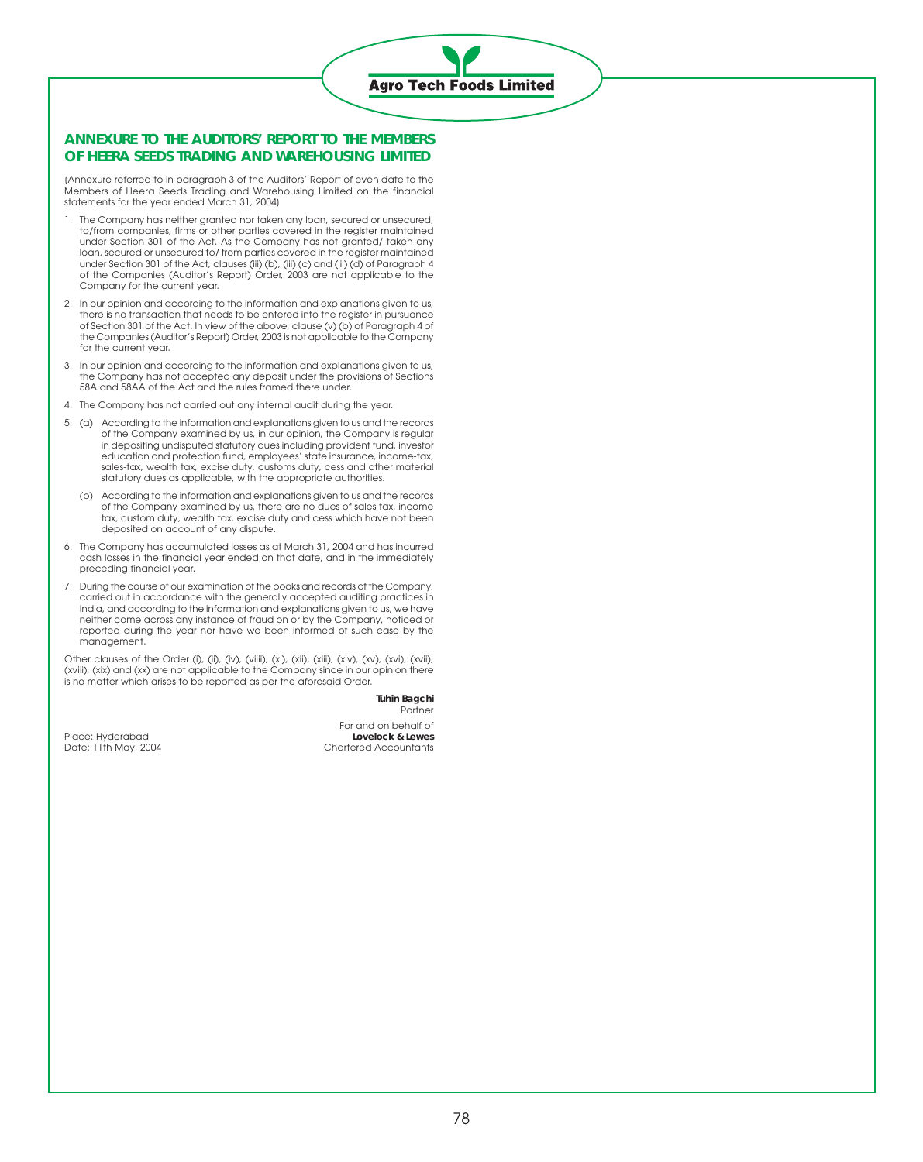# **Agro Tech Foods Limited**

## **ANNEXURE TO THE AUDITORS' REPORT TO THE MEMBERS OF HEERA SEEDS TRADING AND WAREHOUSING LIMITED**

[Annexure referred to in paragraph 3 of the Auditors' Report of even date to the Members of Heera Seeds Trading and Warehousing Limited on the financial statements for the year ended March 31, 2004]

- 1. The Company has neither granted nor taken any loan, secured or unsecured, to/from companies, firms or other parties covered in the register maintained under Section 301 of the Act. As the Company has not granted/ taken any loan, secured or unsecured to/ from parties covered in the register maintained under Section 301 of the Act, clauses (iii) (b), (iii) (c) and (iii) (d) of Paragraph 4 of the Companies (Auditor's Report) Order, 2003 are not applicable to the Company for the current year.
- 2. In our opinion and according to the information and explanations given to us, there is no transaction that needs to be entered into the register in pursuance of Section 301 of the Act. In view of the above, clause (v) (b) of Paragraph 4 of the Companies (Auditor's Report) Order, 2003 is not applicable to the Company for the current year.
- 3. In our opinion and according to the information and explanations given to us, the Company has not accepted any deposit under the provisions of Sections 58A and 58AA of the Act and the rules framed there under.
- 4. The Company has not carried out any internal audit during the year.
- 5. (a) According to the information and explanations given to us and the records of the Company examined by us, in our opinion, the Company is regular in depositing undisputed statutory dues including provident fund, investor education and protection fund, employees' state insurance, income-tax, sales-tax, wealth tax, excise duty, customs duty, cess and other material statutory dues as applicable, with the appropriate authorities.
	- (b) According to the information and explanations given to us and the records of the Company examined by us, there are no dues of sales tax, income tax, custom duty, wealth tax, excise duty and cess which have not been deposited on account of any dispute.
- 6. The Company has accumulated losses as at March 31, 2004 and has incurred cash losses in the financial year ended on that date, and in the immediately preceding financial year.
- 7. During the course of our examination of the books and records of the Company, carried out in accordance with the generally accepted auditing practices in India, and according to the information and explanations given to us, we have neither come across any instance of fraud on or by the Company, noticed or reported during the year nor have we been informed of such case by the management.

Other clauses of the Order (i), (ii), (iv), (viiii), (xi), (xii), (xiii), (xiv), (xv), (xvi), (xvii), (xviii), (xix) and (xx) are not applicable to the Company since in our opinion there is no matter which arises to be reported as per the aforesaid Order.

> **Tuhin Bagchi** Partner

Place: Hyderabad<br>Date: 11th May, 2004

For and on behalf of<br>Lovelock & Lewes Chartered Accountants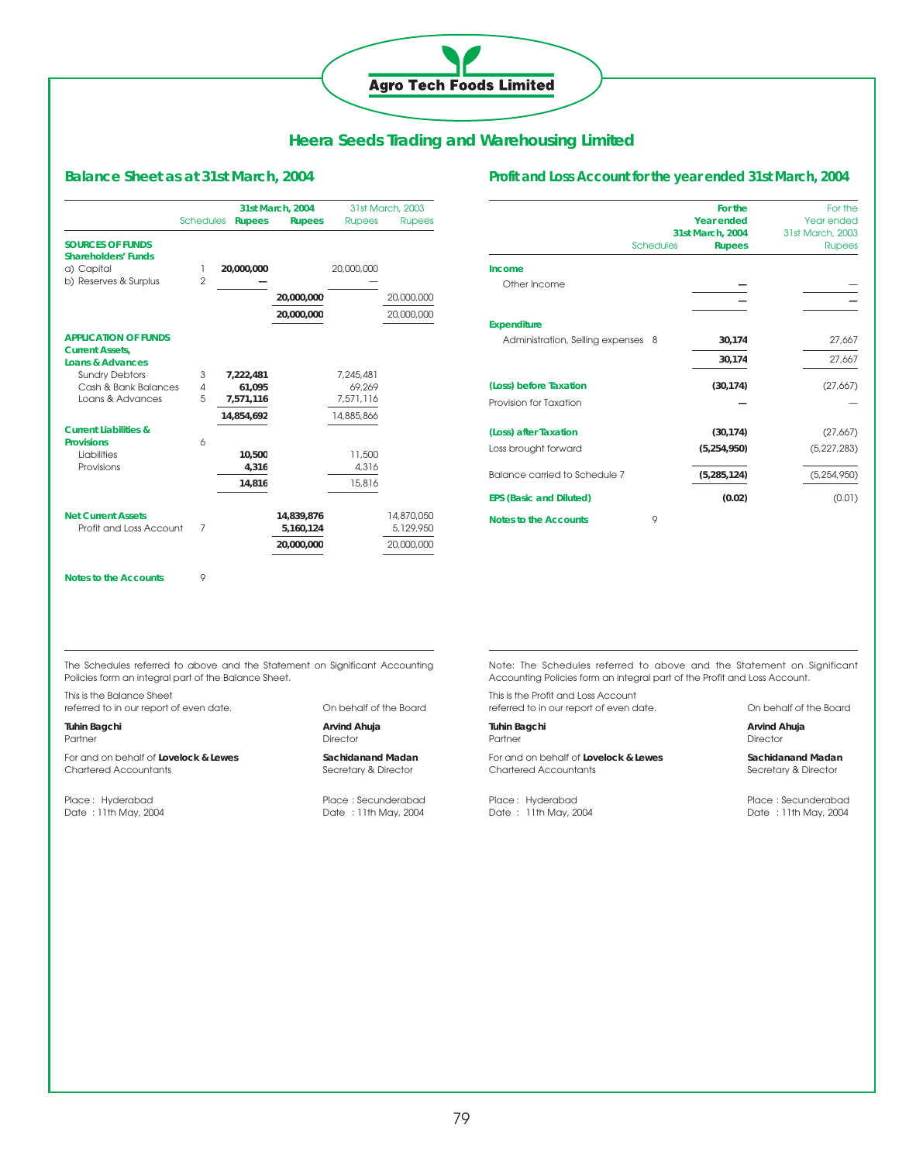# **Agro Tech Foods Limited**

# **Heera Seeds Trading and Warehousing Limited**

# **Balance Sheet as at 31st March, 2004**

|                                                                                      |                  |               | 31st March, 2004        |               | 31st March, 2003        |
|--------------------------------------------------------------------------------------|------------------|---------------|-------------------------|---------------|-------------------------|
|                                                                                      | <b>Schedules</b> | <b>Rupees</b> | <b>Rupees</b>           | <b>Rupees</b> | <b>Rupees</b>           |
| <b>SOURCES OF FUNDS</b><br><b>Shareholders' Funds</b><br>a) Capital                  | ı                | 20,000,000    |                         | 20,000,000    |                         |
| b) Reserves & Surplus                                                                | $\mathfrak{p}$   |               |                         |               |                         |
|                                                                                      |                  |               | 20,000,000              |               | 20,000,000              |
|                                                                                      |                  |               | 20,000,000              |               | 20,000,000              |
| <b>APPLICATION OF FUNDS</b><br><b>Current Assets,</b><br><b>Loans &amp; Advances</b> |                  |               |                         |               |                         |
| <b>Sundry Debtors</b>                                                                | 3                | 7,222,481     |                         | 7.245.481     |                         |
| Cash & Bank Balances                                                                 | $\overline{4}$   | 61,095        |                         | 69.269        |                         |
| Loans & Advances                                                                     | 5                | 7,571,116     |                         | 7.571.116     |                         |
|                                                                                      |                  | 14.854.692    |                         | 14,885,866    |                         |
| <b>Current Liabilities &amp;</b><br><b>Provisions</b>                                | 6                |               |                         |               |                         |
| Liabilities                                                                          |                  | 10.500        |                         | 11,500        |                         |
| Provisions                                                                           |                  | 4,316         |                         | 4.316         |                         |
|                                                                                      |                  | 14,816        |                         | 15,816        |                         |
| <b>Net Current Assets</b><br>Profit and Loss Account                                 | 7                |               | 14,839,876<br>5,160,124 |               | 14,870,050<br>5,129,950 |
|                                                                                      |                  |               | 20.000.000              |               | 20,000,000              |

## **Profit and Loss Account for the year ended 31st March, 2004**

|                                    | For the           | For the          |
|------------------------------------|-------------------|------------------|
|                                    | <b>Year ended</b> | Year ended       |
|                                    | 31st March, 2004  | 31st March, 2003 |
| <b>Schedules</b>                   | <b>Rupees</b>     | <b>Rupees</b>    |
| Income                             |                   |                  |
| Other Income                       |                   |                  |
|                                    |                   |                  |
| <b>Expenditure</b>                 |                   |                  |
| Administration, Selling expenses 8 | 30,174            | 27,667           |
|                                    | 30,174            | 27,667           |
| (Loss) before Taxation             | (30, 174)         | (27,667)         |
| Provision for Taxation             |                   |                  |
| (Loss) after Taxation              | (30, 174)         | (27,667)         |
| Loss brought forward               | (5, 254, 950)     | (5, 227, 283)    |
| Balance carried to Schedule 7      | (5, 285, 124)     | (5, 254, 950)    |
| <b>EPS (Basic and Diluted)</b>     | (0.02)            | (0.01)           |
| 9<br><b>Notes to the Accounts</b>  |                   |                  |

**Notes to the Accounts** 9

The Schedules referred to above and the Statement on Significant Accounting Policies form an integral part of the Balance Sheet.

This is the Balance Sheet referred to in our report of even date. On behalf of the Board

Partner Director For and on behalf of **Lovelock & Lewes** Sachidanand Madan

Chartered Accountants Secretary & Director

Date : 11th May, 2004 Date : 11th May, 2004

Tuhin Bagchi **Arvind Ahuja** 

Place : Hyderabad Place : Secunderabad

Note: The Schedules referred to above and the Statement on Significant Accounting Policies form an integral part of the Profit and Loss Account.

This is the Profit and Loss Account referred to in our report of even date. On behalf of the Board

Partner Director

For and on behalf of **Lovelock & Lewes** Sachidanand Madan Chartered Accountants Secretary & Director

Place : Hyderabad Place : Secunderabad

Tuhin Bagchi **Arvind Ahuja** 

Date : 11th May, 2004 Date : 11th May, 2004